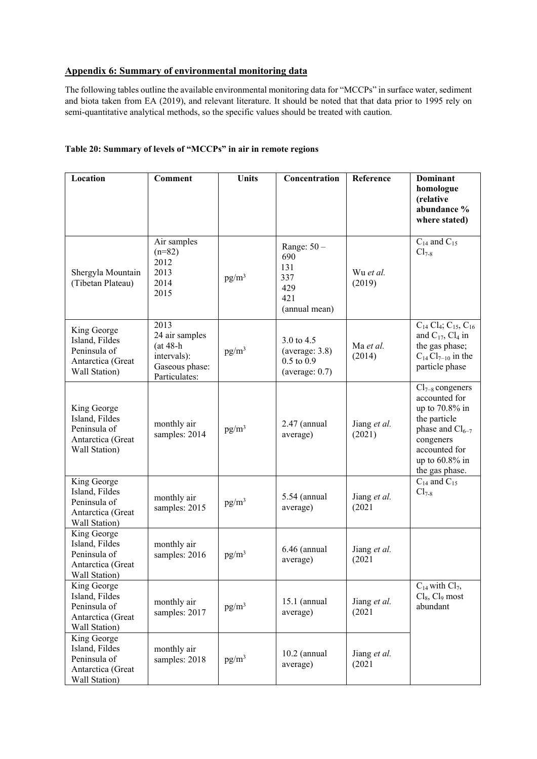## **Appendix 6: Summary of environmental monitoring data**

The following tables outline the available environmental monitoring data for "MCCPs" in surface water, sediment and biota taken from EA (2019), and relevant literature. It should be noted that that data prior to 1995 rely on semi-quantitative analytical methods, so the specific values should be treated with caution.

## **Table 20: Summary of levels of "MCCPs" in air in remote regions**

| Location                                                                            | <b>Comment</b>                                                                         | <b>Units</b> | Concentration                                                       | Reference              | <b>Dominant</b><br>homologue<br>(relative<br>abundance %<br>where stated)                                                                                           |
|-------------------------------------------------------------------------------------|----------------------------------------------------------------------------------------|--------------|---------------------------------------------------------------------|------------------------|---------------------------------------------------------------------------------------------------------------------------------------------------------------------|
| Shergyla Mountain<br>(Tibetan Plateau)                                              | Air samples<br>$(n=82)$<br>2012<br>2013<br>2014<br>2015                                | $pg/m^3$     | Range: $50 -$<br>690<br>131<br>337<br>429<br>421<br>(annual mean)   | Wu et al.<br>(2019)    | $\mathrm{C}_{14}$ and $\mathrm{C}_{15}$<br>$Cl_{7-8}$                                                                                                               |
| King George<br>Island, Fildes<br>Peninsula of<br>Antarctica (Great<br>Wall Station) | 2013<br>24 air samples<br>$(at 48-h$<br>intervals):<br>Gaseous phase:<br>Particulates: | $pg/m^3$     | 3.0 to 4.5<br>(average: 3.8)<br>$0.5$ to $0.9$<br>(average: $0.7$ ) | Ma et al.<br>(2014)    | $\overline{C_{14}}$ Cl <sub>4</sub> ; C <sub>15</sub> , C <sub>16</sub><br>and $C_{17}$ , $Cl_4$ in<br>the gas phase;<br>$C_{14}Cl_{7-10}$ in the<br>particle phase |
| King George<br>Island, Fildes<br>Peninsula of<br>Antarctica (Great<br>Wall Station) | monthly air<br>samples: 2014                                                           | $pg/m^3$     | $2.47$ (annual<br>average)                                          | Jiang et al.<br>(2021) | $Cl_{7-8}$ congeners<br>accounted for<br>up to 70.8% in<br>the particle<br>phase and $Cl_{6-7}$<br>congeners<br>accounted for<br>up to 60.8% in<br>the gas phase.   |
| King George<br>Island, Fildes<br>Peninsula of<br>Antarctica (Great<br>Wall Station) | monthly air<br>samples: 2015                                                           | $pg/m^3$     | 5.54 (annual<br>average)                                            | Jiang et al.<br>(2021) | $C_{14}$ and $C_{15}$<br>$Cl_{7-8}$                                                                                                                                 |
| King George<br>Island, Fildes<br>Peninsula of<br>Antarctica (Great<br>Wall Station) | monthly air<br>samples: 2016                                                           | $pg/m^3$     | $6.46$ (annual<br>average)                                          | Jiang et al.<br>(2021) |                                                                                                                                                                     |
| King George<br>Island, Fildes<br>Peninsula of<br>Antarctica (Great<br>Wall Station) | monthly air<br>samples: 2017                                                           | $pg/m^3$     | $15.1$ (annual<br>average)                                          | Jiang et al.<br>(2021) | $C_{14}$ with $Cl_7$ ,<br>$Cl_8$ , $Cl_9$ most<br>abundant                                                                                                          |
| King George<br>Island, Fildes<br>Peninsula of<br>Antarctica (Great<br>Wall Station) | monthly air<br>samples: 2018                                                           | $pg/m^3$     | $10.2$ (annual<br>average)                                          | Jiang et al.<br>(2021) |                                                                                                                                                                     |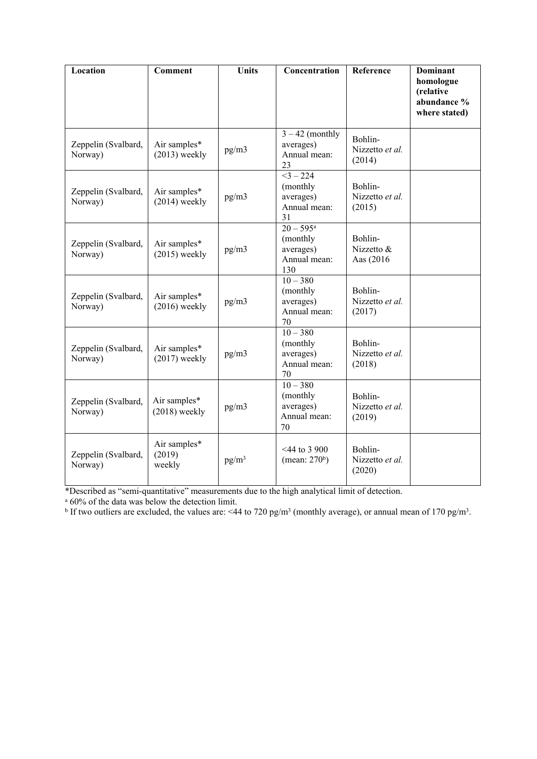| Location                       | <b>Comment</b>                   | <b>Units</b> | Concentration                                                                   | Reference                            | <b>Dominant</b><br>homologue<br>(relative<br>abundance %<br>where stated) |
|--------------------------------|----------------------------------|--------------|---------------------------------------------------------------------------------|--------------------------------------|---------------------------------------------------------------------------|
| Zeppelin (Svalbard,<br>Norway) | Air samples*<br>$(2013)$ weekly  | pg/m3        | $3 - 42$ (monthly<br>averages)<br>Annual mean:<br>23                            | Bohlin-<br>Nizzetto et al.<br>(2014) |                                                                           |
| Zeppelin (Svalbard,<br>Norway) | Air samples*<br>$(2014)$ weekly  | pg/m3        | $<3 - 224$<br>(monthly<br>averages)<br>Annual mean:<br>31                       | Bohlin-<br>Nizzetto et al.<br>(2015) |                                                                           |
| Zeppelin (Svalbard,<br>Norway) | Air samples*<br>$(2015)$ weekly  | pg/m3        | $\frac{20 - 595^{\text{a}}}{2}$<br>(monthly<br>averages)<br>Annual mean:<br>130 | Bohlin-<br>Nizzetto &<br>Aas (2016)  |                                                                           |
| Zeppelin (Svalbard,<br>Norway) | Air samples*<br>$(2016)$ weekly  | pg/m3        | $10 - 380$<br>(monthly<br>averages)<br>Annual mean:<br>70                       | Bohlin-<br>Nizzetto et al.<br>(2017) |                                                                           |
| Zeppelin (Svalbard,<br>Norway) | Air samples*<br>$(2017)$ weekly  | pg/m3        | $10 - 380$<br>(monthly<br>averages)<br>Annual mean:<br>70                       | Bohlin-<br>Nizzetto et al.<br>(2018) |                                                                           |
| Zeppelin (Svalbard,<br>Norway) | Air samples*<br>$(2018)$ weekly  | pg/m3        | $10 - 380$<br>(monthly<br>averages)<br>Annual mean:<br>70                       | Bohlin-<br>Nizzetto et al.<br>(2019) |                                                                           |
| Zeppelin (Svalbard,<br>Norway) | Air samples*<br>(2019)<br>weekly | $pg/m^3$     | $<$ 44 to 3 900<br>(mean: $270b$ )                                              | Bohlin-<br>Nizzetto et al.<br>(2020) |                                                                           |

\*Described as "semi-quantitative" measurements due to the high analytical limit of detection.<br><sup>a</sup> 60% of the data was below the detection limit.<br><sup>b</sup> If two outliers are excluded, the values are: <44 to 720 pg/m<sup>3</sup> (monthly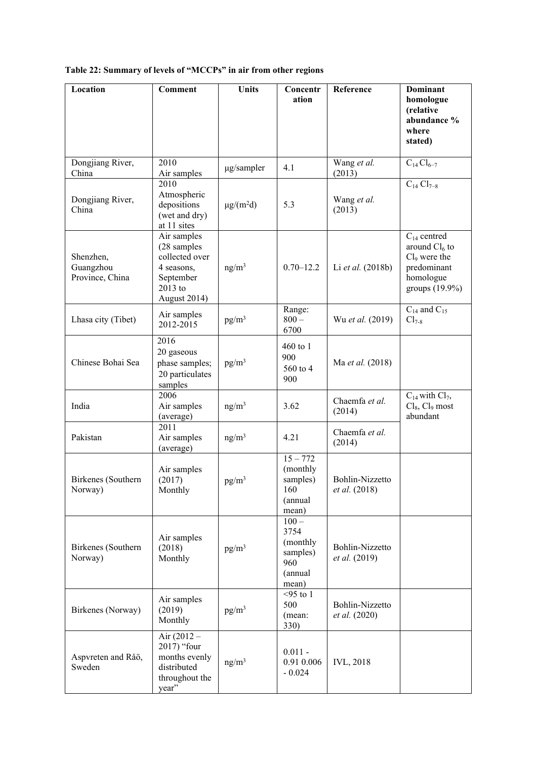## **Table 22: Summary of levels of "MCCPs" in air from other regions**

| Location                                  | <b>Comment</b>                                                                                     | <b>Units</b>               | Concentr<br>ation                                                  | Reference                        | <b>Dominant</b><br>homologue<br>(relative                                                                      |
|-------------------------------------------|----------------------------------------------------------------------------------------------------|----------------------------|--------------------------------------------------------------------|----------------------------------|----------------------------------------------------------------------------------------------------------------|
|                                           |                                                                                                    |                            |                                                                    |                                  | abundance %<br>where<br>stated)                                                                                |
| Dongjiang River,<br>China                 | 2010<br>Air samples                                                                                | µg/sampler                 | 4.1                                                                | Wang et al.<br>(2013)            | $C_{14}Cl_{6-7}$                                                                                               |
| Dongjiang River,<br>China                 | 2010<br>Atmospheric<br>depositions<br>(wet and dry)<br>at 11 sites                                 | $\mu$ g/(m <sup>2</sup> d) | 5.3                                                                | Wang et al.<br>(2013)            | $C_{14} Cl_{7-8}$                                                                                              |
| Shenzhen,<br>Guangzhou<br>Province, China | Air samples<br>(28 samples<br>collected over<br>4 seasons,<br>September<br>2013 to<br>August 2014) | ng/m <sup>3</sup>          | $0.70 - 12.2$                                                      | Li et al. (2018b)                | $C_{14}$ centred<br>around $Cl_6$ to<br>Cl <sub>9</sub> were the<br>predominant<br>homologue<br>groups (19.9%) |
| Lhasa city (Tibet)                        | Air samples<br>2012-2015                                                                           | $pg/m^3$                   | Range:<br>$800 -$<br>6700                                          | Wu et al. (2019)                 | $C_{14}$ and $C_{15}$<br>$Cl_{7-8}$                                                                            |
| Chinese Bohai Sea                         | 2016<br>20 gaseous<br>phase samples;<br>20 particulates<br>samples                                 | $pg/m^3$                   | $460$ to 1<br>900<br>560 to 4<br>900                               | Ma et al. (2018)                 |                                                                                                                |
| India                                     | 2006<br>Air samples<br>(average)                                                                   | ng/m <sup>3</sup>          | 3.62                                                               | Chaemfa et al.<br>(2014)         | $C_{14}$ with $Cl_7$ ,<br>$Cl_8$ , $Cl_9$ most<br>abundant                                                     |
| Pakistan                                  | 2011<br>Air samples<br>(average)                                                                   | ng/m <sup>3</sup>          | 4.21                                                               | Chaemfa et al.<br>(2014)         |                                                                                                                |
| Birkenes (Southern<br>Norway)             | Air samples<br>(2017)<br>Monthly                                                                   | $pg/m^3$                   | $15 - 772$<br>(monthly<br>samples)<br>160<br>(annual<br>mean)      | Bohlin-Nizzetto<br>et al. (2018) |                                                                                                                |
| Birkenes (Southern<br>Norway)             | Air samples<br>(2018)<br>Monthly                                                                   | $pg/m^3$                   | $100 -$<br>3754<br>(monthly<br>samples)<br>960<br>(annual<br>mean) | Bohlin-Nizzetto<br>et al. (2019) |                                                                                                                |
| Birkenes (Norway)                         | Air samples<br>(2019)<br>Monthly                                                                   | $pg/m^3$                   | $<$ 95 to 1<br>500<br>(mean:<br>330)                               | Bohlin-Nizzetto<br>et al. (2020) |                                                                                                                |
| Aspvreten and Råö,<br>Sweden              | Air $(2012 -$<br>2017) "four<br>months evenly<br>distributed<br>throughout the<br>year"            | ng/m <sup>3</sup>          | $0.011 -$<br>0.91 0.006<br>$-0.024$                                | <b>IVL, 2018</b>                 |                                                                                                                |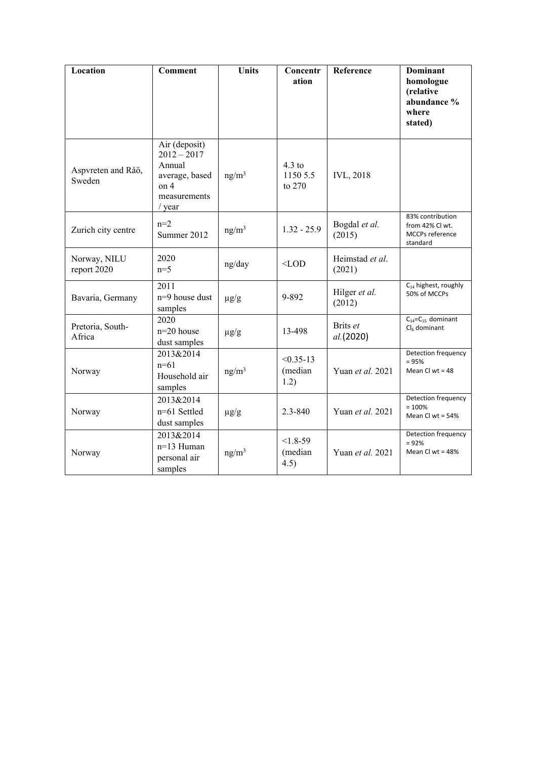| Location                     | <b>Comment</b>                                                                               | <b>Units</b>      | Concentr<br>ation                | Reference                 | <b>Dominant</b><br>homologue<br>(relative<br>abundance %<br>where<br>stated) |
|------------------------------|----------------------------------------------------------------------------------------------|-------------------|----------------------------------|---------------------------|------------------------------------------------------------------------------|
| Aspvreten and Råö,<br>Sweden | Air (deposit)<br>$2012 - 2017$<br>Annual<br>average, based<br>on 4<br>measurements<br>/ year | ng/m <sup>3</sup> | $4.3$ to<br>1150 5.5<br>to 270   | <b>IVL, 2018</b>          |                                                                              |
| Zurich city centre           | $n=2$<br>Summer 2012                                                                         | ng/m <sup>3</sup> | $1.32 - 25.9$                    | Bogdal et al.<br>(2015)   | 83% contribution<br>from 42% Cl wt.<br>MCCPs reference<br>standard           |
| Norway, NILU<br>report 2020  | 2020<br>$n=5$                                                                                | ng/day            | $<$ LOD                          | Heimstad et al.<br>(2021) |                                                                              |
| Bavaria, Germany             | 2011<br>n=9 house dust<br>samples                                                            | $\mu g/g$         | 9-892                            | Hilger et al.<br>(2012)   | $C_{14}$ highest, roughly<br>50% of MCCPs                                    |
| Pretoria, South-<br>Africa   | 2020<br>$n=20$ house<br>dust samples                                                         | $\mu$ g/g         | 13-498                           | Brits et<br>al.(2020)     | $C_{14} = C_{15}$ dominant<br>$Cl6$ dominant                                 |
| Norway                       | 2013&2014<br>$n=61$<br>Household air<br>samples                                              | ng/m <sup>3</sup> | $< 0.35 - 13$<br>(median<br>1.2) | Yuan et al. 2021          | Detection frequency<br>$= 95%$<br>Mean Cl wt = $48$                          |
| Norway                       | 2013&2014<br>n=61 Settled<br>dust samples                                                    | $\mu g/g$         | 2.3-840                          | Yuan et al. 2021          | Detection frequency<br>$= 100%$<br>Mean Cl wt = $54%$                        |
| Norway                       | 2013&2014<br>$n=13$ Human<br>personal air<br>samples                                         | ng/m <sup>3</sup> | $< 1.8 - 59$<br>(median<br>4.5)  | Yuan et al. 2021          | Detection frequency<br>$= 92%$<br>Mean Cl wt = $48%$                         |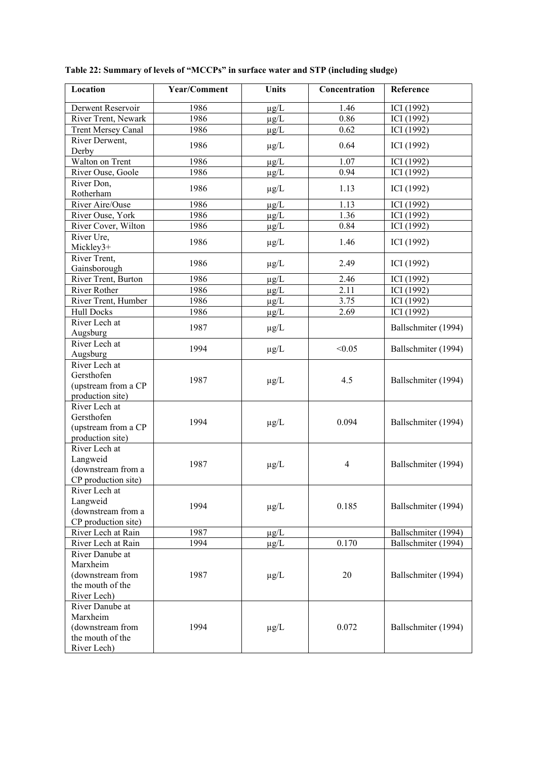| Location                  | Year/Comment | <b>Units</b> | Concentration | Reference                |
|---------------------------|--------------|--------------|---------------|--------------------------|
| Derwent Reservoir         | 1986         | $\mu$ g/L    | 1.46          | ICI (1992)               |
| River Trent, Newark       | 1986         | $\mu$ g/L    | 0.86          | ICI (1992)               |
| <b>Trent Mersey Canal</b> | 1986         | $\mu$ g/L    | 0.62          | ICI (1992)               |
| River Derwent,            |              |              |               |                          |
| Derby                     | 1986         | $\mu$ g/L    | 0.64          | ICI (1992)               |
| Walton on Trent           | 1986         | $\mu g/L$    | 1.07          | ICI (1992)               |
| River Ouse, Goole         | 1986         | $\mu g/L$    | 0.94          | ICI (1992)               |
| River Don,<br>Rotherham   | 1986         | $\mu g/L$    | 1.13          | ICI (1992)               |
| River Aire/Ouse           | 1986         |              | 1.13          |                          |
| River Ouse, York          | 1986         | $\mu$ g/L    | 1.36          | ICI (1992)<br>ICI (1992) |
| River Cover, Wilton       | 1986         | $\mu g/L$    | 0.84          |                          |
|                           |              | $\mu g/L$    |               | ICI (1992)               |
| River Ure,<br>Mickley3+   | 1986         | $\mu g/L$    | 1.46          | ICI (1992)               |
| River Trent,              | 1986         |              | 2.49          | ICI (1992)               |
| Gainsborough              |              | $\mu g/L$    |               |                          |
| River Trent, Burton       | 1986         | $\mu g/L$    | 2.46          | ICI (1992)               |
| <b>River Rother</b>       | 1986         | $\mu g/L$    | 2.11          | ICI (1992)               |
| River Trent, Humber       | 1986         | $\mu g/L$    | 3.75          | ICI (1992)               |
| <b>Hull Docks</b>         | 1986         | $\mu g/L$    | 2.69          | ICI (1992)               |
| River Lech at             | 1987         |              |               | Ballschmiter (1994)      |
| Augsburg                  |              | $\mu$ g/L    |               |                          |
| River Lech at             | 1994         |              | < 0.05        | Ballschmiter (1994)      |
| Augsburg                  |              | $\mu g/L$    |               |                          |
| River Lech at             |              |              |               |                          |
| Gersthofen                | 1987         | $\mu g/L$    | 4.5           | Ballschmiter (1994)      |
| (upstream from a CP       |              |              |               |                          |
| production site)          |              |              |               |                          |
| River Lech at             |              |              |               |                          |
| Gersthofen                | 1994         |              | 0.094         | Ballschmiter (1994)      |
| (upstream from a CP       |              | $\mu$ g/L    |               |                          |
| production site)          |              |              |               |                          |
| River Lech at             |              |              |               |                          |
| Langweid                  | 1987         | $\mu g/L$    | 4             | Ballschmiter (1994)      |
| (downstream from a        |              |              |               |                          |
| CP production site)       |              |              |               |                          |
| River Lech at             |              |              |               |                          |
| Langweid                  | 1994         |              | 0.185         | Ballschmiter (1994)      |
| (downstream from a        |              | $\mu$ g/L    |               |                          |
| CP production site)       |              |              |               |                          |
| River Lech at Rain        | 1987         | $\mu$ g/L    |               | Ballschmiter (1994)      |
| River Lech at Rain        | 1994         | $\mu$ g/L    | 0.170         | Ballschmiter (1994)      |
| River Danube at           |              |              |               |                          |
| Marxheim                  |              |              |               |                          |
| (downstream from          | 1987         | $\mu g/L$    | 20            | Ballschmiter (1994)      |
| the mouth of the          |              |              |               |                          |
| River Lech)               |              |              |               |                          |
| River Danube at           |              |              |               |                          |
| Marxheim                  |              |              |               |                          |
| (downstream from          | 1994         | $\mu$ g/L    | 0.072         | Ballschmiter (1994)      |
| the mouth of the          |              |              |               |                          |
| River Lech)               |              |              |               |                          |

**Table 22: Summary of levels of "MCCPs" in surface water and STP (including sludge)**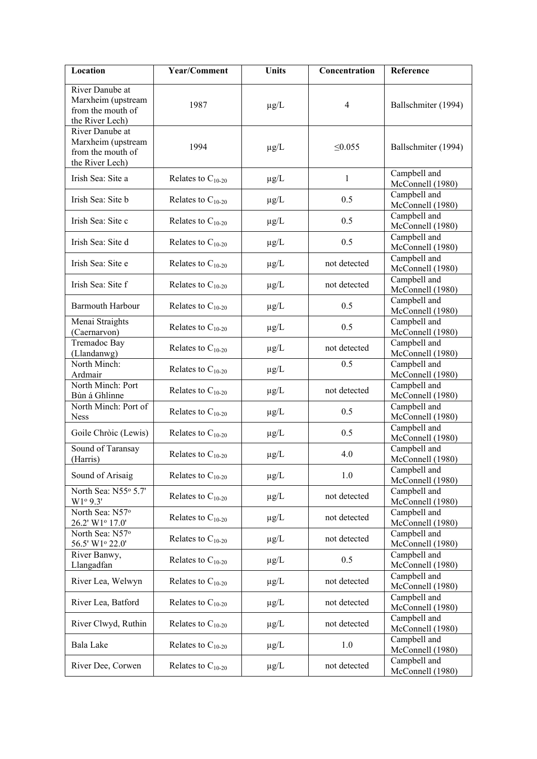| Location                                                                      | Year/Comment           | <b>Units</b> | Concentration  | Reference                        |
|-------------------------------------------------------------------------------|------------------------|--------------|----------------|----------------------------------|
| River Danube at<br>Marxheim (upstream<br>from the mouth of<br>the River Lech) | 1987                   | $\mu$ g/L    | $\overline{4}$ | Ballschmiter (1994)              |
| River Danube at<br>Marxheim (upstream<br>from the mouth of<br>the River Lech) | 1994                   | $\mu$ g/L    | $\leq 0.055$   | Ballschmiter (1994)              |
| Irish Sea: Site a                                                             | Relates to $C_{10-20}$ | $\mu$ g/L    | $\mathbf{1}$   | Campbell and<br>McConnell (1980) |
| Irish Sea: Site b                                                             | Relates to $C_{10-20}$ | $\mu$ g/L    | 0.5            | Campbell and<br>McConnell (1980) |
| Irish Sea: Site c                                                             | Relates to $C_{10-20}$ | $\mu$ g/L    | 0.5            | Campbell and<br>McConnell (1980) |
| Irish Sea: Site d                                                             | Relates to $C_{10-20}$ | $\mu$ g/L    | 0.5            | Campbell and<br>McConnell (1980) |
| Irish Sea: Site e                                                             | Relates to $C_{10-20}$ | $\mu$ g/L    | not detected   | Campbell and<br>McConnell (1980) |
| Irish Sea: Site f                                                             | Relates to $C_{10-20}$ | $\mu$ g/L    | not detected   | Campbell and<br>McConnell (1980) |
| <b>Barmouth Harbour</b>                                                       | Relates to $C_{10-20}$ | $\mu$ g/L    | 0.5            | Campbell and<br>McConnell (1980) |
| Menai Straights<br>(Caernarvon)                                               | Relates to $C_{10-20}$ | $\mu$ g/L    | 0.5            | Campbell and<br>McConnell (1980) |
| Tremadoc Bay<br>(Llandanwg)                                                   | Relates to $C_{10-20}$ | $\mu$ g/L    | not detected   | Campbell and<br>McConnell (1980) |
| North Minch:<br>Ardmair                                                       | Relates to $C_{10-20}$ | $\mu$ g/L    | 0.5            | Campbell and<br>McConnell (1980) |
| North Minch: Port<br>Bùn á Ghlinne                                            | Relates to $C_{10-20}$ | $\mu$ g/L    | not detected   | Campbell and<br>McConnell (1980) |
| North Minch: Port of<br><b>Ness</b>                                           | Relates to $C_{10-20}$ | $\mu$ g/L    | 0.5            | Campbell and<br>McConnell (1980) |
| Goile Chròic (Lewis)                                                          | Relates to $C_{10-20}$ | $\mu g/L$    | 0.5            | Campbell and<br>McConnell (1980) |
| Sound of Taransay<br>(Harris)                                                 | Relates to $C_{10-20}$ | $\mu$ g/L    | 4.0            | Campbell and<br>McConnell (1980) |
| Sound of Arisaig                                                              | Relates to $C_{10-20}$ | $\mu$ g/L    | 1.0            | Campbell and<br>McConnell (1980) |
| North Sea: N55° 5.7'<br>W1°9.3'                                               | Relates to $C_{10-20}$ | $\mu$ g/L    | not detected   | Campbell and<br>McConnell (1980) |
| North Sea: N57°<br>26.2' W1º 17.0'                                            | Relates to $C_{10-20}$ | $\mu$ g/L    | not detected   | Campbell and<br>McConnell (1980) |
| North Sea: N57°<br>56.5' W1º 22.0'                                            | Relates to $C_{10-20}$ | $\mu$ g/L    | not detected   | Campbell and<br>McConnell (1980) |
| River Banwy,<br>Llangadfan                                                    | Relates to $C_{10-20}$ | $\mu$ g/L    | 0.5            | Campbell and<br>McConnell (1980) |
| River Lea, Welwyn                                                             | Relates to $C_{10-20}$ | $\mu$ g/L    | not detected   | Campbell and<br>McConnell (1980) |
| River Lea, Batford                                                            | Relates to $C_{10-20}$ | $\mu$ g/L    | not detected   | Campbell and<br>McConnell (1980) |
| River Clwyd, Ruthin                                                           | Relates to $C_{10-20}$ | $\mu$ g/L    | not detected   | Campbell and<br>McConnell (1980) |
| Bala Lake                                                                     | Relates to $C_{10-20}$ | $\mu$ g/L    | 1.0            | Campbell and<br>McConnell (1980) |
| River Dee, Corwen                                                             | Relates to $C_{10-20}$ | $\mu$ g/L    | not detected   | Campbell and<br>McConnell (1980) |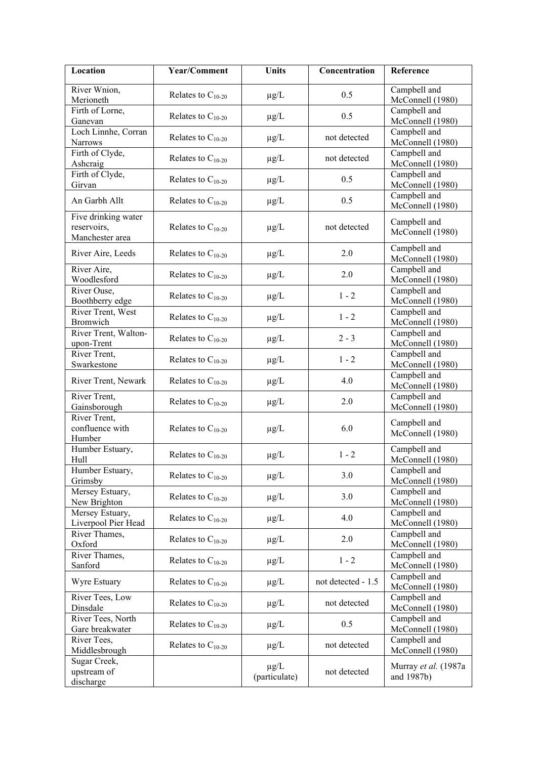| Location                                              | Year/Comment           | <b>Units</b>               | Concentration      | Reference                          |
|-------------------------------------------------------|------------------------|----------------------------|--------------------|------------------------------------|
| River Wnion,<br>Merioneth                             | Relates to $C_{10-20}$ | $\mu g/L$                  | 0.5                | Campbell and<br>McConnell (1980)   |
| Firth of Lorne,<br>Ganevan                            | Relates to $C_{10-20}$ | $\mu g/L$                  | 0.5                | Campbell and<br>McConnell (1980)   |
| Loch Linnhe, Corran<br><b>Narrows</b>                 | Relates to $C_{10-20}$ | $\mu g/L$                  | not detected       | Campbell and<br>McConnell (1980)   |
| Firth of Clyde,<br>Ashcraig                           | Relates to $C_{10-20}$ | $\mu g/L$                  | not detected       | Campbell and<br>McConnell (1980)   |
| Firth of Clyde,<br>Girvan                             | Relates to $C_{10-20}$ | $\mu g/L$                  | 0.5                | Campbell and<br>McConnell (1980)   |
| An Garbh Allt                                         | Relates to $C_{10-20}$ | $\mu g/L$                  | 0.5                | Campbell and<br>McConnell (1980)   |
| Five drinking water<br>reservoirs,<br>Manchester area | Relates to $C_{10-20}$ | $\mu g/L$                  | not detected       | Campbell and<br>McConnell (1980)   |
| River Aire, Leeds                                     | Relates to $C_{10-20}$ | $\mu g/L$                  | 2.0                | Campbell and<br>McConnell (1980)   |
| River Aire,<br>Woodlesford                            | Relates to $C_{10-20}$ | $\mu g/L$                  | 2.0                | Campbell and<br>McConnell (1980)   |
| River Ouse,<br>Boothberry edge                        | Relates to $C_{10-20}$ | $\mu g/L$                  | $1 - 2$            | Campbell and<br>McConnell (1980)   |
| River Trent, West<br>Bromwich                         | Relates to $C_{10-20}$ | $\mu$ g/L                  | $1 - 2$            | Campbell and<br>McConnell (1980)   |
| River Trent, Walton-<br>upon-Trent                    | Relates to $C_{10-20}$ | $\mu$ g/L                  | $2 - 3$            | Campbell and<br>McConnell (1980)   |
| River Trent,<br>Swarkestone                           | Relates to $C_{10-20}$ | $\mu$ g/L                  | $1 - 2$            | Campbell and<br>McConnell (1980)   |
| River Trent, Newark                                   | Relates to $C_{10-20}$ | $\mu$ g/L                  | 4.0                | Campbell and<br>McConnell (1980)   |
| River Trent,<br>Gainsborough                          | Relates to $C_{10-20}$ | $\mu$ g/L                  | 2.0                | Campbell and<br>McConnell (1980)   |
| River Trent,<br>confluence with<br>Humber             | Relates to $C_{10-20}$ | $\mu g/L$                  | 6.0                | Campbell and<br>McConnell (1980)   |
| Humber Estuary,<br>Hull                               | Relates to $C_{10-20}$ | $\mu g/L$                  | $1 - 2$            | Campbell and<br>McConnell (1980)   |
| Humber Estuary,<br>Grimsby                            | Relates to $C_{10-20}$ | $\mu$ g/L                  | 3.0                | Campbell and<br>McConnell (1980)   |
| Mersey Estuary,<br>New Brighton                       | Relates to $C_{10-20}$ | $\mu$ g/L                  | 3.0                | Campbell and<br>McConnell (1980)   |
| Mersey Estuary,<br>Liverpool Pier Head                | Relates to $C_{10-20}$ | $\mu$ g/L                  | 4.0                | Campbell and<br>McConnell (1980)   |
| River Thames,<br>Oxford                               | Relates to $C_{10-20}$ | $\mu$ g/L                  | 2.0                | Campbell and<br>McConnell (1980)   |
| River Thames,<br>Sanford                              | Relates to $C_{10-20}$ | $\mu$ g/L                  | $1 - 2$            | Campbell and<br>McConnell (1980)   |
| Wyre Estuary                                          | Relates to $C_{10-20}$ | $\mu$ g/L                  | not detected - 1.5 | Campbell and<br>McConnell (1980)   |
| River Tees, Low<br>Dinsdale                           | Relates to $C_{10-20}$ | $\mu$ g/L                  | not detected       | Campbell and<br>McConnell (1980)   |
| River Tees, North<br>Gare breakwater                  | Relates to $C_{10-20}$ | $\mu$ g/L                  | 0.5                | Campbell and<br>McConnell (1980)   |
| River Tees,<br>Middlesbrough                          | Relates to $C_{10-20}$ | $\mu$ g/L                  | not detected       | Campbell and<br>McConnell (1980)   |
| Sugar Creek,<br>upstream of<br>discharge              |                        | $\mu$ g/L<br>(particulate) | not detected       | Murray et al. (1987a<br>and 1987b) |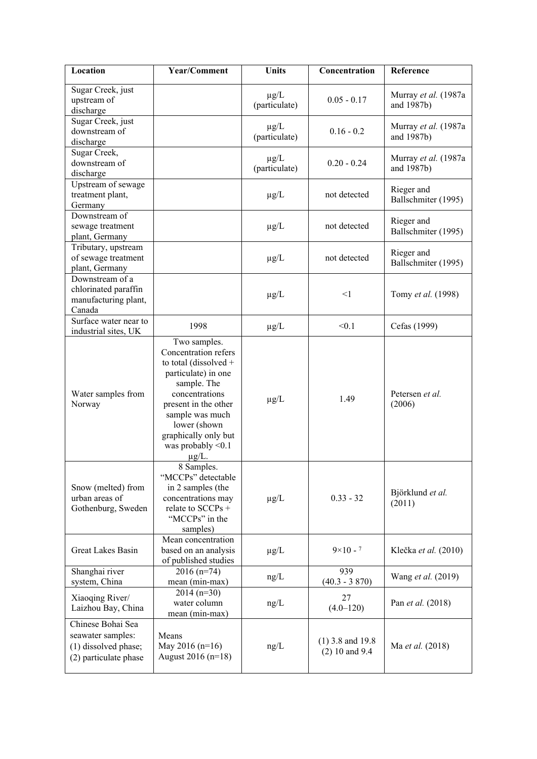| Location                                                                                | Year/Comment                                                                                                                                                                                                                                   | <b>Units</b>               | Concentration                          | Reference                          |
|-----------------------------------------------------------------------------------------|------------------------------------------------------------------------------------------------------------------------------------------------------------------------------------------------------------------------------------------------|----------------------------|----------------------------------------|------------------------------------|
| Sugar Creek, just<br>upstream of<br>discharge                                           |                                                                                                                                                                                                                                                | $\mu$ g/L<br>(particulate) | $0.05 - 0.17$                          | Murray et al. (1987a<br>and 1987b) |
| Sugar Creek, just<br>downstream of<br>discharge                                         |                                                                                                                                                                                                                                                | $\mu$ g/L<br>(particulate) | $0.16 - 0.2$                           | Murray et al. (1987a<br>and 1987b) |
| Sugar Creek,<br>downstream of<br>discharge                                              |                                                                                                                                                                                                                                                | $\mu$ g/L<br>(particulate) | $0.20 - 0.24$                          | Murray et al. (1987a<br>and 1987b) |
| Upstream of sewage<br>treatment plant,<br>Germany                                       |                                                                                                                                                                                                                                                | $\mu$ g/L                  | not detected                           | Rieger and<br>Ballschmiter (1995)  |
| Downstream of<br>sewage treatment<br>plant, Germany                                     |                                                                                                                                                                                                                                                | $\mu$ g/L                  | not detected                           | Rieger and<br>Ballschmiter (1995)  |
| Tributary, upstream<br>of sewage treatment<br>plant, Germany                            |                                                                                                                                                                                                                                                | $\mu$ g/L                  | not detected                           | Rieger and<br>Ballschmiter (1995)  |
| Downstream of a<br>chlorinated paraffin<br>manufacturing plant,<br>Canada               |                                                                                                                                                                                                                                                | $\mu g/L$                  | $\leq$ 1                               | Tomy et al. (1998)                 |
| Surface water near to<br>industrial sites, UK                                           | 1998                                                                                                                                                                                                                                           | $\mu$ g/L                  | < 0.1                                  | Cefas (1999)                       |
| Water samples from<br>Norway                                                            | Two samples.<br>Concentration refers<br>to total (dissolved +<br>particulate) in one<br>sample. The<br>concentrations<br>present in the other<br>sample was much<br>lower (shown<br>graphically only but<br>was probably $< 0.1$<br>$\mu$ g/L. | $\mu$ g/L                  | 1.49                                   | Petersen et al.<br>(2006)          |
| Snow (melted) from<br>urban areas of<br>Gothenburg, Sweden                              | 8 Samples.<br>"MCCPs" detectable<br>in 2 samples (the<br>concentrations may<br>relate to SCCPs +<br>"MCCPs" in the<br>samples)                                                                                                                 | $\mu$ g/L                  | $0.33 - 32$                            | Björklund et al.<br>(2011)         |
| Great Lakes Basin                                                                       | Mean concentration<br>based on an analysis<br>of published studies                                                                                                                                                                             | $\mu$ g/L                  | $9 \times 10 - 7$                      | Klečka et al. (2010)               |
| Shanghai river<br>system, China                                                         | $2016(n=74)$<br>mean (min-max)                                                                                                                                                                                                                 | ng/L                       | 939<br>$(40.3 - 3870)$                 | Wang et al. (2019)                 |
| Xiaoqing River/<br>Laizhou Bay, China                                                   | $2014(n=30)$<br>water column<br>mean (min-max)                                                                                                                                                                                                 | ng/L                       | 27<br>$(4.0 - 120)$                    | Pan et al. (2018)                  |
| Chinese Bohai Sea<br>seawater samples:<br>(1) dissolved phase;<br>(2) particulate phase | Means<br>May 2016 $(n=16)$<br>August 2016 (n=18)                                                                                                                                                                                               | ng/L                       | $(1)$ 3.8 and 19.8<br>$(2)$ 10 and 9.4 | Ma et al. (2018)                   |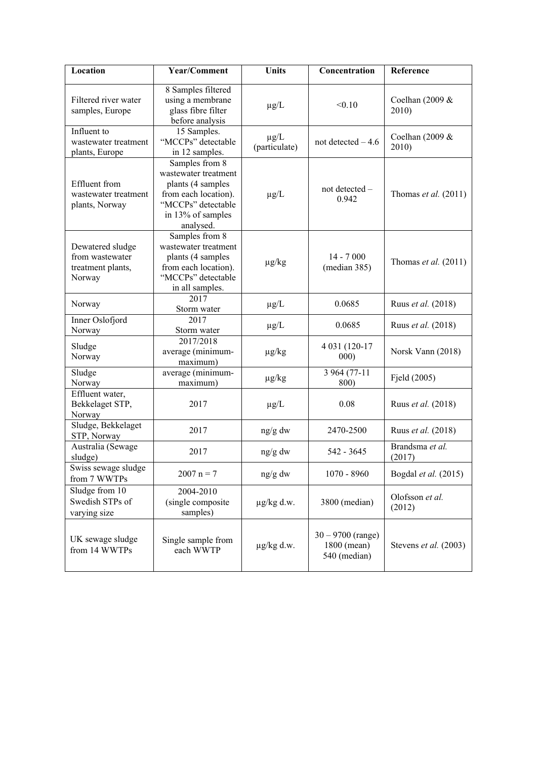| Location                                                           | Year/Comment                                                                                                                                | <b>Units</b>               | Concentration                                      | Reference                   |  |
|--------------------------------------------------------------------|---------------------------------------------------------------------------------------------------------------------------------------------|----------------------------|----------------------------------------------------|-----------------------------|--|
| Filtered river water<br>samples, Europe                            | 8 Samples filtered<br>using a membrane<br>glass fibre filter<br>before analysis                                                             | $\mu$ g/L                  | < 0.10                                             | Coelhan $(2009 \&$<br>2010) |  |
| Influent to<br>wastewater treatment<br>plants, Europe              | 15 Samples.<br>"MCCPs" detectable<br>in 12 samples.                                                                                         | $\mu$ g/L<br>(particulate) | not detected $-4.6$                                | Coelhan (2009 &<br>2010)    |  |
| Effluent from<br>wastewater treatment<br>plants, Norway            | Samples from 8<br>wastewater treatment<br>plants (4 samples<br>from each location).<br>"MCCPs" detectable<br>in 13% of samples<br>analysed. | $\mu g/L$                  | not detected -<br>0.942                            | Thomas et al. $(2011)$      |  |
| Dewatered sludge<br>from wastewater<br>treatment plants,<br>Norway | Samples from 8<br>wastewater treatment<br>plants (4 samples<br>from each location).<br>"MCCPs" detectable<br>in all samples.                |                            | $14 - 7000$<br>(median 385)                        | Thomas et al. $(2011)$      |  |
| Norway                                                             | 2017<br>Storm water                                                                                                                         | $\mu$ g/L                  | 0.0685                                             | Ruus et al. (2018)          |  |
| Inner Oslofjord<br>Norway                                          | 2017<br>Storm water                                                                                                                         | $\mu$ g/L                  | 0.0685                                             | Ruus et al. (2018)          |  |
| Sludge<br>Norway                                                   | 2017/2018<br>average (minimum-<br>maximum)                                                                                                  | $\mu$ g/kg                 | 4 031 (120-17<br>000)                              | Norsk Vann (2018)           |  |
| Sludge<br>Norway                                                   | average (minimum-<br>maximum)                                                                                                               | $\mu$ g/kg                 | 3 964 (77-11<br>800)                               | Fjeld (2005)                |  |
| Effluent water,<br>Bekkelaget STP,<br>Norway                       | 2017                                                                                                                                        | $\mu$ g/L                  | 0.08                                               | Ruus et al. (2018)          |  |
| Sludge, Bekkelaget<br>STP, Norway                                  | 2017                                                                                                                                        | ng/g dw                    | 2470-2500                                          | Ruus et al. (2018)          |  |
| Australia (Sewage<br>sludge)                                       | 2017                                                                                                                                        | ng/g dw                    | 542 - 3645                                         | Brandsma et al.<br>(2017)   |  |
| Swiss sewage sludge<br>from 7 WWTPs                                | $2007 n = 7$                                                                                                                                | ng/g dw                    | $1070 - 8960$                                      | Bogdal et al. (2015)        |  |
| Sludge from 10<br>Swedish STPs of<br>varying size                  | 2004-2010<br>(single composite<br>samples)                                                                                                  | $\mu$ g/kg d.w.            | 3800 (median)                                      | Olofsson et al.<br>(2012)   |  |
| UK sewage sludge<br>from 14 WWTPs                                  | Single sample from<br>each WWTP                                                                                                             | $\mu$ g/kg d.w.            | $30 - 9700$ (range)<br>1800 (mean)<br>540 (median) | Stevens et al. (2003)       |  |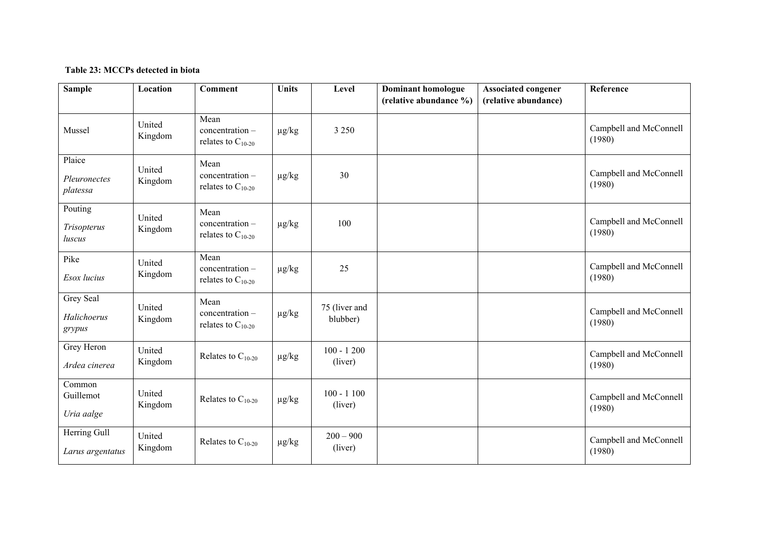## **Table 23: MCCPs detected in biota**

| <b>Sample</b>                      | Location          | <b>Comment</b>                                      | <b>Units</b> | Level                     | <b>Dominant homologue</b><br>(relative abundance %) | <b>Associated congener</b><br>(relative abundance) | Reference                        |
|------------------------------------|-------------------|-----------------------------------------------------|--------------|---------------------------|-----------------------------------------------------|----------------------------------------------------|----------------------------------|
|                                    |                   |                                                     |              |                           |                                                     |                                                    |                                  |
| Mussel                             | United<br>Kingdom | Mean<br>$concentration -$<br>relates to $C_{10-20}$ | $\mu$ g/kg   | 3 2 5 0                   |                                                     |                                                    | Campbell and McConnell<br>(1980) |
| Plaice<br>Pleuronectes<br>platessa | United<br>Kingdom | Mean<br>concentration -<br>relates to $C_{10-20}$   | $\mu$ g/kg   | 30                        |                                                     |                                                    | Campbell and McConnell<br>(1980) |
| Pouting<br>Trisopterus<br>luscus   | United<br>Kingdom | Mean<br>concentration-<br>relates to $C_{10-20}$    | $\mu$ g/kg   | 100                       |                                                     |                                                    | Campbell and McConnell<br>(1980) |
| Pike<br>Esox lucius                | United<br>Kingdom | Mean<br>$concentration -$<br>relates to $C_{10-20}$ | $\mu g/kg$   | 25                        |                                                     |                                                    | Campbell and McConnell<br>(1980) |
| Grey Seal<br>Halichoerus<br>grypus | United<br>Kingdom | Mean<br>$concentration -$<br>relates to $C_{10-20}$ | $\mu$ g/kg   | 75 (liver and<br>blubber) |                                                     |                                                    | Campbell and McConnell<br>(1980) |
| Grey Heron<br>Ardea cinerea        | United<br>Kingdom | Relates to $C_{10-20}$                              | $\mu$ g/kg   | $100 - 1200$<br>(liver)   |                                                     |                                                    | Campbell and McConnell<br>(1980) |
| Common<br>Guillemot<br>Uria aalge  | United<br>Kingdom | Relates to $C_{10-20}$                              | $\mu g/kg$   | $100 - 1100$<br>(liver)   |                                                     |                                                    | Campbell and McConnell<br>(1980) |
| Herring Gull<br>Larus argentatus   | United<br>Kingdom | Relates to $C_{10-20}$                              | $\mu g/kg$   | $200 - 900$<br>(liver)    |                                                     |                                                    | Campbell and McConnell<br>(1980) |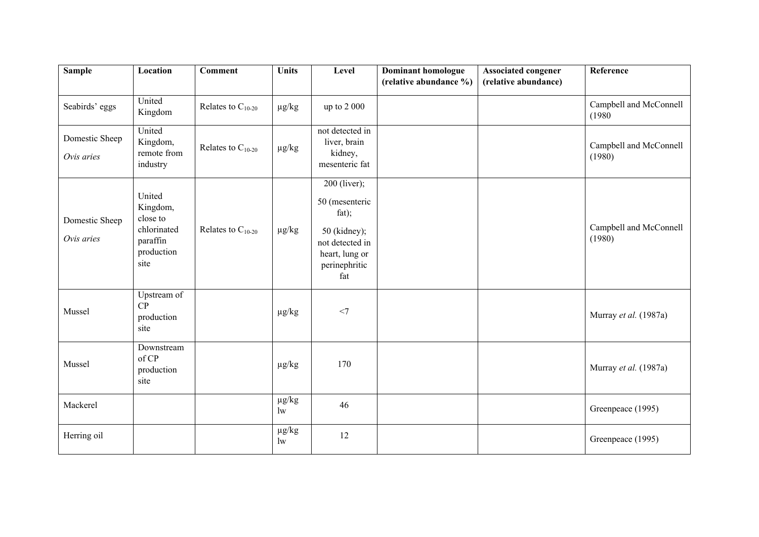| <b>Sample</b>                | Location                                                                        | <b>Comment</b>         | <b>Units</b>               | Level                                                                                                                | Dominant homologue<br>(relative abundance %) | <b>Associated congener</b><br>(relative abundance) | Reference                        |
|------------------------------|---------------------------------------------------------------------------------|------------------------|----------------------------|----------------------------------------------------------------------------------------------------------------------|----------------------------------------------|----------------------------------------------------|----------------------------------|
| Seabirds' eggs               | United<br>Kingdom                                                               | Relates to $C_{10-20}$ | $\mu g/kg$                 | up to 2 000                                                                                                          |                                              |                                                    | Campbell and McConnell<br>(1980) |
| Domestic Sheep<br>Ovis aries | United<br>Kingdom,<br>remote from<br>industry                                   | Relates to $C_{10-20}$ | $\mu g/kg$                 | not detected in<br>liver, brain<br>kidney,<br>mesenteric fat                                                         |                                              |                                                    | Campbell and McConnell<br>(1980) |
| Domestic Sheep<br>Ovis aries | United<br>Kingdom,<br>close to<br>chlorinated<br>paraffin<br>production<br>site | Relates to $C_{10-20}$ | $\mu$ g/kg                 | 200 (liver);<br>50 (mesenteric<br>fat);<br>50 (kidney);<br>not detected in<br>heart, lung or<br>perinephritic<br>fat |                                              |                                                    | Campbell and McConnell<br>(1980) |
| Mussel                       | Upstream of<br>CP<br>production<br>site                                         |                        | $\mu g/kg$                 | $<$ 7                                                                                                                |                                              |                                                    | Murray et al. (1987a)            |
| Mussel                       | Downstream<br>of CP<br>production<br>site                                       |                        | $\mu g/kg$                 | 170                                                                                                                  |                                              |                                                    | Murray et al. (1987a)            |
| Mackerel                     |                                                                                 |                        | $\mu g/kg$<br>$\mathbf{w}$ | 46                                                                                                                   |                                              |                                                    | Greenpeace (1995)                |
| Herring oil                  |                                                                                 |                        | $\mu g/kg$<br>1w           | 12                                                                                                                   |                                              |                                                    | Greenpeace (1995)                |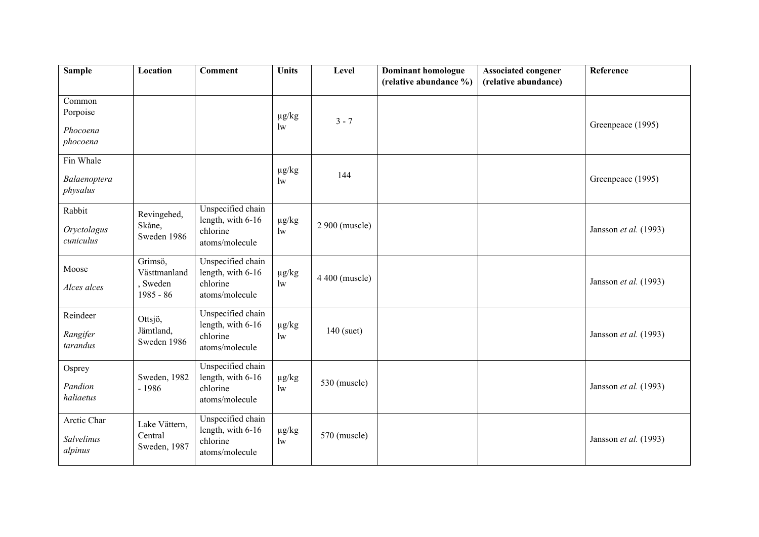| <b>Sample</b>                              | Location                                           | <b>Comment</b>                                                       | <b>Units</b>               | Level          | <b>Dominant homologue</b> | <b>Associated congener</b> | Reference             |
|--------------------------------------------|----------------------------------------------------|----------------------------------------------------------------------|----------------------------|----------------|---------------------------|----------------------------|-----------------------|
|                                            |                                                    |                                                                      |                            |                | (relative abundance %)    | (relative abundance)       |                       |
| Common<br>Porpoise<br>Phocoena<br>phocoena |                                                    |                                                                      | $\mu g/kg$<br>1w           | $3 - 7$        |                           |                            | Greenpeace (1995)     |
| Fin Whale<br>Balaenoptera<br>physalus      |                                                    |                                                                      | $\mu g/kg$<br>$\mathbf{w}$ | 144            |                           |                            | Greenpeace (1995)     |
| Rabbit<br>Oryctolagus<br>cuniculus         | Revingehed,<br>Skåne,<br>Sweden 1986               | Unspecified chain<br>length, with 6-16<br>chlorine<br>atoms/molecule | $\mu g/kg$<br>$\rm lw$     | 2 900 (muscle) |                           |                            | Jansson et al. (1993) |
| Moose<br>Alces alces                       | Grimsö,<br>Västtmanland<br>, Sweden<br>$1985 - 86$ | Unspecified chain<br>length, with 6-16<br>chlorine<br>atoms/molecule | $\mu g/kg$<br>$\mathbf{w}$ | 4 400 (muscle) |                           |                            | Jansson et al. (1993) |
| Reindeer<br>Rangifer<br>tarandus           | Ottsjö,<br>Jämtland,<br>Sweden 1986                | Unspecified chain<br>length, with 6-16<br>chlorine<br>atoms/molecule | $\mu g/kg$<br>$\mathbf{w}$ | $140$ (suet)   |                           |                            | Jansson et al. (1993) |
| Osprey<br>Pandion<br>haliaetus             | Sweden, 1982<br>$-1986$                            | Unspecified chain<br>length, with 6-16<br>chlorine<br>atoms/molecule | $\mu g/kg$<br>$\mathbf{w}$ | 530 (muscle)   |                           |                            | Jansson et al. (1993) |
| Arctic Char<br>Salvelinus<br>alpinus       | Lake Vättern,<br>Central<br>Sweden, 1987           | Unspecified chain<br>length, with 6-16<br>chlorine<br>atoms/molecule | $\mu g/kg$<br>$\mathbf{w}$ | 570 (muscle)   |                           |                            | Jansson et al. (1993) |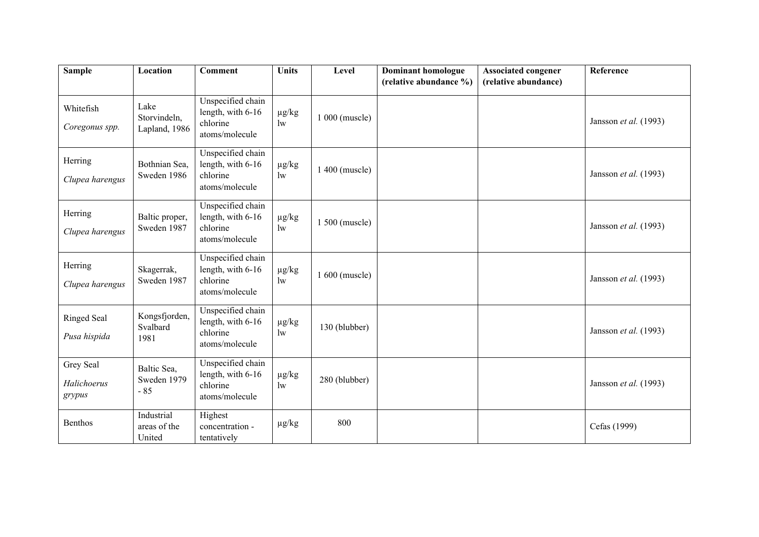| <b>Sample</b>                      | Location                              | <b>Comment</b>                                                       | <b>Units</b>               | Level          | <b>Dominant homologue</b> | <b>Associated congener</b> | Reference             |
|------------------------------------|---------------------------------------|----------------------------------------------------------------------|----------------------------|----------------|---------------------------|----------------------------|-----------------------|
|                                    |                                       |                                                                      |                            |                | (relative abundance %)    | (relative abundance)       |                       |
| Whitefish<br>Coregonus spp.        | Lake<br>Storvindeln,<br>Lapland, 1986 | Unspecified chain<br>length, with 6-16<br>chlorine<br>atoms/molecule | $\mu g/kg$<br>$\mathbf{w}$ | 1 000 (muscle) |                           |                            | Jansson et al. (1993) |
| Herring<br>Clupea harengus         | Bothnian Sea,<br>Sweden 1986          | Unspecified chain<br>length, with 6-16<br>chlorine<br>atoms/molecule | $\mu$ g/kg<br>$\mathbf{w}$ | 1 400 (muscle) |                           |                            | Jansson et al. (1993) |
| Herring<br>Clupea harengus         | Baltic proper,<br>Sweden 1987         | Unspecified chain<br>length, with 6-16<br>chlorine<br>atoms/molecule | $\mu$ g/kg<br>$\mathbf{w}$ | 1 500 (muscle) |                           |                            | Jansson et al. (1993) |
| Herring<br>Clupea harengus         | Skagerrak,<br>Sweden 1987             | Unspecified chain<br>length, with 6-16<br>chlorine<br>atoms/molecule | $\mu$ g/kg<br>$\mathbf{w}$ | 1 600 (muscle) |                           |                            | Jansson et al. (1993) |
| <b>Ringed Seal</b><br>Pusa hispida | Kongsfjorden,<br>Svalbard<br>1981     | Unspecified chain<br>length, with 6-16<br>chlorine<br>atoms/molecule | $\mu g/kg$<br>$\mathbf{w}$ | 130 (blubber)  |                           |                            | Jansson et al. (1993) |
| Grey Seal<br>Halichoerus<br>grypus | Baltic Sea,<br>Sweden 1979<br>$-85$   | Unspecified chain<br>length, with 6-16<br>chlorine<br>atoms/molecule | $\mu$ g/kg<br>$\mathbf{w}$ | 280 (blubber)  |                           |                            | Jansson et al. (1993) |
| Benthos                            | Industrial<br>areas of the<br>United  | Highest<br>concentration -<br>tentatively                            | $\mu g/kg$                 | 800            |                           |                            | Cefas (1999)          |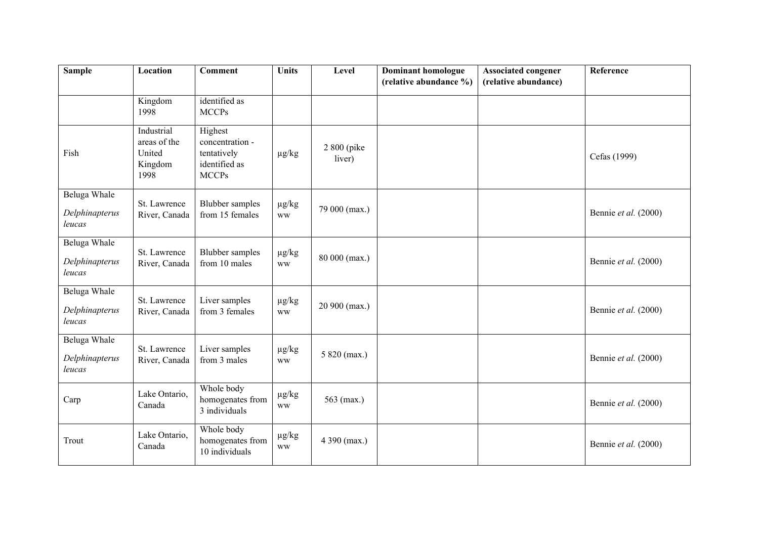| <b>Sample</b>                            | Location                                                | <b>Comment</b>                                                             | <b>Units</b>                           | Level                  | <b>Dominant homologue</b><br>(relative abundance %) | <b>Associated congener</b><br>(relative abundance) | Reference            |
|------------------------------------------|---------------------------------------------------------|----------------------------------------------------------------------------|----------------------------------------|------------------------|-----------------------------------------------------|----------------------------------------------------|----------------------|
|                                          | Kingdom<br>1998                                         | identified as<br><b>MCCPs</b>                                              |                                        |                        |                                                     |                                                    |                      |
| Fish                                     | Industrial<br>areas of the<br>United<br>Kingdom<br>1998 | Highest<br>concentration -<br>tentatively<br>identified as<br><b>MCCPs</b> | $\mu g/kg$                             | 2 800 (pike)<br>liver) |                                                     |                                                    | Cefas (1999)         |
| Beluga Whale<br>Delphinapterus<br>leucas | St. Lawrence<br>River, Canada                           | <b>Blubber</b> samples<br>from 15 females                                  | $\mu g/kg$<br><b>WW</b>                | 79 000 (max.)          |                                                     |                                                    | Bennie et al. (2000) |
| Beluga Whale<br>Delphinapterus<br>leucas | St. Lawrence<br>River, Canada                           | <b>Blubber</b> samples<br>from 10 males                                    | $\mu g/kg$<br><b>WW</b>                | 80 000 (max.)          |                                                     |                                                    | Bennie et al. (2000) |
| Beluga Whale<br>Delphinapterus<br>leucas | St. Lawrence<br>River, Canada                           | Liver samples<br>from 3 females                                            | $\mu g/kg$<br><b>WW</b>                | 20 900 (max.)          |                                                     |                                                    | Bennie et al. (2000) |
| Beluga Whale<br>Delphinapterus<br>leucas | St. Lawrence<br>River, Canada                           | Liver samples<br>from 3 males                                              | $\mu g/kg$<br><b>WW</b>                | 5 820 (max.)           |                                                     |                                                    | Bennie et al. (2000) |
| Carp                                     | Lake Ontario,<br>Canada                                 | Whole body<br>homogenates from<br>3 individuals                            | $\mu g/kg$<br><b>WW</b>                | 563 (max.)             |                                                     |                                                    | Bennie et al. (2000) |
| Trout                                    | Lake Ontario,<br>Canada                                 | Whole body<br>homogenates from<br>10 individuals                           | $\mu g/kg$<br>$\ensuremath{\text{WW}}$ | 4 390 (max.)           |                                                     |                                                    | Bennie et al. (2000) |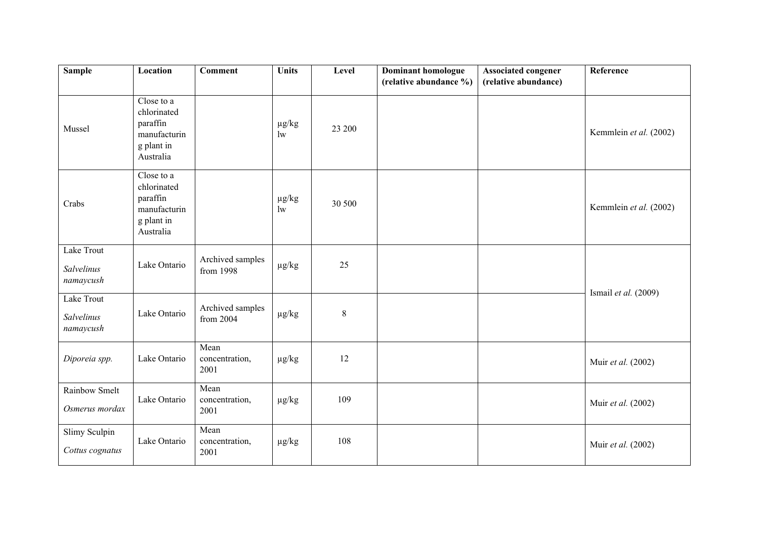| <b>Sample</b>                         | Location                                                                         | <b>Comment</b>                 | <b>Units</b>     | Level  | <b>Dominant homologue</b><br>(relative abundance %) | <b>Associated congener</b><br>(relative abundance) | Reference              |
|---------------------------------------|----------------------------------------------------------------------------------|--------------------------------|------------------|--------|-----------------------------------------------------|----------------------------------------------------|------------------------|
| Mussel                                | Close to a<br>chlorinated<br>paraffin<br>manufacturin<br>g plant in<br>Australia |                                | $\mu g/kg$<br>1w | 23 200 |                                                     |                                                    | Kemmlein et al. (2002) |
| Crabs                                 | Close to a<br>chlorinated<br>paraffin<br>manufacturin<br>g plant in<br>Australia |                                | $\mu$ g/kg<br>1w | 30 500 |                                                     |                                                    | Kemmlein et al. (2002) |
| Lake Trout<br>Salvelinus<br>namaycush | Lake Ontario                                                                     | Archived samples<br>from 1998  | $\mu g/kg$       | 25     |                                                     |                                                    |                        |
| Lake Trout<br>Salvelinus<br>namaycush | Lake Ontario                                                                     | Archived samples<br>from 2004  | $\mu g/kg$       | 8      |                                                     |                                                    | Ismail et al. (2009)   |
| Diporeia spp.                         | Lake Ontario                                                                     | Mean<br>concentration,<br>2001 | $\mu g/kg$       | 12     |                                                     |                                                    | Muir et al. (2002)     |
| Rainbow Smelt<br>Osmerus mordax       | Lake Ontario                                                                     | Mean<br>concentration,<br>2001 | $\mu g/kg$       | 109    |                                                     |                                                    | Muir et al. (2002)     |
| Slimy Sculpin<br>Cottus cognatus      | Lake Ontario                                                                     | Mean<br>concentration,<br>2001 | $\mu g/kg$       | 108    |                                                     |                                                    | Muir et al. (2002)     |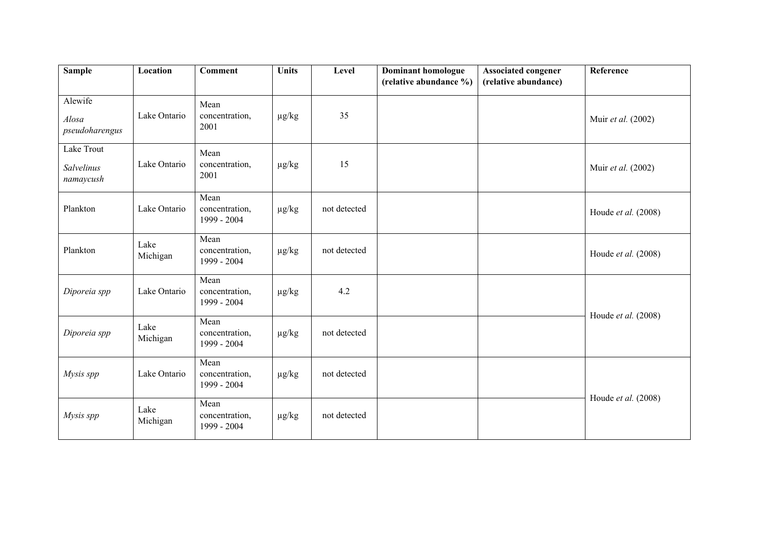| <b>Sample</b>                         | Location         | <b>Comment</b>                        | <b>Units</b> | Level        | <b>Dominant homologue</b><br>(relative abundance %) | <b>Associated congener</b><br>(relative abundance) | Reference           |
|---------------------------------------|------------------|---------------------------------------|--------------|--------------|-----------------------------------------------------|----------------------------------------------------|---------------------|
| Alewife<br>Alosa<br>pseudoharengus    | Lake Ontario     | Mean<br>concentration,<br>2001        | $\mu$ g/kg   | 35           |                                                     |                                                    | Muir et al. (2002)  |
| Lake Trout<br>Salvelinus<br>namaycush | Lake Ontario     | Mean<br>concentration,<br>2001        | $\mu g/kg$   | 15           |                                                     |                                                    | Muir et al. (2002)  |
| Plankton                              | Lake Ontario     | Mean<br>concentration,<br>1999 - 2004 | $\mu g/kg$   | not detected |                                                     |                                                    | Houde et al. (2008) |
| Plankton                              | Lake<br>Michigan | Mean<br>concentration,<br>1999 - 2004 | $\mu g/kg$   | not detected |                                                     |                                                    | Houde et al. (2008) |
| Diporeia spp                          | Lake Ontario     | Mean<br>concentration,<br>1999 - 2004 | $\mu$ g/kg   | 4.2          |                                                     |                                                    |                     |
| Diporeia spp                          | Lake<br>Michigan | Mean<br>concentration,<br>1999 - 2004 | $\mu g/kg$   | not detected |                                                     |                                                    | Houde et al. (2008) |
| Mysis spp                             | Lake Ontario     | Mean<br>concentration,<br>1999 - 2004 | $\mu g/kg$   | not detected |                                                     |                                                    |                     |
| Mysis spp                             | Lake<br>Michigan | Mean<br>concentration,<br>1999 - 2004 | $\mu g/kg$   | not detected |                                                     |                                                    | Houde et al. (2008) |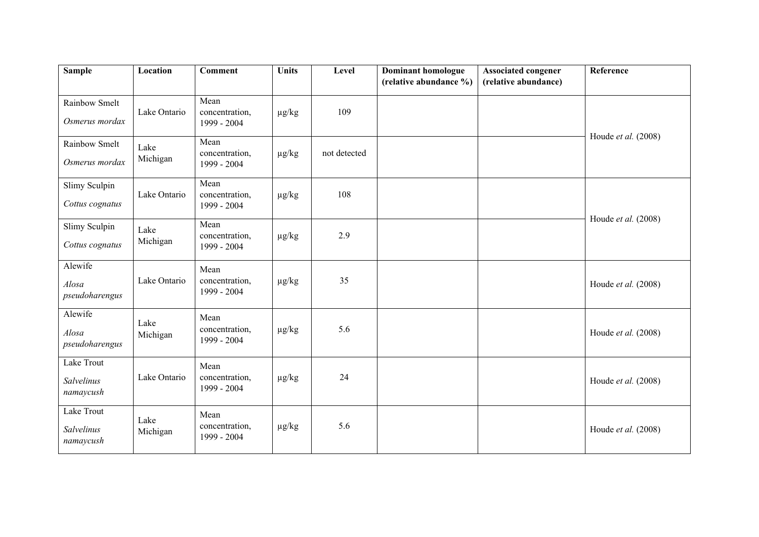| <b>Sample</b>                         | Location         | <b>Comment</b>                        | <b>Units</b> | Level        | <b>Dominant homologue</b><br>(relative abundance %) | <b>Associated congener</b><br>(relative abundance) | Reference           |
|---------------------------------------|------------------|---------------------------------------|--------------|--------------|-----------------------------------------------------|----------------------------------------------------|---------------------|
|                                       |                  |                                       |              |              |                                                     |                                                    |                     |
| Rainbow Smelt<br>Osmerus mordax       | Lake Ontario     | Mean<br>concentration,<br>1999 - 2004 | $\mu$ g/kg   | 109          |                                                     |                                                    |                     |
| Rainbow Smelt<br>Osmerus mordax       | Lake<br>Michigan | Mean<br>concentration,<br>1999 - 2004 | $\mu$ g/kg   | not detected |                                                     |                                                    | Houde et al. (2008) |
| Slimy Sculpin<br>Cottus cognatus      | Lake Ontario     | Mean<br>concentration,<br>1999 - 2004 | $\mu g/kg$   | 108          |                                                     |                                                    |                     |
| Slimy Sculpin<br>Cottus cognatus      | Lake<br>Michigan | Mean<br>concentration,<br>1999 - 2004 | $\mu g/kg$   | 2.9          |                                                     |                                                    | Houde et al. (2008) |
| Alewife<br>Alosa<br>pseudoharengus    | Lake Ontario     | Mean<br>concentration,<br>1999 - 2004 | $\mu$ g/kg   | 35           |                                                     |                                                    | Houde et al. (2008) |
| Alewife<br>Alosa<br>pseudoharengus    | Lake<br>Michigan | Mean<br>concentration,<br>1999 - 2004 | $\mu$ g/kg   | 5.6          |                                                     |                                                    | Houde et al. (2008) |
| Lake Trout<br>Salvelinus<br>namaycush | Lake Ontario     | Mean<br>concentration,<br>1999 - 2004 | $\mu$ g/kg   | 24           |                                                     |                                                    | Houde et al. (2008) |
| Lake Trout<br>Salvelinus<br>namaycush | Lake<br>Michigan | Mean<br>concentration,<br>1999 - 2004 | $\mu$ g/kg   | 5.6          |                                                     |                                                    | Houde et al. (2008) |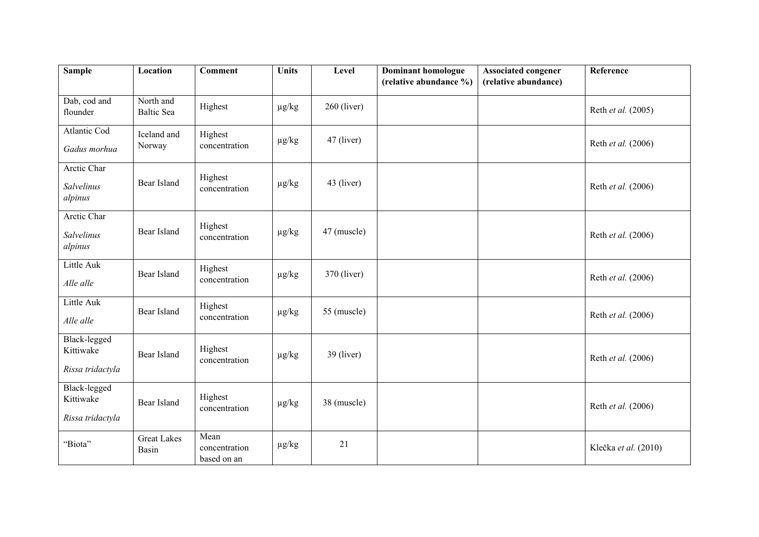| <b>Sample</b>                                        | Location                       | <b>Comment</b>                       | <b>Units</b> | Level         | Dominant homologue<br>(relative abundance %) | <b>Associated congener</b><br>(relative abundance) | Reference            |
|------------------------------------------------------|--------------------------------|--------------------------------------|--------------|---------------|----------------------------------------------|----------------------------------------------------|----------------------|
| Dab, cod and<br>flounder                             | North and<br><b>Baltic Sea</b> | Highest                              | $\mu g/kg$   | $260$ (liver) |                                              |                                                    | Reth et al. (2005)   |
| Atlantic Cod<br>Gadus morhua                         | Iceland and<br>Norway          | Highest<br>concentration             | $\mu g/kg$   | $47$ (liver)  |                                              |                                                    | Reth et al. (2006)   |
| Arctic Char<br>Salvelinus<br>alpinus                 | Bear Island                    | Highest<br>concentration             | $\mu g/kg$   | 43 (liver)    |                                              |                                                    | Reth et al. (2006)   |
| Arctic Char<br>Salvelinus<br>alpinus                 | Bear Island                    | Highest<br>concentration             | $\mu g/kg$   | 47 (muscle)   |                                              |                                                    | Reth et al. (2006)   |
| Little Auk<br>Alle alle                              | Bear Island                    | Highest<br>concentration             | $\mu g/kg$   | $370$ (liver) |                                              |                                                    | Reth et al. (2006)   |
| Little Auk<br>Alle alle                              | Bear Island                    | Highest<br>concentration             | $\mu g/kg$   | 55 (muscle)   |                                              |                                                    | Reth et al. (2006)   |
| <b>Black-legged</b><br>Kittiwake<br>Rissa tridactyla | Bear Island                    | Highest<br>concentration             | $\mu g/kg$   | $39$ (liver)  |                                              |                                                    | Reth et al. (2006)   |
| Black-legged<br>Kittiwake<br>Rissa tridactyla        | Bear Island                    | Highest<br>concentration             | $\mu g/kg$   | 38 (muscle)   |                                              |                                                    | Reth et al. (2006)   |
| "Biota"                                              | <b>Great Lakes</b><br>Basin    | Mean<br>concentration<br>based on an | $\mu g/kg$   | 21            |                                              |                                                    | Klečka et al. (2010) |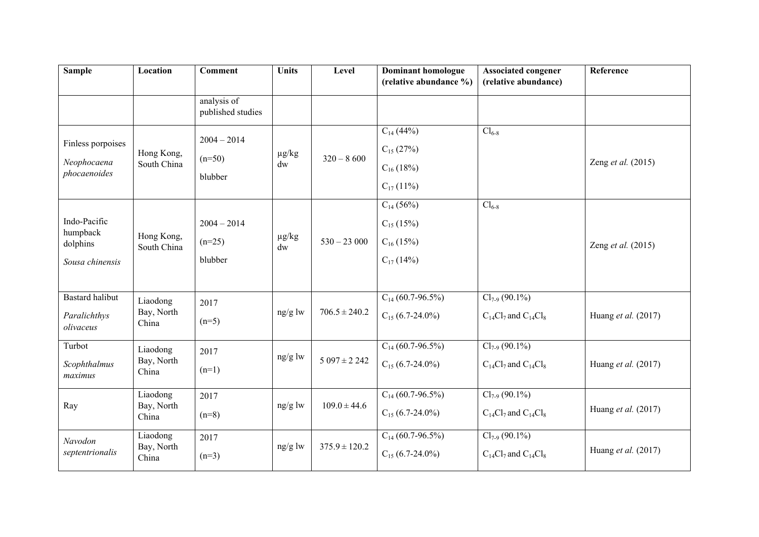| <b>Sample</b>                                           | Location                        | <b>Comment</b>                       | <b>Units</b>                         | Level             | Dominant homologue<br>(relative abundance %)                         | <b>Associated congener</b><br>(relative abundance)   | Reference           |
|---------------------------------------------------------|---------------------------------|--------------------------------------|--------------------------------------|-------------------|----------------------------------------------------------------------|------------------------------------------------------|---------------------|
|                                                         |                                 | analysis of<br>published studies     |                                      |                   |                                                                      |                                                      |                     |
| Finless porpoises<br>Neophocaena<br>phocaenoides        | Hong Kong,<br>South China       | $2004 - 2014$<br>$(n=50)$<br>blubber | $\mu g/kg$<br>$\mathrm{d}\mathrm{w}$ | $320 - 8600$      | $C_{14}$ (44%)<br>$C_{15}$ (27%)<br>$C_{16}$ (18%)<br>$C_{17}$ (11%) | $Cl_{6-8}$                                           | Zeng et al. (2015)  |
| Indo-Pacific<br>humpback<br>dolphins<br>Sousa chinensis | Hong Kong,<br>South China       | $2004 - 2014$<br>$(n=25)$<br>blubber | $\mu g/kg$<br>$\mathrm{d}\mathrm{w}$ | $530 - 23000$     | $C_{14}$ (56%)<br>$C_{15}$ (15%)<br>$C_{16}$ (15%)<br>$C_{17}$ (14%) | $Cl_{6-8}$                                           | Zeng et al. (2015)  |
| <b>Bastard</b> halibut<br>Paralichthys<br>olivaceus     | Liaodong<br>Bay, North<br>China | 2017<br>$(n=5)$                      | $ng/g$ lw                            | $706.5 \pm 240.2$ | $C_{14}$ (60.7-96.5%)<br>$C_{15}$ (6.7-24.0%)                        | $Cl_{7.9} (90.1\%)$<br>$C_{14}Cl_7$ and $C_{14}Cl_8$ | Huang et al. (2017) |
| Turbot<br>Scophthalmus<br>maximus                       | Liaodong<br>Bay, North<br>China | 2017<br>$(n=1)$                      | ng/g lw                              | $5097 \pm 2242$   | $C_{14}$ (60.7-96.5%)<br>$C_{15}$ (6.7-24.0%)                        | $Cl_{7.9} (90.1\%)$<br>$C_{14}Cl_7$ and $C_{14}Cl_8$ | Huang et al. (2017) |
| Ray                                                     | Liaodong<br>Bay, North<br>China | 2017<br>$(n=8)$                      | ng/g lw                              | $109.0 \pm 44.6$  | $C_{14}$ (60.7-96.5%)<br>$C_{15}$ (6.7-24.0%)                        | $Cl_{7-9}$ (90.1%)<br>$C_{14}Cl_7$ and $C_{14}Cl_8$  | Huang et al. (2017) |
| Navodon<br>septentrionalis                              | Liaodong<br>Bay, North<br>China | 2017<br>$(n=3)$                      | $ng/g$ lw                            | $375.9 \pm 120.2$ | $C_{14}$ (60.7-96.5%)<br>$C_{15}$ (6.7-24.0%)                        | $Cl_{7-9}(90.1\%)$<br>$C_{14}Cl_7$ and $C_{14}Cl_8$  | Huang et al. (2017) |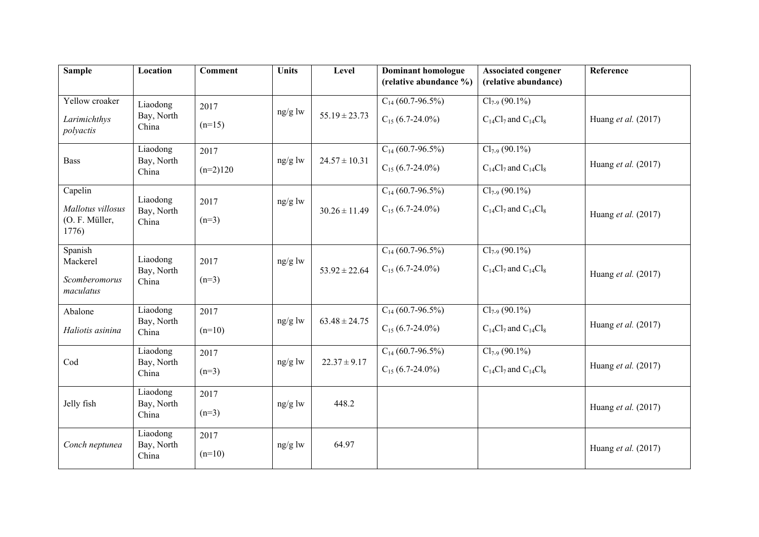| <b>Sample</b>             | Location               | <b>Comment</b> | <b>Units</b> | Level             | <b>Dominant homologue</b> | <b>Associated congener</b>    | Reference           |
|---------------------------|------------------------|----------------|--------------|-------------------|---------------------------|-------------------------------|---------------------|
|                           |                        |                |              |                   | (relative abundance %)    | (relative abundance)          |                     |
| Yellow croaker            | Liaodong               | 2017           |              |                   | $C_{14}$ (60.7-96.5%)     | $Cl_{7.9}$ (90.1%)            |                     |
| Larimichthys<br>polyactis | Bay, North<br>China    | $(n=15)$       | ng/g lw      | $55.19 \pm 23.73$ | $C_{15}$ (6.7-24.0%)      | $C_{14}Cl_7$ and $C_{14}Cl_8$ | Huang et al. (2017) |
|                           | Liaodong               | 2017           |              |                   | $C_{14}$ (60.7-96.5%)     | $Cl_{7-9}$ (90.1%)            |                     |
| <b>Bass</b>               | Bay, North<br>China    | $(n=2)120$     | ng/g lw      | $24.57 \pm 10.31$ | $C_{15}$ (6.7-24.0%)      | $C_{14}Cl_7$ and $C_{14}Cl_8$ | Huang et al. (2017) |
| Capelin                   |                        |                |              |                   | $C_{14}$ (60.7-96.5%)     | $Cl_{7.9} (90.1\%)$           |                     |
| Mallotus villosus         | Liaodong<br>Bay, North | 2017           | ng/g lw      | $30.26 \pm 11.49$ | $C_{15}$ (6.7-24.0%)      | $C_{14}Cl_7$ and $C_{14}Cl_8$ | Huang et al. (2017) |
| (O. F. Müller,<br>1776)   | China                  | $(n=3)$        |              |                   |                           |                               |                     |
| Spanish                   |                        |                |              |                   | $C_{14}$ (60.7-96.5%)     | $Cl_{7.9}$ (90.1%)            |                     |
| Mackerel                  | Liaodong<br>Bay, North | 2017           | $ng/g$ lw    | $53.92 \pm 22.64$ | $C_{15}$ (6.7-24.0%)      | $C_{14}Cl_7$ and $C_{14}Cl_8$ |                     |
| Scomberomorus             | China                  | $(n=3)$        |              |                   |                           |                               | Huang et al. (2017) |
| maculatus                 |                        |                |              |                   |                           |                               |                     |
| Abalone                   | Liaodong               | 2017           |              |                   | $C_{14}$ (60.7-96.5%)     | $Cl_{7.9} (90.1\%)$           |                     |
| Haliotis asinina          | Bay, North<br>China    | $(n=10)$       | ng/g lw      | $63.48 \pm 24.75$ | $C_{15}$ (6.7-24.0%)      | $C_{14}Cl_7$ and $C_{14}Cl_8$ | Huang et al. (2017) |
|                           | Liaodong               | 2017           |              |                   | $C_{14}$ (60.7-96.5%)     | $Cl_{7.9} (90.1\%)$           |                     |
| Cod                       | Bay, North<br>China    | $(n=3)$        | $ng/g$ lw    | $22.37 \pm 9.17$  | $C_{15}$ (6.7-24.0%)      | $C_{14}Cl_7$ and $C_{14}Cl_8$ | Huang et al. (2017) |
|                           | Liaodong               | 2017           |              |                   |                           |                               |                     |
| Jelly fish                | Bay, North<br>China    | $(n=3)$        | $ng/g$ lw    | 448.2             |                           |                               | Huang et al. (2017) |
|                           | Liaodong               | 2017           |              |                   |                           |                               |                     |
| Conch neptunea            | Bay, North<br>China    | $(n=10)$       | $ng/g$ lw    | 64.97             |                           |                               | Huang et al. (2017) |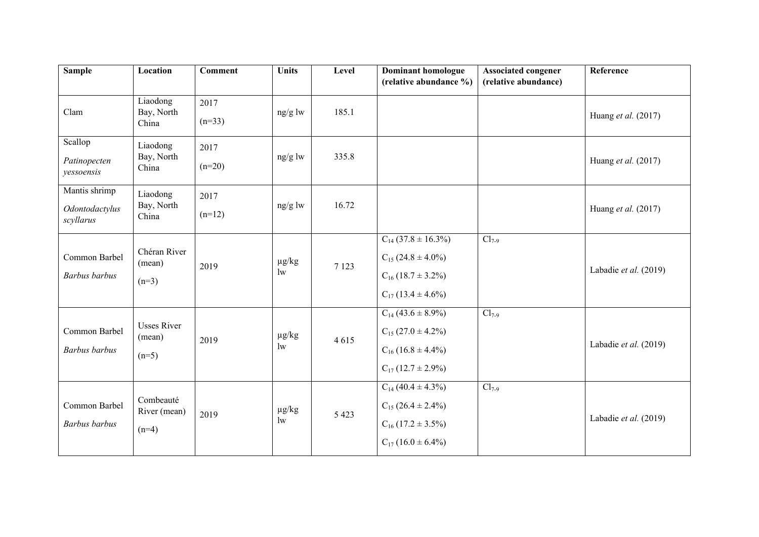| <b>Sample</b>                                | Location                                | <b>Comment</b>   | <b>Units</b>               | Level   | <b>Dominant homologue</b><br>(relative abundance %)                                                      | <b>Associated congener</b><br>(relative abundance) | Reference             |
|----------------------------------------------|-----------------------------------------|------------------|----------------------------|---------|----------------------------------------------------------------------------------------------------------|----------------------------------------------------|-----------------------|
| Clam                                         | Liaodong<br>Bay, North<br>China         | 2017<br>$(n=33)$ | ng/g lw                    | 185.1   |                                                                                                          |                                                    | Huang et al. (2017)   |
| Scallop<br>Patinopecten<br>yessoensis        | Liaodong<br>Bay, North<br>China         | 2017<br>$(n=20)$ | $ng/g$ lw                  | 335.8   |                                                                                                          |                                                    | Huang et al. (2017)   |
| Mantis shrimp<br>Odontodactylus<br>scyllarus | Liaodong<br>Bay, North<br>China         | 2017<br>$(n=12)$ | ng/g lw                    | 16.72   |                                                                                                          |                                                    | Huang et al. (2017)   |
| Common Barbel<br>Barbus barbus               | Chéran River<br>(mean)<br>$(n=3)$       | 2019             | $\mu g/kg$<br>$\mathbf{w}$ | 7 1 2 3 | $C_{14}$ (37.8 ± 16.3%)<br>$C_{15}$ (24.8 ± 4.0%)<br>$C_{16}$ (18.7 ± 3.2%)<br>$C_{17}$ (13.4 ± 4.6%)    | $Cl_{7-9}$                                         | Labadie et al. (2019) |
| Common Barbel<br><b>Barbus</b> barbus        | <b>Usses River</b><br>(mean)<br>$(n=5)$ | 2019             | $\mu g/kg$<br>1w           | 4615    | $C_{14}$ (43.6 ± 8.9%)<br>$C_{15}$ (27.0 $\pm$ 4.2%)<br>$C_{16}$ (16.8 ± 4.4%)<br>$C_{17}$ (12.7 ± 2.9%) | $Cl_{7-9}$                                         | Labadie et al. (2019) |
| Common Barbel<br>Barbus barbus               | Combeauté<br>River (mean)<br>$(n=4)$    | 2019             | $\mu g/kg$<br>1w           | 5 4 2 3 | $C_{14}$ (40.4 ± 4.3%)<br>$C_{15}$ (26.4 ± 2.4%)<br>$C_{16}$ (17.2 ± 3.5%)<br>$C_{17}$ (16.0 ± 6.4%)     | $Cl_{7-9}$                                         | Labadie et al. (2019) |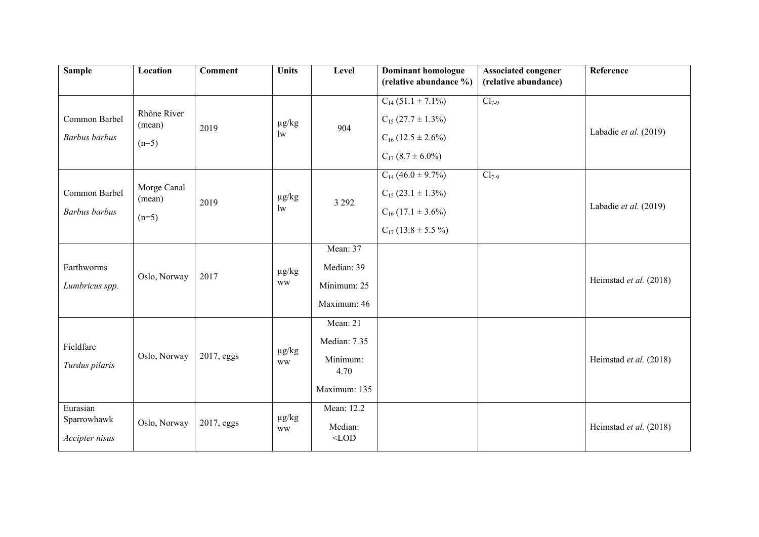| <b>Sample</b>                             | Location                         | <b>Comment</b> | <b>Units</b>               | Level                                                        | Dominant homologue<br>(relative abundance %)                                                                  | <b>Associated congener</b><br>(relative abundance) | Reference              |
|-------------------------------------------|----------------------------------|----------------|----------------------------|--------------------------------------------------------------|---------------------------------------------------------------------------------------------------------------|----------------------------------------------------|------------------------|
| Common Barbel<br>Barbus barbus            | Rhône River<br>(mean)<br>$(n=5)$ | 2019           | $\mu g/kg$<br>$\mathbf{w}$ | 904                                                          | $C_{14}$ (51.1 ± 7.1%)<br>$C_{15}$ (27.7 $\pm$ 1.3%)<br>$C_{16}$ (12.5 ± 2.6%)<br>$C_{17}$ (8.7 ± 6.0%)       | $Cl_{7-9}$                                         | Labadie et al. (2019)  |
| Common Barbel<br>Barbus barbus            | Morge Canal<br>(mean)<br>$(n=5)$ | 2019           | $\mu g/kg$<br>$\mathbf{w}$ | 3 2 9 2                                                      | $C_{14}$ (46.0 ± 9.7%)<br>$C_{15}$ (23.1 $\pm$ 1.3%)<br>$C_{16}$ (17.1 $\pm$ 3.6%)<br>$C_{17}$ (13.8 ± 5.5 %) | $Cl_{7-9}$                                         | Labadie et al. (2019)  |
| Earthworms<br>Lumbricus spp.              | Oslo, Norway                     | 2017           | $\mu g/kg$<br><b>WW</b>    | Mean: 37<br>Median: 39<br>Minimum: 25<br>Maximum: 46         |                                                                                                               |                                                    | Heimstad et al. (2018) |
| Fieldfare<br>Turdus pilaris               | Oslo, Norway                     | 2017, eggs     | $\mu g/kg$<br><b>WW</b>    | Mean: 21<br>Median: 7.35<br>Minimum:<br>4.70<br>Maximum: 135 |                                                                                                               |                                                    | Heimstad et al. (2018) |
| Eurasian<br>Sparrowhawk<br>Accipter nisus | Oslo, Norway                     | 2017, eggs     | $\mu g/kg$<br><b>WW</b>    | Mean: 12.2<br>Median:<br>$<$ LOD                             |                                                                                                               |                                                    | Heimstad et al. (2018) |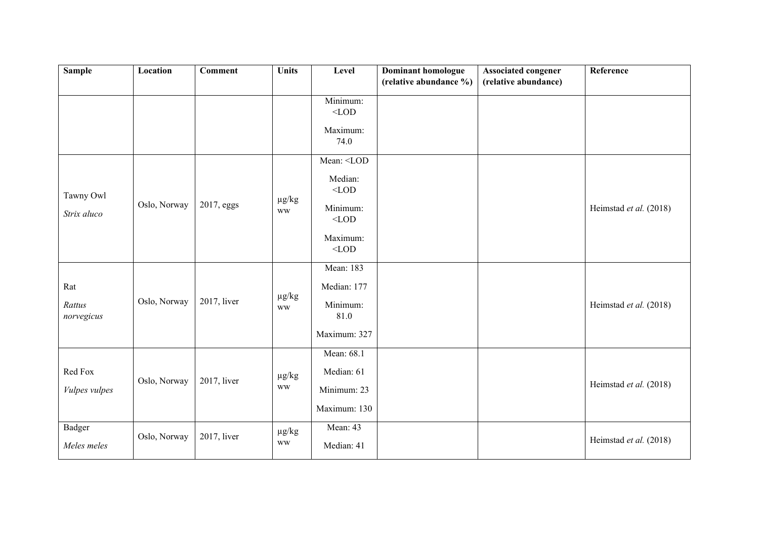| <b>Sample</b>                | Location     | <b>Comment</b> | <b>Units</b>                | Level                                                                     | <b>Dominant homologue</b><br>(relative abundance %) | <b>Associated congener</b><br>(relative abundance) | Reference              |
|------------------------------|--------------|----------------|-----------------------------|---------------------------------------------------------------------------|-----------------------------------------------------|----------------------------------------------------|------------------------|
|                              |              |                |                             | Minimum:<br>$<$ LOD                                                       |                                                     |                                                    |                        |
|                              |              |                |                             | Maximum:<br>74.0                                                          |                                                     |                                                    |                        |
| Tawny Owl                    |              |                | $\mu g/kg$                  | Mean: <lod<br>Median:<br/><math display="inline">&lt;</math> LOD</lod<br> |                                                     |                                                    |                        |
| Strix aluco                  | Oslo, Norway | 2017, eggs     | <b>WW</b>                   | Minimum:<br>$<$ LOD<br>Maximum:<br>$<$ LOD                                |                                                     |                                                    | Heimstad et al. (2018) |
| Rat<br>Rattus<br>norvegicus  | Oslo, Norway | 2017, liver    | $\mu g/kg$<br>$\mathbf{WW}$ | Mean: 183<br>Median: 177<br>Minimum:<br>81.0<br>Maximum: 327              |                                                     |                                                    | Heimstad et al. (2018) |
| Red Fox<br>Vulpes vulpes     | Oslo, Norway | 2017, liver    | $\mu g/kg$<br><b>WW</b>     | Mean: 68.1<br>Median: 61<br>Minimum: 23<br>Maximum: 130                   |                                                     |                                                    | Heimstad et al. (2018) |
| <b>Badger</b><br>Meles meles | Oslo, Norway | 2017, liver    | $\mu g/kg$<br>$\mathbf{WW}$ | Mean: 43<br>Median: 41                                                    |                                                     |                                                    | Heimstad et al. (2018) |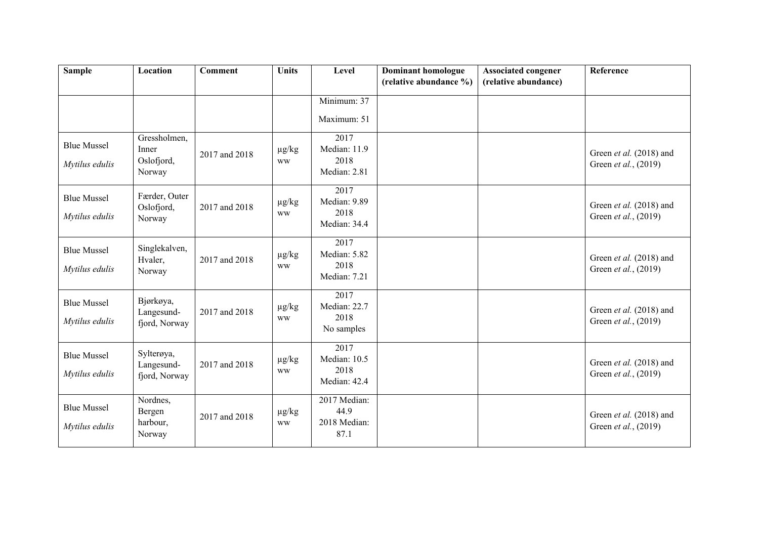| <b>Sample</b>                        | Location                                      | <b>Comment</b> | <b>Units</b>            | Level                                        | <b>Dominant homologue</b><br>(relative abundance %) | <b>Associated congener</b><br>(relative abundance) | Reference                                       |
|--------------------------------------|-----------------------------------------------|----------------|-------------------------|----------------------------------------------|-----------------------------------------------------|----------------------------------------------------|-------------------------------------------------|
|                                      |                                               |                |                         | Minimum: 37<br>Maximum: 51                   |                                                     |                                                    |                                                 |
| <b>Blue Mussel</b><br>Mytilus edulis | Gressholmen,<br>Inner<br>Oslofjord,<br>Norway | 2017 and 2018  | $\mu$ g/kg<br><b>WW</b> | 2017<br>Median: 11.9<br>2018<br>Median: 2.81 |                                                     |                                                    | Green et al. (2018) and<br>Green et al., (2019) |
| <b>Blue Mussel</b><br>Mytilus edulis | Færder, Outer<br>Oslofjord,<br>Norway         | 2017 and 2018  | $\mu$ g/kg<br><b>WW</b> | 2017<br>Median: 9.89<br>2018<br>Median: 34.4 |                                                     |                                                    | Green et al. (2018) and<br>Green et al., (2019) |
| <b>Blue Mussel</b><br>Mytilus edulis | Singlekalven,<br>Hvaler,<br>Norway            | 2017 and 2018  | $\mu$ g/kg<br><b>WW</b> | 2017<br>Median: 5.82<br>2018<br>Median: 7.21 |                                                     |                                                    | Green et al. (2018) and<br>Green et al., (2019) |
| <b>Blue Mussel</b><br>Mytilus edulis | Bjørkøya,<br>Langesund-<br>fjord, Norway      | 2017 and 2018  | $\mu$ g/kg<br><b>WW</b> | 2017<br>Median: 22.7<br>2018<br>No samples   |                                                     |                                                    | Green et al. (2018) and<br>Green et al., (2019) |
| <b>Blue Mussel</b><br>Mytilus edulis | Sylterøya,<br>Langesund-<br>fjord, Norway     | 2017 and 2018  | $\mu$ g/kg<br><b>WW</b> | 2017<br>Median: 10.5<br>2018<br>Median: 42.4 |                                                     |                                                    | Green et al. (2018) and<br>Green et al., (2019) |
| <b>Blue Mussel</b><br>Mytilus edulis | Nordnes,<br>Bergen<br>harbour,<br>Norway      | 2017 and 2018  | $\mu g/kg$<br><b>WW</b> | 2017 Median:<br>44.9<br>2018 Median:<br>87.1 |                                                     |                                                    | Green et al. (2018) and<br>Green et al., (2019) |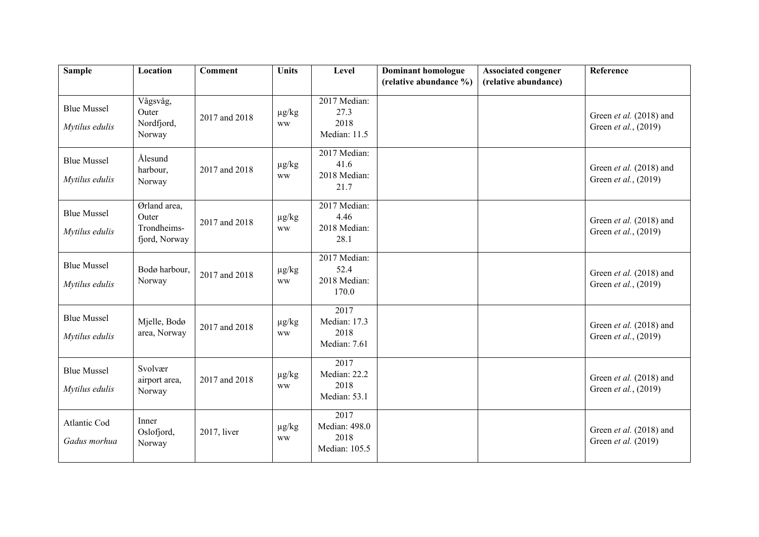| <b>Sample</b>                        | Location                                              | <b>Comment</b> | <b>Units</b>            | Level                                          | <b>Dominant homologue</b><br>(relative abundance %) | <b>Associated congener</b><br>(relative abundance) | Reference                                       |
|--------------------------------------|-------------------------------------------------------|----------------|-------------------------|------------------------------------------------|-----------------------------------------------------|----------------------------------------------------|-------------------------------------------------|
|                                      |                                                       |                |                         |                                                |                                                     |                                                    |                                                 |
| <b>Blue Mussel</b><br>Mytilus edulis | Vågsvåg,<br>Outer<br>Nordfjord,<br>Norway             | 2017 and 2018  | $\mu g/kg$<br><b>WW</b> | 2017 Median:<br>27.3<br>2018<br>Median: 11.5   |                                                     |                                                    | Green et al. (2018) and<br>Green et al., (2019) |
| <b>Blue Mussel</b><br>Mytilus edulis | Ålesund<br>harbour,<br>Norway                         | 2017 and 2018  | $\mu g/kg$<br><b>WW</b> | 2017 Median:<br>41.6<br>2018 Median:<br>21.7   |                                                     |                                                    | Green et al. (2018) and<br>Green et al., (2019) |
| <b>Blue Mussel</b><br>Mytilus edulis | Ørland area,<br>Outer<br>Trondheims-<br>fjord, Norway | 2017 and 2018  | $\mu g/kg$<br><b>WW</b> | 2017 Median:<br>4.46<br>2018 Median:<br>28.1   |                                                     |                                                    | Green et al. (2018) and<br>Green et al., (2019) |
| <b>Blue Mussel</b><br>Mytilus edulis | Bodø harbour,<br>Norway                               | 2017 and 2018  | $\mu g/kg$<br><b>WW</b> | 2017 Median:<br>52.4<br>2018 Median:<br>170.0  |                                                     |                                                    | Green et al. (2018) and<br>Green et al., (2019) |
| <b>Blue Mussel</b><br>Mytilus edulis | Mjelle, Bodø<br>area, Norway                          | 2017 and 2018  | $\mu g/kg$<br><b>WW</b> | 2017<br>Median: 17.3<br>2018<br>Median: 7.61   |                                                     |                                                    | Green et al. (2018) and<br>Green et al., (2019) |
| <b>Blue Mussel</b><br>Mytilus edulis | Svolvær<br>airport area,<br>Norway                    | 2017 and 2018  | $\mu$ g/kg<br><b>WW</b> | 2017<br>Median: 22.2<br>2018<br>Median: 53.1   |                                                     |                                                    | Green et al. (2018) and<br>Green et al., (2019) |
| Atlantic Cod<br>Gadus morhua         | Inner<br>Oslofjord,<br>Norway                         | 2017, liver    | $\mu g/kg$<br><b>WW</b> | 2017<br>Median: 498.0<br>2018<br>Median: 105.5 |                                                     |                                                    | Green et al. (2018) and<br>Green et al. (2019)  |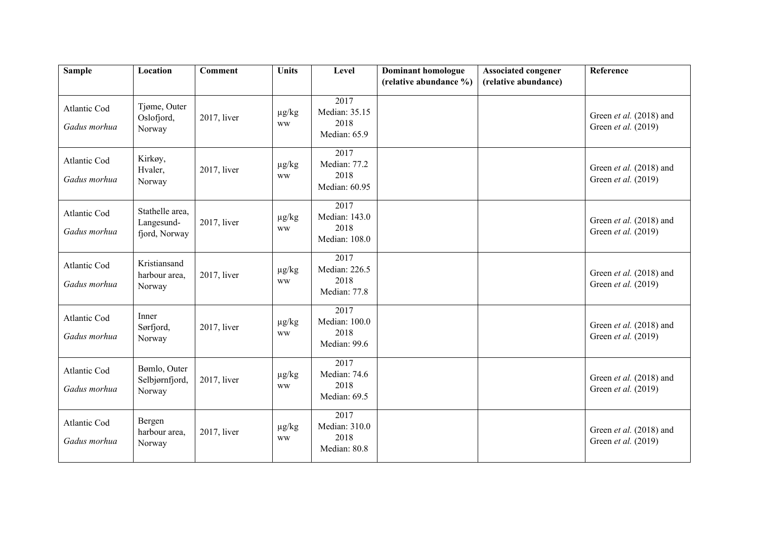| <b>Sample</b>                | Location                                       | <b>Comment</b> | <b>Units</b>            | Level                                          | <b>Dominant homologue</b> | <b>Associated congener</b> | Reference                                      |
|------------------------------|------------------------------------------------|----------------|-------------------------|------------------------------------------------|---------------------------|----------------------------|------------------------------------------------|
|                              |                                                |                |                         |                                                | (relative abundance %)    | (relative abundance)       |                                                |
| Atlantic Cod<br>Gadus morhua | Tjøme, Outer<br>Oslofjord,<br>Norway           | 2017, liver    | $\mu$ g/kg<br><b>WW</b> | 2017<br>Median: 35.15<br>2018<br>Median: 65.9  |                           |                            | Green et al. (2018) and<br>Green et al. (2019) |
| Atlantic Cod<br>Gadus morhua | Kirkøy,<br>Hvaler,<br>Norway                   | $2017$ , liver | $\mu g/kg$<br><b>WW</b> | 2017<br>Median: 77.2<br>2018<br>Median: 60.95  |                           |                            | Green et al. (2018) and<br>Green et al. (2019) |
| Atlantic Cod<br>Gadus morhua | Stathelle area,<br>Langesund-<br>fjord, Norway | 2017, liver    | $\mu g/kg$<br><b>WW</b> | 2017<br>Median: 143.0<br>2018<br>Median: 108.0 |                           |                            | Green et al. (2018) and<br>Green et al. (2019) |
| Atlantic Cod<br>Gadus morhua | Kristiansand<br>harbour area,<br>Norway        | 2017, liver    | $\mu$ g/kg<br><b>WW</b> | 2017<br>Median: 226.5<br>2018<br>Median: 77.8  |                           |                            | Green et al. (2018) and<br>Green et al. (2019) |
| Atlantic Cod<br>Gadus morhua | Inner<br>Sørfjord,<br>Norway                   | 2017, liver    | $\mu$ g/kg<br><b>WW</b> | 2017<br>Median: 100.0<br>2018<br>Median: 99.6  |                           |                            | Green et al. (2018) and<br>Green et al. (2019) |
| Atlantic Cod<br>Gadus morhua | Bømlo, Outer<br>Selbjørnfjord,<br>Norway       | 2017, liver    | $\mu$ g/kg<br><b>WW</b> | 2017<br>Median: 74.6<br>2018<br>Median: 69.5   |                           |                            | Green et al. (2018) and<br>Green et al. (2019) |
| Atlantic Cod<br>Gadus morhua | Bergen<br>harbour area,<br>Norway              | 2017, liver    | $\mu g/kg$<br><b>WW</b> | 2017<br>Median: 310.0<br>2018<br>Median: 80.8  |                           |                            | Green et al. (2018) and<br>Green et al. (2019) |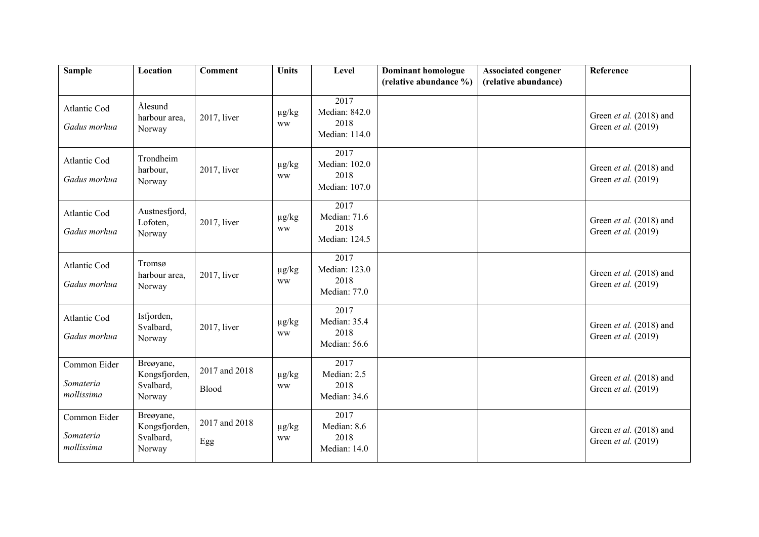| <b>Sample</b>                           | Location                                          | <b>Comment</b>         | <b>Units</b>            | Level                                          | <b>Dominant homologue</b><br>(relative abundance %) | <b>Associated congener</b><br>(relative abundance) | Reference                                      |
|-----------------------------------------|---------------------------------------------------|------------------------|-------------------------|------------------------------------------------|-----------------------------------------------------|----------------------------------------------------|------------------------------------------------|
|                                         |                                                   |                        |                         |                                                |                                                     |                                                    |                                                |
| Atlantic Cod<br>Gadus morhua            | Ålesund<br>harbour area,<br>Norway                | 2017, liver            | $\mu g/kg$<br><b>WW</b> | 2017<br>Median: 842.0<br>2018<br>Median: 114.0 |                                                     |                                                    | Green et al. (2018) and<br>Green et al. (2019) |
| Atlantic Cod<br>Gadus morhua            | Trondheim<br>harbour,<br>Norway                   | 2017, liver            | $\mu$ g/kg<br><b>WW</b> | 2017<br>Median: 102.0<br>2018<br>Median: 107.0 |                                                     |                                                    | Green et al. (2018) and<br>Green et al. (2019) |
| Atlantic Cod<br>Gadus morhua            | Austnesfjord,<br>Lofoten,<br>Norway               | 2017, liver            | $\mu$ g/kg<br><b>WW</b> | 2017<br>Median: 71.6<br>2018<br>Median: 124.5  |                                                     |                                                    | Green et al. (2018) and<br>Green et al. (2019) |
| Atlantic Cod<br>Gadus morhua            | Tromsø<br>harbour area,<br>Norway                 | 2017, liver            | $\mu$ g/kg<br><b>WW</b> | 2017<br>Median: 123.0<br>2018<br>Median: 77.0  |                                                     |                                                    | Green et al. (2018) and<br>Green et al. (2019) |
| Atlantic Cod<br>Gadus morhua            | Isfjorden,<br>Svalbard,<br>Norway                 | 2017, liver            | $\mu$ g/kg<br><b>WW</b> | 2017<br>Median: 35.4<br>2018<br>Median: 56.6   |                                                     |                                                    | Green et al. (2018) and<br>Green et al. (2019) |
| Common Eider<br>Somateria<br>mollissima | Breøyane,<br>Kongsfjorden,<br>Svalbard,<br>Norway | 2017 and 2018<br>Blood | $\mu$ g/kg<br><b>WW</b> | 2017<br>Median: 2.5<br>2018<br>Median: 34.6    |                                                     |                                                    | Green et al. (2018) and<br>Green et al. (2019) |
| Common Eider<br>Somateria<br>mollissima | Breøyane,<br>Kongsfjorden,<br>Svalbard,<br>Norway | 2017 and 2018<br>Egg   | $\mu g/kg$<br><b>WW</b> | 2017<br>Median: 8.6<br>2018<br>Median: 14.0    |                                                     |                                                    | Green et al. (2018) and<br>Green et al. (2019) |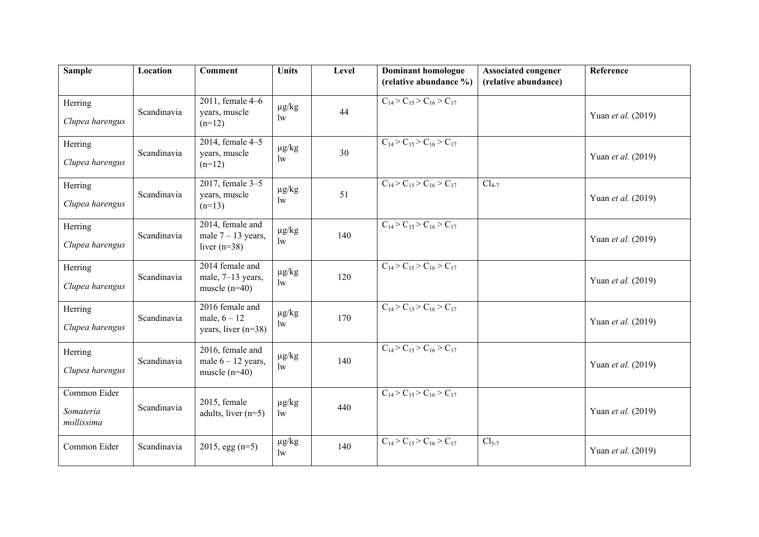| <b>Sample</b>                           | Location    | <b>Comment</b>                                              | <b>Units</b>                         | Level | <b>Dominant homologue</b>                 | <b>Associated congener</b> | Reference                 |
|-----------------------------------------|-------------|-------------------------------------------------------------|--------------------------------------|-------|-------------------------------------------|----------------------------|---------------------------|
|                                         |             |                                                             |                                      |       | (relative abundance %)                    | (relative abundance)       |                           |
| Herring<br>Clupea harengus              | Scandinavia | $\overline{2011}$ , female 4-6<br>years, muscle<br>$(n=12)$ | $\mu$ g/kg<br>$\mathbf{w}$           | 44    | $C_{14} > C_{15} > C_{16} > C_{17}$       |                            | Yuan <i>et al.</i> (2019) |
| Herring<br>Clupea harengus              | Scandinavia | $\overline{20}$ 14, female 4-5<br>years, muscle<br>$(n=12)$ | $\mu g/kg$<br>$\mathbf{w}$           | 30    | $C_{14} > C_{15} > C_{16} > C_{17}$       |                            | Yuan et al. (2019)        |
| Herring<br>Clupea harengus              | Scandinavia | 2017, female 3-5<br>years, muscle<br>$(n=13)$               | $\mu g/kg$<br>$\mathop{\mathrm{lw}}$ | 51    | $C_{14} > C_{15} > C_{16} > C_{17}$       | $Cl_{4-7}$                 | Yuan et al. (2019)        |
| Herring<br>Clupea harengus              | Scandinavia | 2014, female and<br>male $7 - 13$ years,<br>liver $(n=38)$  | $\mu g/kg$<br>$\mathop{\mathrm{lw}}$ | 140   | $C_{14} > C_{15} > C_{16} > C_{17}$       |                            | Yuan et al. (2019)        |
| Herring<br>Clupea harengus              | Scandinavia | 2014 female and<br>male, 7-13 years,<br>muscle $(n=40)$     | $\mu$ g/kg<br>$\mathbf{w}$           | 120   | $C_{14} > C_{15} > C_{16} > C_{17}$       |                            | Yuan et al. (2019)        |
| Herring<br>Clupea harengus              | Scandinavia | 2016 female and<br>male, $6 - 12$<br>years, liver $(n=38)$  | $\mu g/kg$<br>$\mathbf{w}$           | 170   | $C_{14}$ > $C_{15}$ > $C_{16}$ > $C_{17}$ |                            | Yuan et al. (2019)        |
| Herring<br>Clupea harengus              | Scandinavia | 2016, female and<br>male $6 - 12$ years,<br>muscle $(n=40)$ | $\mu g/kg$<br>$\mathbf{w}$           | 140   | $C_{14} > C_{15} > C_{16} > C_{17}$       |                            | Yuan et al. (2019)        |
| Common Eider<br>Somateria<br>mollissima | Scandinavia | 2015, female<br>adults, liver $(n=5)$                       | $\mu g/kg$<br>$\mathbf{w}$           | 440   | $C_{14} > C_{15} > C_{16} > C_{17}$       |                            | Yuan et al. (2019)        |
| Common Eider                            | Scandinavia | $2015$ , egg (n=5)                                          | $\mu g/kg$<br>$\mathbf{w}$           | 140   | $C_{14}$ > $C_{15}$ > $C_{16}$ > $C_{17}$ | $Cl5-7$                    | Yuan et al. (2019)        |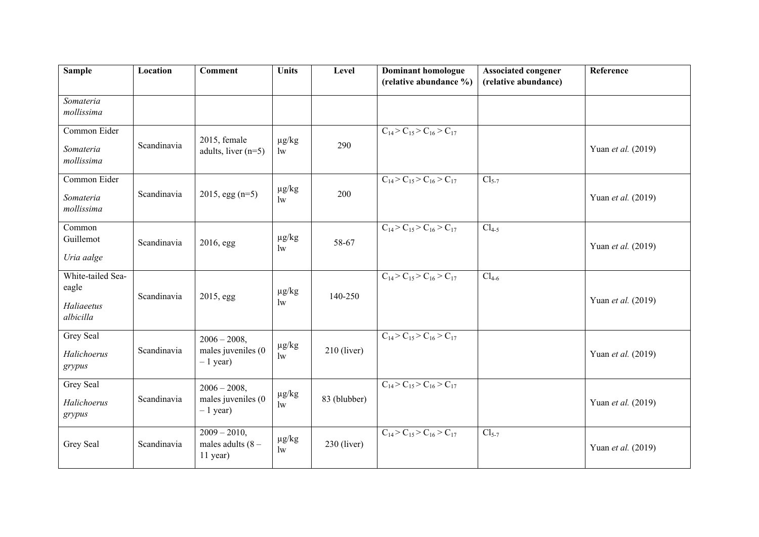| <b>Sample</b>                                         | Location    | <b>Comment</b>                                     | <b>Units</b>                         | Level         | <b>Dominant homologue</b><br>(relative abundance %) | <b>Associated congener</b><br>(relative abundance) | Reference          |
|-------------------------------------------------------|-------------|----------------------------------------------------|--------------------------------------|---------------|-----------------------------------------------------|----------------------------------------------------|--------------------|
| Somateria<br>mollissima                               |             |                                                    |                                      |               |                                                     |                                                    |                    |
| Common Eider<br>Somateria<br>mollissima               | Scandinavia | 2015, female<br>adults, liver $(n=5)$              | $\mu g/kg$<br>$\mathbf{w}$           | 290           | $C_{14} > C_{15} > C_{16} > C_{17}$                 |                                                    | Yuan et al. (2019) |
| Common Eider<br>Somateria<br>mollissima               | Scandinavia | $2015$ , egg (n=5)                                 | $\mu g/kg$<br>$\mathop{\mathrm{lw}}$ | 200           | $C_{14}$ > $C_{15}$ > $C_{16}$ > $C_{17}$           | $Cl5-7$                                            | Yuan et al. (2019) |
| Common<br>Guillemot<br>Uria aalge                     | Scandinavia | 2016, egg                                          | $\mu g/kg$<br>$\mathbf{w}$           | 58-67         | $C_{14}$ > $C_{15}$ > $C_{16}$ > $C_{17}$           | $Cl_{4-5}$                                         | Yuan et al. (2019) |
| White-tailed Sea-<br>eagle<br>Haliaeetus<br>albicilla | Scandinavia | 2015, egg                                          | $\mu g/kg$<br>$\mathbf{w}$           | 140-250       | $C_{14}$ > $C_{15}$ > $C_{16}$ > $C_{17}$           | $Cl_{4-6}$                                         | Yuan et al. (2019) |
| <b>Grey Seal</b><br>Halichoerus<br>grypus             | Scandinavia | $2006 - 2008,$<br>males juveniles (0<br>$-1$ year) | $\mu g/kg$<br>$\rm lw$               | $210$ (liver) | $C_{14} > C_{15} > C_{16} > C_{17}$                 |                                                    | Yuan et al. (2019) |
| Grey Seal<br>Halichoerus<br>grypus                    | Scandinavia | $2006 - 2008,$<br>males juveniles (0<br>$-1$ year) | $\mu g/kg$<br>$\mathbf{w}$           | 83 (blubber)  | $C_{14}$ > $C_{15}$ > $C_{16}$ > $C_{17}$           |                                                    | Yuan et al. (2019) |
| Grey Seal                                             | Scandinavia | $2009 - 2010,$<br>males adults $(8 -$<br>11 year)  | $\mu g/kg$<br>1w                     | $230$ (liver) | $C_{14}$ > $C_{15}$ > $C_{16}$ > $C_{17}$           | $Cl_{5-7}$                                         | Yuan et al. (2019) |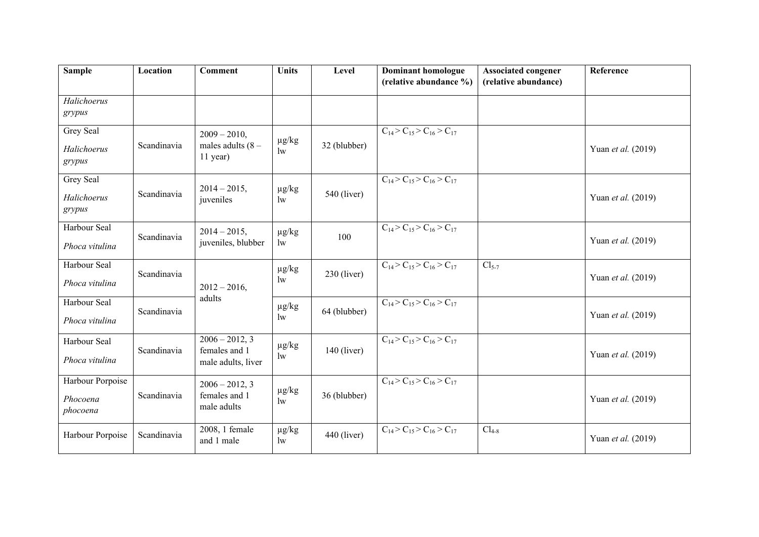| <b>Sample</b>         | Location    | <b>Comment</b>                    | <b>Units</b>               | Level         | <b>Dominant homologue</b>                      | <b>Associated congener</b> | Reference          |
|-----------------------|-------------|-----------------------------------|----------------------------|---------------|------------------------------------------------|----------------------------|--------------------|
|                       |             |                                   |                            |               | (relative abundance %)                         | (relative abundance)       |                    |
| Halichoerus           |             |                                   |                            |               |                                                |                            |                    |
| grypus                |             |                                   |                            |               |                                                |                            |                    |
| Grey Seal             |             | $2009 - 2010$ ,                   |                            |               | $C_{14} > C_{15} > C_{16} > C_{17}$            |                            |                    |
| Halichoerus<br>grypus | Scandinavia | males adults $(8 -$<br>11 year)   | $\mu g/kg$<br>$\mathbf{w}$ | 32 (blubber)  |                                                |                            | Yuan et al. (2019) |
|                       |             |                                   |                            |               |                                                |                            |                    |
| Grey Seal             |             | $2014 - 2015$ ,                   | $\mu g/kg$                 |               | $\overline{C_{14} > C_{15} > C_{16} > C_{17}}$ |                            |                    |
| Halichoerus           | Scandinavia | juveniles                         | $\mathbf{w}$               | $540$ (liver) |                                                |                            | Yuan et al. (2019) |
| grypus                |             |                                   |                            |               |                                                |                            |                    |
| Harbour Seal          |             | $2014 - 2015$ ,                   | $\mu g/kg$                 |               | $C_{14}$ > $C_{15}$ > $C_{16}$ > $C_{17}$      |                            |                    |
| Phoca vitulina        | Scandinavia | juveniles, blubber                | $\mathop{\mathrm{lw}}$     | 100           |                                                |                            | Yuan et al. (2019) |
| Harbour Seal          |             |                                   | $\mu g/kg$                 |               | $C_{14}$ > $C_{15}$ > $C_{16}$ > $C_{17}$      | $Cl5-7$                    |                    |
| Phoca vitulina        | Scandinavia | $2012 - 2016$ ,                   | $\mathbf{w}$               | $230$ (liver) |                                                |                            | Yuan et al. (2019) |
| Harbour Seal          |             | adults                            | $\mu g/kg$                 |               | $C_{14} > C_{15} > C_{16} > C_{17}$            |                            |                    |
| Phoca vitulina        | Scandinavia |                                   | $\mathbf{w}$               | 64 (blubber)  |                                                |                            | Yuan et al. (2019) |
|                       |             |                                   |                            |               |                                                |                            |                    |
| Harbour Seal          | Scandinavia | $2006 - 2012, 3$<br>females and 1 | $\mu g/kg$                 | $140$ (liver) | $C_{14} > C_{15} > C_{16} > C_{17}$            |                            |                    |
| Phoca vitulina        |             | male adults, liver                | $\mathop{\mathrm{lw}}$     |               |                                                |                            | Yuan et al. (2019) |
| Harbour Porpoise      |             | $2006 - 2012, 3$                  |                            |               | $C_{14}$ > $C_{15}$ > $C_{16}$ > $C_{17}$      |                            |                    |
| Phocoena<br>phocoena  | Scandinavia | females and 1<br>male adults      | $\mu$ g/kg<br>$\mathbf{w}$ | 36 (blubber)  |                                                |                            | Yuan et al. (2019) |
|                       |             | 2008, 1 female                    | $\mu g/kg$                 |               | $C_{14}$ > $C_{15}$ > $C_{16}$ > $C_{17}$      | $Cl_{4-8}$                 |                    |
| Harbour Porpoise      | Scandinavia | and 1 male                        | $\mathop{\mathrm{lw}}$     | $440$ (liver) |                                                |                            | Yuan et al. (2019) |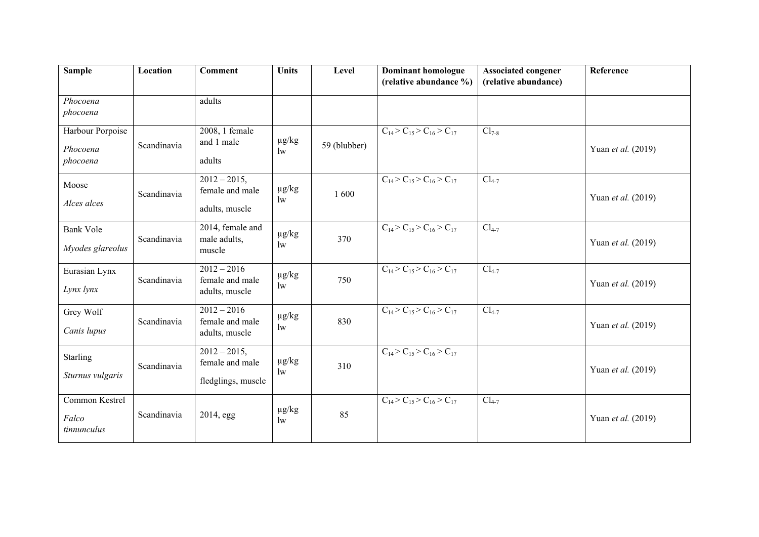| <b>Sample</b>    | Location    | Comment                           | <b>Units</b>                         | Level        | <b>Dominant homologue</b><br>(relative abundance %) | <b>Associated congener</b><br>(relative abundance) | Reference          |
|------------------|-------------|-----------------------------------|--------------------------------------|--------------|-----------------------------------------------------|----------------------------------------------------|--------------------|
|                  |             |                                   |                                      |              |                                                     |                                                    |                    |
| Phocoena         |             | adults                            |                                      |              |                                                     |                                                    |                    |
| phocoena         |             |                                   |                                      |              |                                                     |                                                    |                    |
| Harbour Porpoise |             | 2008, 1 female                    |                                      |              | $C_{14}$ > $C_{15}$ > $C_{16}$ > $C_{17}$           | $Cl_{7-8}$                                         |                    |
| Phocoena         | Scandinavia | and 1 male                        | $\mu g/kg$                           | 59 (blubber) |                                                     |                                                    |                    |
| phocoena         |             | adults                            | $\mathbf{w}$                         |              |                                                     |                                                    | Yuan et al. (2019) |
|                  |             |                                   |                                      |              |                                                     |                                                    |                    |
| Moose            |             | $2012 - 2015$ ,                   |                                      |              | $C_{14} > C_{15} > C_{16} > C_{17}$                 | $Cl_{4-7}$                                         |                    |
|                  | Scandinavia | female and male                   | $\mu g/kg$<br>$\mathop{\mathrm{lw}}$ | 1600         |                                                     |                                                    | Yuan et al. (2019) |
| Alces alces      |             | adults, muscle                    |                                      |              |                                                     |                                                    |                    |
|                  |             |                                   |                                      |              |                                                     |                                                    |                    |
| <b>Bank Vole</b> | Scandinavia | 2014, female and<br>male adults,  | $\mu g/kg$                           | 370          | $C_{14}$ > $C_{15}$ > $C_{16}$ > $C_{17}$           | $Cl_{4-7}$                                         |                    |
| Myodes glareolus |             | muscle                            | $\mathbf{w}$                         |              |                                                     |                                                    | Yuan et al. (2019) |
|                  |             |                                   |                                      |              |                                                     |                                                    |                    |
| Eurasian Lynx    |             | $2012 - 2016$                     | $\mu g/kg$                           |              | $C_{14} > C_{15} > C_{16} > C_{17}$                 | $Cl_{4-7}$                                         |                    |
| Lynx lynx        | Scandinavia | female and male<br>adults, muscle | $\mathbf{w}$                         | 750          |                                                     |                                                    | Yuan et al. (2019) |
|                  |             |                                   |                                      |              |                                                     |                                                    |                    |
| Grey Wolf        |             | $2012 - 2016$                     | $\mu$ g/kg                           |              | $C_{14}$ > $C_{15}$ > $C_{16}$ > $C_{17}$           | $Cl_{4-7}$                                         |                    |
| Canis lupus      | Scandinavia | female and male                   | $\mathbf{w}$                         | 830          |                                                     |                                                    | Yuan et al. (2019) |
|                  |             | adults, muscle                    |                                      |              |                                                     |                                                    |                    |
| <b>Starling</b>  |             | $2012 - 2015$ ,                   |                                      |              | $C_{14}$ > $C_{15}$ > $C_{16}$ > $C_{17}$           |                                                    |                    |
|                  | Scandinavia | female and male                   | $\mu$ g/kg<br>$\mathbf{w}$           | 310          |                                                     |                                                    | Yuan et al. (2019) |
| Sturnus vulgaris |             | fledglings, muscle                |                                      |              |                                                     |                                                    |                    |
|                  |             |                                   |                                      |              |                                                     |                                                    |                    |
| Common Kestrel   |             |                                   | $\mu g/kg$                           |              | $C_{14}$ > $C_{15}$ > $C_{16}$ > $C_{17}$           | $Cl_{4-7}$                                         |                    |
| Falco            | Scandinavia | 2014, egg                         | $\mathbf{w}$                         | 85           |                                                     |                                                    | Yuan et al. (2019) |
| tinnunculus      |             |                                   |                                      |              |                                                     |                                                    |                    |
|                  |             |                                   |                                      |              |                                                     |                                                    |                    |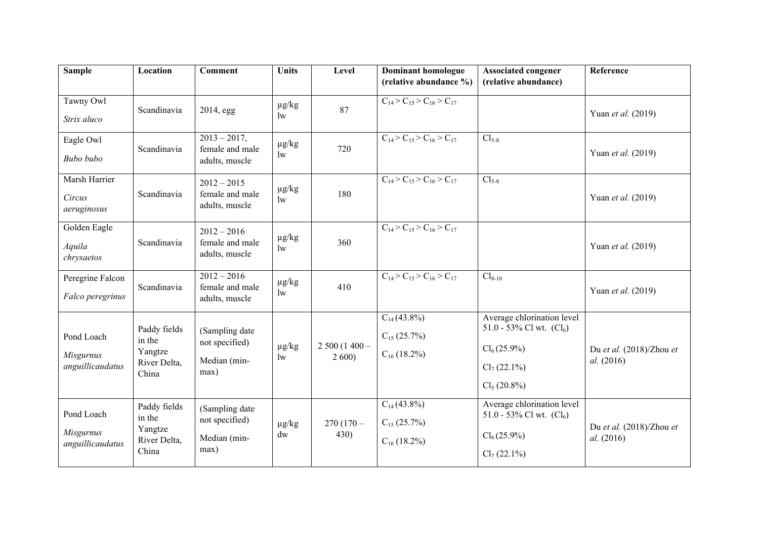| <b>Sample</b>         | Location                | <b>Comment</b>                     | <b>Units</b>                         | Level         | <b>Dominant homologue</b><br>(relative abundance %) | <b>Associated congener</b><br>(relative abundance)       | Reference                              |
|-----------------------|-------------------------|------------------------------------|--------------------------------------|---------------|-----------------------------------------------------|----------------------------------------------------------|----------------------------------------|
|                       |                         |                                    |                                      |               |                                                     |                                                          |                                        |
| Tawny Owl             | Scandinavia             | 2014, egg                          | $\mu$ g/kg                           | 87            | $C_{14} > C_{15} > C_{16} > C_{17}$                 |                                                          | Yuan et al. (2019)                     |
| Strix aluco           |                         |                                    | $\mathbf{w}$                         |               |                                                     |                                                          |                                        |
| Eagle Owl             | Scandinavia             | $2013 - 2017$ ,<br>female and male | $\mu$ g/kg                           | 720           | $C_{14} > C_{15} > C_{16} > C_{17}$                 | $Cl_{5-8}$                                               |                                        |
| Bubo bubo             |                         | adults, muscle                     | 1w                                   |               |                                                     |                                                          | Yuan et al. (2019)                     |
| Marsh Harrier         |                         | $2012 - 2015$                      | $\mu g/kg$                           |               | $C_{14} > C_{15} > C_{16} > C_{17}$                 | $Cl_{5-8}$                                               |                                        |
| Circus<br>aeruginosus | Scandinavia             | female and male<br>adults, muscle  | $\mathbf{w}$                         | 180           |                                                     |                                                          | Yuan et al. (2019)                     |
| Golden Eagle          |                         | $2012 - 2016$                      |                                      |               | $C_{14}$ > $C_{15}$ > $C_{16}$ > $C_{17}$           |                                                          |                                        |
| Aquila<br>chrysaetos  | Scandinavia             | female and male<br>adults, muscle  | $\mu g/kg$<br>1w                     | 360           |                                                     |                                                          | Yuan et al. (2019)                     |
| Peregrine Falcon      |                         | $2012 - 2016$                      | $\mu g/kg$                           |               | $C_{14}$ > $C_{15}$ > $C_{16}$ > $C_{17}$           | $Cl_{8-10}$                                              |                                        |
| Falco peregrinus      | Scandinavia             | female and male<br>adults, muscle  | $\mathop{\mathrm{lw}}$               | 410           |                                                     |                                                          | Yuan et al. (2019)                     |
|                       |                         |                                    |                                      |               | $C_{14}(43.8\%)$                                    | Average chlorination level<br>51.0 - 53% Cl wt. $(Cl_6)$ |                                        |
| Pond Loach            | Paddy fields<br>in the  | (Sampling date<br>not specified)   |                                      | $2500(1400 -$ | $C_{15}$ (25.7%)                                    |                                                          |                                        |
| <b>Misgurnus</b>      | Yangtze<br>River Delta, | Median (min-                       | $\mu$ g/kg<br>$\mathop{\mathrm{lw}}$ | 2600          | $C_{16}$ (18.2%)                                    | $Cl_6(25.9\%)$                                           | Du et al. (2018)/Zhou et<br>al. (2016) |
| anguillicaudatus      | China                   | max)                               |                                      |               |                                                     | $Cl_7(22.1\%)$                                           |                                        |
|                       |                         |                                    |                                      |               |                                                     | Cl <sub>5</sub> (20.8%)                                  |                                        |
| Pond Loach            | Paddy fields            | (Sampling date                     |                                      |               | $C_{14}(43.8\%)$                                    | Average chlorination level<br>51.0 - 53% Cl wt. $(Cl_6)$ |                                        |
| <b>Misgurnus</b>      | in the<br>Yangtze       | not specified)                     | $\mu$ g/kg                           | $270(170 -$   | $C_{15}$ (25.7%)                                    |                                                          | Du et al. (2018)/Zhou et               |
| anguillicaudatus      | River Delta,<br>China   | Median (min-<br>max)               | dw                                   | 430)          | $C_{16}$ (18.2%)                                    | $Cl_6(25.9\%)$<br>$Cl_7(22.1\%)$                         | al. (2016)                             |
|                       |                         |                                    |                                      |               |                                                     |                                                          |                                        |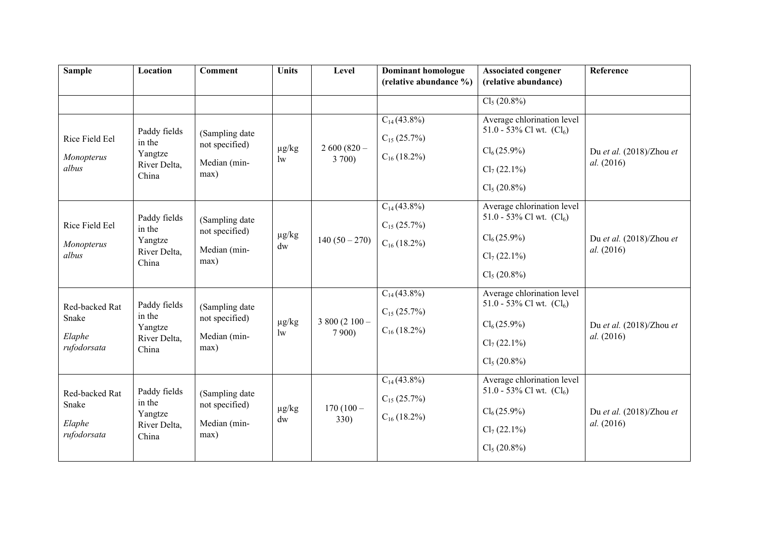| <b>Sample</b>                                    | Location                                                   | <b>Comment</b>                                           | <b>Units</b>                         | Level                   | <b>Dominant homologue</b><br>(relative abundance %)      | <b>Associated congener</b><br>(relative abundance)                                                                      | Reference                              |
|--------------------------------------------------|------------------------------------------------------------|----------------------------------------------------------|--------------------------------------|-------------------------|----------------------------------------------------------|-------------------------------------------------------------------------------------------------------------------------|----------------------------------------|
|                                                  |                                                            |                                                          |                                      |                         |                                                          | Cl <sub>5</sub> (20.8%)                                                                                                 |                                        |
| Rice Field Eel<br>Monopterus<br>albus            | Paddy fields<br>in the<br>Yangtze<br>River Delta,<br>China | (Sampling date<br>not specified)<br>Median (min-<br>max) | $\mu g/kg$<br>$\mathop{\mathrm{lw}}$ | $2600(820 -$<br>3 700)  | $C_{14}(43.8\%)$<br>$C_{15}$ (25.7%)<br>$C_{16}$ (18.2%) | Average chlorination level<br>51.0 - 53% Cl wt. $(Cl_6)$<br>$Cl_6(25.9\%)$<br>$Cl_7(22.1\%)$<br>$Cl_5(20.8\%)$          | Du et al. (2018)/Zhou et<br>al. (2016) |
| Rice Field Eel<br>Monopterus<br>albus            | Paddy fields<br>in the<br>Yangtze<br>River Delta,<br>China | (Sampling date<br>not specified)<br>Median (min-<br>max) | $\mu g/kg$<br>dw                     | $140(50-270)$           | $C_{14}(43.8\%)$<br>$C_{15}$ (25.7%)<br>$C_{16}$ (18.2%) | Average chlorination level<br>51.0 - 53% Cl wt. $(Cl_6)$<br>$Cl_6(25.9\%)$<br>$Cl_7(22.1\%)$<br>Cl <sub>5</sub> (20.8%) | Du et al. (2018)/Zhou et<br>al. (2016) |
| Red-backed Rat<br>Snake<br>Elaphe<br>rufodorsata | Paddy fields<br>in the<br>Yangtze<br>River Delta,<br>China | (Sampling date<br>not specified)<br>Median (min-<br>max) | $\mu g/kg$<br>$\mathop{\mathrm{lw}}$ | $3800(2100 -$<br>7 900) | $C_{14}(43.8\%)$<br>$C_{15}$ (25.7%)<br>$C_{16}$ (18.2%) | Average chlorination level<br>51.0 - 53% Cl wt. $(Cl_6)$<br>$Cl_6(25.9\%)$<br>$Cl_7(22.1\%)$<br>Cl <sub>5</sub> (20.8%) | Du et al. (2018)/Zhou et<br>al. (2016) |
| Red-backed Rat<br>Snake<br>Elaphe<br>rufodorsata | Paddy fields<br>in the<br>Yangtze<br>River Delta,<br>China | (Sampling date<br>not specified)<br>Median (min-<br>max) | $\mu$ g/kg<br>dw                     | $170(100 -$<br>330)     | $C_{14}(43.8\%)$<br>$C_{15}$ (25.7%)<br>$C_{16}$ (18.2%) | Average chlorination level<br>51.0 - 53% Cl wt. $(Cl_6)$<br>$Cl_6(25.9\%)$<br>$Cl_7(22.1\%)$<br>Cl <sub>5</sub> (20.8%) | Du et al. (2018)/Zhou et<br>al. (2016) |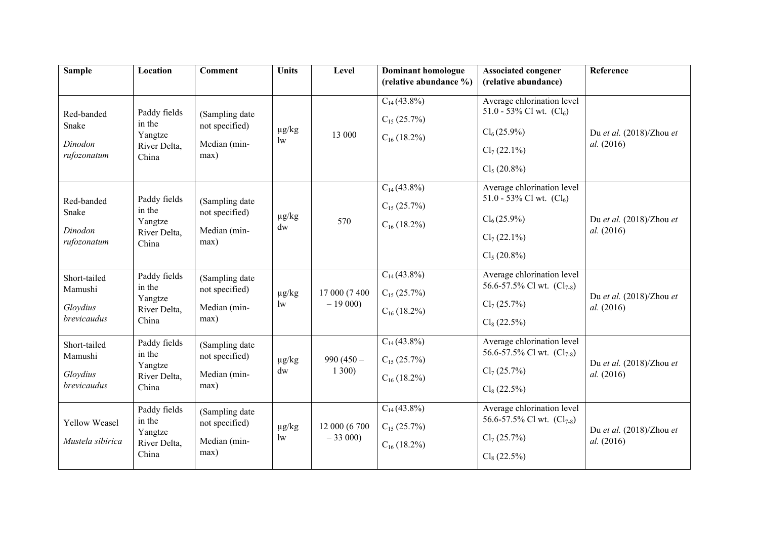| <b>Sample</b>                                      | Location                                                   | <b>Comment</b>                                           | <b>Units</b>                         | Level                     | <b>Dominant homologue</b><br>(relative abundance %)      | <b>Associated congener</b><br>(relative abundance)                                                                      | Reference                              |
|----------------------------------------------------|------------------------------------------------------------|----------------------------------------------------------|--------------------------------------|---------------------------|----------------------------------------------------------|-------------------------------------------------------------------------------------------------------------------------|----------------------------------------|
| Red-banded<br>Snake<br>Dinodon<br>rufozonatum      | Paddy fields<br>in the<br>Yangtze<br>River Delta,<br>China | (Sampling date<br>not specified)<br>Median (min-<br>max) | $\mu$ g/kg<br>$\mathop{\mathrm{lw}}$ | 13 000                    | $C_{14}(43.8\%)$<br>$C_{15}$ (25.7%)<br>$C_{16}$ (18.2%) | Average chlorination level<br>51.0 - 53% Cl wt. $(Cl_6)$<br>$Cl_6(25.9\%)$<br>$Cl_7(22.1\%)$<br>Cl <sub>5</sub> (20.8%) | Du et al. (2018)/Zhou et<br>al. (2016) |
| Red-banded<br>Snake<br>Dinodon<br>rufozonatum      | Paddy fields<br>in the<br>Yangtze<br>River Delta,<br>China | (Sampling date<br>not specified)<br>Median (min-<br>max) | $\mu$ g/kg<br>dw                     | 570                       | $C_{14}(43.8\%)$<br>$C_{15}$ (25.7%)<br>$C_{16}$ (18.2%) | Average chlorination level<br>51.0 - 53% Cl wt. $(Cl_6)$<br>$Cl_6(25.9\%)$<br>$Cl_7(22.1\%)$<br>$Cl_5(20.8\%)$          | Du et al. (2018)/Zhou et<br>al. (2016) |
| Short-tailed<br>Mamushi<br>Gloydius<br>brevicaudus | Paddy fields<br>in the<br>Yangtze<br>River Delta,<br>China | (Sampling date<br>not specified)<br>Median (min-<br>max) | $\mu$ g/kg<br>$\mathbf{w}$           | 17 000 (7 400<br>$-19000$ | $C_{14}(43.8\%)$<br>$C_{15}$ (25.7%)<br>$C_{16}$ (18.2%) | Average chlorination level<br>56.6-57.5% Cl wt. $(Cl_{7-8})$<br>$Cl_7(25.7\%)$<br>$Cl_8(22.5\%)$                        | Du et al. (2018)/Zhou et<br>al. (2016) |
| Short-tailed<br>Mamushi<br>Gloydius<br>brevicaudus | Paddy fields<br>in the<br>Yangtze<br>River Delta,<br>China | (Sampling date<br>not specified)<br>Median (min-<br>max) | $\mu$ g/kg<br>dw                     | 990 $(450 -$<br>1300)     | $C_{14}(43.8\%)$<br>$C_{15}$ (25.7%)<br>$C_{16}$ (18.2%) | Average chlorination level<br>56.6-57.5% Cl wt. $(Cl_{7-8})$<br>$Cl_7(25.7\%)$<br>$Cl_8(22.5\%)$                        | Du et al. (2018)/Zhou et<br>al. (2016) |
| Yellow Weasel<br>Mustela sibirica                  | Paddy fields<br>in the<br>Yangtze<br>River Delta,<br>China | (Sampling date<br>not specified)<br>Median (min-<br>max) | $\mu g/kg$<br>1w                     | 12 000 (6 700<br>$-33000$ | $C_{14}(43.8\%)$<br>$C_{15}$ (25.7%)<br>$C_{16}$ (18.2%) | Average chlorination level<br>56.6-57.5% Cl wt. $(Cl_{7-8})$<br>$Cl_7(25.7\%)$<br>$Cl_8(22.5\%)$                        | Du et al. (2018)/Zhou et<br>al. (2016) |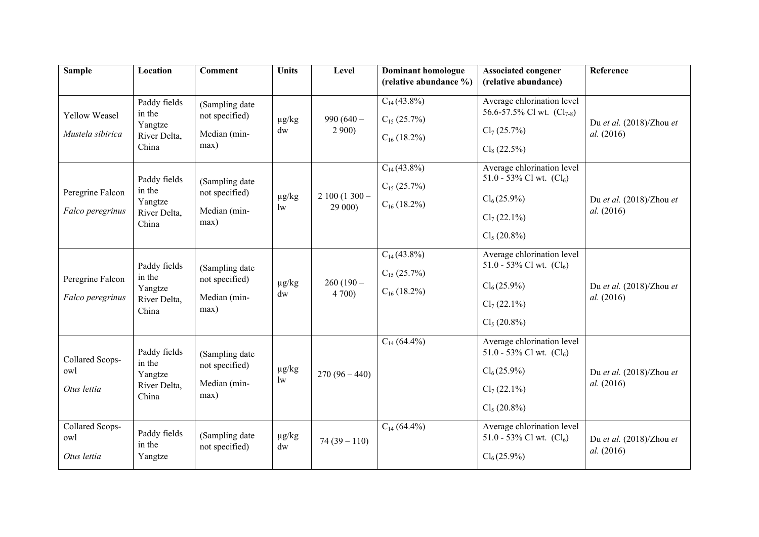| <b>Sample</b>                         | Location                                                   | <b>Comment</b>                                           | <b>Units</b>                         | Level                    | <b>Dominant homologue</b><br>(relative abundance %)      | <b>Associated congener</b><br>(relative abundance)                                                                      | Reference                              |
|---------------------------------------|------------------------------------------------------------|----------------------------------------------------------|--------------------------------------|--------------------------|----------------------------------------------------------|-------------------------------------------------------------------------------------------------------------------------|----------------------------------------|
| Yellow Weasel<br>Mustela sibirica     | Paddy fields<br>in the<br>Yangtze<br>River Delta,<br>China | (Sampling date<br>not specified)<br>Median (min-<br>max) | $\mu$ g/kg<br>$\mathrm{d}\mathrm{w}$ | 990 $(640 -$<br>2900     | $C_{14}(43.8\%)$<br>$C_{15}$ (25.7%)<br>$C_{16}$ (18.2%) | Average chlorination level<br>56.6-57.5% Cl wt. $(Cl_{7-8})$<br>$Cl_7(25.7\%)$<br>$Cl_8(22.5\%)$                        | Du et al. (2018)/Zhou et<br>al. (2016) |
| Peregrine Falcon<br>Falco peregrinus  | Paddy fields<br>in the<br>Yangtze<br>River Delta,<br>China | (Sampling date<br>not specified)<br>Median (min-<br>max) | $\mu g/kg$<br>$\mathop{\mathrm{lw}}$ | $2100(1300 -$<br>29 000) | $C_{14}(43.8\%)$<br>$C_{15}$ (25.7%)<br>$C_{16}$ (18.2%) | Average chlorination level<br>51.0 - 53% Cl wt. $(Cl_6)$<br>$Cl_6(25.9\%)$<br>$Cl_7(22.1\%)$<br>Cl <sub>5</sub> (20.8%) | Du et al. (2018)/Zhou et<br>al. (2016) |
| Peregrine Falcon<br>Falco peregrinus  | Paddy fields<br>in the<br>Yangtze<br>River Delta,<br>China | (Sampling date<br>not specified)<br>Median (min-<br>max) | $\mu$ g/kg<br>dw                     | $260(190 -$<br>4700      | $C_{14}(43.8\%)$<br>$C_{15}$ (25.7%)<br>$C_{16}$ (18.2%) | Average chlorination level<br>51.0 - 53% Cl wt. $(Cl_6)$<br>$Cl_6(25.9\%)$<br>$Cl_7(22.1\%)$<br>Cl <sub>5</sub> (20.8%) | Du et al. (2018)/Zhou et<br>al. (2016) |
| Collared Scops-<br>owl<br>Otus lettia | Paddy fields<br>in the<br>Yangtze<br>River Delta,<br>China | (Sampling date<br>not specified)<br>Median (min-<br>max) | $\mu$ g/kg<br>$\mathop{\mathrm{lw}}$ | $270(96-440)$            | $C_{14}$ (64.4%)                                         | Average chlorination level<br>51.0 - 53% Cl wt. $(Cl_6)$<br>$Cl_6(25.9\%)$<br>$Cl_7(22.1\%)$<br>Cl <sub>5</sub> (20.8%) | Du et al. (2018)/Zhou et<br>al. (2016) |
| Collared Scops-<br>owl<br>Otus lettia | Paddy fields<br>in the<br>Yangtze                          | (Sampling date<br>not specified)                         | $\mu g/kg$<br>dw                     | $74(39-110)$             | $C_{14}$ (64.4%)                                         | Average chlorination level<br>51.0 - 53% Cl wt. $(Cl_6)$<br>$Cl_6(25.9\%)$                                              | Du et al. (2018)/Zhou et<br>al. (2016) |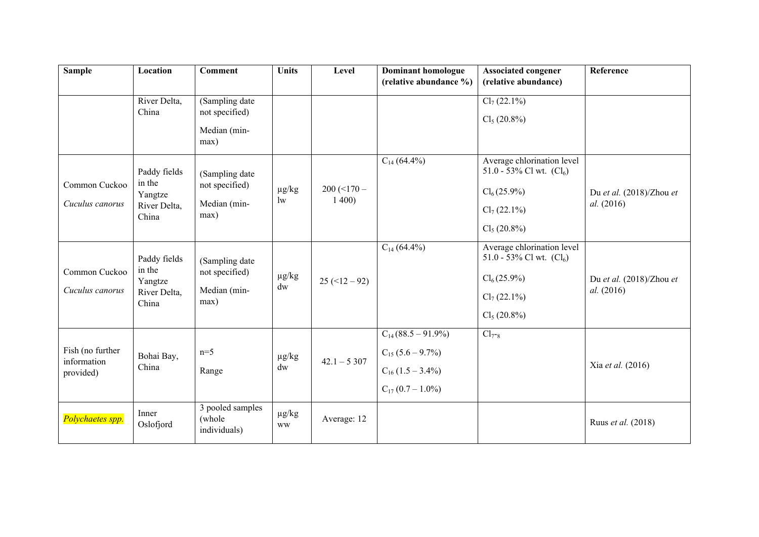| <b>Sample</b>                                | Location                                                   | <b>Comment</b>                                           | <b>Units</b>                         | Level                 | <b>Dominant homologue</b><br>(relative abundance %)                                               | <b>Associated congener</b><br>(relative abundance)                                                                                                    | Reference                              |
|----------------------------------------------|------------------------------------------------------------|----------------------------------------------------------|--------------------------------------|-----------------------|---------------------------------------------------------------------------------------------------|-------------------------------------------------------------------------------------------------------------------------------------------------------|----------------------------------------|
|                                              | River Delta,<br>China                                      | (Sampling date<br>not specified)<br>Median (min-<br>max) |                                      |                       |                                                                                                   | $Cl_7(22.1\%)$<br>Cl <sub>5</sub> (20.8%)                                                                                                             |                                        |
| Common Cuckoo<br>Cuculus canorus             | Paddy fields<br>in the<br>Yangtze<br>River Delta,<br>China | (Sampling date<br>not specified)<br>Median (min-<br>max) | $\mu$ g/kg<br>$\mathop{\mathrm{lw}}$ | $200 (-170 -$<br>1400 | $C_{14}$ (64.4%)<br>$C_{14}$ (64.4%)                                                              | Average chlorination level<br>51.0 - 53% Cl wt. $(Cl_6)$<br>$Cl_6(25.9\%)$<br>$Cl_7(22.1\%)$<br>Cl <sub>5</sub> (20.8%)<br>Average chlorination level | Du et al. (2018)/Zhou et<br>al. (2016) |
| Common Cuckoo<br>Cuculus canorus             | Paddy fields<br>in the<br>Yangtze<br>River Delta,<br>China | (Sampling date<br>not specified)<br>Median (min-<br>max) | $\mu g/kg$<br>dw                     | $25 (+12 - 92)$       |                                                                                                   | 51.0 - 53% Cl wt. $(Cl_6)$<br>$Cl_6(25.9\%)$<br>$Cl_7(22.1\%)$<br>Cl <sub>5</sub> (20.8%)                                                             | Du et al. (2018)/Zhou et<br>al. (2016) |
| Fish (no further<br>information<br>provided) | Bohai Bay,<br>China                                        | $n=5$<br>Range                                           | $\mu$ g/kg<br>dw                     | $42.1 - 5307$         | $C_{14}(88.5-91.9\%)$<br>$C_{15}$ (5.6 – 9.7%)<br>$C_{16}$ (1.5 – 3.4%)<br>$C_{17} (0.7 - 1.0\%)$ | $Cl_{7^-8}$                                                                                                                                           | Xia et al. (2016)                      |
| Polychaetes spp.                             | Inner<br>Oslofjord                                         | 3 pooled samples<br>(whole<br>individuals)               | $\mu g/kg$<br><b>WW</b>              | Average: 12           |                                                                                                   |                                                                                                                                                       | Ruus et al. (2018)                     |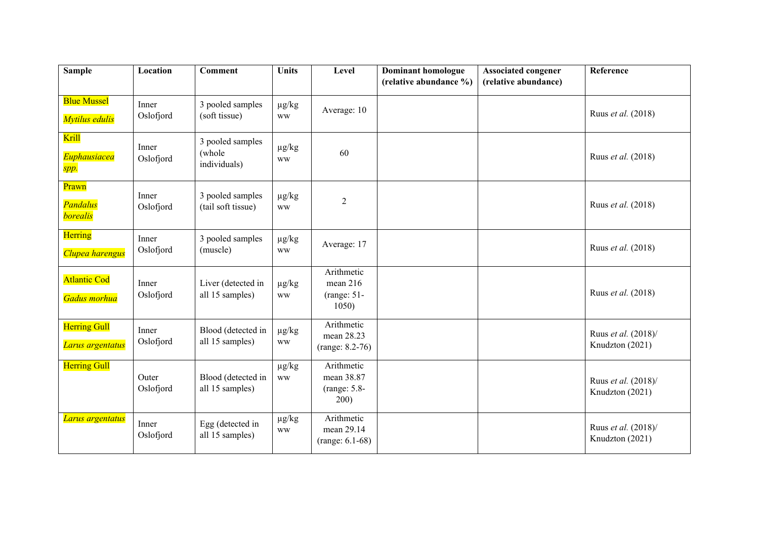| <b>Sample</b>                               | Location           | <b>Comment</b>                             | <b>Units</b>            | Level                                              | <b>Dominant homologue</b> | <b>Associated congener</b> | Reference                              |
|---------------------------------------------|--------------------|--------------------------------------------|-------------------------|----------------------------------------------------|---------------------------|----------------------------|----------------------------------------|
|                                             |                    |                                            |                         |                                                    | (relative abundance %)    | (relative abundance)       |                                        |
| <b>Blue Mussel</b><br>Mytilus edulis        | Inner<br>Oslofjord | 3 pooled samples<br>(soft tissue)          | $\mu g/kg$<br><b>WW</b> | Average: 10                                        |                           |                            | Ruus et al. (2018)                     |
| Krill<br><b>Euphausiacea</b><br>spp.        | Inner<br>Oslofjord | 3 pooled samples<br>(whole<br>individuals) | $\mu g/kg$<br><b>WW</b> | 60                                                 |                           |                            | Ruus et al. (2018)                     |
| Prawn<br><b>Pandalus</b><br><b>borealis</b> | Inner<br>Oslofjord | 3 pooled samples<br>(tail soft tissue)     | $\mu g/kg$<br><b>WW</b> | $\overline{2}$                                     |                           |                            | Ruus et al. (2018)                     |
| Herring<br>Clupea harengus                  | Inner<br>Oslofjord | 3 pooled samples<br>(muscle)               | $\mu g/kg$<br><b>WW</b> | Average: 17                                        |                           |                            | Ruus et al. (2018)                     |
| <b>Atlantic Cod</b><br>Gadus morhua         | Inner<br>Oslofjord | Liver (detected in<br>all 15 samples)      | $\mu g/kg$<br><b>WW</b> | Arithmetic<br>mean 216<br>$(range: 51 -$<br>1050   |                           |                            | Ruus et al. (2018)                     |
| <b>Herring Gull</b><br>Larus argentatus     | Inner<br>Oslofjord | Blood (detected in<br>all 15 samples)      | $\mu g/kg$<br><b>WW</b> | Arithmetic<br>mean 28.23<br>$(range: 8.2-76)$      |                           |                            | Ruus et al. (2018)/<br>Knudzton (2021) |
| <b>Herring Gull</b>                         | Outer<br>Oslofjord | Blood (detected in<br>all 15 samples)      | $\mu g/kg$<br><b>WW</b> | Arithmetic<br>mean 38.87<br>$(range: 5.8-$<br>200) |                           |                            | Ruus et al. (2018)/<br>Knudzton (2021) |
| Larus argentatus                            | Inner<br>Oslofjord | Egg (detected in<br>all 15 samples)        | $\mu g/kg$<br><b>WW</b> | Arithmetic<br>mean 29.14<br>$(range: 6.1-68)$      |                           |                            | Ruus et al. (2018)/<br>Knudzton (2021) |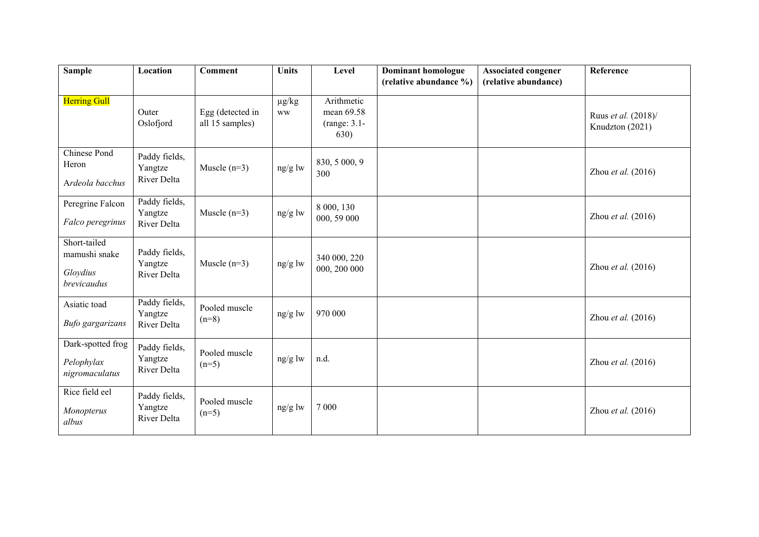| <b>Sample</b>                                            | Location                                | <b>Comment</b>                      | <b>Units</b>            | Level                                            | <b>Dominant homologue</b> | <b>Associated congener</b> | Reference                              |
|----------------------------------------------------------|-----------------------------------------|-------------------------------------|-------------------------|--------------------------------------------------|---------------------------|----------------------------|----------------------------------------|
|                                                          |                                         |                                     |                         |                                                  | (relative abundance %)    | (relative abundance)       |                                        |
| <b>Herring Gull</b>                                      | Outer<br>Oslofjord                      | Egg (detected in<br>all 15 samples) | $\mu g/kg$<br><b>WW</b> | Arithmetic<br>mean 69.58<br>(range: 3.1-<br>630) |                           |                            | Ruus et al. (2018)/<br>Knudzton (2021) |
| <b>Chinese Pond</b><br>Heron<br>Ardeola bacchus          | Paddy fields,<br>Yangtze<br>River Delta | Muscle $(n=3)$                      | $ng/g$ lw               | 830, 5 000, 9<br>300                             |                           |                            | Zhou et al. $(2016)$                   |
| Peregrine Falcon<br>Falco peregrinus                     | Paddy fields,<br>Yangtze<br>River Delta | Muscle $(n=3)$                      | $ng/g$ lw               | 8 000, 130<br>000, 59 000                        |                           |                            | Zhou et al. (2016)                     |
| Short-tailed<br>mamushi snake<br>Gloydius<br>brevicaudus | Paddy fields,<br>Yangtze<br>River Delta | Muscle $(n=3)$                      | $ng/g$ lw               | 340 000, 220<br>000, 200 000                     |                           |                            | Zhou et al. $(2016)$                   |
| Asiatic toad<br>Bufo gargarizans                         | Paddy fields,<br>Yangtze<br>River Delta | Pooled muscle<br>$(n=8)$            | $ng/g$ lw               | 970 000                                          |                           |                            | Zhou et al. $(2016)$                   |
| Dark-spotted frog<br>Pelophylax<br>nigromaculatus        | Paddy fields,<br>Yangtze<br>River Delta | Pooled muscle<br>$(n=5)$            | ng/g lw                 | n.d.                                             |                           |                            | Zhou et al. $(2016)$                   |
| Rice field eel<br>Monopterus<br>albus                    | Paddy fields,<br>Yangtze<br>River Delta | Pooled muscle<br>$(n=5)$            | ng/g lw                 | 7 0 0 0                                          |                           |                            | Zhou et al. (2016)                     |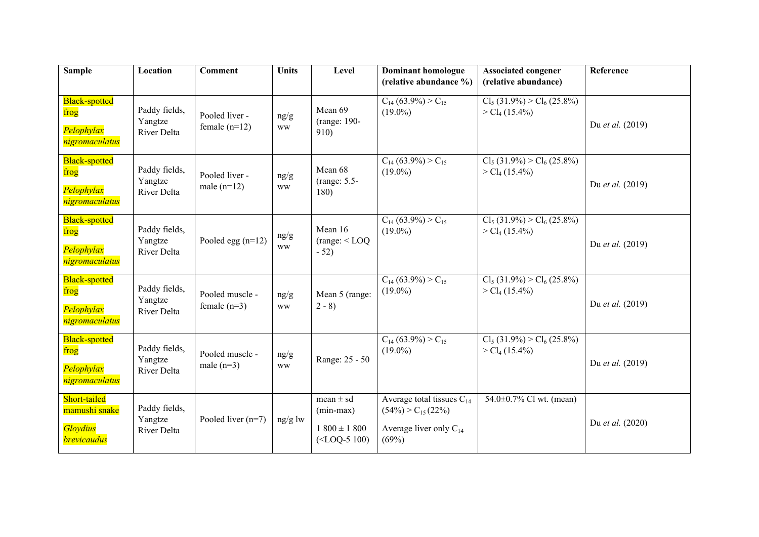| <b>Sample</b>                                                          | Location                                | <b>Comment</b>                    | <b>Units</b>      | Level                                                              | <b>Dominant homologue</b><br>(relative abundance %)                                                | <b>Associated congener</b><br>(relative abundance)         | Reference        |
|------------------------------------------------------------------------|-----------------------------------------|-----------------------------------|-------------------|--------------------------------------------------------------------|----------------------------------------------------------------------------------------------------|------------------------------------------------------------|------------------|
| <b>Black-spotted</b><br>frog<br>Pelophylax<br>nigromaculatus           | Paddy fields,<br>Yangtze<br>River Delta | Pooled liver -<br>female $(n=12)$ | ng/g<br><b>WW</b> | Mean 69<br>(range: 190-<br>910)                                    | $C_{14}$ (63.9%) > $C_{15}$<br>$(19.0\%)$                                                          | $Cl_5(31.9\%) > Cl_6(25.8\%)$<br>> Cl <sub>4</sub> (15.4%) | Du et al. (2019) |
| <b>Black-spotted</b><br>frog<br>Pelophylax<br>nigromaculatus           | Paddy fields,<br>Yangtze<br>River Delta | Pooled liver -<br>male $(n=12)$   | ng/g<br><b>WW</b> | Mean 68<br>(range: 5.5-<br>180)                                    | $C_{14}$ (63.9%) > $C_{15}$<br>$(19.0\%)$                                                          | $Cl_5(31.9\%) > Cl_6(25.8\%)$<br>> Cl <sub>4</sub> (15.4%) | Du et al. (2019) |
| <b>Black-spotted</b><br>frog<br>Pelophylax<br>nigromaculatus           | Paddy fields,<br>Yangtze<br>River Delta | Pooled egg $(n=12)$               | ng/g<br><b>WW</b> | Mean 16<br>(range: <loq)<br><math>-52)</math></loq)<br>            | $C_{14}$ (63.9%) > $C_{15}$<br>$(19.0\%)$                                                          | $Cl_5(31.9\%) > Cl_6(25.8\%)$<br>> Cl <sub>4</sub> (15.4%) | Du et al. (2019) |
| <b>Black-spotted</b><br>frog<br>Pelophylax<br>nigromaculatus           | Paddy fields,<br>Yangtze<br>River Delta | Pooled muscle -<br>female $(n=3)$ | ng/g<br><b>WW</b> | Mean 5 (range:<br>$2 - 8$                                          | $C_{14}$ (63.9%) > $C_{15}$<br>$(19.0\%)$                                                          | $Cl_5(31.9\%) > Cl_6(25.8\%)$<br>> Cl <sub>4</sub> (15.4%) | Du et al. (2019) |
| <b>Black-spotted</b><br>frog<br>Pelophylax<br>nigromaculatus           | Paddy fields,<br>Yangtze<br>River Delta | Pooled muscle -<br>male $(n=3)$   | ng/g<br><b>WW</b> | Range: 25 - 50                                                     | $C_{14}$ (63.9%) > $C_{15}$<br>$(19.0\%)$                                                          | $Cl_5(31.9\%) > Cl_6(25.8\%)$<br>> Cl <sub>4</sub> (15.4%) | Du et al. (2019) |
| Short-tailed<br>mamushi snake<br><b>Gloydius</b><br><b>brevicaudus</b> | Paddy fields,<br>Yangtze<br>River Delta | Pooled liver $(n=7)$              | $ng/g$ lw         | mean $\pm$ sd<br>$(min-max)$<br>$1800 \pm 1800$<br>$(<$ LOQ-5 100) | Average total tissues $C_{14}$<br>$(54\%) > C_{15} (22\%)$<br>Average liver only $C_{14}$<br>(69%) | 54.0±0.7% Cl wt. (mean)                                    | Du et al. (2020) |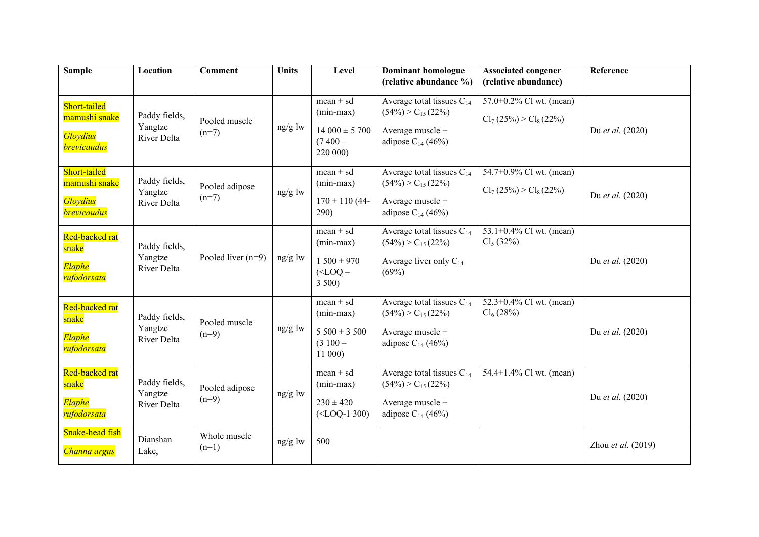| <b>Sample</b>                                                          | Location                                | <b>Comment</b>            | <b>Units</b> | Level                                                                     | <b>Dominant homologue</b><br>(relative abundance %)                                                      | <b>Associated congener</b><br>(relative abundance)         | Reference          |
|------------------------------------------------------------------------|-----------------------------------------|---------------------------|--------------|---------------------------------------------------------------------------|----------------------------------------------------------------------------------------------------------|------------------------------------------------------------|--------------------|
|                                                                        |                                         |                           |              |                                                                           |                                                                                                          |                                                            |                    |
| Short-tailed<br>mamushi snake<br>Gloydius<br><b>brevicaudus</b>        | Paddy fields,<br>Yangtze<br>River Delta | Pooled muscle<br>$(n=7)$  | ng/g lw      | mean $\pm$ sd<br>$(min-max)$<br>$14000 \pm 5700$<br>$(7400 -$<br>220 000) | Average total tissues $C_{14}$<br>$(54\%) > C_{15} (22\%)$<br>Average muscle +<br>adipose $C_{14}$ (46%) | 57.0 $\pm$ 0.2% Cl wt. (mean)<br>$Cl_7(25\%) > Cl_8(22\%)$ | Du et al. (2020)   |
| Short-tailed<br>mamushi snake<br><b>Gloydius</b><br><b>brevicaudus</b> | Paddy fields,<br>Yangtze<br>River Delta | Pooled adipose<br>$(n=7)$ | ng/g lw      | mean $\pm$ sd<br>$(min-max)$<br>$170 \pm 110$ (44-<br>290)                | Average total tissues $C_{14}$<br>$(54\%) > C_{15} (22\%)$<br>Average muscle +<br>adipose $C_{14}$ (46%) | 54.7±0.9% Cl wt. (mean)<br>$Cl_7(25\%) > Cl_8(22\%)$       | Du et al. (2020)   |
| Red-backed rat<br>snake<br>Elaphe<br>rufodorsata                       | Paddy fields,<br>Yangtze<br>River Delta | Pooled liver $(n=9)$      | $ng/g$ lw    | $mean \pm sd$<br>$(min-max)$<br>$1500 \pm 970$<br>$(<$ LOQ $-$<br>3500    | Average total tissues $C_{14}$<br>$(54\%) > C_{15} (22\%)$<br>Average liver only $C_{14}$<br>(69%)       | 53.1 $\pm$ 0.4% Cl wt. (mean)<br>$Cl_5(32\%)$              | Du et al. (2020)   |
| Red-backed rat<br>snake<br>Elaphe<br>rufodorsata                       | Paddy fields,<br>Yangtze<br>River Delta | Pooled muscle<br>$(n=9)$  | $ng/g$ lw    | mean $\pm$ sd<br>$(min-max)$<br>$5500 \pm 3500$<br>$(3100 -$<br>11 000)   | Average total tissues $C_{14}$<br>$(54\%) > C_{15} (22\%)$<br>Average muscle +<br>adipose $C_{14}$ (46%) | 52.3±0.4% Cl wt. (mean)<br>$Cl_6(28%)$                     | Du et al. (2020)   |
| Red-backed rat<br>snake<br>Elaphe<br>rufodorsata                       | Paddy fields,<br>Yangtze<br>River Delta | Pooled adipose<br>$(n=9)$ | $ng/g$ lw    | mean $\pm$ sd<br>$(min-max)$<br>$230 \pm 420$<br>$(<$ LOQ-1 300)          | Average total tissues $C_{14}$<br>$(54\%) > C_{15} (22\%)$<br>Average muscle +<br>adipose $C_{14}$ (46%) | 54.4±1.4% Cl wt. (mean)                                    | Du et al. (2020)   |
| Snake-head fish<br>Channa argus                                        | Dianshan<br>Lake,                       | Whole muscle<br>$(n=1)$   | $ng/g$ lw    | 500                                                                       |                                                                                                          |                                                            | Zhou et al. (2019) |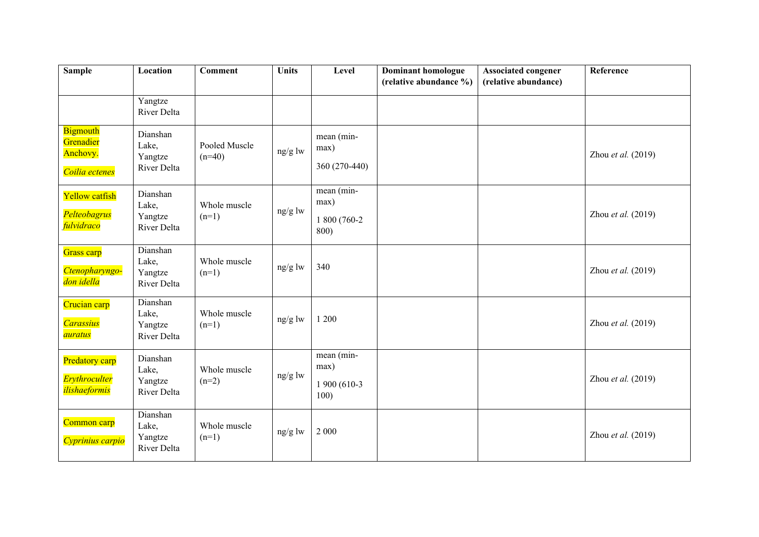| <b>Sample</b>                                                  | Location                                    | <b>Comment</b>            | <b>Units</b> | Level                                       | <b>Dominant homologue</b><br>(relative abundance %) | <b>Associated congener</b><br>(relative abundance) | Reference          |
|----------------------------------------------------------------|---------------------------------------------|---------------------------|--------------|---------------------------------------------|-----------------------------------------------------|----------------------------------------------------|--------------------|
|                                                                | Yangtze<br>River Delta                      |                           |              |                                             |                                                     |                                                    |                    |
| <b>Bigmouth</b><br>Grenadier<br>Anchovy.<br>Coilia ectenes     | Dianshan<br>Lake,<br>Yangtze<br>River Delta | Pooled Muscle<br>$(n=40)$ | ng/g lw      | mean (min-<br>max)<br>360 (270-440)         |                                                     |                                                    | Zhou et al. (2019) |
| Yellow catfish<br>Pelteobagrus<br>fulvidraco                   | Dianshan<br>Lake,<br>Yangtze<br>River Delta | Whole muscle<br>$(n=1)$   | ng/g lw      | mean (min-<br>max)<br>1 800 (760-2)<br>800) |                                                     |                                                    | Zhou et al. (2019) |
| Grass carp<br>Ctenopharyngo-<br><mark>don idella</mark>        | Dianshan<br>Lake,<br>Yangtze<br>River Delta | Whole muscle<br>$(n=1)$   | $ng/g$ lw    | 340                                         |                                                     |                                                    | Zhou et al. (2019) |
| Crucian carp<br><b>Carassius</b><br>auratus                    | Dianshan<br>Lake,<br>Yangtze<br>River Delta | Whole muscle<br>$(n=1)$   | ng/g lw      | 1 200                                       |                                                     |                                                    | Zhou et al. (2019) |
| Predatory carp<br><b>Erythroculter</b><br><i>ilishaeformis</i> | Dianshan<br>Lake,<br>Yangtze<br>River Delta | Whole muscle<br>$(n=2)$   | ng/g lw      | mean (min-<br>max)<br>1 900 (610-3<br>100)  |                                                     |                                                    | Zhou et al. (2019) |
| Common carp<br>Cyprinius carpio                                | Dianshan<br>Lake,<br>Yangtze<br>River Delta | Whole muscle<br>$(n=1)$   | ng/g lw      | 2 0 0 0                                     |                                                     |                                                    | Zhou et al. (2019) |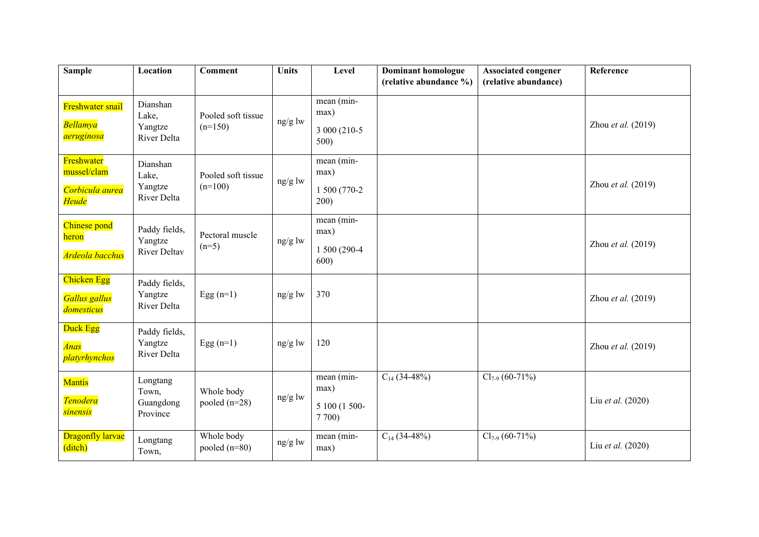| <b>Sample</b>                                         | Location                                        | <b>Comment</b>                  | <b>Units</b> | Level                                       | <b>Dominant homologue</b> | <b>Associated congener</b> | Reference            |
|-------------------------------------------------------|-------------------------------------------------|---------------------------------|--------------|---------------------------------------------|---------------------------|----------------------------|----------------------|
|                                                       |                                                 |                                 |              |                                             | (relative abundance %)    | (relative abundance)       |                      |
| Freshwater snail<br><b>Bellamya</b><br>aeruginosa     | Dianshan<br>Lake,<br>Yangtze<br>River Delta     | Pooled soft tissue<br>$(n=150)$ | ng/g lw      | mean (min-<br>max)<br>3 000 (210-5)<br>500) |                           |                            | Zhou et al. $(2019)$ |
| Freshwater<br>mussel/clam<br>Corbicula aurea<br>Heude | Dianshan<br>Lake,<br>Yangtze<br>River Delta     | Pooled soft tissue<br>$(n=100)$ | ng/g lw      | mean (min-<br>max)<br>1 500 (770-2)<br>200) |                           |                            | Zhou et al. (2019)   |
| Chinese pond<br>heron<br><mark>Ardeola bacchus</mark> | Paddy fields,<br>Yangtze<br><b>River Deltav</b> | Pectoral muscle<br>$(n=5)$      | ng/g lw      | mean (min-<br>max)<br>1 500 (290-4<br>600)  |                           |                            | Zhou et al. (2019)   |
| Chicken Egg<br>Gallus gallus<br>domesticus            | Paddy fields,<br>Yangtze<br>River Delta         | Egg $(n=1)$                     | $ng/g$ lw    | 370                                         |                           |                            | Zhou et al. (2019)   |
| Duck Egg<br><b>Anas</b><br>platyrhynchos              | Paddy fields,<br>Yangtze<br>River Delta         | Egg $(n=1)$                     | $ng/g$ lw    | 120                                         |                           |                            | Zhou et al. $(2019)$ |
| Mantis<br><b>Tenodera</b><br><b>sinensis</b>          | Longtang<br>Town,<br>Guangdong<br>Province      | Whole body<br>pooled $(n=28)$   | ng/g lw      | mean (min-<br>max)<br>5 100 (1 500-<br>7700 | $C_{14}$ (34-48%)         | $Cl_{7.9}$ (60-71%)        | Liu et al. (2020)    |
| <b>Dragonfly larvae</b><br>(ditch)                    | Longtang<br>Town,                               | Whole body<br>pooled $(n=80)$   | $ng/g$ lw    | mean (min-<br>max)                          | $C_{14}$ (34-48%)         | $Cl_{7.9}$ (60-71%)        | Liu et al. (2020)    |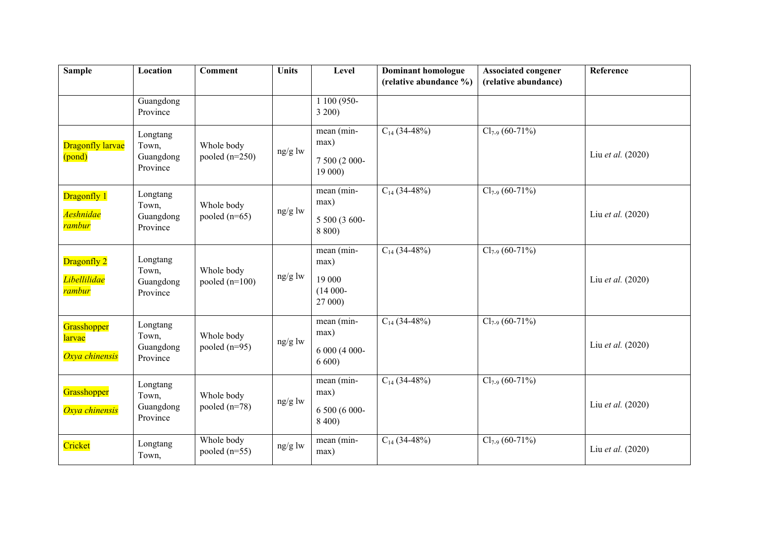| <b>Sample</b>                                | Location                                   | <b>Comment</b>                 | <b>Units</b> | Level                                                 | <b>Dominant homologue</b><br>(relative abundance %) | <b>Associated congener</b><br>(relative abundance) | Reference         |
|----------------------------------------------|--------------------------------------------|--------------------------------|--------------|-------------------------------------------------------|-----------------------------------------------------|----------------------------------------------------|-------------------|
|                                              | Guangdong<br>Province                      |                                |              | 1 100 (950-<br>3200                                   |                                                     |                                                    |                   |
| Dragonfly larvae<br>(pond)                   | Longtang<br>Town,<br>Guangdong<br>Province | Whole body<br>pooled $(n=250)$ | ng/g lw      | mean (min-<br>max)<br>7 500 (2 000-<br>19 000)        | $C_{14}$ (34-48%)                                   | $Cl_{7.9}$ (60-71%)                                | Liu et al. (2020) |
| Dragonfly 1<br>Aeshnidae<br>rambur           | Longtang<br>Town,<br>Guangdong<br>Province | Whole body<br>pooled $(n=65)$  | ng/g lw      | mean (min-<br>max)<br>5 500 (3 600-<br>8 800)         | $C_{14}$ (34-48%)                                   | $Cl_{7.9}$ (60-71%)                                | Liu et al. (2020) |
| Dragonfly 2<br><i>Libellilidae</i><br>rambur | Longtang<br>Town,<br>Guangdong<br>Province | Whole body<br>pooled $(n=100)$ | $ng/g$ lw    | mean (min-<br>max)<br>19 000<br>$(14000 -$<br>27 000) | $C_{14}$ (34-48%)                                   | $Cl_{7-9}$ (60-71%)                                | Liu et al. (2020) |
| Grasshopper<br>larvae<br>Oxya chinensis      | Longtang<br>Town,<br>Guangdong<br>Province | Whole body<br>pooled $(n=95)$  | ng/g lw      | mean (min-<br>max)<br>6 000 (4 000-<br>6600           | $C_{14}$ (34-48%)                                   | $Cl_{7.9}$ (60-71%)                                | Liu et al. (2020) |
| Grasshopper<br>Oxya chinensis                | Longtang<br>Town,<br>Guangdong<br>Province | Whole body<br>pooled $(n=78)$  | ng/g lw      | mean (min-<br>max)<br>6 500 (6 000-<br>8 400)         | $C_{14}$ (34-48%)                                   | $Cl_{7.9}$ (60-71%)                                | Liu et al. (2020) |
| Cricket                                      | Longtang<br>Town,                          | Whole body<br>pooled $(n=55)$  | ng/g lw      | mean (min-<br>max)                                    | $C_{14}$ (34-48%)                                   | $Cl_{7.9}$ (60-71%)                                | Liu et al. (2020) |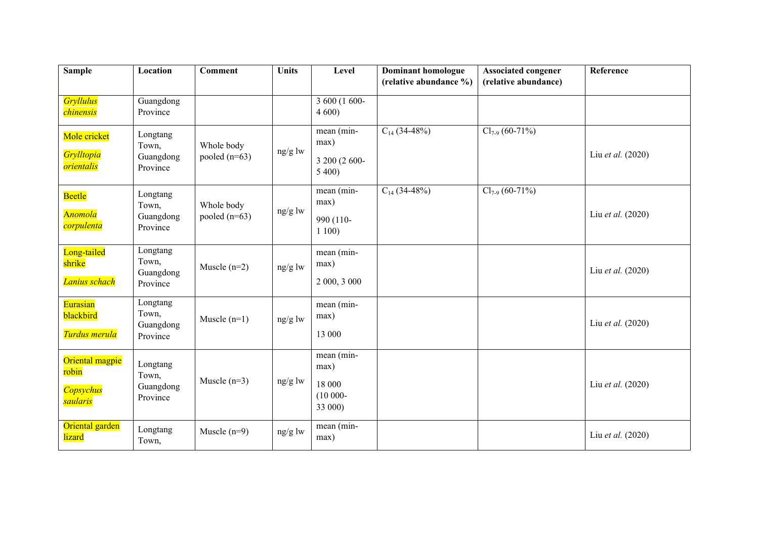| <b>Sample</b>                                                         | Location                                   | <b>Comment</b>                | <b>Units</b> | Level                                                 | <b>Dominant homologue</b><br>(relative abundance %) | <b>Associated congener</b><br>(relative abundance) | Reference         |
|-----------------------------------------------------------------------|--------------------------------------------|-------------------------------|--------------|-------------------------------------------------------|-----------------------------------------------------|----------------------------------------------------|-------------------|
| <b>Gryllulus</b><br>chinensis<br>Mole cricket                         | Guangdong<br>Province<br>Longtang          |                               |              | $3600(1600 -$<br>4600<br>mean (min-                   | $C_{14}$ (34-48%)                                   | $Cl_{7.9}$ (60-71%)                                |                   |
| Grylltopia<br><i>orientalis</i>                                       | Town,<br>Guangdong<br>Province             | Whole body<br>pooled $(n=63)$ | ng/g lw      | max)<br>3 200 (2 600-<br>5400                         |                                                     |                                                    | Liu et al. (2020) |
| Beetle<br><b>Anomola</b><br>corpulenta                                | Longtang<br>Town,<br>Guangdong<br>Province | Whole body<br>pooled $(n=63)$ | ng/g lw      | mean (min-<br>max)<br>990 (110-<br>1100               | $C_{14}$ (34-48%)                                   | $Cl_{7.9}$ (60-71%)                                | Liu et al. (2020) |
| Long-tailed<br>shrike<br>Lanius schach                                | Longtang<br>Town,<br>Guangdong<br>Province | Muscle $(n=2)$                | ng/g lw      | mean (min-<br>max)<br>2 000, 3 000                    |                                                     |                                                    | Liu et al. (2020) |
| Eurasian<br>blackbird<br>Turdus merula                                | Longtang<br>Town,<br>Guangdong<br>Province | Muscle $(n=1)$                | ng/g lw      | mean (min-<br>max)<br>13 000                          |                                                     |                                                    | Liu et al. (2020) |
| Oriental magpie<br>robin<br><b>Copsychus</b><br><mark>saularis</mark> | Longtang<br>Town,<br>Guangdong<br>Province | Muscle $(n=3)$                | $ng/g$ lw    | mean (min-<br>max)<br>18 000<br>$(10000 -$<br>33 000) |                                                     |                                                    | Liu et al. (2020) |
| Oriental garden<br>lizard                                             | Longtang<br>Town,                          | Muscle $(n=9)$                | ng/g lw      | mean (min-<br>max)                                    |                                                     |                                                    | Liu et al. (2020) |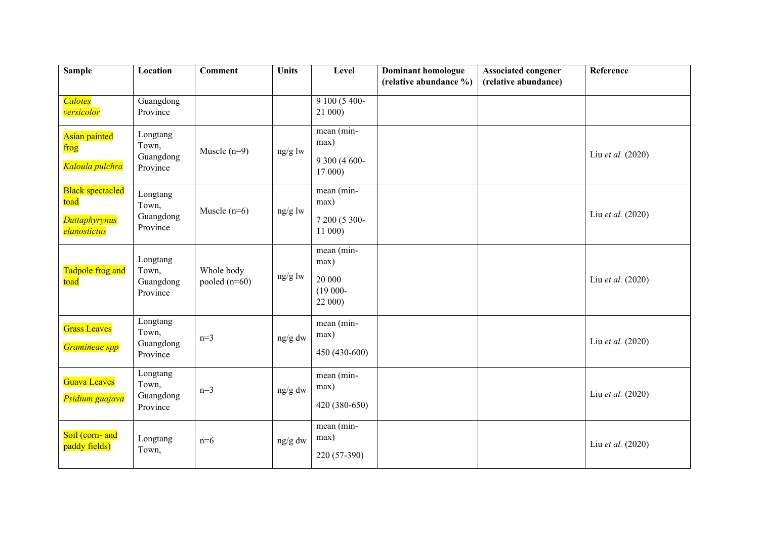| <b>Sample</b>                                                           | Location                                   | <b>Comment</b>                | <b>Units</b> | Level                                                 | <b>Dominant homologue</b><br>(relative abundance %) | <b>Associated congener</b><br>(relative abundance) | Reference         |
|-------------------------------------------------------------------------|--------------------------------------------|-------------------------------|--------------|-------------------------------------------------------|-----------------------------------------------------|----------------------------------------------------|-------------------|
| <b>Calotes</b><br>versicolor                                            | Guangdong<br>Province                      |                               |              | 9 100 (5 400-<br>21 000)                              |                                                     |                                                    |                   |
| Asian painted<br>frog<br>Kaloula pulchra                                | Longtang<br>Town,<br>Guangdong<br>Province | Muscle $(n=9)$                | ng/g lw      | mean (min-<br>max)<br>9 300 (4 600-<br>17 000)        |                                                     |                                                    | Liu et al. (2020) |
| <b>Black spectacled</b><br>toad<br><b>Duttaphyrynus</b><br>elanostictus | Longtang<br>Town,<br>Guangdong<br>Province | Muscle $(n=6)$                | ng/g lw      | mean (min-<br>max)<br>7 200 (5 300-<br>11 000)        |                                                     |                                                    | Liu et al. (2020) |
| Tadpole frog and<br>toad                                                | Longtang<br>Town,<br>Guangdong<br>Province | Whole body<br>pooled $(n=60)$ | ng/g lw      | mean (min-<br>max)<br>20 000<br>$(19000 -$<br>22 000) |                                                     |                                                    | Liu et al. (2020) |
| <b>Grass Leaves</b><br>Gramineae spp                                    | Longtang<br>Town,<br>Guangdong<br>Province | $n=3$                         | ng/g dw      | mean (min-<br>max)<br>450 (430-600)                   |                                                     |                                                    | Liu et al. (2020) |
| Guava Leaves<br>Psidium guajava                                         | Longtang<br>Town,<br>Guangdong<br>Province | $n=3$                         | ng/g dw      | mean (min-<br>max)<br>420 (380-650)                   |                                                     |                                                    | Liu et al. (2020) |
| Soil (corn- and<br>paddy fields)                                        | Longtang<br>Town,                          | $n=6$                         | ng/g dw      | mean (min-<br>max)<br>220 (57-390)                    |                                                     |                                                    | Liu et al. (2020) |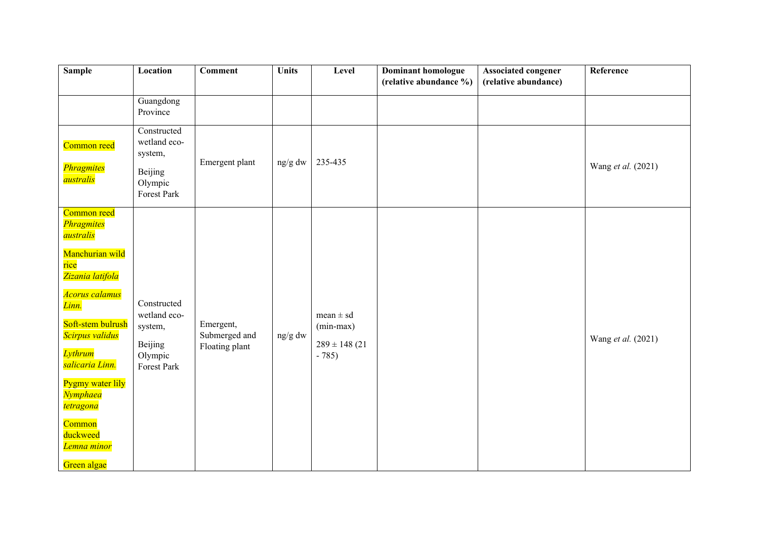| <b>Sample</b>                                                                                                                                                                                                                                                                                                             | Location                                                                    | <b>Comment</b>                               | <b>Units</b> | Level                                                        | Dominant homologue<br>(relative abundance %) | <b>Associated congener</b><br>(relative abundance) | Reference          |
|---------------------------------------------------------------------------------------------------------------------------------------------------------------------------------------------------------------------------------------------------------------------------------------------------------------------------|-----------------------------------------------------------------------------|----------------------------------------------|--------------|--------------------------------------------------------------|----------------------------------------------|----------------------------------------------------|--------------------|
|                                                                                                                                                                                                                                                                                                                           | Guangdong<br>Province                                                       |                                              |              |                                                              |                                              |                                                    |                    |
| Common reed<br>Phragmites<br>australis                                                                                                                                                                                                                                                                                    | Constructed<br>wetland eco-<br>system,<br>Beijing<br>Olympic<br>Forest Park | Emergent plant                               | ng/g dw      | 235-435                                                      |                                              |                                                    | Wang et al. (2021) |
| Common reed<br>Phragmites<br>australis<br>Manchurian wild<br>rice<br><mark>Zizania latifola</mark><br>Acorus calamus<br>Linn.<br>Soft-stem bulrush<br>Scirpus validus<br><b>Lythrum</b><br>salicaria Linn.<br>Pygmy water lily<br><b>Nymphaea</b><br><b>tetragona</b><br>Common<br>duckweed<br>Lemna minor<br>Green algae | Constructed<br>wetland eco-<br>system,<br>Beijing<br>Olympic<br>Forest Park | Emergent,<br>Submerged and<br>Floating plant | ng/g dw      | mean $\pm$ sd<br>$(min-max)$<br>$289 \pm 148$ (21)<br>$-785$ |                                              |                                                    | Wang et al. (2021) |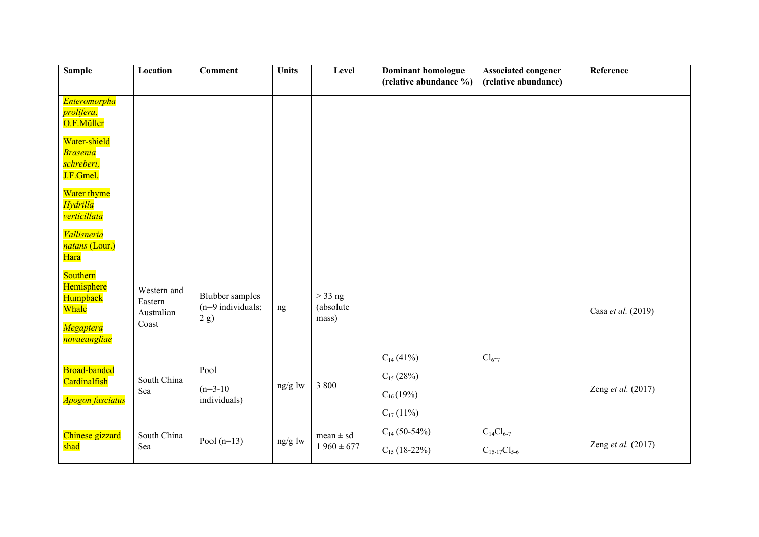| <b>Sample</b>                                                                   | Location                                      | <b>Comment</b>                                        | <b>Units</b> | Level                           | <b>Dominant homologue</b><br>(relative abundance %)                 | <b>Associated congener</b><br>(relative abundance) | Reference          |
|---------------------------------------------------------------------------------|-----------------------------------------------|-------------------------------------------------------|--------------|---------------------------------|---------------------------------------------------------------------|----------------------------------------------------|--------------------|
| <b>Enteromorpha</b><br>prolifera,<br>O.F.Müller                                 |                                               |                                                       |              |                                 |                                                                     |                                                    |                    |
| Water-shield<br><b>Brasenia</b><br>schreberi,<br>J.F.Gmel.                      |                                               |                                                       |              |                                 |                                                                     |                                                    |                    |
| Water thyme<br><b>Hydrilla</b><br>verticillata                                  |                                               |                                                       |              |                                 |                                                                     |                                                    |                    |
| Vallisneria<br>natans (Lour.)<br>Hara                                           |                                               |                                                       |              |                                 |                                                                     |                                                    |                    |
| Southern<br>Hemisphere<br>Humpback<br>Whale<br><b>Megaptera</b><br>novaeangliae | Western and<br>Eastern<br>Australian<br>Coast | <b>Blubber</b> samples<br>$(n=9$ individuals;<br>2 g) | ng           | $>$ 33 ng<br>(absolute<br>mass) |                                                                     |                                                    | Casa et al. (2019) |
| <b>Broad-banded</b><br>Cardinalfish<br><b>Apogon fasciatus</b>                  | South China<br>Sea                            | Pool<br>$(n=3-10)$<br>individuals)                    | ng/g lw      | 3 800                           | $C_{14}$ (41%)<br>$C_{15}$ (28%)<br>$C_{16}(19%)$<br>$C_{17}$ (11%) | $Cl_{6^-7}$                                        | Zeng et al. (2017) |
| Chinese gizzard<br>shad                                                         | South China<br>Sea                            | Pool $(n=13)$                                         | ng/g lw      | $mean \pm sd$<br>$1960 \pm 677$ | $C_{14}$ (50-54%)<br>$C_{15}$ (18-22%)                              | $C_{14}Cl_{6-7}$<br>$C_{15-17}Cl_{5-6}$            | Zeng et al. (2017) |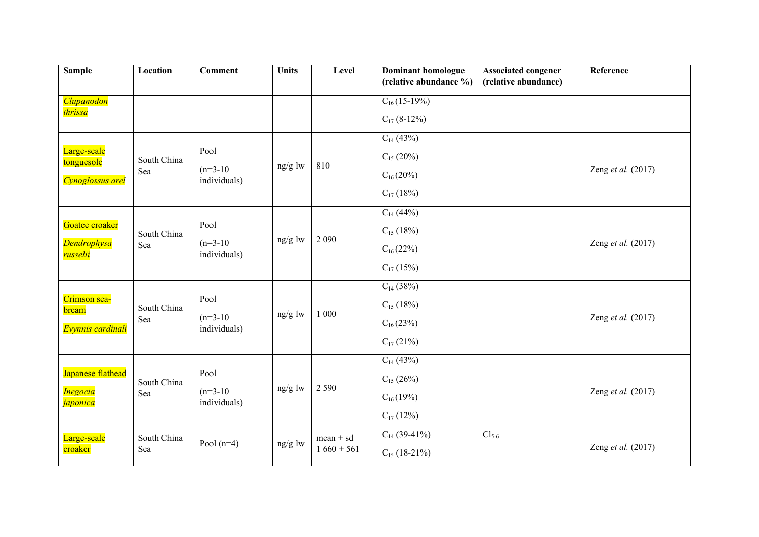| <b>Sample</b>                            | Location    | <b>Comment</b>             | <b>Units</b> | Level          | <b>Dominant homologue</b> | <b>Associated congener</b> | Reference          |
|------------------------------------------|-------------|----------------------------|--------------|----------------|---------------------------|----------------------------|--------------------|
|                                          |             |                            |              |                | (relative abundance %)    | (relative abundance)       |                    |
| Clupanodon<br>thrissa                    |             |                            |              |                | $C_{16}(15-19\%)$         |                            |                    |
|                                          |             |                            |              |                | $C_{17}$ (8-12%)          |                            |                    |
|                                          |             |                            |              |                | $C_{14}$ (43%)            |                            |                    |
| Large-scale<br>tonguesole                | South China | Pool                       |              |                | $C_{15}$ (20%)            |                            |                    |
| Cynoglossus arel                         | Sea         | $(n=3-10)$<br>individuals) | ng/g lw      | 810            | $C_{16}(20\%)$            |                            | Zeng et al. (2017) |
|                                          |             |                            |              |                | $C_{17}$ (18%)            |                            |                    |
|                                          |             |                            |              |                | $C_{14}$ (44%)            |                            |                    |
| Goatee croaker                           | South China | Pool                       |              |                | $C_{15}$ (18%)            |                            |                    |
| <b>Dendrophysa</b><br>russelii           | Sea         | $(n=3-10)$<br>individuals) | $ng/g$ lw    | 2 0 9 0        | $C_{16}(22%)$             |                            | Zeng et al. (2017) |
|                                          |             |                            |              |                | $C_{17}$ (15%)            |                            |                    |
|                                          |             |                            |              |                | $C_{14}$ (38%)            |                            |                    |
| Crimson sea-<br>bream                    | South China | Pool                       |              |                | $C_{15}$ (18%)            |                            |                    |
| Evynnis cardinali                        | Sea         | $(n=3-10)$<br>individuals) | ng/g lw      | 1 000          | $C_{16}(23%)$             |                            | Zeng et al. (2017) |
|                                          |             |                            |              |                | $C_{17}$ (21%)            |                            |                    |
|                                          |             |                            |              |                | $C_{14}$ (43%)            |                            |                    |
| Japanese flathead                        | South China | Pool                       | ng/g lw      | 2 5 9 0        | $C_{15}$ (26%)            |                            |                    |
| <b>Inegocia</b><br><mark>japonica</mark> | Sea         | $(n=3-10)$<br>individuals) |              |                | $C_{16}(19%)$             |                            | Zeng et al. (2017) |
|                                          |             |                            |              |                | $C_{17}$ (12%)            |                            |                    |
| Large-scale                              | South China |                            |              | $mean \pm sd$  | $C_{14}$ (39-41%)         | $Cl5-6$                    |                    |
| croaker                                  | Sea         | Pool $(n=4)$               | ng/g lw      | $1660 \pm 561$ | $C_{15}$ (18-21%)         |                            | Zeng et al. (2017) |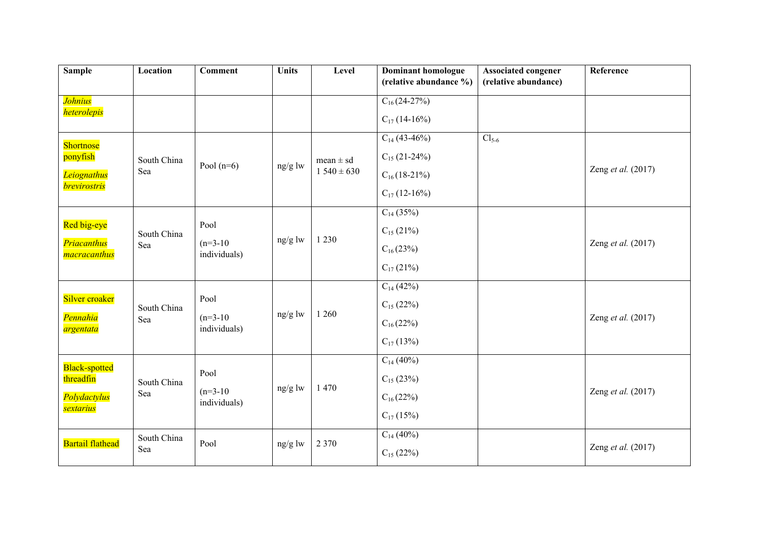| <b>Sample</b>                        | Location    | <b>Comment</b>             | <b>Units</b> | Level          | <b>Dominant homologue</b><br>(relative abundance %) | <b>Associated congener</b><br>(relative abundance) | Reference          |
|--------------------------------------|-------------|----------------------------|--------------|----------------|-----------------------------------------------------|----------------------------------------------------|--------------------|
|                                      |             |                            |              |                |                                                     |                                                    |                    |
| <b>Johnius</b><br><i>heterolepis</i> |             |                            |              |                | $C_{16}(24-27%)$                                    |                                                    |                    |
|                                      |             |                            |              |                | $C_{17}$ (14-16%)                                   |                                                    |                    |
| Shortnose                            |             |                            |              |                | $C_{14}$ (43-46%)                                   | $Cl5-6$                                            |                    |
| ponyfish                             | South China | Pool $(n=6)$               | ng/g lw      | $mean \pm sd$  | $C_{15}$ (21-24%)                                   |                                                    |                    |
| <b>Leiognathus</b>                   | Sea         |                            |              | $1540 \pm 630$ | $C_{16}(18-21\%)$                                   |                                                    | Zeng et al. (2017) |
| <b>brevirostris</b>                  |             |                            |              |                | $C_{17}$ (12-16%)                                   |                                                    |                    |
|                                      |             |                            |              |                | $C_{14}$ (35%)                                      |                                                    |                    |
| Red big-eye                          | South China | Pool                       |              |                | $C_{15}$ (21%)                                      |                                                    |                    |
| <b>Priacanthus</b><br>macracanthus   | Sea         | $(n=3-10)$<br>individuals) | $ng/g$ lw    | 1 2 3 0        | $C_{16}(23%)$                                       |                                                    | Zeng et al. (2017) |
|                                      |             |                            |              |                | $C_{17}$ (21%)                                      |                                                    |                    |
|                                      |             |                            |              |                | $C_{14}$ (42%)                                      |                                                    |                    |
| Silver croaker                       | South China | Pool                       |              |                | $C_{15}$ (22%)                                      |                                                    |                    |
| Pennahia<br>argentata                | Sea         | $(n=3-10)$<br>individuals) | ng/g lw      | 1 260          | $C_{16}(22%)$                                       |                                                    | Zeng et al. (2017) |
|                                      |             |                            |              |                | $C_{17}$ (13%)                                      |                                                    |                    |
| <b>Black-spotted</b>                 |             |                            |              |                | $C_{14}$ (40%)                                      |                                                    |                    |
| threadfin                            | South China | Pool                       |              | 1 470          | $C_{15}$ (23%)                                      |                                                    |                    |
| Polydactylus                         | Sea         | $(n=3-10)$<br>individuals) | $ng/g$ lw    |                | $C_{16}(22%)$                                       |                                                    | Zeng et al. (2017) |
| <b>sextarius</b>                     |             |                            |              |                | $C_{17}$ (15%)                                      |                                                    |                    |
|                                      | South China |                            |              |                | $C_{14}$ (40%)                                      |                                                    |                    |
| <b>Bartail flathead</b>              | Sea         | Pool                       | ng/g lw      | 2 3 7 0        | $C_{15}$ (22%)                                      |                                                    | Zeng et al. (2017) |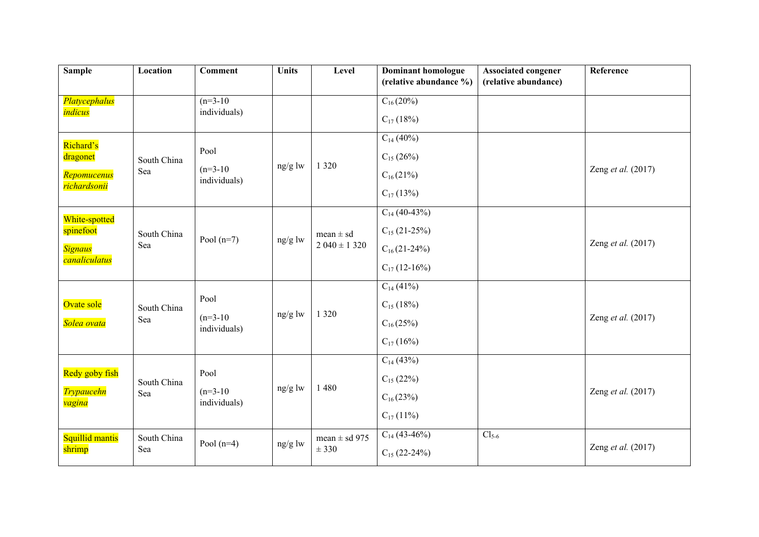| <b>Sample</b>                            | Location    | <b>Comment</b>             | <b>Units</b> | Level             | <b>Dominant homologue</b> | <b>Associated congener</b> | Reference          |
|------------------------------------------|-------------|----------------------------|--------------|-------------------|---------------------------|----------------------------|--------------------|
|                                          |             |                            |              |                   | (relative abundance %)    | (relative abundance)       |                    |
| Platycephalus                            |             | $(n=3-10)$                 |              |                   | $C_{16}(20\%)$            |                            |                    |
| <i>indicus</i>                           |             | individuals)               |              |                   | $C_{17}$ (18%)            |                            |                    |
| Richard's                                |             |                            |              |                   | $C_{14}$ (40%)            |                            |                    |
| dragonet                                 | South China | Pool                       |              |                   | $C_{15}$ (26%)            |                            |                    |
| Repomucenus<br><mark>richardsonii</mark> | Sea         | $(n=3-10)$<br>individuals) | ng/g lw      | 1 3 2 0           | $C_{16}(21%)$             |                            | Zeng et al. (2017) |
|                                          |             |                            |              |                   | $C_{17}$ (13%)            |                            |                    |
| White-spotted                            |             |                            |              |                   | $C_{14}$ (40-43%)         |                            |                    |
| spinefoot                                | South China |                            |              | $mean \pm sd$     | $C_{15}$ (21-25%)         |                            |                    |
| <b>Signaus</b>                           | Sea         | Pool $(n=7)$               | ng/g lw      | $2040 \pm 1320$   | $C_{16}(21-24%)$          |                            | Zeng et al. (2017) |
| canaliculatus                            |             |                            |              |                   | $C_{17}$ (12-16%)         |                            |                    |
|                                          |             |                            |              |                   | $C_{14}$ (41%)            |                            |                    |
| Ovate sole                               | South China | Pool                       |              |                   | $C_{15}$ (18%)            |                            |                    |
| Solea ovata                              | Sea         | $(n=3-10)$<br>individuals) | $ng/g$ lw    | 1 3 2 0           | $C_{16}(25%)$             |                            | Zeng et al. (2017) |
|                                          |             |                            |              |                   | $C_{17}$ (16%)            |                            |                    |
|                                          |             |                            |              |                   | $C_{14}$ (43%)            |                            |                    |
| Redy goby fish                           | South China | Pool                       | ng/g lw      | 1480              | $C_{15}$ (22%)            |                            |                    |
| <b>Trypaucehn</b><br><mark>vagina</mark> | Sea         | $(n=3-10)$<br>individuals) |              |                   | $C_{16}(23%)$             |                            | Zeng et al. (2017) |
|                                          |             |                            |              |                   | $C_{17}$ (11%)            |                            |                    |
| Squillid mantis                          | South China |                            |              | mean $\pm$ sd 975 | $C_{14}$ (43-46%)         | $Cl5-6$                    |                    |
| shrimp                                   | Sea         | Pool $(n=4)$               | ng/g lw      | ± 330             | $C_{15}$ (22-24%)         |                            | Zeng et al. (2017) |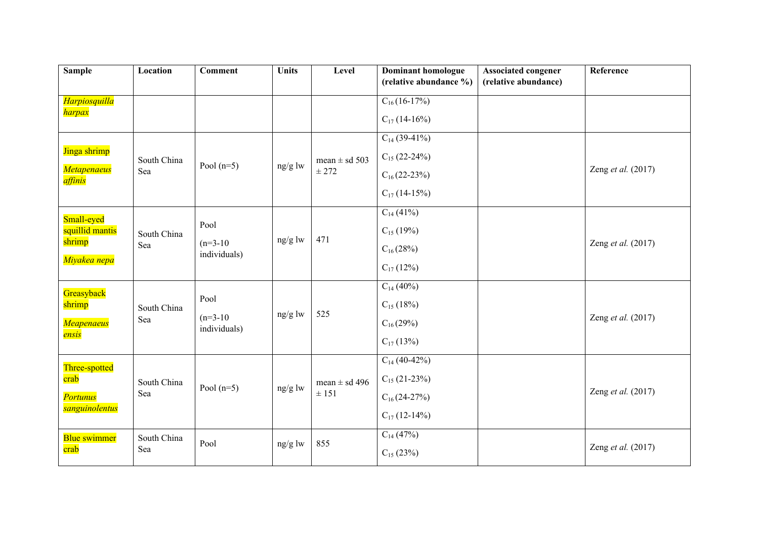| <b>Sample</b>                 | Location    | <b>Comment</b>             | <b>Units</b>                    | Level             | <b>Dominant homologue</b><br>(relative abundance %) | <b>Associated congener</b><br>(relative abundance) | Reference          |
|-------------------------------|-------------|----------------------------|---------------------------------|-------------------|-----------------------------------------------------|----------------------------------------------------|--------------------|
| Harpiosquilla                 |             |                            |                                 |                   | $C_{16}(16-17%)$                                    |                                                    |                    |
| <mark>harpax</mark>           |             |                            |                                 |                   | $C_{17}$ (14-16%)                                   |                                                    |                    |
|                               |             |                            |                                 |                   | $C_{14}$ (39-41%)                                   |                                                    |                    |
| Jinga shrimp                  | South China |                            |                                 | mean $\pm$ sd 503 | $C_{15}$ (22-24%)                                   |                                                    |                    |
| <b>Metapenaeus</b><br>affinis | Sea         | Pool $(n=5)$               | ng/g lw                         | ± 272             | $C_{16}(22-23%)$                                    |                                                    | Zeng et al. (2017) |
|                               |             |                            |                                 |                   | $C_{17}$ (14-15%)                                   |                                                    |                    |
| Small-eyed                    |             |                            |                                 |                   | $C_{14}$ (41%)                                      |                                                    |                    |
| squillid mantis               | South China | Pool                       |                                 |                   | $C_{15}$ (19%)                                      |                                                    |                    |
| shrimp                        | Sea         | $(n=3-10)$<br>individuals) | $ng/g$ lw                       | 471               | $C_{16}(28%)$                                       |                                                    | Zeng et al. (2017) |
| Miyakea nepa                  |             |                            |                                 |                   | $C_{17}$ (12%)                                      |                                                    |                    |
| Greasyback                    |             |                            |                                 |                   | $C_{14}$ (40%)                                      |                                                    |                    |
| shrimp                        | South China | Pool                       |                                 |                   | $C_{15}$ (18%)                                      |                                                    |                    |
| Meapenaeus                    | Sea         | $(n=3-10)$<br>individuals) | ng/g lw                         | 525               | $C_{16}(29%)$                                       |                                                    | Zeng et al. (2017) |
| ensis                         |             |                            |                                 |                   | $C_{17}$ (13%)                                      |                                                    |                    |
| Three-spotted                 |             |                            |                                 |                   | $C_{14}$ (40-42%)                                   |                                                    |                    |
| crab                          | South China | Pool $(n=5)$               | ng/g $\ensuremath{\mathsf{lw}}$ | mean $\pm$ sd 496 | $C_{15}$ (21-23%)                                   |                                                    |                    |
| <b>Portunus</b>               | Sea         |                            |                                 | ± 151             | $C_{16}(24-27%)$                                    |                                                    | Zeng et al. (2017) |
| sanguinolentus                |             |                            |                                 |                   | $C_{17}$ (12-14%)                                   |                                                    |                    |
| Blue swimmer                  | South China | Pool                       |                                 | 855               | $C_{14}$ (47%)                                      |                                                    |                    |
| crab                          | Sea         |                            | ng/g lw                         |                   | $C_{15}$ (23%)                                      |                                                    | Zeng et al. (2017) |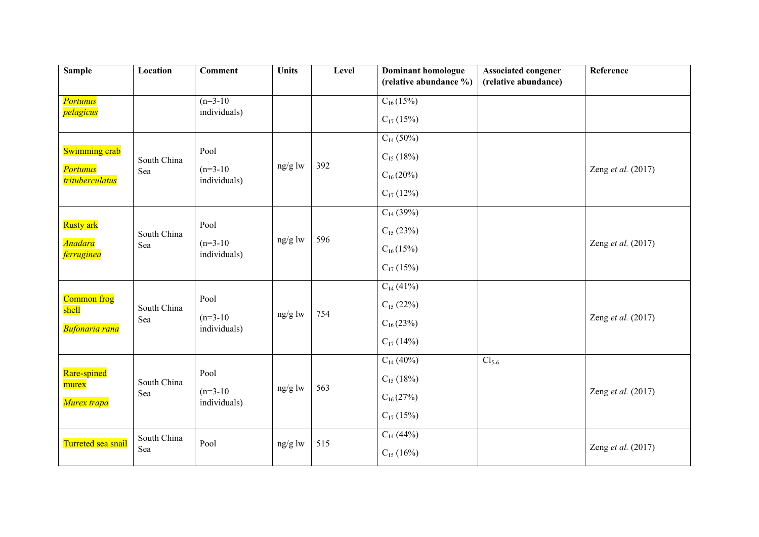| <b>Sample</b>                      | Location    | <b>Comment</b>             | <b>Units</b> | Level | <b>Dominant homologue</b> | <b>Associated congener</b> | Reference          |
|------------------------------------|-------------|----------------------------|--------------|-------|---------------------------|----------------------------|--------------------|
|                                    |             |                            |              |       | (relative abundance %)    | (relative abundance)       |                    |
| <b>Portunus</b>                    |             | $(n=3-10)$                 |              |       | $C_{16}(15%)$             |                            |                    |
| pelagicus                          |             | individuals)               |              |       | $C_{17}$ (15%)            |                            |                    |
|                                    |             |                            |              |       | $C_{14}$ (50%)            |                            |                    |
| <b>Swimming crab</b>               | South China | Pool                       |              |       | $C_{15}$ (18%)            |                            |                    |
| <b>Portunus</b><br>trituberculatus | Sea         | $(n=3-10)$<br>individuals) | ng/g lw      | 392   | $C_{16}(20\%)$            |                            | Zeng et al. (2017) |
|                                    |             |                            |              |       | $C_{17}$ (12%)            |                            |                    |
|                                    |             |                            |              |       | $C_{14}$ (39%)            |                            |                    |
| <b>Rusty</b> ark                   | South China | Pool                       |              |       | $C_{15}$ (23%)            |                            |                    |
| <b>Anadara</b><br>ferruginea       | Sea         | $(n=3-10)$<br>individuals) | $ng/g$ lw    | 596   | $C_{16}(15\%)$            |                            | Zeng et al. (2017) |
|                                    |             |                            |              |       | $C_{17}$ (15%)            |                            |                    |
|                                    |             |                            |              |       | $C_{14}$ (41%)            |                            |                    |
| Common frog                        | South China | Pool                       |              |       | $C_{15}$ (22%)            |                            |                    |
| shell<br><b>Bufonaria rana</b>     | Sea         | $(n=3-10)$<br>individuals) | ng/g lw      | 754   | $C_{16}(23%)$             |                            | Zeng et al. (2017) |
|                                    |             |                            |              |       | $C_{17}$ (14%)            |                            |                    |
|                                    |             |                            |              |       | $C_{14}$ (40%)            | $Cl5-6$                    |                    |
| Rare-spined<br>murex               | South China | Pool                       | ng/g lw      | 563   | $C_{15}$ (18%)            |                            |                    |
| Murex trapa                        | Sea         | $(n=3-10)$<br>individuals) |              |       | $C_{16}(27%)$             |                            | Zeng et al. (2017) |
|                                    |             |                            |              |       | $C_{17}$ (15%)            |                            |                    |
|                                    | South China |                            |              |       | $C_{14}$ (44%)            |                            |                    |
| Turreted sea snail                 | Sea         | Pool                       | ng/g lw      | 515   | $C_{15}$ (16%)            |                            | Zeng et al. (2017) |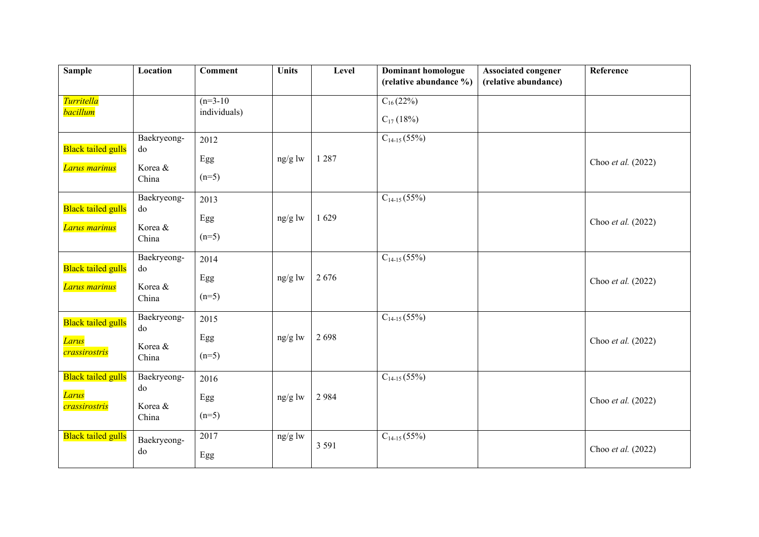| <b>Sample</b>                              | Location                              | <b>Comment</b>         | <b>Units</b> | Level   | <b>Dominant homologue</b> | <b>Associated congener</b> | Reference          |
|--------------------------------------------|---------------------------------------|------------------------|--------------|---------|---------------------------|----------------------------|--------------------|
|                                            |                                       |                        |              |         | (relative abundance %)    | (relative abundance)       |                    |
| Turritella                                 |                                       | $(n=3-10)$             |              |         | $C_{16}(22%)$             |                            |                    |
| <b>bacillum</b>                            |                                       | individuals)           |              |         | $C_{17}$ (18%)            |                            |                    |
| <b>Black tailed gulls</b><br>Larus marinus | Baekryeong-<br>do<br>Korea &<br>China | 2012<br>Egg<br>$(n=5)$ | ng/g lw      | 1 2 8 7 | $C_{14-15}(55%)$          |                            | Choo et al. (2022) |
|                                            | Baekryeong-                           | 2013                   |              |         | $C_{14-15}(55%)$          |                            |                    |
| <b>Black tailed gulls</b>                  | do                                    | Egg                    | ng/g lw      | 1629    |                           |                            | Choo et al. (2022) |
| Larus marinus                              | Korea &                               | $(n=5)$                |              |         |                           |                            |                    |
|                                            | China                                 |                        |              |         |                           |                            |                    |
|                                            | Baekryeong-                           | 2014                   |              |         | $C_{14-15}(55%)$          |                            |                    |
| <b>Black tailed gulls</b>                  | do                                    | Egg                    | ng/g lw      | 2676    |                           |                            | Choo et al. (2022) |
| Larus marinus                              | Korea &<br>China                      | $(n=5)$                |              |         |                           |                            |                    |
| <b>Black tailed gulls</b>                  | Baekryeong-<br>do                     | 2015                   |              |         | $C_{14-15}(55%)$          |                            |                    |
| <b>Larus</b>                               |                                       | Egg                    | ng/g lw      | 2698    |                           |                            | Choo et al. (2022) |
| crassirostris                              | Korea &<br>China                      | $(n=5)$                |              |         |                           |                            |                    |
| <b>Black tailed gulls</b>                  | Baekryeong-                           | 2016                   |              |         | $C_{14-15}(55%)$          |                            |                    |
| <b>Larus</b>                               | do                                    | Egg                    | ng/g lw      | 2984    |                           |                            | Choo et al. (2022) |
| crassirostris                              | Korea &                               | $(n=5)$                |              |         |                           |                            |                    |
|                                            | China                                 |                        |              |         |                           |                            |                    |
| <b>Black tailed gulls</b>                  | Baekryeong-                           | 2017                   | ng/g lw      | 3 5 9 1 | $C_{14-15}(55\sqrt{6})$   |                            |                    |
|                                            | do                                    | Egg                    |              |         |                           |                            | Choo et al. (2022) |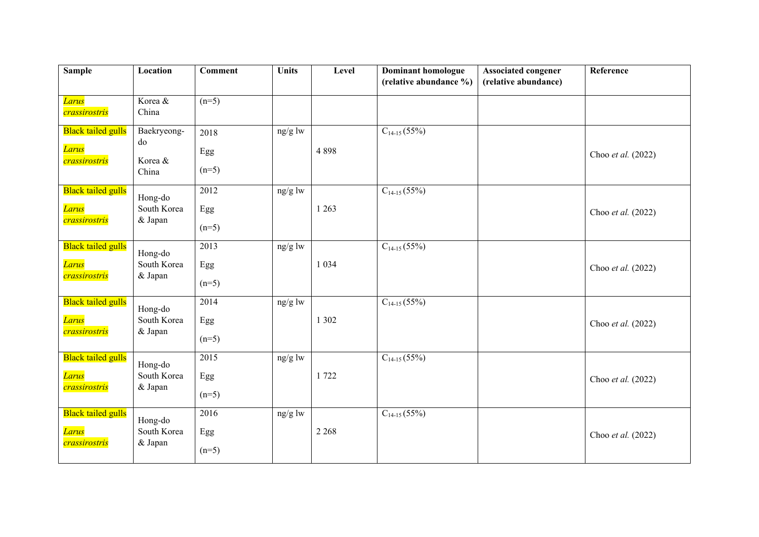| Sample                                                           | Location                              | <b>Comment</b>                      | <b>Units</b> | Level   | <b>Dominant homologue</b><br>(relative abundance %) | <b>Associated congener</b><br>(relative abundance) | Reference          |
|------------------------------------------------------------------|---------------------------------------|-------------------------------------|--------------|---------|-----------------------------------------------------|----------------------------------------------------|--------------------|
| Larus<br>crassirostris                                           | Korea &<br>China                      | $(n=5)$                             |              |         |                                                     |                                                    |                    |
| <b>Black tailed gulls</b><br><mark>Larus</mark><br>crassirostris | Baekryeong-<br>do<br>Korea &<br>China | 2018<br>Egg<br>$(n=5)$              | ng/g lw      | 4898    | $C_{14-15}(55\%)$                                   |                                                    | Choo et al. (2022) |
| <b>Black tailed gulls</b><br>Larus<br>crassirostris              | Hong-do<br>South Korea<br>& Japan     | 2012<br>Egg<br>$(n=5)$              | ng/g lw      | 1 2 6 3 | $C_{14-15}$ (55%)                                   |                                                    | Choo et al. (2022) |
| <b>Black tailed gulls</b><br>Larus<br>crassirostris              | Hong-do<br>South Korea<br>& Japan     | $\overline{2013}$<br>Egg<br>$(n=5)$ | ng/g lw      | 1 0 3 4 | $C_{14-15}(55%)$                                    |                                                    | Choo et al. (2022) |
| <b>Black tailed gulls</b><br><mark>Larus</mark><br>crassirostris | Hong-do<br>South Korea<br>& Japan     | 2014<br>Egg<br>$(n=5)$              | ng/g lw      | 1 3 0 2 | $C_{14-15}(55%)$                                    |                                                    | Choo et al. (2022) |
| <b>Black tailed gulls</b><br>Larus<br>crassirostris              | Hong-do<br>South Korea<br>& Japan     | $\overline{2015}$<br>Egg<br>$(n=5)$ | ng/g lw      | 1 722   | $C_{14-15}$ (55%)                                   |                                                    | Choo et al. (2022) |
| <b>Black tailed gulls</b><br><b>Larus</b><br>crassirostris       | Hong-do<br>South Korea<br>& Japan     | 2016<br>Egg<br>$(n=5)$              | ng/g lw      | 2 2 6 8 | $C_{14-15}$ (55%)                                   |                                                    | Choo et al. (2022) |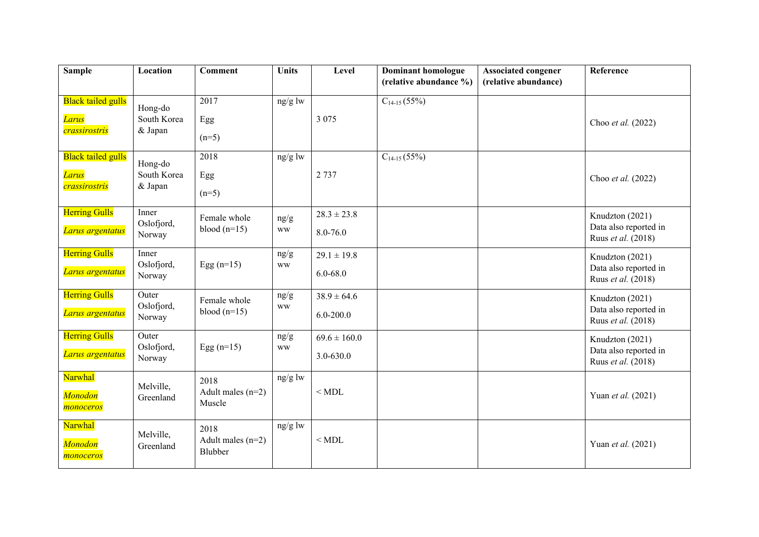| <b>Sample</b>               | Location             | <b>Comment</b>                 | <b>Units</b> | Level            | <b>Dominant homologue</b><br>(relative abundance %) | <b>Associated congener</b><br>(relative abundance) | Reference                                   |
|-----------------------------|----------------------|--------------------------------|--------------|------------------|-----------------------------------------------------|----------------------------------------------------|---------------------------------------------|
|                             |                      |                                |              |                  |                                                     |                                                    |                                             |
| <b>Black tailed gulls</b>   | Hong-do              | 2017                           | ng/g lw      |                  | $C_{14-15}(55%)$                                    |                                                    |                                             |
| Larus                       | South Korea          | Egg                            |              | 3 0 7 5          |                                                     |                                                    | Choo et al. (2022)                          |
| crassirostris               | & Japan              | $(n=5)$                        |              |                  |                                                     |                                                    |                                             |
| <b>Black tailed gulls</b>   | Hong-do              | 2018                           | ng/g lw      |                  | $C_{14-15}(55%)$                                    |                                                    |                                             |
| Larus                       | South Korea          | Egg                            |              | 2 7 3 7          |                                                     |                                                    | Choo et al. (2022)                          |
| crassirostris               | & Japan              | $(n=5)$                        |              |                  |                                                     |                                                    |                                             |
| <b>Herring Gulls</b>        | Inner<br>Oslofjord,  | Female whole                   | ng/g         | $28.3 \pm 23.8$  |                                                     |                                                    | Knudzton (2021)                             |
| Larus argentatus            | Norway               | blood $(n=15)$                 | <b>WW</b>    | 8.0-76.0         |                                                     |                                                    | Data also reported in<br>Ruus et al. (2018) |
| <b>Herring Gulls</b>        | Inner                |                                | ng/g         | $29.1 \pm 19.8$  |                                                     |                                                    | Knudzton (2021)                             |
| Larus argentatus            | Oslofjord,<br>Norway | Egg $(n=15)$                   | <b>WW</b>    | $6.0 - 68.0$     |                                                     |                                                    | Data also reported in<br>Ruus et al. (2018) |
| <b>Herring Gulls</b>        | Outer<br>Oslofjord,  | Female whole                   | ng/g         | $38.9 \pm 64.6$  |                                                     |                                                    | Knudzton (2021)                             |
| Larus argentatus            | Norway               | blood $(n=15)$                 | <b>WW</b>    | $6.0 - 200.0$    |                                                     |                                                    | Data also reported in<br>Ruus et al. (2018) |
| <b>Herring Gulls</b>        | Outer<br>Oslofjord,  | Egg $(n=15)$                   | ng/g         | $69.6 \pm 160.0$ |                                                     |                                                    | Knudzton (2021)                             |
| Larus argentatus            | Norway               |                                | <b>WW</b>    | $3.0 - 630.0$    |                                                     |                                                    | Data also reported in<br>Ruus et al. (2018) |
| Narwhal                     | Melville,            | 2018                           | $ng/g$ lw    |                  |                                                     |                                                    |                                             |
| <b>Monodon</b><br>monoceros | Greenland            | Adult males $(n=2)$<br>Muscle  |              | $<$ MDL          |                                                     |                                                    | Yuan et al. (2021)                          |
| Narwhal                     | Melville,            | 2018                           | $ng/g$ lw    |                  |                                                     |                                                    |                                             |
| <b>Monodon</b><br>monoceros | Greenland            | Adult males $(n=2)$<br>Blubber |              | $<$ MDL          |                                                     |                                                    | Yuan et al. (2021)                          |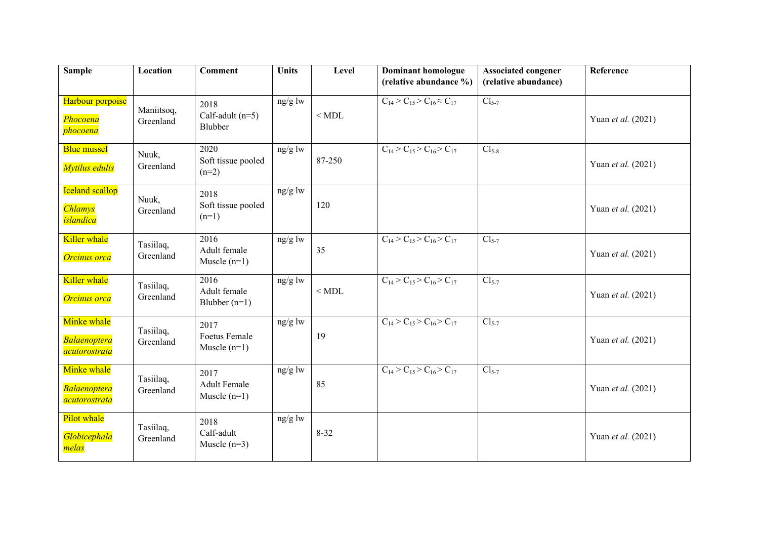| <b>Sample</b>                                         | Location                | <b>Comment</b>                                 | <b>Units</b> | Level    | Dominant homologue<br>(relative abundance %) | <b>Associated congener</b><br>(relative abundance) | Reference          |
|-------------------------------------------------------|-------------------------|------------------------------------------------|--------------|----------|----------------------------------------------|----------------------------------------------------|--------------------|
| Harbour porpoise<br>Phocoena<br><i>phocoena</i>       | Maniitsoq,<br>Greenland | 2018<br>Calf-adult $(n=5)$<br>Blubber          | ng/g lw      | $<$ MDL  | $C_{14} > C_{15} > C_{16} \approx C_{17}$    | $Cl_{5-7}$                                         | Yuan et al. (2021) |
| <b>Blue mussel</b><br>Mytilus edulis                  | Nuuk,<br>Greenland      | 2020<br>Soft tissue pooled<br>$(n=2)$          | ng/g lw      | 87-250   | $C_{14}$ > $C_{15}$ > $C_{16}$ > $C_{17}$    | $Cl_{5-8}$                                         | Yuan et al. (2021) |
| <b>Iceland scallop</b><br><b>Chlamys</b><br>islandica | Nuuk,<br>Greenland      | 2018<br>Soft tissue pooled<br>$(n=1)$          | ng/g lw      | 120      |                                              |                                                    | Yuan et al. (2021) |
| Killer whale<br>Orcinus orca                          | Tasiilaq,<br>Greenland  | 2016<br>Adult female<br>Muscle $(n=1)$         | $ng/g$ lw    | 35       | $C_{14}$ > $C_{15}$ > $C_{16}$ > $C_{17}$    | $Cl5-7$                                            | Yuan et al. (2021) |
| Killer whale<br>Orcinus orca                          | Tasiilaq,<br>Greenland  | 2016<br>Adult female<br>Blubber $(n=1)$        | ng/g lw      | $<$ MDL  | $C_{14} > C_{15} > C_{16} > C_{17}$          | $Cl5-7$                                            | Yuan et al. (2021) |
| Minke whale<br><b>Balaenoptera</b><br>acutorostrata   | Tasiilaq,<br>Greenland  | 2017<br><b>Foetus Female</b><br>Muscle $(n=1)$ | $ng/g$ lw    | 19       | $C_{14} > C_{15} > C_{16} > C_{17}$          | $Cl5-7$                                            | Yuan et al. (2021) |
| Minke whale<br><b>Balaenoptera</b><br>acutorostrata   | Tasiilaq,<br>Greenland  | 2017<br><b>Adult Female</b><br>Muscle $(n=1)$  | ng/g lw      | 85       | $C_{14}$ > $C_{15}$ > $C_{16}$ > $C_{17}$    | $Cl_{5-7}$                                         | Yuan et al. (2021) |
| Pilot whale<br>Globicephala<br>melas                  | Tasiilaq,<br>Greenland  | 2018<br>Calf-adult<br>Muscle $(n=3)$           | $ng/g$ lw    | $8 - 32$ |                                              |                                                    | Yuan et al. (2021) |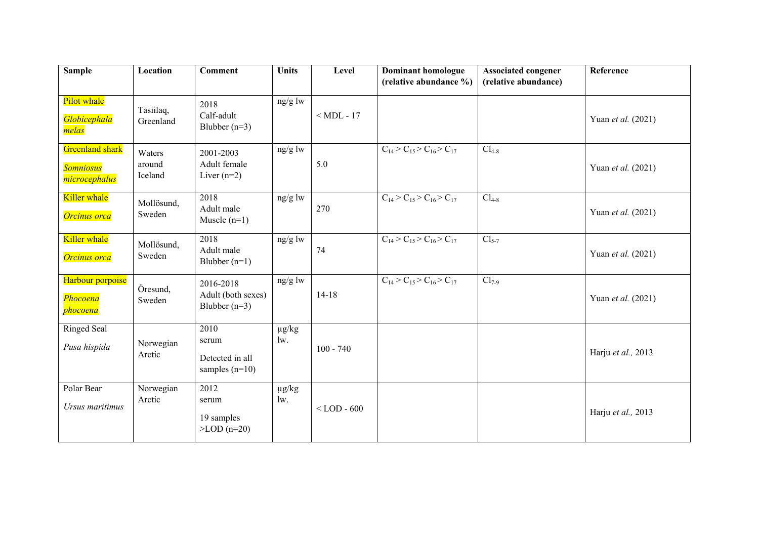| <b>Sample</b>                                        | Location                    | <b>Comment</b>                                            | <b>Units</b>                 | Level         | <b>Dominant homologue</b>                 | <b>Associated congener</b> | Reference          |
|------------------------------------------------------|-----------------------------|-----------------------------------------------------------|------------------------------|---------------|-------------------------------------------|----------------------------|--------------------|
|                                                      |                             |                                                           |                              |               | (relative abundance %)                    | (relative abundance)       |                    |
| Pilot whale<br>Globicephala<br>melas                 | Tasiilaq,<br>Greenland      | 2018<br>Calf-adult<br>Blubber $(n=3)$                     | ng/g lw                      | $<$ MDL - 17  |                                           |                            | Yuan et al. (2021) |
| Greenland shark<br><b>Somniosus</b><br>microcephalus | Waters<br>around<br>Iceland | 2001-2003<br>Adult female<br>Liver $(n=2)$                | ng/g lw                      | 5.0           | $C_{14}$ > $C_{15}$ > $C_{16}$ > $C_{17}$ | $Cl_{4-8}$                 | Yuan et al. (2021) |
| Killer whale<br>Orcinus orca                         | Mollösund,<br>Sweden        | 2018<br>Adult male<br>Muscle $(n=1)$                      | ng/g lw                      | 270           | $C_{14}$ > $C_{15}$ > $C_{16}$ > $C_{17}$ | $Cl_{4-8}$                 | Yuan et al. (2021) |
| Killer whale<br>Orcinus orca                         | Mollösund,<br>Sweden        | 2018<br>Adult male<br>Blubber $(n=1)$                     | ng/g lw                      | 74            | $C_{14}$ > $C_{15}$ > $C_{16}$ > $C_{17}$ | $Cl5-7$                    | Yuan et al. (2021) |
| Harbour porpoise<br>Phocoena<br>phocoena             | Öresund,<br>Sweden          | 2016-2018<br>Adult (both sexes)<br>Blubber $(n=3)$        | $ng/g$ lw                    | $14-18$       | $C_{14}$ > $C_{15}$ > $C_{16}$ > $C_{17}$ | $Cl_{7-9}$                 | Yuan et al. (2021) |
| <b>Ringed Seal</b><br>Pusa hispida                   | Norwegian<br>Arctic         | 2010<br>serum<br>Detected in all<br>samples $(n=10)$      | $\mu g/kg$<br>$\mathbf{w}$ . | $100 - 740$   |                                           |                            | Harju et al., 2013 |
| Polar Bear<br>Ursus maritimus                        | Norwegian<br>Arctic         | 2012<br>serum<br>19 samples<br>$\textdegree$ LOD $(n=20)$ | $\mu g/kg$<br>$1w$ .         | $<$ LOD - 600 |                                           |                            | Harju et al., 2013 |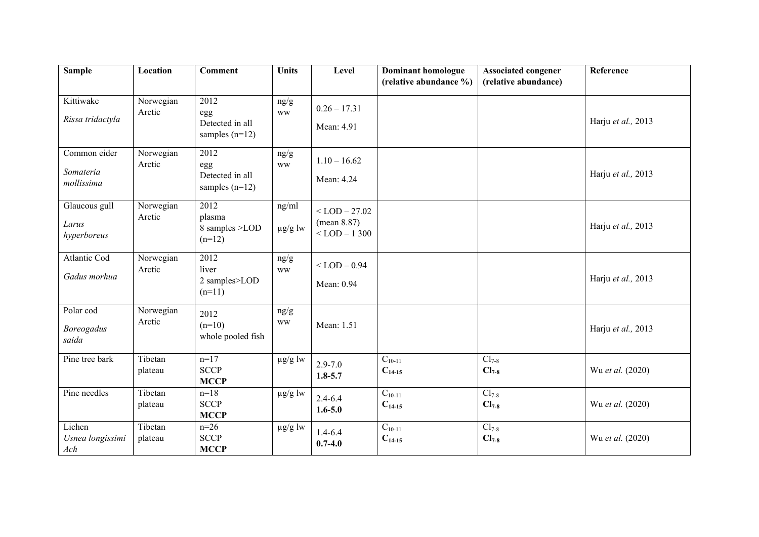| <b>Sample</b>                           | Location            | <b>Comment</b>                                          | <b>Units</b>          | Level                                                 | <b>Dominant homologue</b>  | <b>Associated congener</b> | Reference          |
|-----------------------------------------|---------------------|---------------------------------------------------------|-----------------------|-------------------------------------------------------|----------------------------|----------------------------|--------------------|
|                                         |                     |                                                         |                       |                                                       | (relative abundance %)     | (relative abundance)       |                    |
| Kittiwake<br>Rissa tridactyla           | Norwegian<br>Arctic | 2012<br>egg<br>Detected in all<br>samples $(n=12)$      | ng/g<br><b>WW</b>     | $0.26 - 17.31$<br>Mean: 4.91                          |                            |                            | Harju et al., 2013 |
| Common eider<br>Somateria<br>mollissima | Norwegian<br>Arctic | 2012<br>egg<br>Detected in all<br>samples $(n=12)$      | ng/g<br><b>WW</b>     | $1.10 - 16.62$<br>Mean: 4.24                          |                            |                            | Harju et al., 2013 |
| Glaucous gull<br>Larus<br>hyperboreus   | Norwegian<br>Arctic | 2012<br>plasma<br>8 samples >LOD<br>$(n=12)$            | ng/ml<br>$\mu g/g$ lw | $<$ LOD $-$ 27.02<br>(mean 8.87)<br>$<$ LOD $-$ 1 300 |                            |                            | Harju et al., 2013 |
| Atlantic Cod<br>Gadus morhua            | Norwegian<br>Arctic | $\overline{2012}$<br>liver<br>2 samples>LOD<br>$(n=11)$ | ng/g<br><b>WW</b>     | $<$ LOD $-$ 0.94<br>Mean: 0.94                        |                            |                            | Harju et al., 2013 |
| Polar cod<br><b>Boreogadus</b><br>saida | Norwegian<br>Arctic | 2012<br>$(n=10)$<br>whole pooled fish                   | ng/g<br><b>WW</b>     | Mean: 1.51                                            |                            |                            | Harju et al., 2013 |
| Pine tree bark                          | Tibetan<br>plateau  | $n=17$<br><b>SCCP</b><br><b>MCCP</b>                    | $\mu$ g/g lw          | $2.9 - 7.0$<br>$1.8 - 5.7$                            | $C_{10-11}$<br>$C_{14-15}$ | $Cl_{7-8}$<br>$Cl_{7-8}$   | Wu et al. (2020)   |
| Pine needles                            | Tibetan<br>plateau  | $n=18$<br><b>SCCP</b><br><b>MCCP</b>                    | $\mu g/g$ lw          | $2.4 - 6.4$<br>$1.6 - 5.0$                            | $C_{10-11}$<br>$C_{14-15}$ | $Cl_{7-8}$<br>$Cl_{7-8}$   | Wu et al. (2020)   |
| Lichen<br>Usnea longissimi<br>Ach       | Tibetan<br>plateau  | $n=26$<br><b>SCCP</b><br><b>MCCP</b>                    | $\mu$ g/g lw          | $1.4 - 6.4$<br>$0.7 - 4.0$                            | $C_{10-11}$<br>$C_{14-15}$ | $Cl_{7-8}$<br>$Cl_{7-8}$   | Wu et al. (2020)   |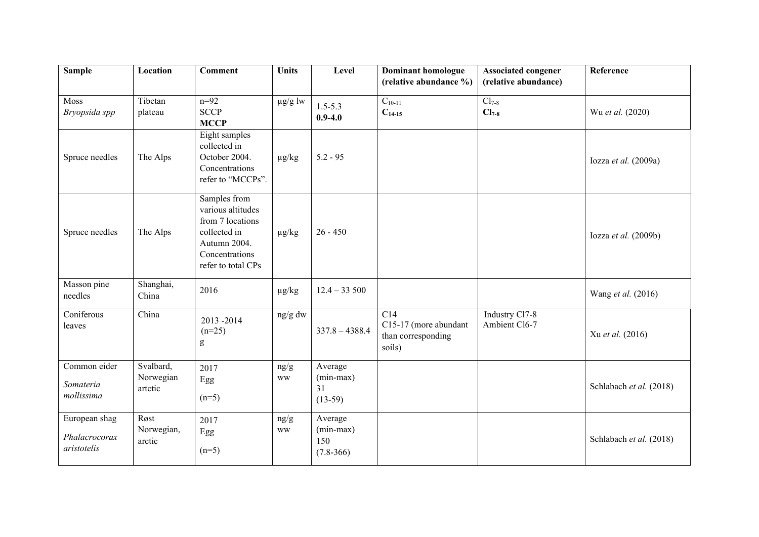| <b>Sample</b>                                 | Location                          | <b>Comment</b>                                                                                                                                                                                                                                                                                                                                                                                                                                          | <b>Units</b>      | Level                                          | <b>Dominant homologue</b><br>(relative abundance %)                       | <b>Associated congener</b><br>(relative abundance) | Reference               |
|-----------------------------------------------|-----------------------------------|---------------------------------------------------------------------------------------------------------------------------------------------------------------------------------------------------------------------------------------------------------------------------------------------------------------------------------------------------------------------------------------------------------------------------------------------------------|-------------------|------------------------------------------------|---------------------------------------------------------------------------|----------------------------------------------------|-------------------------|
| Moss<br>Bryopsida spp                         | Tibetan<br>plateau                | $n=92$<br><b>SCCP</b><br><b>MCCP</b>                                                                                                                                                                                                                                                                                                                                                                                                                    | $\mu g/g$ lw      | $1.5 - 5.3$<br>$0.9 - 4.0$                     | $C_{10-11}$<br>$C_{14-15}$                                                | $Cl_{7-8}$<br>$Cl_{7-8}$                           | Wu et al. (2020)        |
| Spruce needles                                | The Alps                          | Eight samples<br>collected in<br>October 2004.<br>Concentrations<br>refer to "MCCPs".                                                                                                                                                                                                                                                                                                                                                                   | $\mu g/kg$        | $5.2 - 95$                                     |                                                                           |                                                    | Iozza et al. (2009a)    |
| Spruce needles                                | The Alps                          | Samples from<br>various altitudes<br>from 7 locations<br>collected in<br>Autumn 2004.<br>Concentrations<br>refer to total CPs                                                                                                                                                                                                                                                                                                                           | $\mu g/kg$        | $26 - 450$                                     |                                                                           |                                                    | Iozza et al. (2009b)    |
| Masson pine<br>needles                        | Shanghai,<br>China                | 2016                                                                                                                                                                                                                                                                                                                                                                                                                                                    | $\mu g/kg$        | $12.4 - 33500$                                 |                                                                           |                                                    | Wang et al. (2016)      |
| Coniferous<br>leaves                          | China                             | 2013-2014<br>$(n=25)$<br>$\mathbf{g}% _{T}=\mathbf{g}_{T}=\mathbf{g}_{T}=\mathbf{g}_{T}=\mathbf{g}_{T}=\mathbf{g}_{T}=\mathbf{g}_{T}=\mathbf{g}_{T}=\mathbf{g}_{T}=\mathbf{g}_{T}=\mathbf{g}_{T}=\mathbf{g}_{T}=\mathbf{g}_{T}=\mathbf{g}_{T}=\mathbf{g}_{T}=\mathbf{g}_{T}=\mathbf{g}_{T}=\mathbf{g}_{T}=\mathbf{g}_{T}=\mathbf{g}_{T}=\mathbf{g}_{T}=\mathbf{g}_{T}=\mathbf{g}_{T}=\mathbf{g}_{T}=\mathbf{g}_{T}=\mathbf{g}_{T}=\mathbf{g}_{T}=\math$ | ng/g dw           | $337.8 - 4388.4$                               | $\overline{C14}$<br>C15-17 (more abundant<br>than corresponding<br>soils) | Industry Cl7-8<br>Ambient Cl6-7                    | Xu et al. (2016)        |
| Common eider<br>Somateria<br>mollissima       | Svalbard,<br>Norwegian<br>artctic | 2017<br>Egg<br>$(n=5)$                                                                                                                                                                                                                                                                                                                                                                                                                                  | ng/g<br><b>WW</b> | Average<br>$(min-max)$<br>31<br>$(13-59)$      |                                                                           |                                                    | Schlabach et al. (2018) |
| European shag<br>Phalacrocorax<br>aristotelis | Røst<br>Norwegian,<br>arctic      | 2017<br>Egg<br>$(n=5)$                                                                                                                                                                                                                                                                                                                                                                                                                                  | ng/g<br><b>WW</b> | Average<br>$(min-max)$<br>150<br>$(7.8 - 366)$ |                                                                           |                                                    | Schlabach et al. (2018) |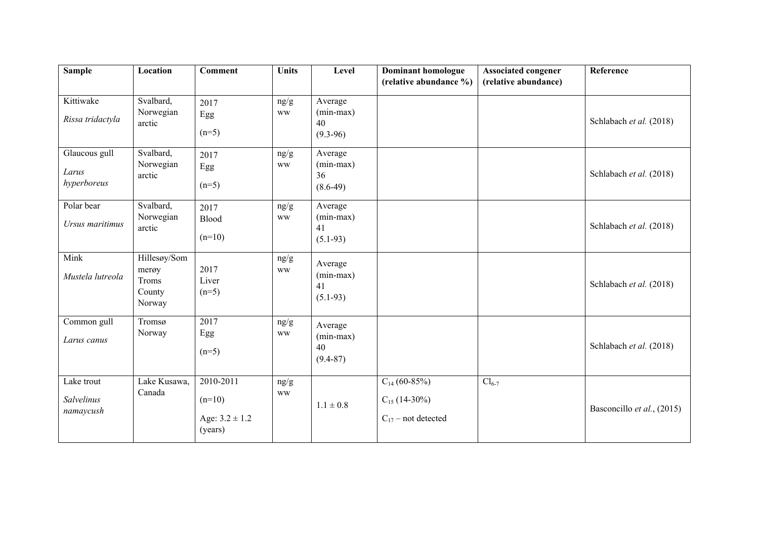| <b>Sample</b>                         | Location                                           | <b>Comment</b>                                         | <b>Units</b>                | Level                                        | <b>Dominant homologue</b><br>(relative abundance %)               | <b>Associated congener</b><br>(relative abundance) | Reference                  |
|---------------------------------------|----------------------------------------------------|--------------------------------------------------------|-----------------------------|----------------------------------------------|-------------------------------------------------------------------|----------------------------------------------------|----------------------------|
| Kittiwake<br>Rissa tridactyla         | Svalbard,<br>Norwegian<br>arctic                   | 2017<br>Egg<br>$(n=5)$                                 | ng/g<br><b>WW</b>           | Average<br>$(min-max)$<br>40<br>$(9.3-96)$   |                                                                   |                                                    | Schlabach et al. (2018)    |
| Glaucous gull<br>Larus<br>hyperboreus | Svalbard,<br>Norwegian<br>arctic                   | 2017<br>Egg<br>$(n=5)$                                 | ng/g<br><b>WW</b>           | Average<br>$(min-max)$<br>36<br>$(8.6-49)$   |                                                                   |                                                    | Schlabach et al. (2018)    |
| Polar bear<br>Ursus maritimus         | Svalbard,<br>Norwegian<br>arctic                   | 2017<br>Blood<br>$(n=10)$                              | ng/g<br><b>WW</b>           | Average<br>$(min-max)$<br>41<br>$(5.1-93)$   |                                                                   |                                                    | Schlabach et al. (2018)    |
| Mink<br>Mustela lutreola              | Hillesøy/Som<br>merøy<br>Troms<br>County<br>Norway | 2017<br>Liver<br>$(n=5)$                               | ng/g<br><b>WW</b>           | Average<br>$(min-max)$<br>41<br>$(5.1-93)$   |                                                                   |                                                    | Schlabach et al. (2018)    |
| Common gull<br>Larus canus            | Tromsø<br>Norway                                   | 2017<br>Egg<br>$(n=5)$                                 | $\rm ng/g$<br>$\mathbf{WW}$ | Average<br>$(min-max)$<br>40<br>$(9.4 - 87)$ |                                                                   |                                                    | Schlabach et al. (2018)    |
| Lake trout<br>Salvelinus<br>namaycush | Lake Kusawa,<br>Canada                             | 2010-2011<br>$(n=10)$<br>Age: $3.2 \pm 1.2$<br>(years) | ng/g<br><b>WW</b>           | $1.1 \pm 0.8$                                | $C_{14}$ (60-85%)<br>$C_{15}$ (14-30%)<br>$C_{17}$ – not detected | $Cl_{6-7}$                                         | Basconcillo et al., (2015) |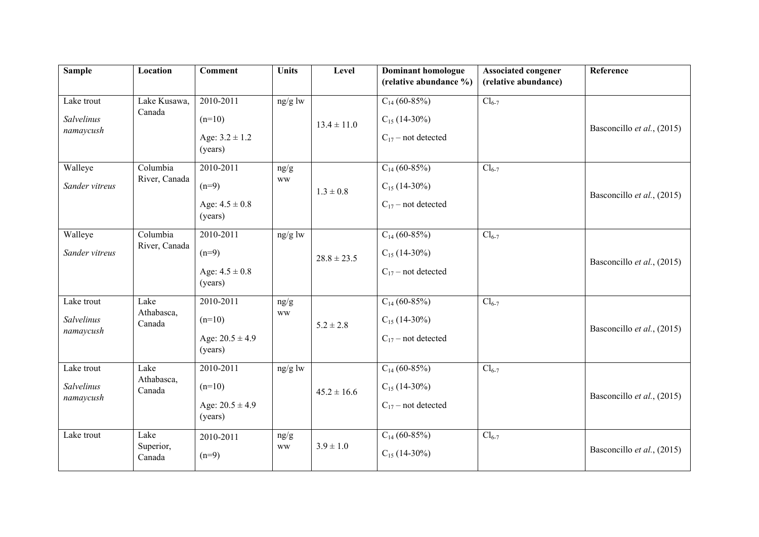| <b>Sample</b>                         | Location                     | <b>Comment</b>                                          | <b>Units</b>      | Level           | <b>Dominant homologue</b><br>(relative abundance %)               | <b>Associated congener</b><br>(relative abundance) | Reference                  |
|---------------------------------------|------------------------------|---------------------------------------------------------|-------------------|-----------------|-------------------------------------------------------------------|----------------------------------------------------|----------------------------|
| Lake trout<br>Salvelinus<br>namaycush | Lake Kusawa,<br>Canada       | 2010-2011<br>$(n=10)$<br>Age: $3.2 \pm 1.2$<br>(years)  | $ng/g$ lw         | $13.4 \pm 11.0$ | $C_{14}$ (60-85%)<br>$C_{15}$ (14-30%)<br>$C_{17}$ – not detected | $Cl_{6-7}$                                         | Basconcillo et al., (2015) |
| Walleye<br>Sander vitreus             | Columbia<br>River, Canada    | 2010-2011<br>$(n=9)$<br>Age: $4.5 \pm 0.8$<br>(years)   | ng/g<br><b>WW</b> | $1.3 \pm 0.8$   | $C_{14}$ (60-85%)<br>$C_{15}$ (14-30%)<br>$C_{17}$ – not detected | $Cl_{6-7}$                                         | Basconcillo et al., (2015) |
| Walleye<br>Sander vitreus             | Columbia<br>River, Canada    | 2010-2011<br>$(n=9)$<br>Age: $4.5 \pm 0.8$<br>(years)   | ng/g lw           | $28.8 \pm 23.5$ | $C_{14}$ (60-85%)<br>$C_{15}$ (14-30%)<br>$C_{17}$ – not detected | $Cl_{6-7}$                                         | Basconcillo et al., (2015) |
| Lake trout<br>Salvelinus<br>namaycush | Lake<br>Athabasca,<br>Canada | 2010-2011<br>$(n=10)$<br>Age: $20.5 \pm 4.9$<br>(years) | ng/g<br><b>WW</b> | $5.2 \pm 2.8$   | $C_{14}$ (60-85%)<br>$C_{15}$ (14-30%)<br>$C_{17}$ – not detected | $Cl_{6-7}$                                         | Basconcillo et al., (2015) |
| Lake trout<br>Salvelinus<br>namaycush | Lake<br>Athabasca,<br>Canada | 2010-2011<br>$(n=10)$<br>Age: $20.5 \pm 4.9$<br>(years) | ng/g lw           | $45.2 \pm 16.6$ | $C_{14}$ (60-85%)<br>$C_{15}$ (14-30%)<br>$C_{17}$ – not detected | $Cl_{6-7}$                                         | Basconcillo et al., (2015) |
| Lake trout                            | Lake<br>Superior,<br>Canada  | 2010-2011<br>$(n=9)$                                    | ng/g<br><b>WW</b> | $3.9 \pm 1.0$   | $C_{14}$ (60-85%)<br>$C_{15}$ (14-30%)                            | $Cl_{6-7}$                                         | Basconcillo et al., (2015) |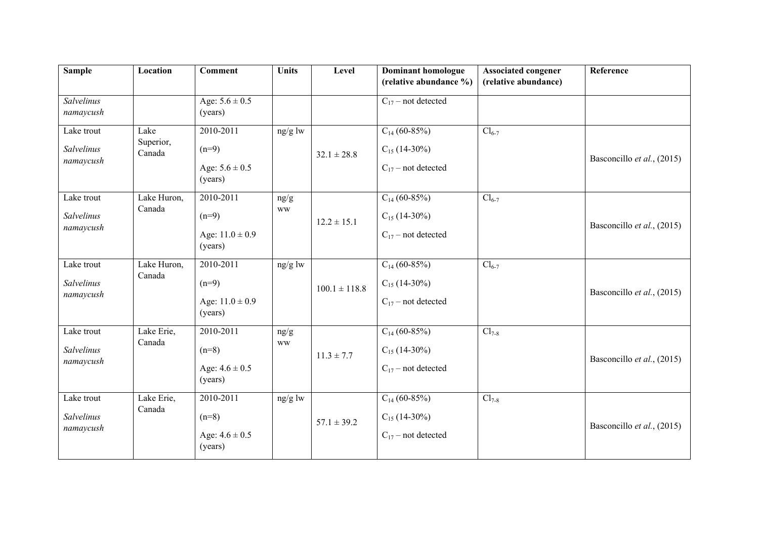| <b>Sample</b>                                | Location                    | <b>Comment</b>                                         | <b>Units</b>      | Level             | <b>Dominant homologue</b><br>(relative abundance %)               | <b>Associated congener</b><br>(relative abundance) | Reference                  |
|----------------------------------------------|-----------------------------|--------------------------------------------------------|-------------------|-------------------|-------------------------------------------------------------------|----------------------------------------------------|----------------------------|
| Salvelinus<br>namaycush                      |                             | Age: $5.6 \pm 0.5$<br>(years)                          |                   |                   | $C_{17}$ – not detected                                           |                                                    |                            |
| Lake trout<br>Salvelinus<br>namaycush        | Lake<br>Superior,<br>Canada | 2010-2011<br>$(n=9)$<br>Age: $5.6 \pm 0.5$<br>(years)  | ng/g lw           | $32.1 \pm 28.8$   | $C_{14}$ (60-85%)<br>$C_{15}$ (14-30%)<br>$C_{17}$ – not detected | $Cl_{6-7}$                                         | Basconcillo et al., (2015) |
| Lake trout<br>Salvelinus<br>namaycush        | Lake Huron,<br>Canada       | 2010-2011<br>$(n=9)$<br>Age: $11.0 \pm 0.9$<br>(years) | ng/g<br><b>WW</b> | $12.2 \pm 15.1$   | $C_{14}$ (60-85%)<br>$C_{15}$ (14-30%)<br>$C_{17}$ – not detected | $Cl_{6-7}$                                         | Basconcillo et al., (2015) |
| Lake trout<br><b>Salvelinus</b><br>namaycush | Lake Huron,<br>Canada       | 2010-2011<br>$(n=9)$<br>Age: $11.0 \pm 0.9$<br>(years) | ng/g lw           | $100.1 \pm 118.8$ | $C_{14}$ (60-85%)<br>$C_{15}$ (14-30%)<br>$C_{17}$ – not detected | $Cl_{6-7}$                                         | Basconcillo et al., (2015) |
| Lake trout<br>Salvelinus<br>namaycush        | Lake Erie,<br>Canada        | 2010-2011<br>$(n=8)$<br>Age: $4.6 \pm 0.5$<br>(years)  | ng/g<br><b>WW</b> | $11.3 \pm 7.7$    | $C_{14}$ (60-85%)<br>$C_{15}$ (14-30%)<br>$C_{17}$ – not detected | $Cl_{7-8}$                                         | Basconcillo et al., (2015) |
| Lake trout<br>Salvelinus<br>namaycush        | Lake Erie,<br>Canada        | 2010-2011<br>$(n=8)$<br>Age: $4.6 \pm 0.5$<br>(years)  | ng/g lw           | $57.1 \pm 39.2$   | $C_{14}$ (60-85%)<br>$C_{15}$ (14-30%)<br>$C_{17}$ – not detected | $Cl_{7-8}$                                         | Basconcillo et al., (2015) |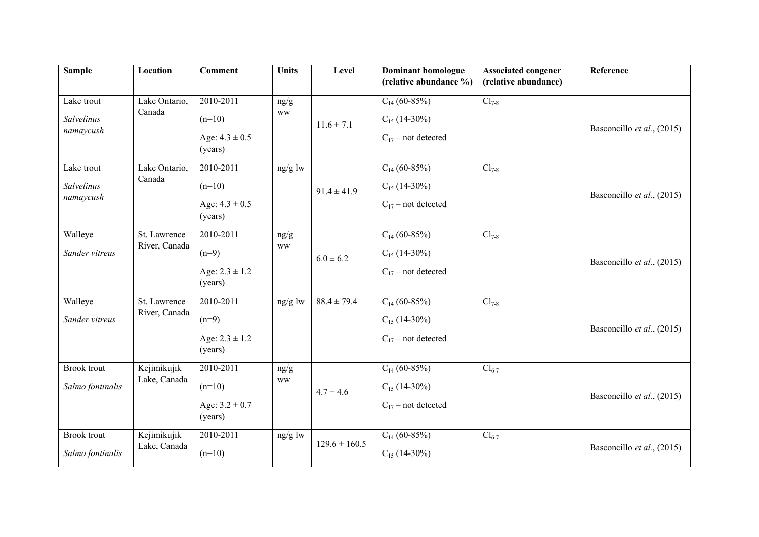| <b>Sample</b>                          | Location                      | <b>Comment</b>                                                     | <b>Units</b>      | Level             | <b>Dominant homologue</b><br>(relative abundance %)               | <b>Associated congener</b><br>(relative abundance) | Reference                  |
|----------------------------------------|-------------------------------|--------------------------------------------------------------------|-------------------|-------------------|-------------------------------------------------------------------|----------------------------------------------------|----------------------------|
| Lake trout<br>Salvelinus<br>namaycush  | Lake Ontario,<br>Canada       | 2010-2011<br>$(n=10)$<br>Age: $4.3 \pm 0.5$<br>(years)             | ng/g<br><b>WW</b> | $11.6 \pm 7.1$    | $C_{14}$ (60-85%)<br>$C_{15}$ (14-30%)<br>$C_{17}$ – not detected | $Cl_{7-8}$                                         | Basconcillo et al., (2015) |
| Lake trout<br>Salvelinus<br>namaycush  | Lake Ontario,<br>Canada       | 2010-2011<br>$(n=10)$<br>Age: $4.3 \pm 0.5$<br>(years)             | ng/g lw           | $91.4 \pm 41.9$   | $C_{14}$ (60-85%)<br>$C_{15}$ (14-30%)<br>$C_{17}$ – not detected | $Cl_{7-8}$                                         | Basconcillo et al., (2015) |
| Walleye<br>Sander vitreus              | St. Lawrence<br>River, Canada | 2010-2011<br>$(n=9)$<br>Age: $2.3 \pm 1.2$<br>(years)              | ng/g<br><b>WW</b> | $6.0 \pm 6.2$     | $C_{14}$ (60-85%)<br>$C_{15}$ (14-30%)<br>$C_{17}$ – not detected | $Cl_{7-8}$                                         | Basconcillo et al., (2015) |
| Walleye<br>Sander vitreus              | St. Lawrence<br>River, Canada | $\overline{2010-2011}$<br>$(n=9)$<br>Age: $2.3 \pm 1.2$<br>(years) | ng/g lw           | $88.4 \pm 79.4$   | $C_{14}$ (60-85%)<br>$C_{15}$ (14-30%)<br>$C_{17}$ – not detected | $Cl_{7-8}$                                         | Basconcillo et al., (2015) |
| <b>Brook</b> trout<br>Salmo fontinalis | Kejimikujik<br>Lake, Canada   | 2010-2011<br>$(n=10)$<br>Age: $3.2 \pm 0.7$<br>(years)             | ng/g<br><b>WW</b> | $4.7 \pm 4.6$     | $C_{14}$ (60-85%)<br>$C_{15}$ (14-30%)<br>$C_{17}$ – not detected | $Cl_{6-7}$                                         | Basconcillo et al., (2015) |
| <b>Brook</b> trout<br>Salmo fontinalis | Kejimikujik<br>Lake, Canada   | 2010-2011<br>$(n=10)$                                              | ng/g lw           | $129.6 \pm 160.5$ | $C_{14}$ (60-85%)<br>$C_{15}$ (14-30%)                            | $Cl_{6-7}$                                         | Basconcillo et al., (2015) |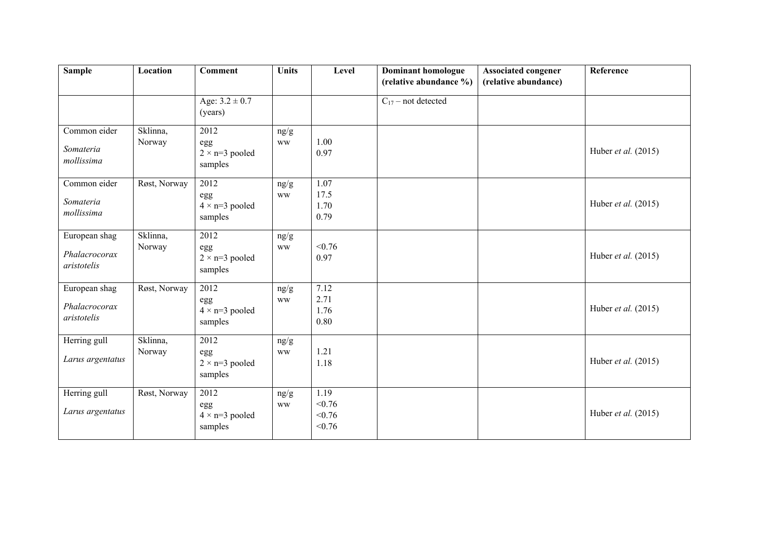| <b>Sample</b>                                 | Location           | <b>Comment</b>                                  | <b>Units</b>      | Level                              | <b>Dominant homologue</b><br>(relative abundance %) | <b>Associated congener</b><br>(relative abundance) | Reference                    |
|-----------------------------------------------|--------------------|-------------------------------------------------|-------------------|------------------------------------|-----------------------------------------------------|----------------------------------------------------|------------------------------|
|                                               |                    | Age: $3.2 \pm 0.7$<br>(years)                   |                   |                                    | $C_{17}$ – not detected                             |                                                    |                              |
| Common eider<br>Somateria<br>mollissima       | Sklinna,<br>Norway | 2012<br>egg<br>$2 \times n=3$ pooled<br>samples | ng/g<br><b>WW</b> | 1.00<br>0.97                       |                                                     |                                                    | Huber et al. (2015)          |
| Common eider<br>Somateria<br>mollissima       | Røst, Norway       | 2012<br>egg<br>$4 \times n=3$ pooled<br>samples | ng/g<br><b>WW</b> | 1.07<br>17.5<br>1.70<br>0.79       |                                                     |                                                    | Huber <i>et al.</i> $(2015)$ |
| European shag<br>Phalacrocorax<br>aristotelis | Sklinna,<br>Norway | 2012<br>egg<br>$2 \times n=3$ pooled<br>samples | ng/g<br><b>WW</b> | < 0.76<br>0.97                     |                                                     |                                                    | Huber et al. (2015)          |
| European shag<br>Phalacrocorax<br>aristotelis | Røst, Norway       | 2012<br>egg<br>$4 \times n=3$ pooled<br>samples | ng/g<br><b>WW</b> | 7.12<br>2.71<br>1.76<br>0.80       |                                                     |                                                    | Huber et al. (2015)          |
| Herring gull<br>Larus argentatus              | Sklinna,<br>Norway | 2012<br>egg<br>$2\times$ n=3 pooled<br>samples  | ng/g<br><b>WW</b> | 1.21<br>1.18                       |                                                     |                                                    | Huber et al. (2015)          |
| Herring gull<br>Larus argentatus              | Røst, Norway       | 2012<br>egg<br>$4 \times n=3$ pooled<br>samples | ng/g<br><b>WW</b> | 1.19<br>< 0.76<br>< 0.76<br>< 0.76 |                                                     |                                                    | Huber et al. (2015)          |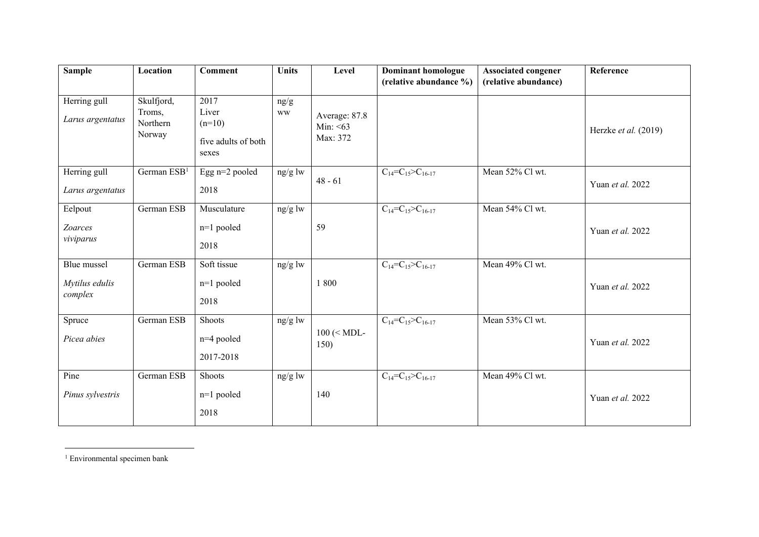| <b>Sample</b>                            | Location                                   | <b>Comment</b>                                            | <b>Units</b>      | Level                                   | <b>Dominant homologue</b>                           | <b>Associated congener</b> | Reference                     |
|------------------------------------------|--------------------------------------------|-----------------------------------------------------------|-------------------|-----------------------------------------|-----------------------------------------------------|----------------------------|-------------------------------|
|                                          |                                            |                                                           |                   |                                         | (relative abundance %)                              | (relative abundance)       |                               |
| Herring gull<br>Larus argentatus         | Skulfjord,<br>Troms,<br>Northern<br>Norway | 2017<br>Liver<br>$(n=10)$<br>five adults of both<br>sexes | ng/g<br><b>WW</b> | Average: 87.8<br>Min: $<63$<br>Max: 372 |                                                     |                            | Herzke <i>et al.</i> $(2019)$ |
| Herring gull<br>Larus argentatus         | German ESB <sup>1</sup>                    | Egg n=2 pooled<br>2018                                    | ng/g lw           | $48 - 61$                               | $C_{14} = C_{15} > C_{16-17}$                       | Mean 52% Cl wt.            | Yuan et al. 2022              |
| Eelpout<br>Zoarces<br>viviparus          | German ESB                                 | Musculature<br>$n=1$ pooled<br>2018                       | ng/g lw           | 59                                      | $\overline{C_{14}}$ = $C_{15}$ > $\geq$ $C_{16-17}$ | Mean 54% Cl wt.            | Yuan et al. 2022              |
| Blue mussel<br>Mytilus edulis<br>complex | German ESB                                 | Soft tissue<br>$n=1$ pooled<br>2018                       | ng/g lw           | 1800                                    | $C_{14}=C_{15}>C_{16-17}$                           | Mean 49% Cl wt.            | Yuan et al. 2022              |
| Spruce<br>Picea abies                    | German ESB                                 | Shoots<br>$n=4$ pooled<br>2017-2018                       | ng/g lw           | $100$ (< MDL-<br>150)                   | $C_{14}=C_{15}>C_{16-17}$                           | Mean 53% Cl wt.            | Yuan et al. 2022              |
| Pine<br>Pinus sylvestris                 | German ESB                                 | Shoots<br>$n=1$ pooled<br>2018                            | ng/g lw           | 140                                     | $C_{14}=C_{15}>C_{16-17}$                           | Mean 49% Cl wt.            | Yuan et al. 2022              |

<sup>1</sup> Environmental specimen bank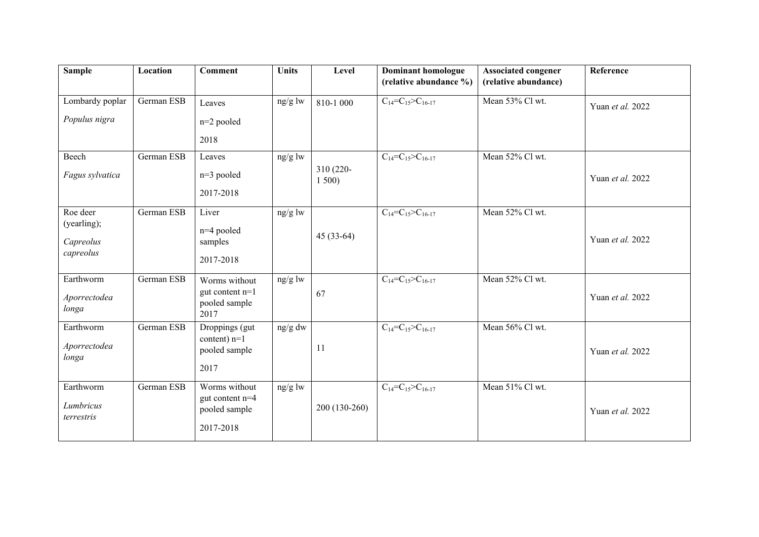| <b>Sample</b>                                     | Location   | <b>Comment</b>                                                   | <b>Units</b> | Level             | <b>Dominant homologue</b><br>(relative abundance %) | <b>Associated congener</b><br>(relative abundance) | Reference        |
|---------------------------------------------------|------------|------------------------------------------------------------------|--------------|-------------------|-----------------------------------------------------|----------------------------------------------------|------------------|
| Lombardy poplar<br>Populus nigra                  | German ESB | Leaves<br>n=2 pooled<br>2018                                     | ng/g lw      | 810-1 000         | $C_{14} = C_{15} > C_{16-17}$                       | Mean 53% Cl wt.                                    | Yuan et al. 2022 |
| Beech<br>Fagus sylvatica                          | German ESB | Leaves<br>n=3 pooled<br>2017-2018                                | ng/g lw      | 310 (220-<br>1500 | $C_{14}=C_{15}>C_{16-17}$                           | Mean 52% Cl wt.                                    | Yuan et al. 2022 |
| Roe deer<br>(yearling);<br>Capreolus<br>capreolus | German ESB | Liver<br>n=4 pooled<br>samples<br>2017-2018                      | $ng/g$ lw    | $45(33-64)$       | $C_{14}=C_{15}>C_{16-17}$                           | Mean 52% Cl wt.                                    | Yuan et al. 2022 |
| Earthworm<br>Aporrectodea<br>longa                | German ESB | Worms without<br>gut content $n=1$<br>pooled sample<br>2017      | ng/g lw      | 67                | $C_{14} = C_{15} > C_{16-17}$                       | Mean 52% Cl wt.                                    | Yuan et al. 2022 |
| Earthworm<br>Aporrectodea<br>longa                | German ESB | Droppings (gut<br>content) $n=1$<br>pooled sample<br>2017        | ng/g dw      | 11                | $C_{14}=C_{15}>C_{16-17}$                           | Mean 56% Cl wt.                                    | Yuan et al. 2022 |
| Earthworm<br>Lumbricus<br>terrestris              | German ESB | Worms without<br>gut content $n=4$<br>pooled sample<br>2017-2018 | $ng/g$ lw    | 200 (130-260)     | $C_{14}=C_{15}>C_{16-17}$                           | Mean 51% Cl wt.                                    | Yuan et al. 2022 |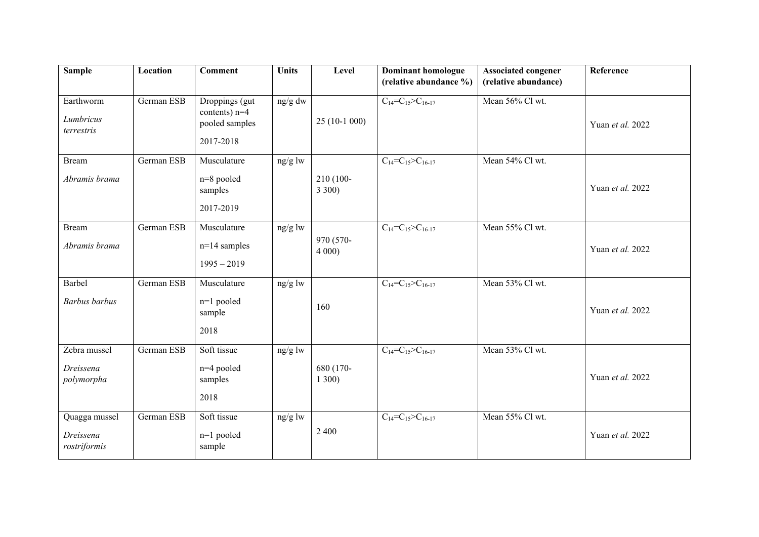| <b>Sample</b>                              | Location   | <b>Comment</b>                                                   | <b>Units</b> | Level             | <b>Dominant homologue</b><br>(relative abundance %) | <b>Associated congener</b><br>(relative abundance) | Reference        |
|--------------------------------------------|------------|------------------------------------------------------------------|--------------|-------------------|-----------------------------------------------------|----------------------------------------------------|------------------|
| Earthworm<br>Lumbricus<br>terrestris       | German ESB | Droppings (gut<br>contents) $n=4$<br>pooled samples<br>2017-2018 | ng/g dw      | $25(10-1000)$     | $C_{14} = C_{15} = C_{16-17}$                       | Mean 56% Cl wt.                                    | Yuan et al. 2022 |
| <b>Bream</b><br>Abramis brama              | German ESB | Musculature<br>n=8 pooled<br>samples<br>2017-2019                | ng/g lw      | 210 (100-<br>3300 | $C_{14}=C_{15}>C_{16-17}$                           | Mean 54% Cl wt.                                    | Yuan et al. 2022 |
| <b>Bream</b><br>Abramis brama              | German ESB | Musculature<br>$n=14$ samples<br>$1995 - 2019$                   | ng/g lw      | 970 (570-<br>4000 | $C_{14} = C_{15} > C_{16-17}$                       | Mean 55% Cl wt.                                    | Yuan et al. 2022 |
| Barbel<br><b>Barbus</b> barbus             | German ESB | Musculature<br>n=1 pooled<br>sample<br>2018                      | ng/g lw      | 160               | $C_{14} = C_{15} > C_{16-17}$                       | Mean 53% Cl wt.                                    | Yuan et al. 2022 |
| Zebra mussel<br>Dreissena<br>polymorpha    | German ESB | Soft tissue<br>n=4 pooled<br>samples<br>2018                     | ng/g lw      | 680 (170-<br>1300 | $\overline{C}_{14} = C_{15} > C_{16-17}$            | Mean 53% Cl wt.                                    | Yuan et al. 2022 |
| Quagga mussel<br>Dreissena<br>rostriformis | German ESB | Soft tissue<br>n=1 pooled<br>sample                              | ng/g lw      | 2 4 0 0           | $C_{14}=C_{15}>C_{16-17}$                           | Mean 55% Cl wt.                                    | Yuan et al. 2022 |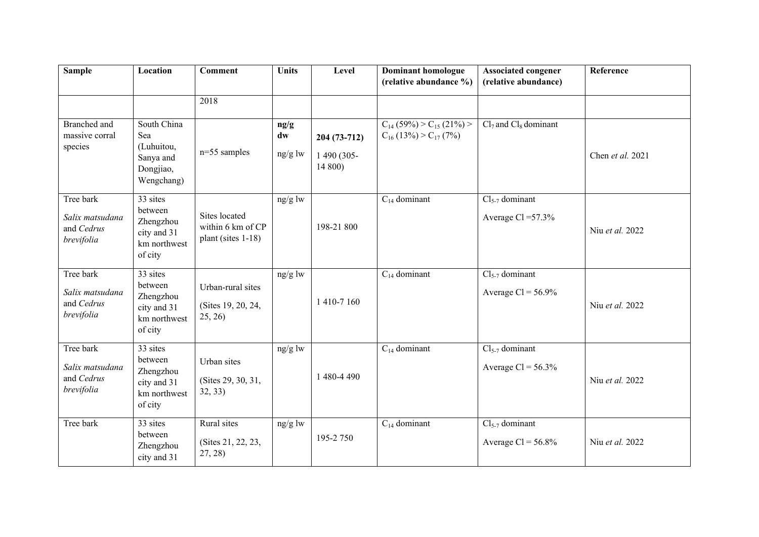| <b>Sample</b>                                            | Location                                                                   | <b>Comment</b>                                           | <b>Units</b>          | Level                                    | <b>Dominant homologue</b><br>(relative abundance %)                 | <b>Associated congener</b><br>(relative abundance) | Reference        |
|----------------------------------------------------------|----------------------------------------------------------------------------|----------------------------------------------------------|-----------------------|------------------------------------------|---------------------------------------------------------------------|----------------------------------------------------|------------------|
|                                                          |                                                                            | 2018                                                     |                       |                                          |                                                                     |                                                    |                  |
| <b>Branched</b> and<br>massive corral<br>species         | South China<br>Sea<br>(Luhuitou,<br>Sanya and<br>Dongjiao,<br>Wengchang)   | $n=55$ samples                                           | ng/g<br>dw<br>ng/g lw | 204 (73-712)<br>1 490 (305-<br>$14\,800$ | $C_{14}$ (59%) > $C_{15}$ (21%) ><br>$C_{16}$ (13%) > $C_{17}$ (7%) | $Cl7$ and $Cl8$ dominant                           | Chen et al. 2021 |
| Tree bark<br>Salix matsudana<br>and Cedrus<br>brevifolia | 33 sites<br>between<br>Zhengzhou<br>city and 31<br>km northwest<br>of city | Sites located<br>within 6 km of CP<br>plant (sites 1-18) | ng/g lw               | 198-21 800                               | $C_{14}$ dominant                                                   | $Cl5-7$ dominant<br>Average Cl = $57.3\%$          | Niu et al. 2022  |
| Tree bark<br>Salix matsudana<br>and Cedrus<br>brevifolia | 33 sites<br>between<br>Zhengzhou<br>city and 31<br>km northwest<br>of city | Urban-rural sites<br>(Sites 19, 20, 24,<br>25, 26)       | $ng/g$ lw             | 1410-7160                                | $C_{14}$ dominant                                                   | $Cl5-7$ dominant<br>Average $Cl = 56.9\%$          | Niu et al. 2022  |
| Tree bark<br>Salix matsudana<br>and Cedrus<br>brevifolia | 33 sites<br>between<br>Zhengzhou<br>city and 31<br>km northwest<br>of city | Urban sites<br>(Sites 29, 30, 31,<br>32, 33)             | ng/g lw               | 1 480-4 490                              | $C_{14}$ dominant                                                   | $Cl5-7$ dominant<br>Average $Cl = 56.3\%$          | Niu et al. 2022  |
| Tree bark                                                | 33 sites<br>between<br>Zhengzhou<br>city and 31                            | Rural sites<br>(Sites 21, 22, 23,<br>27, 28              | ng/g lw               | 195-2 750                                | $C_{14}$ dominant                                                   | $Cl5-7$ dominant<br>Average $Cl = 56.8\%$          | Niu et al. 2022  |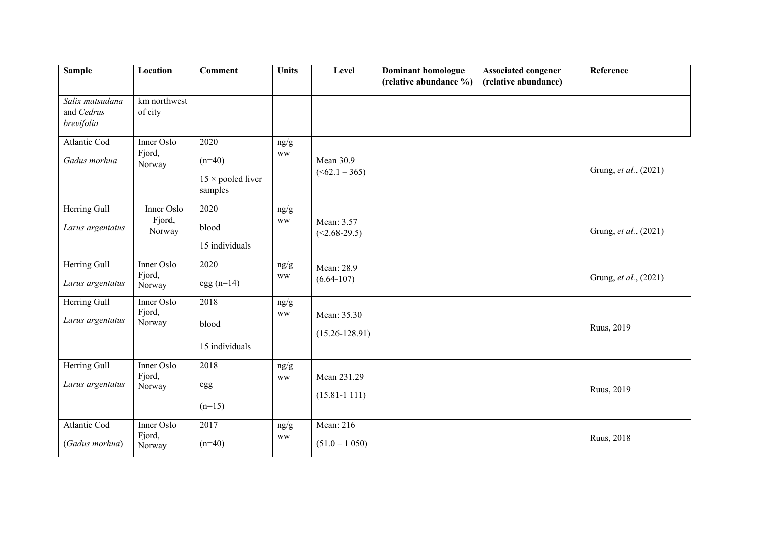| <b>Sample</b>                               | Location                       | <b>Comment</b>                                          | <b>Units</b>      | Level                             | <b>Dominant homologue</b><br>(relative abundance %) | <b>Associated congener</b><br>(relative abundance) | Reference             |
|---------------------------------------------|--------------------------------|---------------------------------------------------------|-------------------|-----------------------------------|-----------------------------------------------------|----------------------------------------------------|-----------------------|
| Salix matsudana<br>and Cedrus<br>brevifolia | km northwest<br>of city        |                                                         |                   |                                   |                                                     |                                                    |                       |
| Atlantic Cod<br>Gadus morhua                | Inner Oslo<br>Fjord,<br>Norway | 2020<br>$(n=40)$<br>$15 \times$ pooled liver<br>samples | ng/g<br><b>WW</b> | Mean 30.9<br>( <b>62.1</b> – 365) |                                                     |                                                    | Grung, et al., (2021) |
| Herring Gull<br>Larus argentatus            | Inner Oslo<br>Fjord,<br>Norway | 2020<br>blood<br>15 individuals                         | ng/g<br><b>WW</b> | Mean: 3.57<br>$(<2.68-29.5)$      |                                                     |                                                    | Grung, et al., (2021) |
| Herring Gull<br>Larus argentatus            | Inner Oslo<br>Fjord,<br>Norway | 2020<br>$egg(n=14)$                                     | ng/g<br><b>WW</b> | Mean: 28.9<br>$(6.64 - 107)$      |                                                     |                                                    | Grung, et al., (2021) |
| Herring Gull<br>Larus argentatus            | Inner Oslo<br>Fjord,<br>Norway | 2018<br>blood<br>15 individuals                         | ng/g<br><b>WW</b> | Mean: 35.30<br>$(15.26 - 128.91)$ |                                                     |                                                    | Ruus, 2019            |
| Herring Gull<br>Larus argentatus            | Inner Oslo<br>Fjord,<br>Norway | 2018<br>egg<br>$(n=15)$                                 | ng/g<br><b>WW</b> | Mean 231.29<br>$(15.81 - 1111)$   |                                                     |                                                    | Ruus, 2019            |
| <b>Atlantic Cod</b><br>(Gadus morhua)       | Inner Oslo<br>Fjord,<br>Norway | 2017<br>$(n=40)$                                        | ng/g<br><b>WW</b> | Mean: 216<br>$(51.0 - 1050)$      |                                                     |                                                    | Ruus, 2018            |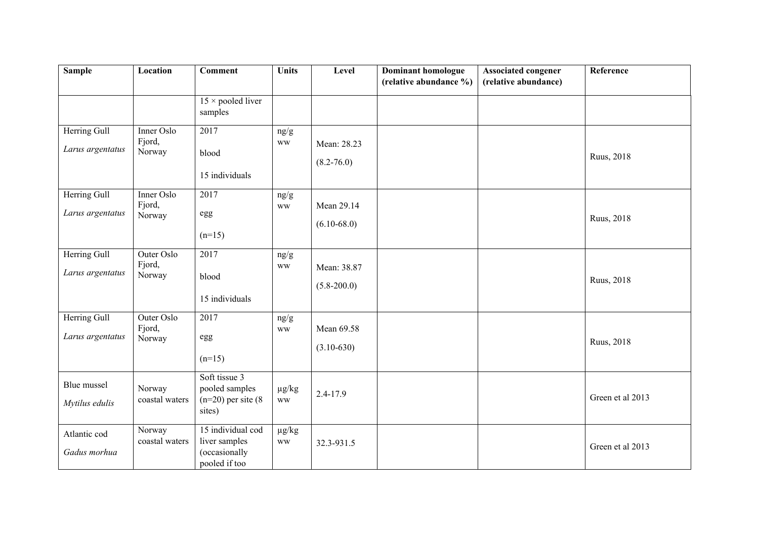| <b>Sample</b>                    | Location                       | <b>Comment</b>                                                       | <b>Units</b>            | Level                          | <b>Dominant homologue</b><br>(relative abundance %) | <b>Associated congener</b><br>(relative abundance) | Reference        |
|----------------------------------|--------------------------------|----------------------------------------------------------------------|-------------------------|--------------------------------|-----------------------------------------------------|----------------------------------------------------|------------------|
|                                  |                                | $15 \times$ pooled liver<br>samples                                  |                         |                                |                                                     |                                                    |                  |
| Herring Gull<br>Larus argentatus | Inner Oslo<br>Fjord,<br>Norway | 2017<br>blood<br>15 individuals                                      | ng/g<br><b>WW</b>       | Mean: 28.23<br>$(8.2 - 76.0)$  |                                                     |                                                    | Ruus, 2018       |
| Herring Gull<br>Larus argentatus | Inner Oslo<br>Fjord,<br>Norway | 2017<br>egg<br>$(n=15)$                                              | ng/g<br><b>WW</b>       | Mean 29.14<br>$(6.10 - 68.0)$  |                                                     |                                                    | Ruus, 2018       |
| Herring Gull<br>Larus argentatus | Outer Oslo<br>Fjord,<br>Norway | 2017<br>blood<br>15 individuals                                      | ng/g<br><b>WW</b>       | Mean: 38.87<br>$(5.8 - 200.0)$ |                                                     |                                                    | Ruus, 2018       |
| Herring Gull<br>Larus argentatus | Outer Oslo<br>Fjord,<br>Norway | 2017<br>egg<br>$(n=15)$                                              | ng/g<br><b>WW</b>       | Mean 69.58<br>$(3.10-630)$     |                                                     |                                                    | Ruus, 2018       |
| Blue mussel<br>Mytilus edulis    | Norway<br>coastal waters       | Soft tissue 3<br>pooled samples<br>$(n=20)$ per site $(8)$<br>sites) | $\mu g/kg$<br><b>WW</b> | 2.4-17.9                       |                                                     |                                                    | Green et al 2013 |
| Atlantic cod<br>Gadus morhua     | Norway<br>coastal waters       | 15 individual cod<br>liver samples<br>(occasionally<br>pooled if too | $\mu g/kg$<br><b>WW</b> | 32.3-931.5                     |                                                     |                                                    | Green et al 2013 |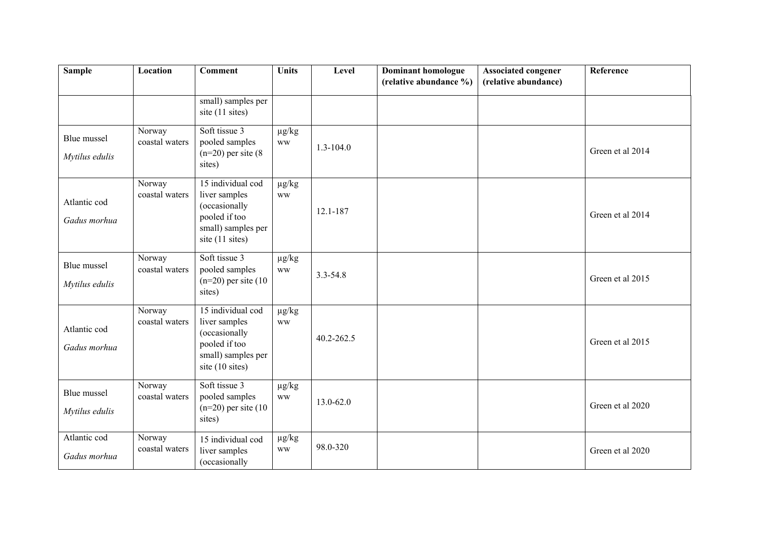| <b>Sample</b>                 | Location                 | <b>Comment</b>                                                                                                | <b>Units</b>            | Level         | <b>Dominant homologue</b><br>(relative abundance %) | <b>Associated congener</b><br>(relative abundance) | Reference        |
|-------------------------------|--------------------------|---------------------------------------------------------------------------------------------------------------|-------------------------|---------------|-----------------------------------------------------|----------------------------------------------------|------------------|
|                               |                          | small) samples per<br>site (11 sites)                                                                         |                         |               |                                                     |                                                    |                  |
| Blue mussel<br>Mytilus edulis | Norway<br>coastal waters | Soft tissue 3<br>pooled samples<br>$(n=20)$ per site $(8)$<br>sites)                                          | $\mu g/kg$<br><b>WW</b> | $1.3 - 104.0$ |                                                     |                                                    | Green et al 2014 |
| Atlantic cod<br>Gadus morhua  | Norway<br>coastal waters | 15 individual cod<br>liver samples<br>(occasionally<br>pooled if too<br>small) samples per<br>site (11 sites) | $\mu g/kg$<br><b>WW</b> | 12.1-187      |                                                     |                                                    | Green et al 2014 |
| Blue mussel<br>Mytilus edulis | Norway<br>coastal waters | Soft tissue 3<br>pooled samples<br>$(n=20)$ per site $(10)$<br>sites)                                         | $\mu g/kg$<br><b>WW</b> | $3.3 - 54.8$  |                                                     |                                                    | Green et al 2015 |
| Atlantic cod<br>Gadus morhua  | Norway<br>coastal waters | 15 individual cod<br>liver samples<br>(occasionally<br>pooled if too<br>small) samples per<br>site (10 sites) | $\mu g/kg$<br><b>WW</b> | 40.2-262.5    |                                                     |                                                    | Green et al 2015 |
| Blue mussel<br>Mytilus edulis | Norway<br>coastal waters | Soft tissue 3<br>pooled samples<br>$(n=20)$ per site $(10)$<br>sites)                                         | $\mu g/kg$<br><b>WW</b> | 13.0-62.0     |                                                     |                                                    | Green et al 2020 |
| Atlantic cod<br>Gadus morhua  | Norway<br>coastal waters | 15 individual cod<br>liver samples<br>(occasionally                                                           | $\mu g/kg$<br><b>WW</b> | 98.0-320      |                                                     |                                                    | Green et al 2020 |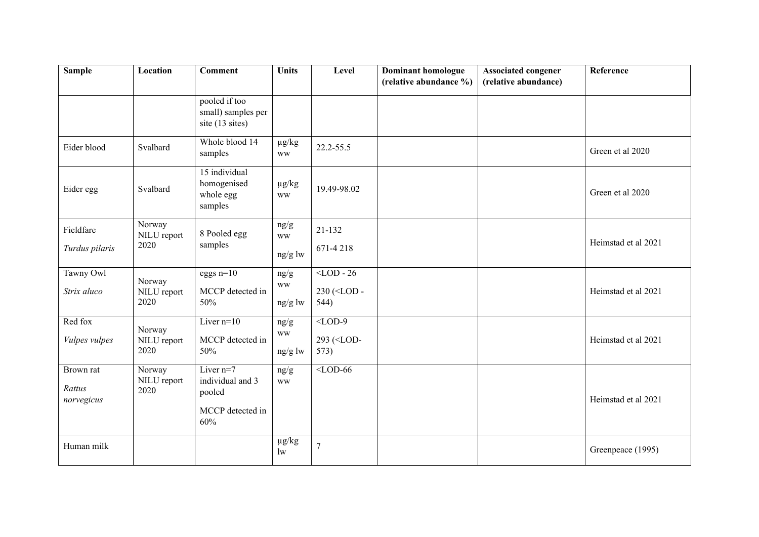| <b>Sample</b>                     | Location                      | <b>Comment</b>                                                       | <b>Units</b>                     | Level                                      | <b>Dominant homologue</b><br>(relative abundance %) | <b>Associated congener</b><br>(relative abundance) | Reference           |
|-----------------------------------|-------------------------------|----------------------------------------------------------------------|----------------------------------|--------------------------------------------|-----------------------------------------------------|----------------------------------------------------|---------------------|
|                                   |                               | pooled if too<br>small) samples per<br>site (13 sites)               |                                  |                                            |                                                     |                                                    |                     |
| Eider blood                       | Svalbard                      | Whole blood 14<br>samples                                            | $\mu g/kg$<br>$\mathbf{WW}$      | 22.2-55.5                                  |                                                     |                                                    | Green et al 2020    |
| Eider egg                         | Svalbard                      | 15 individual<br>homogenised<br>whole egg<br>samples                 | $\mu g/kg$<br><b>WW</b>          | 19.49-98.02                                |                                                     |                                                    | Green et al 2020    |
| Fieldfare<br>Turdus pilaris       | Norway<br>NILU report<br>2020 | 8 Pooled egg<br>samples                                              | ng/g<br><b>WW</b><br>ng/g lw     | $21 - 132$<br>671-4218                     |                                                     |                                                    | Heimstad et al 2021 |
| Tawny Owl<br>Strix aluco          | Norway<br>NILU report<br>2020 | eggs $n=10$<br>MCCP detected in<br>50%                               | ng/g<br>$\mathbf{WW}$<br>ng/g lw | $\overline{\text{ 230 (544)$               |                                                     |                                                    | Heimstad et al 2021 |
| Red fox<br>Vulpes vulpes          | Norway<br>NILU report<br>2020 | Liver $n=10$<br>MCCP detected in<br>50%                              | ng/g<br><b>WW</b><br>ng/g lw     | $<$ LOD-9<br>293 ( <lod-<br>573)</lod-<br> |                                                     |                                                    | Heimstad et al 2021 |
| Brown rat<br>Rattus<br>norvegicus | Norway<br>NILU report<br>2020 | Liver $n=7$<br>individual and 3<br>pooled<br>MCCP detected in<br>60% | ng/g<br><b>WW</b>                | $\overline{\text{$                         |                                                     |                                                    | Heimstad et al 2021 |
| Human milk                        |                               |                                                                      | $\mu g/kg$<br>$\mathbf{w}$       | $\overline{7}$                             |                                                     |                                                    | Greenpeace (1995)   |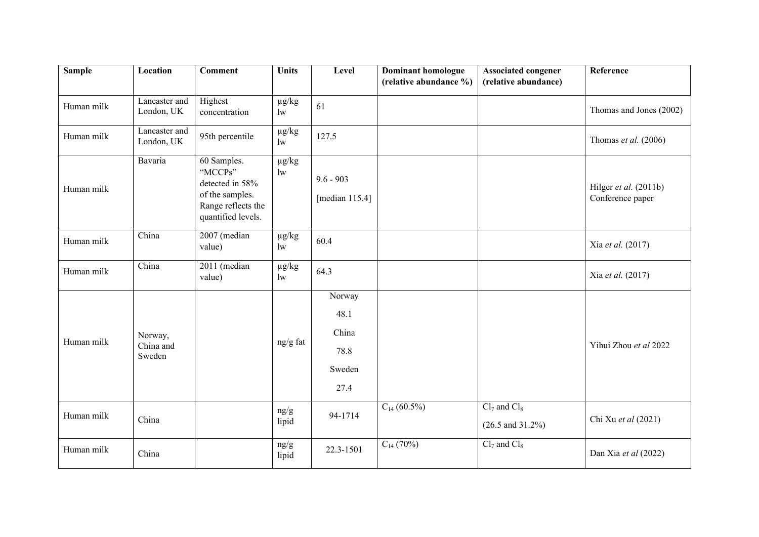| <b>Sample</b> | Location                    | <b>Comment</b>                                                                                           | <b>Units</b>               | Level                            | <b>Dominant homologue</b><br>(relative abundance %) | <b>Associated congener</b><br>(relative abundance) | Reference                                 |
|---------------|-----------------------------|----------------------------------------------------------------------------------------------------------|----------------------------|----------------------------------|-----------------------------------------------------|----------------------------------------------------|-------------------------------------------|
|               |                             |                                                                                                          |                            |                                  |                                                     |                                                    |                                           |
| Human milk    | Lancaster and<br>London, UK | Highest<br>concentration                                                                                 | $\mu g/kg$<br>1w           | 61                               |                                                     |                                                    | Thomas and Jones (2002)                   |
| Human milk    | Lancaster and<br>London, UK | 95th percentile                                                                                          | $\mu g/kg$<br>$\mathbf{w}$ | 127.5                            |                                                     |                                                    | Thomas et al. (2006)                      |
| Human milk    | Bavaria                     | 60 Samples.<br>"MCCPs"<br>detected in 58%<br>of the samples.<br>Range reflects the<br>quantified levels. | $\mu g/kg$<br>$\mathbf{w}$ | $9.6 - 903$<br>[median $115.4$ ] |                                                     |                                                    | Hilger et al. (2011b)<br>Conference paper |
| Human milk    | China                       | 2007 (median<br>value)                                                                                   | $\mu g/kg$<br>$\mathbf{w}$ | 60.4                             |                                                     |                                                    | Xia et al. (2017)                         |
| Human milk    | China                       | 2011 (median<br>value)                                                                                   | $\mu g/kg$<br>$\mathbf{w}$ | 64.3                             |                                                     |                                                    | Xia et al. (2017)                         |
|               |                             |                                                                                                          |                            | Norway                           |                                                     |                                                    |                                           |
|               |                             |                                                                                                          |                            | 48.1                             |                                                     |                                                    |                                           |
|               | Norway,                     |                                                                                                          |                            | China                            |                                                     |                                                    |                                           |
| Human milk    | China and<br>Sweden         |                                                                                                          | ng/g fat                   | 78.8                             |                                                     |                                                    | Yihui Zhou et al 2022                     |
|               |                             |                                                                                                          |                            | Sweden                           |                                                     |                                                    |                                           |
|               |                             |                                                                                                          |                            | 27.4                             |                                                     |                                                    |                                           |
| Human milk    | China                       |                                                                                                          | ng/g<br>lipid              | 94-1714                          | $C_{14}$ (60.5%)                                    | $Cl7$ and $Cl8$<br>$(26.5 \text{ and } 31.2\%)$    | Chi Xu et al (2021)                       |
| Human milk    | China                       |                                                                                                          | ng/g<br>lipid              | 22.3-1501                        | $C_{14}$ (70%)                                      | $Cl7$ and $Cl8$                                    | Dan Xia et al (2022)                      |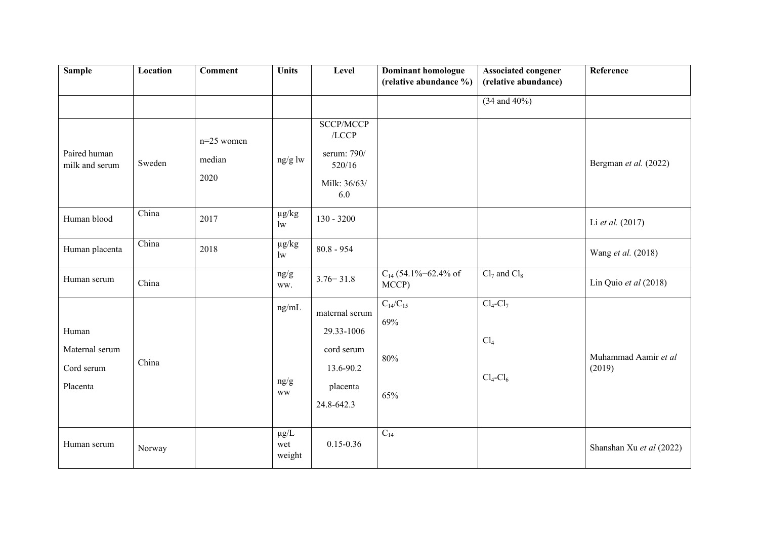| <b>Sample</b>                                     | Location | <b>Comment</b>                 | <b>Units</b>               | Level                                                                             | <b>Dominant homologue</b><br>(relative abundance %) | <b>Associated congener</b><br>(relative abundance)    | Reference                      |
|---------------------------------------------------|----------|--------------------------------|----------------------------|-----------------------------------------------------------------------------------|-----------------------------------------------------|-------------------------------------------------------|--------------------------------|
|                                                   |          |                                |                            |                                                                                   |                                                     | $(34$ and $40\%)$                                     |                                |
| Paired human<br>milk and serum                    | Sweden   | $n=25$ women<br>median<br>2020 | ng/g lw                    | <b>SCCP/MCCP</b><br>$/$ LCCP<br>serum: 790/<br>520/16<br>Milk: 36/63/<br>6.0      |                                                     |                                                       | Bergman et al. (2022)          |
| Human blood                                       | China    | 2017                           | $\mu g/kg$<br>1w           | $130 - 3200$                                                                      |                                                     |                                                       | Li et al. (2017)               |
| Human placenta                                    | China    | 2018                           | $\mu g/kg$<br>1w           | $80.8 - 954$                                                                      |                                                     |                                                       | Wang et al. (2018)             |
| Human serum                                       | China    |                                | $\rm ng/g$<br>ww.          | $3.76 - 31.8$                                                                     | $C_{14}$ (54.1%-62.4% of<br>MCCP)                   | $Cl7$ and $Cl8$                                       | Lin Quio et al $(2018)$        |
| Human<br>Maternal serum<br>Cord serum<br>Placenta | China    |                                | ng/mL<br>ng/g<br><b>WW</b> | maternal serum<br>29.33-1006<br>cord serum<br>13.6-90.2<br>placenta<br>24.8-642.3 | $C_{14}/C_{15}$<br>69%<br>80%<br>65%                | $Cl_4$ - $Cl_7$<br>Cl <sub>4</sub><br>$Cl_4$ - $Cl_6$ | Muhammad Aamir et al<br>(2019) |
| Human serum                                       | Norway   |                                | $\mu g/L$<br>wet<br>weight | $0.15 - 0.36$                                                                     | $C_{14}$                                            |                                                       | Shanshan Xu et al (2022)       |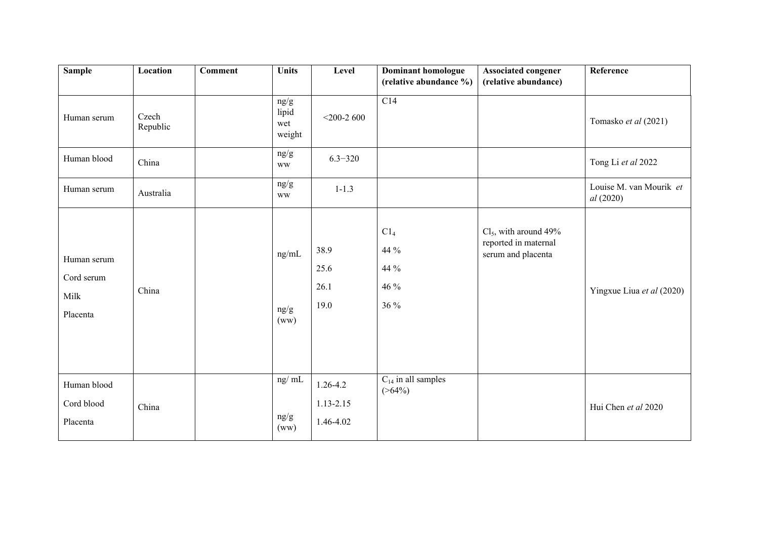| <b>Sample</b>                                 | Location          | <b>Comment</b> | <b>Units</b>                       | Level                                      | <b>Dominant homologue</b>                       | <b>Associated congener</b>                                            | Reference                            |
|-----------------------------------------------|-------------------|----------------|------------------------------------|--------------------------------------------|-------------------------------------------------|-----------------------------------------------------------------------|--------------------------------------|
|                                               |                   |                |                                    |                                            | (relative abundance %)                          | (relative abundance)                                                  |                                      |
| Human serum                                   | Czech<br>Republic |                | ng/g<br>lipid<br>wet<br>weight     | $<$ 200-2600                               | C14                                             |                                                                       | Tomasko et al (2021)                 |
| Human blood                                   | China             |                | ng/g<br><b>WW</b>                  | $6.3 - 320$                                |                                                 |                                                                       | Tong Li et al 2022                   |
| Human serum                                   | Australia         |                | ng/g<br><b>WW</b>                  | $1 - 1.3$                                  |                                                 |                                                                       | Louise M. van Mourik et<br>al (2020) |
| Human serum<br>Cord serum<br>Milk<br>Placenta | China             |                | ng/mL<br>ng/g<br>(ww)              | 38.9<br>25.6<br>26.1<br>19.0               | C1 <sub>4</sub><br>44 %<br>44 %<br>46 %<br>36 % | $Cl5$ , with around 49%<br>reported in maternal<br>serum and placenta | Yingxue Liua et al (2020)            |
| Human blood<br>Cord blood<br>Placenta         | China             |                | $ng/\overline{mL}$<br>ng/g<br>(ww) | $1.26 - 4.2$<br>$1.13 - 2.15$<br>1.46-4.02 | $C_{14}$ in all samples<br>$($ >64%)            |                                                                       | Hui Chen et al 2020                  |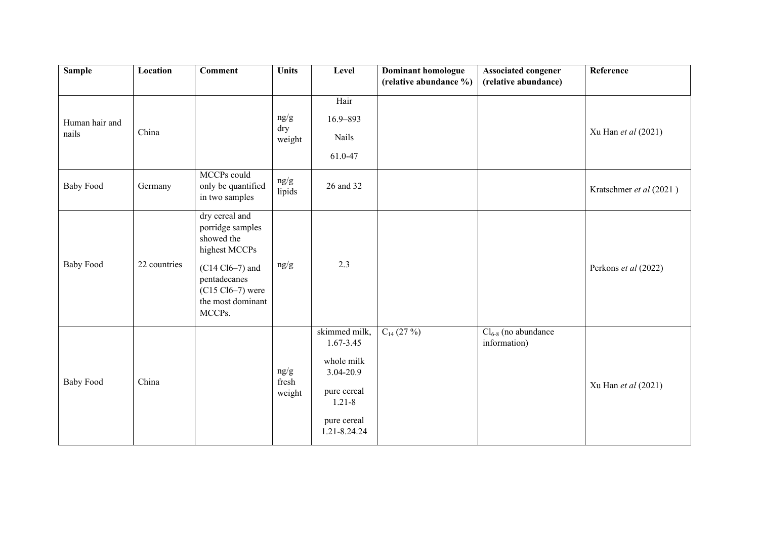| <b>Sample</b>           | Location     | <b>Comment</b>                                                                                                                                              | <b>Units</b>            | Level                                                                                                             | <b>Dominant homologue</b> | <b>Associated congener</b>               | Reference               |
|-------------------------|--------------|-------------------------------------------------------------------------------------------------------------------------------------------------------------|-------------------------|-------------------------------------------------------------------------------------------------------------------|---------------------------|------------------------------------------|-------------------------|
|                         |              |                                                                                                                                                             |                         |                                                                                                                   | (relative abundance %)    | (relative abundance)                     |                         |
| Human hair and<br>nails | China        |                                                                                                                                                             | ng/g<br>dry<br>weight   | Hair<br>16.9-893<br>Nails<br>61.0-47                                                                              |                           |                                          | Xu Han et al (2021)     |
| <b>Baby Food</b>        | Germany      | MCCPs could<br>only be quantified<br>in two samples                                                                                                         | ng/g<br>lipids          | 26 and 32                                                                                                         |                           |                                          | Kratschmer et al (2021) |
| <b>Baby Food</b>        | 22 countries | dry cereal and<br>porridge samples<br>showed the<br>highest MCCPs<br>$(C14 C16-7)$ and<br>pentadecanes<br>$(C15 Cl6-7)$ were<br>the most dominant<br>MCCPs. | ng/g                    | 2.3                                                                                                               |                           |                                          | Perkons et al (2022)    |
| <b>Baby Food</b>        | China        |                                                                                                                                                             | ng/g<br>fresh<br>weight | skimmed milk,<br>1.67-3.45<br>whole milk<br>3.04-20.9<br>pure cereal<br>$1.21 - 8$<br>pure cereal<br>1.21-8.24.24 | $C_{14}$ (27 %)           | $Cl_{6-8}$ (no abundance<br>information) | Xu Han et al (2021)     |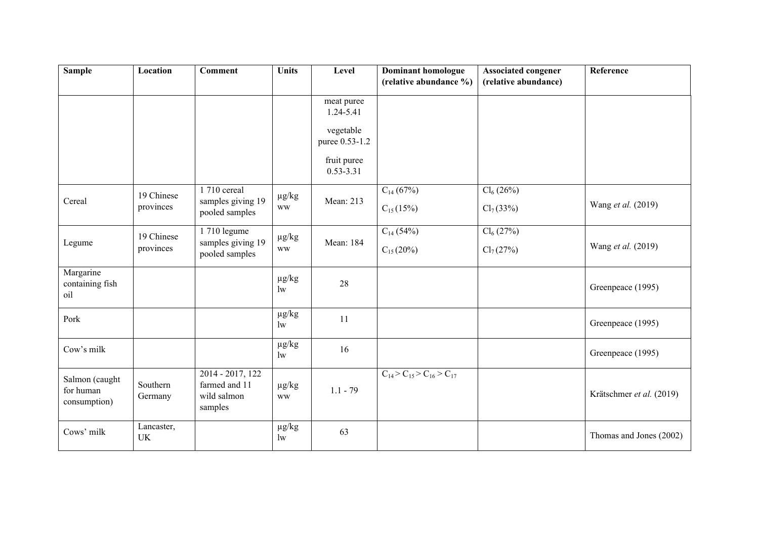| <b>Sample</b>                               | Location            | <b>Comment</b>                                              | <b>Units</b>               | Level                        | <b>Dominant homologue</b><br>(relative abundance %) | <b>Associated congener</b><br>(relative abundance) | Reference                |  |
|---------------------------------------------|---------------------|-------------------------------------------------------------|----------------------------|------------------------------|-----------------------------------------------------|----------------------------------------------------|--------------------------|--|
|                                             |                     |                                                             |                            | meat puree<br>1.24-5.41      |                                                     |                                                    |                          |  |
|                                             |                     |                                                             |                            | vegetable<br>puree 0.53-1.2  |                                                     |                                                    |                          |  |
|                                             |                     |                                                             |                            | fruit puree<br>$0.53 - 3.31$ |                                                     |                                                    |                          |  |
|                                             | 19 Chinese          | 1 710 cereal                                                | $\mu g/kg$                 |                              | $C_{14}$ (67%)                                      | $Cl_6(26\%)$                                       |                          |  |
| Cereal                                      | provinces           | samples giving 19<br>pooled samples                         | <b>WW</b>                  | Mean: 213                    | $C_{15}(15%)$                                       | $Cl_7(33\%)$                                       | Wang et al. (2019)       |  |
|                                             | 19 Chinese          | 1 710 legume                                                | $\mu g/kg$                 |                              | $C_{14}$ (54%)                                      | $Cl_6(27%)$                                        |                          |  |
| Legume                                      | provinces           | samples giving 19<br>pooled samples                         | <b>WW</b>                  | Mean: 184                    | $C_{15}(20\%)$                                      | $Cl_7(27%)$                                        | Wang et al. (2019)       |  |
| Margarine<br>containing fish<br>oil         |                     |                                                             | $\mu$ g/kg<br>$\mathbf{w}$ | 28                           |                                                     |                                                    | Greenpeace (1995)        |  |
| Pork                                        |                     |                                                             | $\mu g/kg$<br>$\mathbf{w}$ | 11                           |                                                     |                                                    | Greenpeace (1995)        |  |
| Cow's milk                                  |                     |                                                             | $\mu g/kg$<br>$\mathbf{w}$ | 16                           |                                                     |                                                    | Greenpeace (1995)        |  |
| Salmon (caught<br>for human<br>consumption) | Southern<br>Germany | 2014 - 2017, 122<br>farmed and 11<br>wild salmon<br>samples | $\mu g/kg$<br><b>WW</b>    | $1.1 - 79$                   | $C_{14}$ > $C_{15}$ > $C_{16}$ > $C_{17}$           |                                                    | Krätschmer et al. (2019) |  |
| Cows' milk                                  | Lancaster,<br>UK    |                                                             | $\mu g/kg$<br>$\mathbf{w}$ | 63                           |                                                     |                                                    | Thomas and Jones (2002)  |  |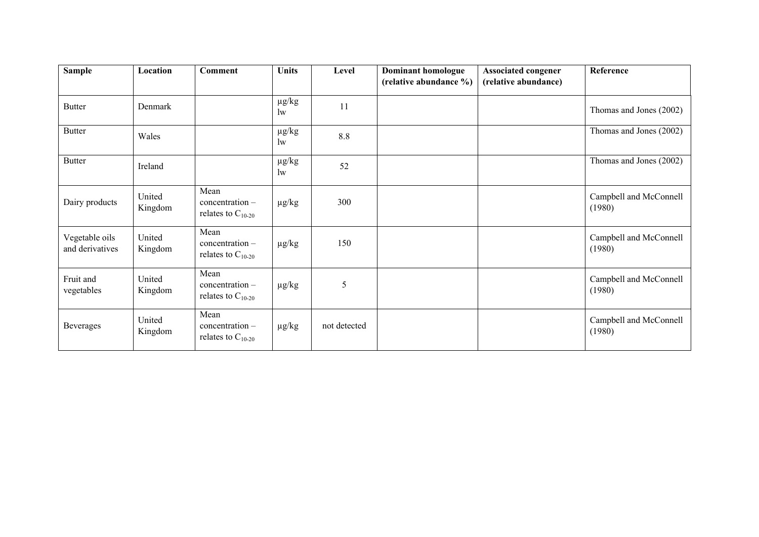| <b>Sample</b>                     | Location          | <b>Comment</b>                                      | <b>Units</b>               | Level        | Dominant homologue<br>(relative abundance %) | <b>Associated congener</b><br>(relative abundance) | Reference                        |
|-----------------------------------|-------------------|-----------------------------------------------------|----------------------------|--------------|----------------------------------------------|----------------------------------------------------|----------------------------------|
| <b>Butter</b>                     | Denmark           |                                                     | $\mu g/kg$<br>$\mathbf{w}$ | 11           |                                              |                                                    | Thomas and Jones (2002)          |
| <b>Butter</b>                     | Wales             |                                                     | $\mu g/kg$<br>$\rm lw$     | 8.8          |                                              |                                                    | Thomas and Jones (2002)          |
| <b>Butter</b>                     | Ireland           |                                                     | $\mu g/kg$<br>$\mathbf{w}$ | 52           |                                              |                                                    | Thomas and Jones (2002)          |
| Dairy products                    | United<br>Kingdom | Mean<br>$concentration -$<br>relates to $C_{10-20}$ | $\mu$ g/kg                 | 300          |                                              |                                                    | Campbell and McConnell<br>(1980) |
| Vegetable oils<br>and derivatives | United<br>Kingdom | Mean<br>$concentration -$<br>relates to $C_{10-20}$ | $\mu$ g/kg                 | 150          |                                              |                                                    | Campbell and McConnell<br>(1980) |
| Fruit and<br>vegetables           | United<br>Kingdom | Mean<br>concentration-<br>relates to $C_{10-20}$    | $\mu$ g/kg                 | 5            |                                              |                                                    | Campbell and McConnell<br>(1980) |
| Beverages                         | United<br>Kingdom | Mean<br>$concentration -$<br>relates to $C_{10-20}$ | $\mu$ g/kg                 | not detected |                                              |                                                    | Campbell and McConnell<br>(1980) |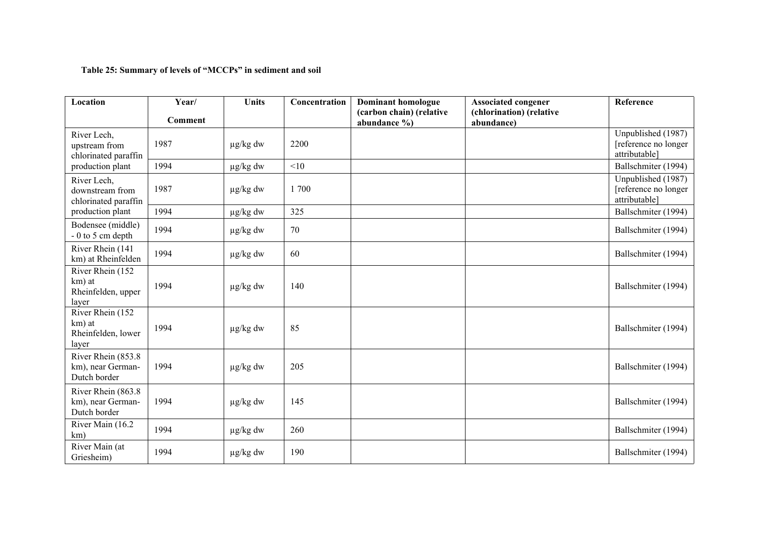## **Table 25: Summary of levels of "MCCPs" in sediment and soil**

| Location                                                  | Year/   | <b>Units</b>  | Concentration | <b>Dominant homologue</b><br>(carbon chain) (relative | <b>Associated congener</b><br>(chlorination) (relative | Reference                                                   |
|-----------------------------------------------------------|---------|---------------|---------------|-------------------------------------------------------|--------------------------------------------------------|-------------------------------------------------------------|
|                                                           | Comment |               |               | abundance %)                                          | abundance)                                             |                                                             |
| River Lech,<br>upstream from<br>chlorinated paraffin      | 1987    | $\mu$ g/kg dw | 2200          |                                                       |                                                        | Unpublished (1987)<br>[reference no longer<br>attributable] |
| production plant                                          | 1994    | $\mu$ g/kg dw | <10           |                                                       |                                                        | Ballschmiter (1994)                                         |
| River Lech,<br>downstream from<br>chlorinated paraffin    | 1987    | $\mu$ g/kg dw | 1700          |                                                       |                                                        | Unpublished (1987)<br>[reference no longer<br>attributable] |
| production plant                                          | 1994    | $\mu$ g/kg dw | 325           |                                                       |                                                        | Ballschmiter (1994)                                         |
| Bodensee (middle)<br>$-0$ to 5 cm depth                   | 1994    | $\mu$ g/kg dw | 70            |                                                       |                                                        | Ballschmiter (1994)                                         |
| River Rhein (141<br>km) at Rheinfelden                    | 1994    | $\mu$ g/kg dw | 60            |                                                       |                                                        | Ballschmiter (1994)                                         |
| River Rhein (152<br>km) at<br>Rheinfelden, upper<br>layer | 1994    | $\mu$ g/kg dw | 140           |                                                       |                                                        | Ballschmiter (1994)                                         |
| River Rhein (152<br>km) at<br>Rheinfelden, lower<br>layer | 1994    | $\mu$ g/kg dw | 85            |                                                       |                                                        | Ballschmiter (1994)                                         |
| River Rhein (853.8<br>km), near German-<br>Dutch border   | 1994    | $\mu$ g/kg dw | 205           |                                                       |                                                        | Ballschmiter (1994)                                         |
| River Rhein (863.8<br>km), near German-<br>Dutch border   | 1994    | $\mu$ g/kg dw | 145           |                                                       |                                                        | Ballschmiter (1994)                                         |
| River Main (16.2<br>km)                                   | 1994    | $\mu$ g/kg dw | 260           |                                                       |                                                        | Ballschmiter (1994)                                         |
| River Main (at<br>Griesheim)                              | 1994    | $\mu$ g/kg dw | 190           |                                                       |                                                        | Ballschmiter (1994)                                         |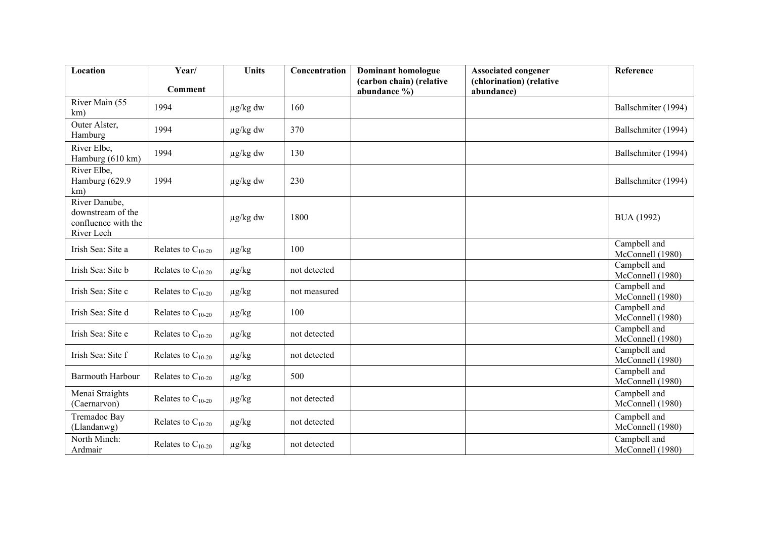| Location                                                                | Year/                  | <b>Units</b>  | Concentration | <b>Dominant homologue</b>                    | <b>Associated congener</b>             | Reference                        |
|-------------------------------------------------------------------------|------------------------|---------------|---------------|----------------------------------------------|----------------------------------------|----------------------------------|
|                                                                         | <b>Comment</b>         |               |               | (carbon chain) (relative<br>abundance $\%$ ) | (chlorination) (relative<br>abundance) |                                  |
| River Main (55<br>km)                                                   | 1994                   | $\mu$ g/kg dw | 160           |                                              |                                        | Ballschmiter (1994)              |
| Outer Alster,<br>Hamburg                                                | 1994                   | $\mu$ g/kg dw | 370           |                                              |                                        | Ballschmiter (1994)              |
| River Elbe,<br>Hamburg (610 km)                                         | 1994                   | µg/kg dw      | 130           |                                              |                                        | Ballschmiter (1994)              |
| River Elbe,<br>Hamburg (629.9<br>km)                                    | 1994                   | $\mu$ g/kg dw | 230           |                                              |                                        | Ballschmiter (1994)              |
| River Danube,<br>downstream of the<br>confluence with the<br>River Lech |                        | $\mu$ g/kg dw | 1800          |                                              |                                        | <b>BUA</b> (1992)                |
| Irish Sea: Site a                                                       | Relates to $C_{10-20}$ | $\mu g/kg$    | 100           |                                              |                                        | Campbell and<br>McConnell (1980) |
| Irish Sea: Site b                                                       | Relates to $C_{10-20}$ | $\mu g/kg$    | not detected  |                                              |                                        | Campbell and<br>McConnell (1980) |
| Irish Sea: Site c                                                       | Relates to $C_{10-20}$ | $\mu$ g/kg    | not measured  |                                              |                                        | Campbell and<br>McConnell (1980) |
| Irish Sea: Site d                                                       | Relates to $C_{10-20}$ | $\mu$ g/kg    | 100           |                                              |                                        | Campbell and<br>McConnell (1980) |
| Irish Sea: Site e                                                       | Relates to $C_{10-20}$ | $\mu$ g/kg    | not detected  |                                              |                                        | Campbell and<br>McConnell (1980) |
| Irish Sea: Site f                                                       | Relates to $C_{10-20}$ | $\mu g/kg$    | not detected  |                                              |                                        | Campbell and<br>McConnell (1980) |
| <b>Barmouth Harbour</b>                                                 | Relates to $C_{10-20}$ | $\mu$ g/kg    | 500           |                                              |                                        | Campbell and<br>McConnell (1980) |
| Menai Straights<br>(Caernarvon)                                         | Relates to $C_{10-20}$ | $\mu$ g/kg    | not detected  |                                              |                                        | Campbell and<br>McConnell (1980) |
| Tremadoc Bay<br>(Llandanwg)                                             | Relates to $C_{10-20}$ | $\mu g/kg$    | not detected  |                                              |                                        | Campbell and<br>McConnell (1980) |
| North Minch:<br>Ardmair                                                 | Relates to $C_{10-20}$ | $\mu$ g/kg    | not detected  |                                              |                                        | Campbell and<br>McConnell (1980) |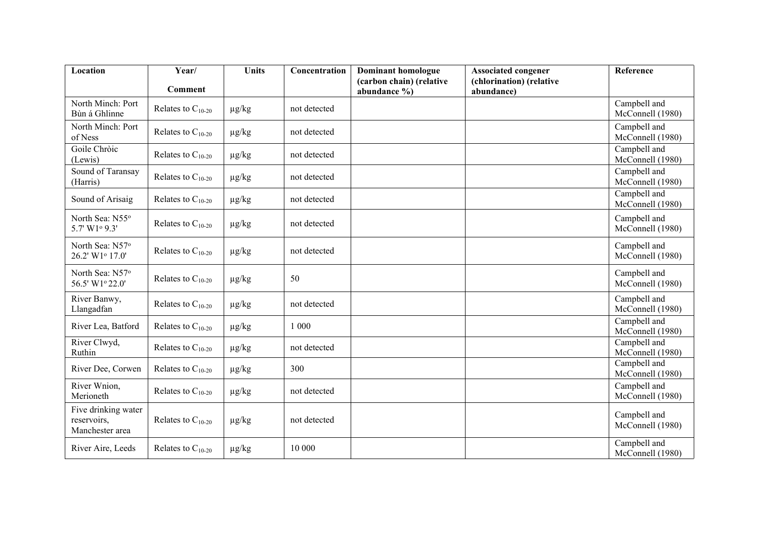| Location                                                   | Year/                  | <b>Units</b> | Concentration | <b>Dominant homologue</b>                    | <b>Associated congener</b>             | Reference                        |
|------------------------------------------------------------|------------------------|--------------|---------------|----------------------------------------------|----------------------------------------|----------------------------------|
|                                                            | <b>Comment</b>         |              |               | (carbon chain) (relative<br>abundance $\%$ ) | (chlorination) (relative<br>abundance) |                                  |
| North Minch: Port<br>Bùn á Ghlinne                         | Relates to $C_{10-20}$ | $\mu$ g/kg   | not detected  |                                              |                                        | Campbell and<br>McConnell (1980) |
| North Minch: Port<br>of Ness                               | Relates to $C_{10-20}$ | $\mu$ g/kg   | not detected  |                                              |                                        | Campbell and<br>McConnell (1980) |
| Goile Chròic<br>(Lewis)                                    | Relates to $C_{10-20}$ | $\mu$ g/kg   | not detected  |                                              |                                        | Campbell and<br>McConnell (1980) |
| Sound of Taransay<br>(Harris)                              | Relates to $C_{10-20}$ | $\mu g/kg$   | not detected  |                                              |                                        | Campbell and<br>McConnell (1980) |
| Sound of Arisaig                                           | Relates to $C_{10-20}$ | $\mu$ g/kg   | not detected  |                                              |                                        | Campbell and<br>McConnell (1980) |
| North Sea: N55°<br>5.7' W1º 9.3'                           | Relates to $C_{10-20}$ | $\mu$ g/kg   | not detected  |                                              |                                        | Campbell and<br>McConnell (1980) |
| North Sea: N57 <sup>o</sup><br>26.2' W1 <sup>o</sup> 17.0' | Relates to $C_{10-20}$ | $\mu$ g/kg   | not detected  |                                              |                                        | Campbell and<br>McConnell (1980) |
| North Sea: N57 <sup>o</sup><br>56.5' W1° 22.0'             | Relates to $C_{10-20}$ | $\mu$ g/kg   | 50            |                                              |                                        | Campbell and<br>McConnell (1980) |
| River Banwy,<br>Llangadfan                                 | Relates to $C_{10-20}$ | $\mu g/kg$   | not detected  |                                              |                                        | Campbell and<br>McConnell (1980) |
| River Lea, Batford                                         | Relates to $C_{10-20}$ | $\mu g/kg$   | 1 000         |                                              |                                        | Campbell and<br>McConnell (1980) |
| River Clwyd,<br>Ruthin                                     | Relates to $C_{10-20}$ | $\mu$ g/kg   | not detected  |                                              |                                        | Campbell and<br>McConnell (1980) |
| River Dee, Corwen                                          | Relates to $C_{10-20}$ | $\mu g/kg$   | 300           |                                              |                                        | Campbell and<br>McConnell (1980) |
| River Wnion,<br>Merioneth                                  | Relates to $C_{10-20}$ | $\mu$ g/kg   | not detected  |                                              |                                        | Campbell and<br>McConnell (1980) |
| Five drinking water<br>reservoirs,<br>Manchester area      | Relates to $C_{10-20}$ | $\mu$ g/kg   | not detected  |                                              |                                        | Campbell and<br>McConnell (1980) |
| River Aire, Leeds                                          | Relates to $C_{10-20}$ | $\mu$ g/kg   | 10 000        |                                              |                                        | Campbell and<br>McConnell (1980) |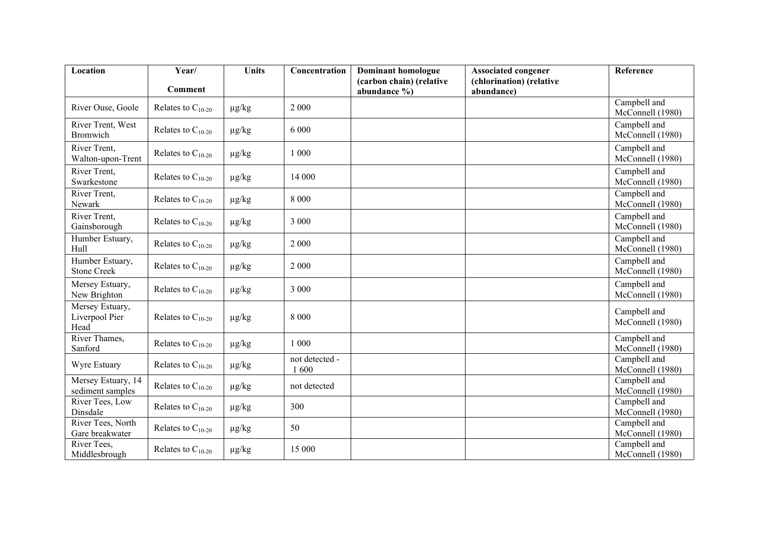| Location                                  | Year/                  | <b>Units</b> | Concentration          | <b>Dominant homologue</b>                | <b>Associated congener</b>             | Reference                        |
|-------------------------------------------|------------------------|--------------|------------------------|------------------------------------------|----------------------------------------|----------------------------------|
|                                           | <b>Comment</b>         |              |                        | (carbon chain) (relative<br>abundance %) | (chlorination) (relative<br>abundance) |                                  |
| River Ouse, Goole                         | Relates to $C_{10-20}$ | $\mu$ g/kg   | 2 0 0 0                |                                          |                                        | Campbell and<br>McConnell (1980) |
| River Trent, West<br>Bromwich             | Relates to $C_{10-20}$ | $\mu$ g/kg   | 6 0 0 0                |                                          |                                        | Campbell and<br>McConnell (1980) |
| River Trent,<br>Walton-upon-Trent         | Relates to $C_{10-20}$ | $\mu$ g/kg   | 1 000                  |                                          |                                        | Campbell and<br>McConnell (1980) |
| River Trent,<br>Swarkestone               | Relates to $C_{10-20}$ | $\mu g/kg$   | 14 000                 |                                          |                                        | Campbell and<br>McConnell (1980) |
| River Trent,<br>Newark                    | Relates to $C_{10-20}$ | $\mu$ g/kg   | 8 0 0 0                |                                          |                                        | Campbell and<br>McConnell (1980) |
| River Trent,<br>Gainsborough              | Relates to $C_{10-20}$ | $\mu$ g/kg   | 3 000                  |                                          |                                        | Campbell and<br>McConnell (1980) |
| Humber Estuary,<br>Hull                   | Relates to $C_{10-20}$ | $\mu$ g/kg   | 2 0 0 0                |                                          |                                        | Campbell and<br>McConnell (1980) |
| Humber Estuary,<br><b>Stone Creek</b>     | Relates to $C_{10-20}$ | $\mu$ g/kg   | 2 0 0 0                |                                          |                                        | Campbell and<br>McConnell (1980) |
| Mersey Estuary,<br>New Brighton           | Relates to $C_{10-20}$ | $\mu$ g/kg   | 3 000                  |                                          |                                        | Campbell and<br>McConnell (1980) |
| Mersey Estuary,<br>Liverpool Pier<br>Head | Relates to $C_{10-20}$ | $\mu$ g/kg   | 8 0 0 0                |                                          |                                        | Campbell and<br>McConnell (1980) |
| River Thames,<br>Sanford                  | Relates to $C_{10-20}$ | $\mu g/kg$   | 1 000                  |                                          |                                        | Campbell and<br>McConnell (1980) |
| Wyre Estuary                              | Relates to $C_{10-20}$ | $\mu$ g/kg   | not detected -<br>1600 |                                          |                                        | Campbell and<br>McConnell (1980) |
| Mersey Estuary, 14<br>sediment samples    | Relates to $C_{10-20}$ | $\mu g/kg$   | not detected           |                                          |                                        | Campbell and<br>McConnell (1980) |
| River Tees, Low<br>Dinsdale               | Relates to $C_{10-20}$ | $\mu$ g/kg   | 300                    |                                          |                                        | Campbell and<br>McConnell (1980) |
| River Tees, North<br>Gare breakwater      | Relates to $C_{10-20}$ | $\mu$ g/kg   | 50                     |                                          |                                        | Campbell and<br>McConnell (1980) |
| River Tees,<br>Middlesbrough              | Relates to $C_{10-20}$ | $\mu g/kg$   | 15 000                 |                                          |                                        | Campbell and<br>McConnell (1980) |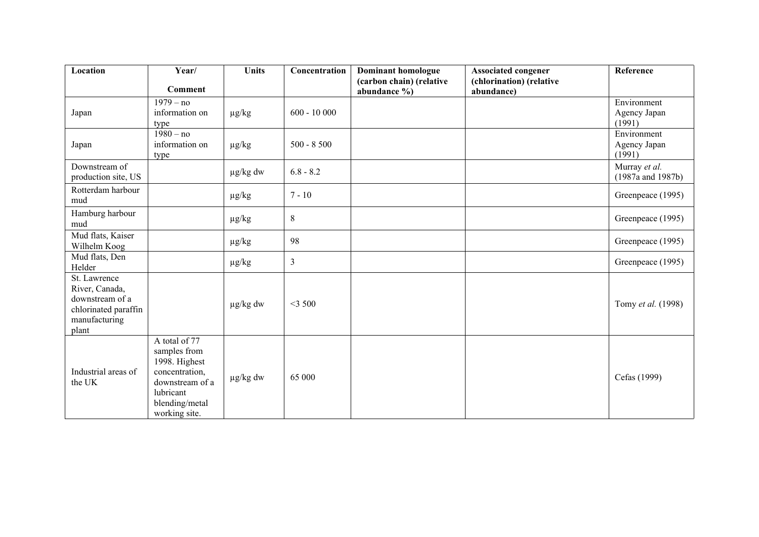| Location                                                                                            | Year/                                                                                                                               | <b>Units</b>  | Concentration | <b>Dominant homologue</b><br>(carbon chain) (relative | <b>Associated congener</b><br>(chlorination) (relative | Reference                             |
|-----------------------------------------------------------------------------------------------------|-------------------------------------------------------------------------------------------------------------------------------------|---------------|---------------|-------------------------------------------------------|--------------------------------------------------------|---------------------------------------|
|                                                                                                     | Comment                                                                                                                             |               |               | abundance $\%$ )                                      | abundance)                                             |                                       |
| Japan                                                                                               | $1979 - no$<br>information on<br>type                                                                                               | $\mu g/kg$    | $600 - 10000$ |                                                       |                                                        | Environment<br>Agency Japan<br>(1991) |
| Japan                                                                                               | $1980 - no$<br>information on<br>type                                                                                               | $\mu$ g/kg    | $500 - 8500$  |                                                       |                                                        | Environment<br>Agency Japan<br>(1991) |
| Downstream of<br>production site, US                                                                |                                                                                                                                     | $\mu$ g/kg dw | $6.8 - 8.2$   |                                                       |                                                        | Murray et al.<br>(1987a and 1987b)    |
| Rotterdam harbour<br>mud                                                                            |                                                                                                                                     | $\mu g/kg$    | $7 - 10$      |                                                       |                                                        | Greenpeace (1995)                     |
| Hamburg harbour<br>mud                                                                              |                                                                                                                                     | $\mu g/kg$    | 8             |                                                       |                                                        | Greenpeace (1995)                     |
| Mud flats, Kaiser<br>Wilhelm Koog                                                                   |                                                                                                                                     | $\mu g/kg$    | 98            |                                                       |                                                        | Greenpeace (1995)                     |
| Mud flats, Den<br>Helder                                                                            |                                                                                                                                     | $\mu g/kg$    | 3             |                                                       |                                                        | Greenpeace (1995)                     |
| St. Lawrence<br>River, Canada,<br>downstream of a<br>chlorinated paraffin<br>manufacturing<br>plant |                                                                                                                                     | $\mu$ g/kg dw | $<$ 3 500     |                                                       |                                                        | Tomy et al. (1998)                    |
| Industrial areas of<br>the UK                                                                       | A total of 77<br>samples from<br>1998. Highest<br>concentration,<br>downstream of a<br>lubricant<br>blending/metal<br>working site. | $\mu g/kg$ dw | 65 000        |                                                       |                                                        | Cefas (1999)                          |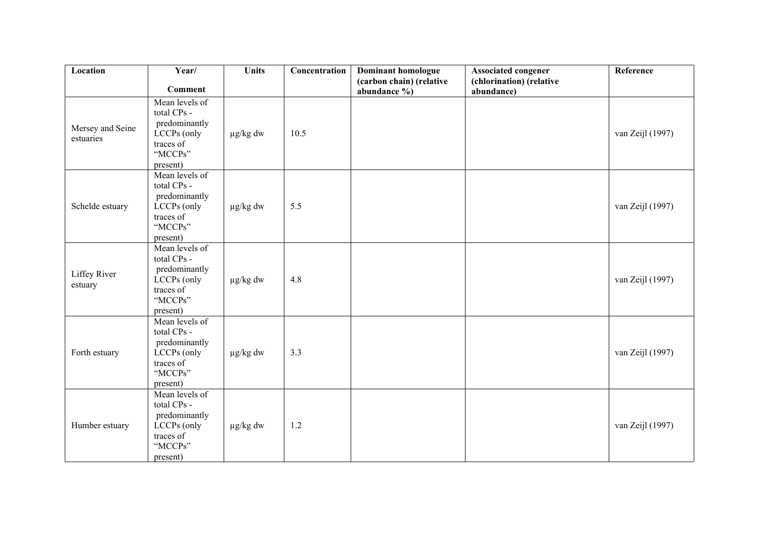| Location                      | Year/                                                                                             | <b>Units</b>  | Concentration | <b>Dominant homologue</b>                | <b>Associated congener</b>             | Reference        |
|-------------------------------|---------------------------------------------------------------------------------------------------|---------------|---------------|------------------------------------------|----------------------------------------|------------------|
|                               | <b>Comment</b>                                                                                    |               |               | (carbon chain) (relative<br>abundance %) | (chlorination) (relative<br>abundance) |                  |
| Mersey and Seine<br>estuaries | Mean levels of<br>total CPs -<br>predominantly<br>LCCPs (only<br>traces of<br>"MCCPs"<br>present) | $\mu$ g/kg dw | 10.5          |                                          |                                        | van Zeijl (1997) |
| Schelde estuary               | Mean levels of<br>total CPs -<br>predominantly<br>LCCPs (only<br>traces of<br>"MCCPs"<br>present) | $\mu$ g/kg dw | 5.5           |                                          |                                        | van Zeijl (1997) |
| Liffey River<br>estuary       | Mean levels of<br>total CPs -<br>predominantly<br>LCCPs (only<br>traces of<br>"MCCPs"<br>present) | $\mu$ g/kg dw | 4.8           |                                          |                                        | van Zeijl (1997) |
| Forth estuary                 | Mean levels of<br>total CPs -<br>predominantly<br>LCCPs (only<br>traces of<br>"MCCPs"<br>present) | $\mu$ g/kg dw | 3.3           |                                          |                                        | van Zeijl (1997) |
| Humber estuary                | Mean levels of<br>total CPs -<br>predominantly<br>LCCPs (only<br>traces of<br>"MCCPs"<br>present) | $\mu$ g/kg dw | 1.2           |                                          |                                        | van Zeijl (1997) |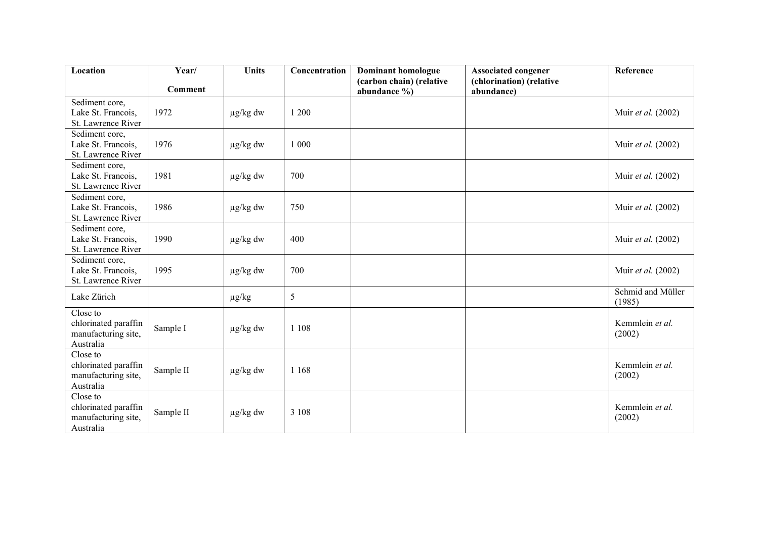| Location                                                             | Year/          | <b>Units</b>  | Concentration | <b>Dominant homologue</b>                    | <b>Associated congener</b>             | Reference                   |
|----------------------------------------------------------------------|----------------|---------------|---------------|----------------------------------------------|----------------------------------------|-----------------------------|
|                                                                      | <b>Comment</b> |               |               | (carbon chain) (relative<br>abundance $\%$ ) | (chlorination) (relative<br>abundance) |                             |
| Sediment core,<br>Lake St. Francois,<br>St. Lawrence River           | 1972           | $\mu$ g/kg dw | 1 200         |                                              |                                        | Muir et al. (2002)          |
| Sediment core,<br>Lake St. Francois,<br>St. Lawrence River           | 1976           | $\mu$ g/kg dw | 1 000         |                                              |                                        | Muir et al. (2002)          |
| Sediment core,<br>Lake St. Francois,<br>St. Lawrence River           | 1981           | $\mu$ g/kg dw | 700           |                                              |                                        | Muir et al. (2002)          |
| Sediment core,<br>Lake St. Francois,<br>St. Lawrence River           | 1986           | $\mu$ g/kg dw | 750           |                                              |                                        | Muir et al. (2002)          |
| Sediment core,<br>Lake St. Francois,<br>St. Lawrence River           | 1990           | $\mu$ g/kg dw | 400           |                                              |                                        | Muir et al. (2002)          |
| Sediment core,<br>Lake St. Francois,<br>St. Lawrence River           | 1995           | $\mu$ g/kg dw | 700           |                                              |                                        | Muir et al. (2002)          |
| Lake Zürich                                                          |                | $\mu$ g/kg    | 5             |                                              |                                        | Schmid and Müller<br>(1985) |
| Close to<br>chlorinated paraffin<br>manufacturing site,<br>Australia | Sample I       | $\mu$ g/kg dw | 1 1 0 8       |                                              |                                        | Kemmlein et al.<br>(2002)   |
| Close to<br>chlorinated paraffin<br>manufacturing site,<br>Australia | Sample II      | $\mu$ g/kg dw | 1 1 6 8       |                                              |                                        | Kemmlein et al.<br>(2002)   |
| Close to<br>chlorinated paraffin<br>manufacturing site,<br>Australia | Sample II      | $\mu$ g/kg dw | 3 1 0 8       |                                              |                                        | Kemmlein et al.<br>(2002)   |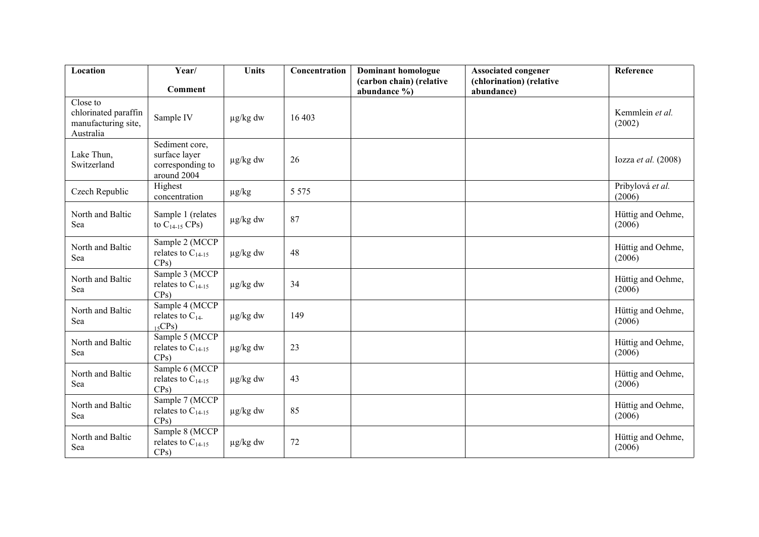| Location                                                             | Year/                                                              | <b>Units</b>  | Concentration | <b>Dominant homologue</b>                | <b>Associated congener</b>             | Reference                   |
|----------------------------------------------------------------------|--------------------------------------------------------------------|---------------|---------------|------------------------------------------|----------------------------------------|-----------------------------|
|                                                                      | <b>Comment</b>                                                     |               |               | (carbon chain) (relative<br>abundance %) | (chlorination) (relative<br>abundance) |                             |
| Close to<br>chlorinated paraffin<br>manufacturing site,<br>Australia | Sample IV                                                          | $\mu$ g/kg dw | 16 403        |                                          |                                        | Kemmlein et al.<br>(2002)   |
| Lake Thun,<br>Switzerland                                            | Sediment core,<br>surface layer<br>corresponding to<br>around 2004 | $\mu$ g/kg dw | 26            |                                          |                                        | Iozza et al. $(2008)$       |
| Czech Republic                                                       | Highest<br>concentration                                           | $\mu$ g/kg    | 5 5 7 5       |                                          |                                        | Pribylová et al.<br>(2006)  |
| North and Baltic<br>Sea                                              | Sample 1 (relates<br>to $C_{14-15}$ CPs)                           | $\mu$ g/kg dw | 87            |                                          |                                        | Hüttig and Oehme,<br>(2006) |
| North and Baltic<br>Sea                                              | Sample 2 (MCCP<br>relates to $C_{14-15}$<br>CPs)                   | $\mu$ g/kg dw | 48            |                                          |                                        | Hüttig and Oehme,<br>(2006) |
| North and Baltic<br>Sea                                              | Sample 3 (MCCP<br>relates to $C_{14-15}$<br>CPs)                   | $\mu g/kg$ dw | 34            |                                          |                                        | Hüttig and Oehme,<br>(2006) |
| North and Baltic<br>Sea                                              | Sample 4 (MCCP<br>relates to $C_{14}$ .<br>15CPs                   | $\mu$ g/kg dw | 149           |                                          |                                        | Hüttig and Oehme,<br>(2006) |
| North and Baltic<br>Sea                                              | Sample 5 (MCCP<br>relates to $C_{14-15}$<br>CPs)                   | $\mu$ g/kg dw | 23            |                                          |                                        | Hüttig and Oehme,<br>(2006) |
| North and Baltic<br>Sea                                              | Sample 6 (MCCP<br>relates to $C_{14-15}$<br>CPs)                   | $\mu$ g/kg dw | 43            |                                          |                                        | Hüttig and Oehme,<br>(2006) |
| North and Baltic<br>Sea                                              | Sample 7 (MCCP<br>relates to $C_{14-15}$<br>$CPs$ )                | $\mu$ g/kg dw | 85            |                                          |                                        | Hüttig and Oehme,<br>(2006) |
| North and Baltic<br>Sea                                              | Sample 8 (MCCP<br>relates to $C_{14-15}$<br>CPs)                   | $\mu$ g/kg dw | $72\,$        |                                          |                                        | Hüttig and Oehme,<br>(2006) |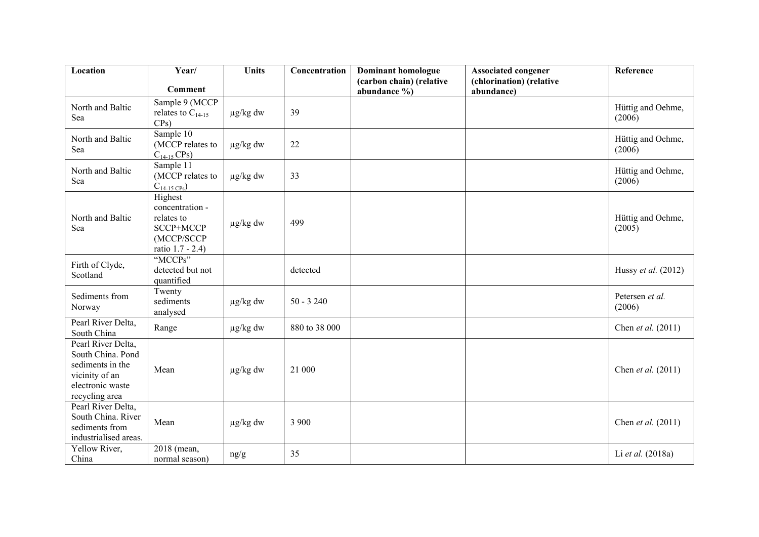| Location                                                                                                            | Year/                                                                                   | <b>Units</b>  | Concentration | <b>Dominant homologue</b>                    | <b>Associated congener</b>             | Reference                   |
|---------------------------------------------------------------------------------------------------------------------|-----------------------------------------------------------------------------------------|---------------|---------------|----------------------------------------------|----------------------------------------|-----------------------------|
|                                                                                                                     | Comment                                                                                 |               |               | (carbon chain) (relative<br>abundance $\%$ ) | (chlorination) (relative<br>abundance) |                             |
| North and Baltic<br>Sea                                                                                             | Sample 9 (MCCP<br>relates to $C_{14-15}$<br>$CPs$ )                                     | $\mu$ g/kg dw | 39            |                                              |                                        | Hüttig and Oehme,<br>(2006) |
| North and Baltic<br>Sea                                                                                             | Sample 10<br>(MCCP relates to<br>$C_{14-15}$ CPs)                                       | $\mu$ g/kg dw | 22            |                                              |                                        | Hüttig and Oehme,<br>(2006) |
| North and Baltic<br>Sea                                                                                             | Sample 11<br>(MCCP relates to<br>$C_{14-15 \text{ CPs}}$                                | $\mu$ g/kg dw | 33            |                                              |                                        | Hüttig and Oehme,<br>(2006) |
| North and Baltic<br>Sea                                                                                             | Highest<br>concentration -<br>relates to<br>SCCP+MCCP<br>(MCCP/SCCP<br>ratio 1.7 - 2.4) | $\mu$ g/kg dw | 499           |                                              |                                        | Hüttig and Oehme,<br>(2005) |
| Firth of Clyde,<br>Scotland                                                                                         | "MCCPs"<br>detected but not<br>quantified                                               |               | detected      |                                              |                                        | Hussy et al. (2012)         |
| Sediments from<br>Norway                                                                                            | Twenty<br>sediments<br>analysed                                                         | $\mu$ g/kg dw | $50 - 3240$   |                                              |                                        | Petersen et al.<br>(2006)   |
| Pearl River Delta,<br>South China                                                                                   | Range                                                                                   | $\mu$ g/kg dw | 880 to 38 000 |                                              |                                        | Chen et al. (2011)          |
| Pearl River Delta,<br>South China. Pond<br>sediments in the<br>vicinity of an<br>electronic waste<br>recycling area | Mean                                                                                    | $\mu$ g/kg dw | 21 000        |                                              |                                        | Chen et al. (2011)          |
| Pearl River Delta,<br>South China. River<br>sediments from<br>industrialised areas.                                 | Mean                                                                                    | $\mu$ g/kg dw | 3 900         |                                              |                                        | Chen et al. (2011)          |
| Yellow River,<br>China                                                                                              | 2018 (mean,<br>normal season)                                                           | ng/g          | 35            |                                              |                                        | Li et al. (2018a)           |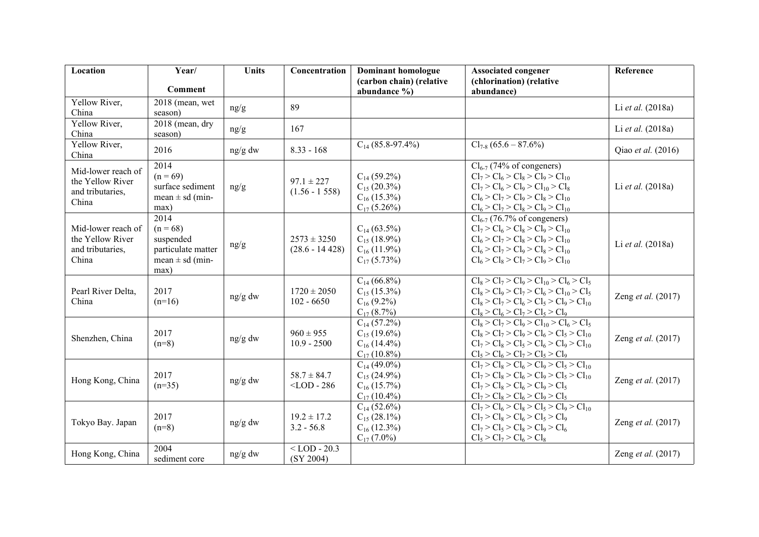| Location                                                            | Year/                                                                                | <b>Units</b> | Concentration                       | Dominant homologue                                                           | <b>Associated congener</b>                                                                                                                                                                          | Reference                 |
|---------------------------------------------------------------------|--------------------------------------------------------------------------------------|--------------|-------------------------------------|------------------------------------------------------------------------------|-----------------------------------------------------------------------------------------------------------------------------------------------------------------------------------------------------|---------------------------|
|                                                                     | <b>Comment</b>                                                                       |              |                                     | (carbon chain) (relative<br>abundance $\%$ )                                 | (chlorination) (relative<br>abundance)                                                                                                                                                              |                           |
| Yellow River,<br>China                                              | 2018 (mean, wet<br>season)                                                           | ng/g         | 89                                  |                                                                              |                                                                                                                                                                                                     | Li et al. (2018a)         |
| Yellow River,<br>China                                              | 2018 (mean, dry<br>season)                                                           | ng/g         | 167                                 |                                                                              |                                                                                                                                                                                                     | Li et al. (2018a)         |
| Yellow River,<br>China                                              | 2016                                                                                 | ng/g dw      | $8.33 - 168$                        | $C_{14}$ (85.8-97.4%)                                                        | $Cl_{7-8}$ (65.6 – 87.6%)                                                                                                                                                                           | Qiao et al. (2016)        |
| Mid-lower reach of<br>the Yellow River<br>and tributaries,<br>China | 2014<br>$(n = 69)$<br>surface sediment<br>mean $\pm$ sd (min-<br>max)                | ng/g         | $97.1 \pm 227$<br>$(1.56 - 1.558)$  | $C_{14}$ (59.2%)<br>$C_{15}$ (20.3%)<br>$C_{16}$ (15.3%)<br>$C_{17}$ (5.26%) | $Cl_{6-7}$ (74% of congeners)<br>$Cl_7 > Cl_6 > Cl_8 > Cl_9 > Cl_{10}$<br>$Cl_7 > Cl_6 > Cl_9 > Cl_{10} > Cl_8$<br>$Cl_6 > Cl_7 > Cl_9 > Cl_8 > Cl_{10}$<br>$Cl_6 > Cl_7 > Cl_8 > Cl_9 > Cl_{10}$   | Li et al. (2018a)         |
| Mid-lower reach of<br>the Yellow River<br>and tributaries,<br>China | 2014<br>$(n = 68)$<br>suspended<br>particulate matter<br>mean $\pm$ sd (min-<br>max) | ng/g         | $2573 \pm 3250$<br>$(28.6 - 14428)$ | $C_{14}$ (63.5%)<br>$C_{15}$ (18.9%)<br>$C_{16}$ (11.9%)<br>$C_{17}$ (5.73%) | $Cl_{6-7}$ (76.7% of congeners)<br>$Cl_7 > Cl_6 > Cl_8 > Cl_9 > Cl_{10}$<br>$Cl_6 > Cl_7 > Cl_8 > Cl_9 > Cl_{10}$<br>$Cl_6 > Cl_7 > Cl_9 > Cl_8 > Cl_{10}$<br>$Cl_6 > Cl_8 > Cl_7 > Cl_9 > Cl_{10}$ | Li et al. (2018a)         |
| Pearl River Delta,<br>China                                         | 2017<br>$(n=16)$                                                                     | ng/g dw      | $1720 \pm 2050$<br>$102 - 6650$     | $C_{14}$ (66.8%)<br>$C_{15}$ (15.3%)<br>$C_{16}$ (9.2%)<br>$C_{17}$ (8.7%)   | $\overline{Cl_8 > Cl_7 > Cl_9 > Cl_{10} > Cl_6 > Cl_5}$<br>$Cl_8 > Cl_9 > Cl_7 > Cl_6 > Cl_{10} > Cl_5$<br>$Cl_8 > Cl_7 > Cl_6 > Cl_5 > Cl_9 > Cl_{10}$<br>$Cl_8 > Cl_6 > Cl_7 > Cl_5 > Cl_9$       | Zeng et al. (2017)        |
| Shenzhen, China                                                     | 2017<br>$(n=8)$                                                                      | ng/g dw      | $960 \pm 955$<br>$10.9 - 2500$      | $C_{14}$ (57.2%)<br>$C_{15}$ (19.6%)<br>$C_{16}$ (14.4%)<br>$C_{17}$ (10.8%) | $Cl_8 > Cl_7 > Cl_9 > Cl_{10} > Cl_6 > Cl_5$<br>$Cl_8 > Cl_7 > Cl_9 > Cl_6 > Cl_5 > Cl_{10}$<br>$Cl_7 > Cl_8 > Cl_5 > Cl_6 > Cl_9 > Cl_{10}$<br>$Cl_5 > Cl_6 > Cl_7 > Cl_5 > Cl_9$                  | Zeng <i>et al.</i> (2017) |
| Hong Kong, China                                                    | 2017<br>$(n=35)$                                                                     | ng/g dw      | $58.7 \pm 84.7$<br>$<$ LOD - 286    | $C_{14}$ (49.0%)<br>$C_{15}$ (24.9%)<br>$C_{16}$ (15.7%)<br>$C_{17}$ (10.4%) | $Cl_7 > Cl_8 > Cl_6 > Cl_9 > Cl_5 > Cl_{10}$<br>$Cl_7 > Cl_8 > Cl_6 > Cl_9 > Cl_5 > Cl_{10}$<br>$Cl_7 > Cl_8 > Cl_6 > Cl_9 > Cl_5$<br>$Cl_7 > Cl_8 > Cl_6 > Cl_9 > Cl_5$                            | Zeng et al. (2017)        |
| Tokyo Bay. Japan                                                    | 2017<br>$(n=8)$                                                                      | ng/g dw      | $19.2 \pm 17.2$<br>$3.2 - 56.8$     | $C_{14}$ (52.6%)<br>$C_{15}$ (28.1%)<br>$C_{16}$ (12.3%)<br>$C_{17}$ (7.0%)  | $Cl_7 > Cl_6 > Cl_8 > Cl_5 > Cl_9 > Cl_{10}$<br>$Cl_7 > Cl_8 > Cl_6 > Cl_5 > Cl_9$<br>$Cl_7 > Cl_5 > Cl_8 > Cl_9 > Cl_6$<br>$Cl_5 > Cl_7 > Cl_6 > Cl_8$                                             | Zeng et al. (2017)        |
| Hong Kong, China                                                    | 2004<br>sediment core                                                                | ng/g dw      | $<$ LOD - 20.3<br>(SY 2004)         |                                                                              |                                                                                                                                                                                                     | Zeng et al. (2017)        |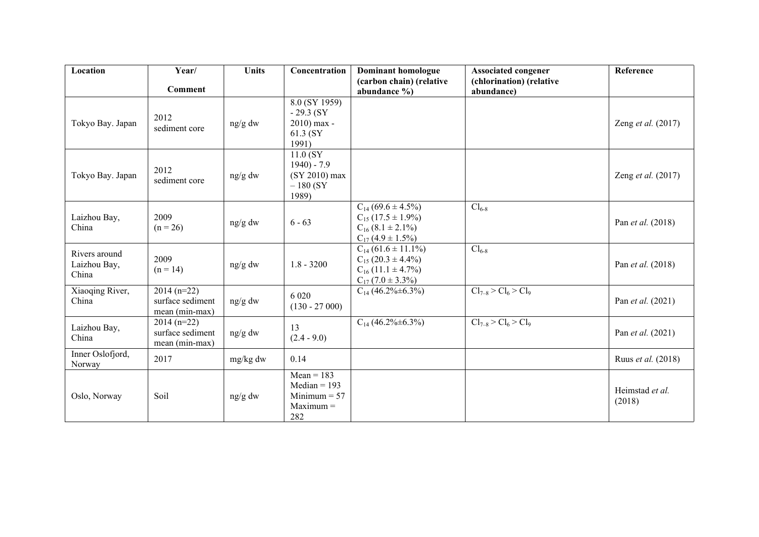| Location                               | Year/                                              | <b>Units</b> | Concentration                                                          | <b>Dominant homologue</b>                                                                                    | <b>Associated congener</b>             | Reference                 |
|----------------------------------------|----------------------------------------------------|--------------|------------------------------------------------------------------------|--------------------------------------------------------------------------------------------------------------|----------------------------------------|---------------------------|
|                                        | Comment                                            |              |                                                                        | (carbon chain) (relative<br>abundance $\%$ )                                                                 | (chlorination) (relative<br>abundance) |                           |
| Tokyo Bay. Japan                       | 2012<br>sediment core                              | ng/g dw      | 8.0 (SY 1959)<br>$-29.3$ (SY<br>2010) max -<br>61.3 (SY<br>1991)       |                                                                                                              |                                        | Zeng et al. (2017)        |
| Tokyo Bay. Japan                       | 2012<br>sediment core                              | ng/g dw      | 11.0(SY)<br>$1940 - 7.9$<br>(SY 2010) max<br>$-180(SY)$<br>1989)       |                                                                                                              |                                        | Zeng <i>et al.</i> (2017) |
| Laizhou Bay,<br>China                  | 2009<br>$(n = 26)$                                 | ng/g dw      | $6 - 63$                                                               | $C_{14}$ (69.6 ± 4.5%)<br>$C_{15}$ (17.5 ± 1.9%)<br>$C_{16}$ (8.1 $\pm$ 2.1%)<br>$C_{17}(4.9 \pm 1.5\%)$     | $Cl_{6-8}$                             | Pan <i>et al.</i> (2018)  |
| Rivers around<br>Laizhou Bay,<br>China | 2009<br>$(n = 14)$                                 | ng/g dw      | $1.8 - 3200$                                                           | $C_{14}$ (61.6 ± 11.1%)<br>$C_{15}$ (20.3 ± 4.4%)<br>$C_{16}$ (11.1 $\pm$ 4.7%)<br>$C_{17}$ (7.0 $\pm$ 3.3%) | $Cl_{6-8}$                             | Pan et al. (2018)         |
| Xiaoqing River,<br>China               | $2014(n=22)$<br>surface sediment<br>mean (min-max) | ng/g dw      | 6 0 20<br>$(130 - 27000)$                                              | $C_{14}$ (46.2%±6.3%)                                                                                        | $Cl_{7-8} > Cl_6 > Cl_9$               | Pan et al. (2021)         |
| Laizhou Bay,<br>China                  | $2014(n=22)$<br>surface sediment<br>mean (min-max) | ng/g dw      | 13<br>$(2.4 - 9.0)$                                                    | $C_{14}$ (46.2%±6.3%)                                                                                        | $Cl_{7-8} > Cl_6 > Cl_9$               | Pan et al. (2021)         |
| Inner Oslofjord,<br>Norway             | 2017                                               | mg/kg dw     | 0.14                                                                   |                                                                                                              |                                        | Ruus et al. (2018)        |
| Oslo, Norway                           | Soil                                               | ng/g dw      | $Mean = 183$<br>$Median = 193$<br>Minimum $= 57$<br>$Maximum =$<br>282 |                                                                                                              |                                        | Heimstad et al.<br>(2018) |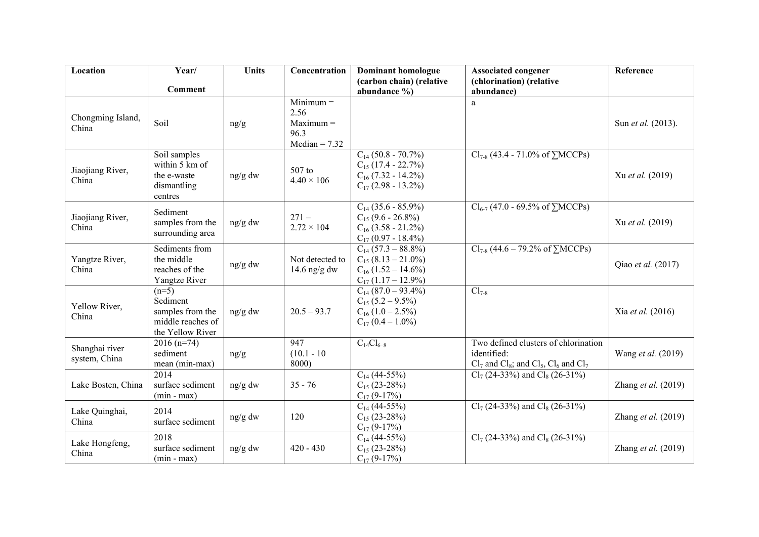| Location                        | Year/                                                                            | <b>Units</b> | Concentration                                                 | <b>Dominant homologue</b>                                                                                | <b>Associated congener</b>                                                                                | Reference             |
|---------------------------------|----------------------------------------------------------------------------------|--------------|---------------------------------------------------------------|----------------------------------------------------------------------------------------------------------|-----------------------------------------------------------------------------------------------------------|-----------------------|
|                                 | Comment                                                                          |              |                                                               | (carbon chain) (relative<br>abundance $\%$ )                                                             | (chlorination) (relative<br>abundance)                                                                    |                       |
| Chongming Island,<br>China      | Soil                                                                             | ng/g         | $Minimum =$<br>2.56<br>$Maximum =$<br>96.3<br>$Median = 7.32$ |                                                                                                          | a                                                                                                         | Sun et al. (2013).    |
| Jiaojiang River,<br>China       | Soil samples<br>within 5 km of<br>the e-waste<br>dismantling<br>centres          | ng/g dw      | 507 to<br>$4.40 \times 106$                                   | $C_{14}$ (50.8 - 70.7%)<br>$C_{15}$ (17.4 - 22.7%)<br>$C_{16}$ (7.32 - 14.2%)<br>$C_{17}$ (2.98 - 13.2%) | $Cl_{7-8}$ (43.4 - 71.0% of $\sum MCCPs$ )                                                                | Xu et al. (2019)      |
| Jiaojiang River,<br>China       | Sediment<br>samples from the<br>surrounding area                                 | ng/g dw      | $271 -$<br>$2.72 \times 104$                                  | $C_{14}$ (35.6 - 85.9%)<br>$C_{15}$ (9.6 - 26.8%)<br>$C_{16}$ (3.58 - 21.2%)<br>$C_{17}$ (0.97 - 18.4%)  | $Cl_{6-7}$ (47.0 - 69.5% of $\sum MCCPs$ )                                                                | Xu et al. (2019)      |
| Yangtze River,<br>China         | Sediments from<br>the middle<br>reaches of the<br>Yangtze River                  | ng/g dw      | Not detected to<br>14.6 ng/g dw                               | $C_{14}$ (57.3 – 88.8%)<br>$C_{15}$ (8.13 – 21.0%)<br>$C_{16}$ (1.52 – 14.6%)<br>$C_{17}$ (1.17 – 12.9%) | $Cl_{7-8}$ (44.6 – 79.2% of $\sum MCCPs$ )                                                                | Qiao et al. (2017)    |
| Yellow River,<br>China          | $(n=5)$<br>Sediment<br>samples from the<br>middle reaches of<br>the Yellow River | ng/g dw      | $20.5 - 93.7$                                                 | $C_{14}$ (87.0 – 93.4%)<br>$C_{15}$ (5.2 – 9.5%)<br>$C_{16}$ (1.0 – 2.5%)<br>$C_{17} (0.4 - 1.0\%)$      | $Cl_{7-8}$                                                                                                | Xia et al. (2016)     |
| Shanghai river<br>system, China | $2016(n=74)$<br>sediment<br>mean (min-max)                                       | ng/g         | 947<br>$(10.1 - 10)$<br>8000)                                 | $C_{14}Cl_{6-8}$                                                                                         | Two defined clusters of chlorination<br>identified:<br>$Cl_7$ and $Cl_8$ ; and $Cl_5$ , $Cl_6$ and $Cl_7$ | Wang et al. (2019)    |
| Lake Bosten, China              | 2014<br>surface sediment<br>$(min - max)$                                        | ng/g dw      | $35 - 76$                                                     | $C_{14}$ (44-55%)<br>$C_{15}$ (23-28%)<br>$C_{17}$ (9-17%)                                               | $Cl_7$ (24-33%) and $Cl_8$ (26-31%)                                                                       | Zhang et al. $(2019)$ |
| Lake Quinghai,<br>China         | 2014<br>surface sediment                                                         | ng/g dw      | 120                                                           | $C_{14}$ (44-55%)<br>$C_{15}$ (23-28%)<br>$C_{17}$ (9-17%)                                               | $Cl_7$ (24-33%) and $Cl_8$ (26-31%)                                                                       | Zhang et al. $(2019)$ |
| Lake Hongfeng,<br>China         | 2018<br>surface sediment<br>$(min - max)$                                        | ng/g dw      | $420 - 430$                                                   | $C_{14}$ (44-55%)<br>$C_{15}$ (23-28%)<br>$C_{17}$ (9-17%)                                               | $Cl_7$ (24-33%) and $Cl_8$ (26-31%)                                                                       | Zhang et al. (2019)   |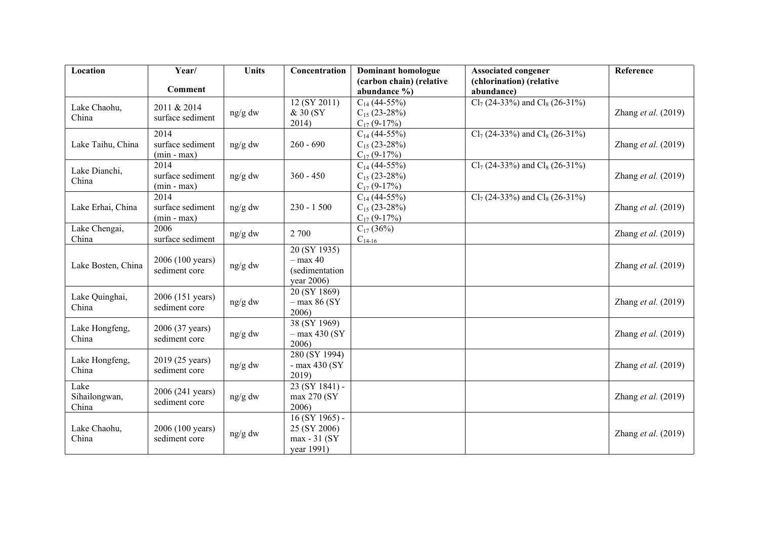| Location                       | Year/                                     | <b>Units</b> | Concentration                                                  | <b>Dominant homologue</b>                                  | <b>Associated congener</b>             | Reference             |
|--------------------------------|-------------------------------------------|--------------|----------------------------------------------------------------|------------------------------------------------------------|----------------------------------------|-----------------------|
|                                | Comment                                   |              |                                                                | (carbon chain) (relative<br>abundance %)                   | (chlorination) (relative<br>abundance) |                       |
| Lake Chaohu,<br>China          | 2011 & 2014<br>surface sediment           | ng/g dw      | 12 (SY 2011)<br>& 30 (SY)<br>2014)                             | $C_{14}$ (44-55%)<br>$C_{15}$ (23-28%)<br>$C_{17}$ (9-17%) | $Cl_7$ (24-33%) and $Cl_8$ (26-31%)    | Zhang et al. $(2019)$ |
| Lake Taihu, China              | 2014<br>surface sediment<br>$(min - max)$ | ng/g dw      | $260 - 690$                                                    | $C_{14}$ (44-55%)<br>$C_{15}$ (23-28%)<br>$C_{17}$ (9-17%) | $Cl_7$ (24-33%) and $Cl_8$ (26-31%)    | Zhang et al. $(2019)$ |
| Lake Dianchi,<br>China         | 2014<br>surface sediment<br>$(min - max)$ | $ng/g$ dw    | $360 - 450$                                                    | $C_{14}$ (44-55%)<br>$C_{15}$ (23-28%)<br>$C_{17}$ (9-17%) | $Cl_7$ (24-33%) and $Cl_8$ (26-31%)    | Zhang et al. $(2019)$ |
| Lake Erhai, China              | 2014<br>surface sediment<br>$(min - max)$ | ng/g dw      | $230 - 1500$                                                   | $C_{14}$ (44-55%)<br>$C_{15}$ (23-28%)<br>$C_{17}$ (9-17%) | $Cl_7$ (24-33%) and $Cl_8$ (26-31%)    | Zhang et al. (2019)   |
| Lake Chengai,<br>China         | 2006<br>surface sediment                  | ng/g dw      | 2 700                                                          | $C_{17}$ (36%)<br>$C_{14-16}$                              |                                        | Zhang et al. $(2019)$ |
| Lake Bosten, China             | 2006 (100 years)<br>sediment core         | ng/g dw      | 20 (SY 1935)<br>$-$ max 40<br>(sedimentation<br>year 2006)     |                                                            |                                        | Zhang et al. $(2019)$ |
| Lake Quinghai,<br>China        | 2006 (151 years)<br>sediment core         | ng/g dw      | 20 (SY 1869)<br>$-$ max 86 (SY<br>2006)                        |                                                            |                                        | Zhang et al. $(2019)$ |
| Lake Hongfeng,<br>China        | 2006 (37 years)<br>sediment core          | ng/g dw      | 38 (SY 1969)<br>$-$ max 430 (SY<br>2006)                       |                                                            |                                        | Zhang et al. $(2019)$ |
| Lake Hongfeng,<br>China        | 2019 (25 years)<br>sediment core          | ng/g dw      | 280 (SY 1994)<br>$-$ max 430 (SY<br>2019)                      |                                                            |                                        | Zhang et al. (2019)   |
| Lake<br>Sihailongwan,<br>China | 2006 (241 years)<br>sediment core         | ng/g dw      | 23 (SY 1841) -<br>max 270 (SY<br>2006)                         |                                                            |                                        | Zhang et al. $(2019)$ |
| Lake Chaohu,<br>China          | 2006 (100 years)<br>sediment core         | ng/g dw      | $16 (SY 1965)$ -<br>25 (SY 2006)<br>max - 31 (SY<br>year 1991) |                                                            |                                        | Zhang et al. $(2019)$ |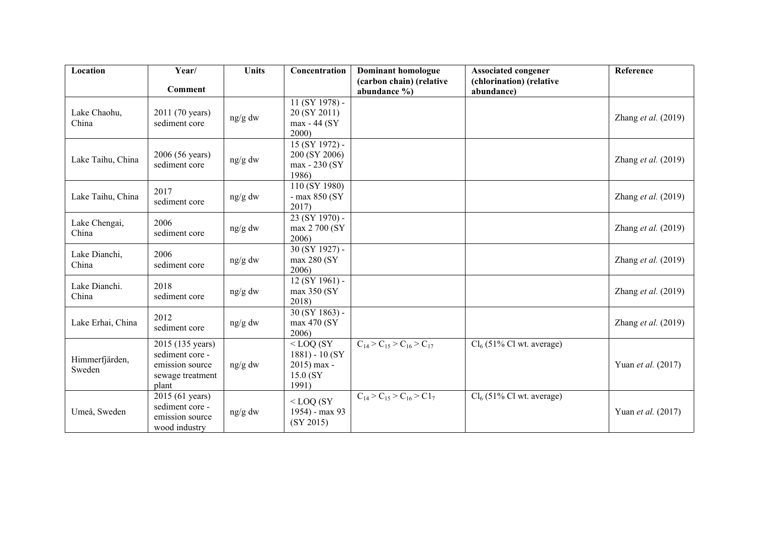| Location              | Year/                            | <b>Units</b> | Concentration         | <b>Dominant homologue</b>                 | <b>Associated congener</b>  | Reference             |
|-----------------------|----------------------------------|--------------|-----------------------|-------------------------------------------|-----------------------------|-----------------------|
|                       | Comment                          |              |                       | (carbon chain) (relative                  | (chlorination) (relative    |                       |
|                       |                                  |              |                       | abundance $\%$ )                          | abundance)                  |                       |
|                       |                                  |              | 11 (SY 1978) -        |                                           |                             |                       |
| Lake Chaohu,<br>China | 2011 (70 years)<br>sediment core | ng/g dw      | 20 (SY 2011)          |                                           |                             | Zhang et al. $(2019)$ |
|                       |                                  |              | max - 44 (SY<br>2000) |                                           |                             |                       |
|                       |                                  |              | 15 (SY 1972) -        |                                           |                             |                       |
|                       | 2006 (56 years)                  |              | 200 (SY 2006)         |                                           |                             |                       |
| Lake Taihu, China     | sediment core                    | ng/g dw      | max - 230 (SY)        |                                           |                             | Zhang et al. $(2019)$ |
|                       |                                  |              | 1986)                 |                                           |                             |                       |
|                       |                                  |              | 110 (SY 1980)         |                                           |                             |                       |
| Lake Taihu, China     | 2017                             | ng/g dw      | $-$ max 850 (SY       |                                           |                             | Zhang et al. $(2019)$ |
|                       | sediment core                    |              | 2017)                 |                                           |                             |                       |
|                       |                                  |              | 23 (SY 1970) -        |                                           |                             |                       |
| Lake Chengai,         | 2006                             | ng/g dw      | max 2 700 (SY         |                                           |                             | Zhang et al. $(2019)$ |
| China                 | sediment core                    |              | 2006)                 |                                           |                             |                       |
|                       |                                  |              | $30 (SY 1927) -$      |                                           |                             |                       |
| Lake Dianchi,         | 2006                             | ng/g dw      | max 280 (SY           |                                           |                             | Zhang et al. $(2019)$ |
| China                 | sediment core                    |              | 2006)                 |                                           |                             |                       |
| Lake Dianchi.         | 2018                             |              | $12 (SY 1961) -$      |                                           |                             |                       |
| China                 | sediment core                    | ng/g dw      | max 350 (SY           |                                           |                             | Zhang et al. (2019)   |
|                       |                                  |              | 2018)                 |                                           |                             |                       |
|                       | 2012                             |              | $30(SY1863)$ -        |                                           |                             |                       |
| Lake Erhai, China     | sediment core                    | $ng/g$ dw    | max 470 (SY           |                                           |                             | Zhang et al. (2019)   |
|                       |                                  |              | 2006)                 |                                           |                             |                       |
|                       | 2015 (135 years)                 |              | $<$ LOQ (SY           | $C_{14}$ > $C_{15}$ > $C_{16}$ > $C_{17}$ | $Cl_6$ (51% Cl wt. average) |                       |
| Himmerfjärden,        | sediment core -                  |              | $1881 - 10(SY)$       |                                           |                             |                       |
| Sweden                | emission source                  | ng/g dw      | 2015) max -           |                                           |                             | Yuan et al. (2017)    |
|                       | sewage treatment                 |              | 15.0 (SY              |                                           |                             |                       |
|                       | plant                            |              | 1991)                 |                                           |                             |                       |
|                       | 2015 (61 years)                  |              | $<$ LOQ (SY           | $C_{14} > C_{15} > C_{16} > C_{17}$       | $Cl_6$ (51% Cl wt. average) |                       |
| Umeå, Sweden          | sediment core -                  | ng/g dw      | 1954) - max 93        |                                           |                             | Yuan et al. (2017)    |
|                       | emission source                  |              | (SY 2015)             |                                           |                             |                       |
|                       | wood industry                    |              |                       |                                           |                             |                       |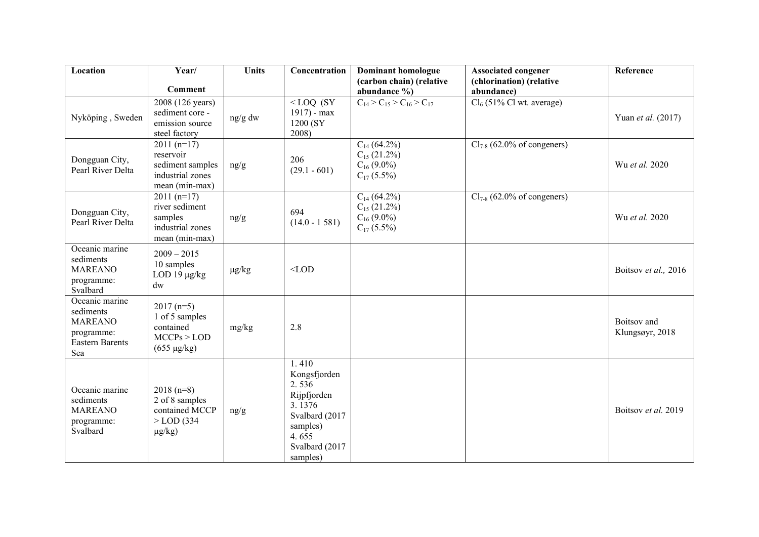| Location                                                                                     | Year/                                                                               | <b>Units</b> | Concentration                                                                                                                | <b>Dominant homologue</b>                                                  | <b>Associated congener</b>             | Reference                      |
|----------------------------------------------------------------------------------------------|-------------------------------------------------------------------------------------|--------------|------------------------------------------------------------------------------------------------------------------------------|----------------------------------------------------------------------------|----------------------------------------|--------------------------------|
|                                                                                              | <b>Comment</b>                                                                      |              |                                                                                                                              | (carbon chain) (relative<br>abundance %)                                   | (chlorination) (relative<br>abundance) |                                |
| Nyköping, Sweden                                                                             | 2008 (126 years)<br>sediment core -<br>emission source<br>steel factory             | ng/g dw      | $<$ LOQ (SY<br>1917) - max<br>1200 (SY)<br>2008)                                                                             | $C_{14}$ > $C_{15}$ > $C_{16}$ > $C_{17}$                                  | $Cl_6$ (51% Cl wt. average)            | Yuan et al. (2017)             |
| Dongguan City,<br>Pearl River Delta                                                          | $2011(n=17)$<br>reservoir<br>sediment samples<br>industrial zones<br>mean (min-max) | ng/g         | 206<br>$(29.1 - 601)$                                                                                                        | $C_{14}$ (64.2%)<br>$C_{15}$ (21.2%)<br>$C_{16}$ (9.0%)<br>$C_{17}$ (5.5%) | $Cl_{7-8}$ (62.0% of congeners)        | Wu et al. 2020                 |
| Dongguan City,<br>Pearl River Delta                                                          | $2011(n=17)$<br>river sediment<br>samples<br>industrial zones<br>mean (min-max)     | ng/g         | 694<br>$(14.0 - 1581)$                                                                                                       | $C_{14}$ (64.2%)<br>$C_{15}$ (21.2%)<br>$C_{16}$ (9.0%)<br>$C_{17}$ (5.5%) | $Cl_{7-8}$ (62.0% of congeners)        | Wu et al. 2020                 |
| Oceanic marine<br>sediments<br><b>MAREANO</b><br>programme:<br>Svalbard                      | $2009 - 2015$<br>10 samples<br>LOD 19 $\mu$ g/kg<br>$\mathrm{d}\mathrm{w}$          | $\mu g/kg$   | $<$ LOD                                                                                                                      |                                                                            |                                        | Boitsov et al., 2016           |
| Oceanic marine<br>sediments<br><b>MAREANO</b><br>programme:<br><b>Eastern Barents</b><br>Sea | $2017(n=5)$<br>1 of 5 samples<br>contained<br>MCCPs > LOD<br>$(655 \mu g/kg)$       | mg/kg        | 2.8                                                                                                                          |                                                                            |                                        | Boitsov and<br>Klungsøyr, 2018 |
| Oceanic marine<br>sediments<br><b>MAREANO</b><br>programme:<br>Svalbard                      | $2018(n=8)$<br>2 of 8 samples<br>contained MCCP<br>$>$ LOD (334)<br>$\mu$ g/kg)     | ng/g         | 1.410<br>Kongsfjorden<br>2.536<br>Rijpfjorden<br>3.1376<br>Svalbard (2017<br>samples)<br>4.655<br>Svalbard (2017<br>samples) |                                                                            |                                        | Boitsov et al. 2019            |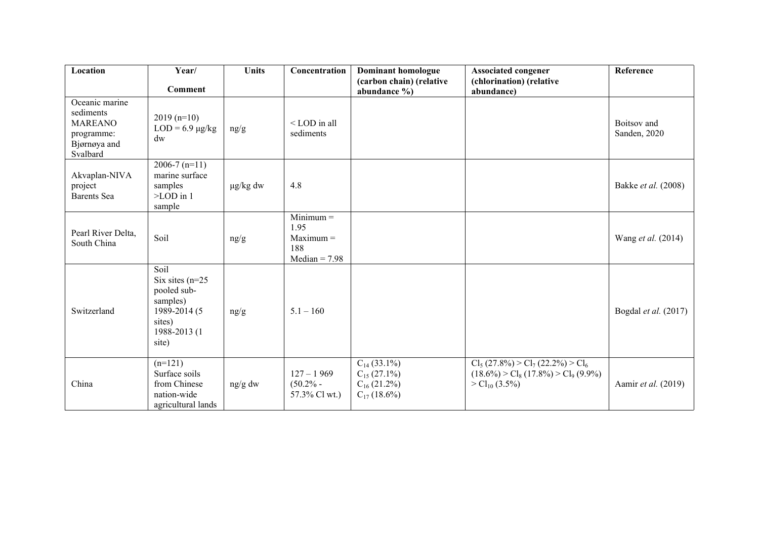| Location                                                                                | Year/                                                                                                    | <b>Units</b>  | Concentration                                                | <b>Dominant homologue</b>                                                    | <b>Associated congener</b>                                                                           | Reference                   |
|-----------------------------------------------------------------------------------------|----------------------------------------------------------------------------------------------------------|---------------|--------------------------------------------------------------|------------------------------------------------------------------------------|------------------------------------------------------------------------------------------------------|-----------------------------|
|                                                                                         | <b>Comment</b>                                                                                           |               |                                                              | (carbon chain) (relative<br>abundance %)                                     | (chlorination) (relative<br>abundance)                                                               |                             |
| Oceanic marine<br>sediments<br><b>MAREANO</b><br>programme:<br>Bjørnøya and<br>Svalbard | $2019(n=10)$<br>$LOD = 6.9 \mu g/kg$<br>dw                                                               | ng/g          | <lod all<br="" in="">sediments</lod>                         |                                                                              |                                                                                                      | Boitsov and<br>Sanden, 2020 |
| Akvaplan-NIVA<br>project<br><b>Barents</b> Sea                                          | $2006 - 7(n=11)$<br>marine surface<br>samples<br>$\geq$ LOD in 1<br>sample                               | $\mu$ g/kg dw | 4.8                                                          |                                                                              |                                                                                                      | Bakke et al. (2008)         |
| Pearl River Delta,<br>South China                                                       | Soil                                                                                                     | ng/g          | $Minimum =$<br>1.95<br>$Maximum =$<br>188<br>$Median = 7.98$ |                                                                              |                                                                                                      | Wang et al. (2014)          |
| Switzerland                                                                             | Soil<br>Six sites $(n=25)$<br>pooled sub-<br>samples)<br>1989-2014 (5<br>sites)<br>1988-2013 (1<br>site) | ng/g          | $5.1 - 160$                                                  |                                                                              |                                                                                                      | Bogdal et al. (2017)        |
| China                                                                                   | $(n=121)$<br>Surface soils<br>from Chinese<br>nation-wide<br>agricultural lands                          | ng/g dw       | $127 - 1969$<br>$(50.2% -$<br>57.3% Cl wt.)                  | $C_{14}$ (33.1%)<br>$C_{15}$ (27.1%)<br>$C_{16}$ (21.2%)<br>$C_{17}$ (18.6%) | $Cl_5(27.8\%) > Cl_7(22.2\%) > Cl_6$<br>$(18.6\%) > Cl_8(17.8\%) > Cl_9(9.9\%)$<br>$>Cl_{10}$ (3.5%) | Aamir et al. (2019)         |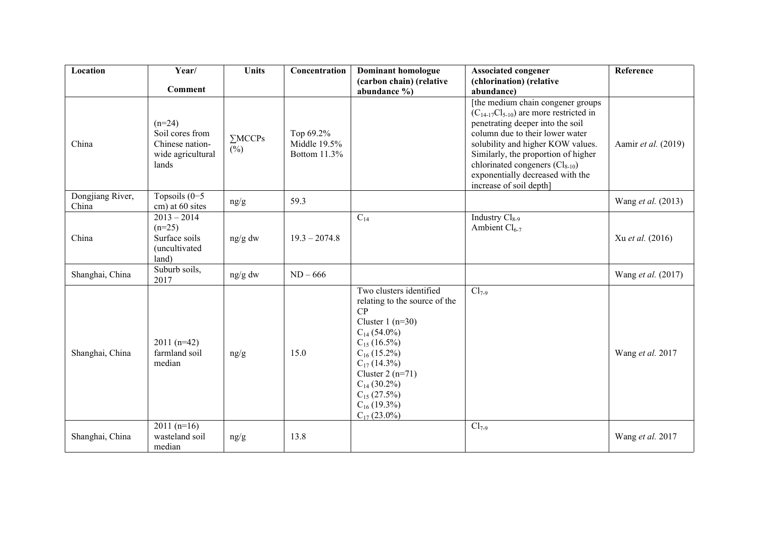| Location                  | Year/                                                                        | <b>Units</b>             | Concentration                                    | <b>Dominant homologue</b>                                                                                                                                                                                                                                                | <b>Associated congener</b>                                                                                                                                                                                                                                                                                                                   | Reference                 |
|---------------------------|------------------------------------------------------------------------------|--------------------------|--------------------------------------------------|--------------------------------------------------------------------------------------------------------------------------------------------------------------------------------------------------------------------------------------------------------------------------|----------------------------------------------------------------------------------------------------------------------------------------------------------------------------------------------------------------------------------------------------------------------------------------------------------------------------------------------|---------------------------|
|                           | <b>Comment</b>                                                               |                          |                                                  | (carbon chain) (relative<br>abundance %)                                                                                                                                                                                                                                 | (chlorination) (relative<br>abundance)                                                                                                                                                                                                                                                                                                       |                           |
| China                     | $(n=24)$<br>Soil cores from<br>Chinese nation-<br>wide agricultural<br>lands | $\Sigma$ MCCPs<br>$(\%)$ | Top 69.2%<br>Middle 19.5%<br><b>Bottom 11.3%</b> |                                                                                                                                                                                                                                                                          | [the medium chain congener groups]<br>$(C_{14-17}Cl_{5-10})$ are more restricted in<br>penetrating deeper into the soil<br>column due to their lower water<br>solubility and higher KOW values.<br>Similarly, the proportion of higher<br>chlorinated congeners $(Cl_{8-10})$<br>exponentially decreased with the<br>increase of soil depth] | Aamir et al. (2019)       |
| Dongjiang River,<br>China | Topsoils $(0-5)$<br>cm) at 60 sites                                          | ng/g                     | 59.3                                             |                                                                                                                                                                                                                                                                          |                                                                                                                                                                                                                                                                                                                                              | Wang et al. (2013)        |
| China                     | $2013 - 2014$<br>$(n=25)$<br>Surface soils<br>(uncultivated<br>land)         | $ng/g$ dw                | $19.3 - 2074.8$                                  | $C_{14}$                                                                                                                                                                                                                                                                 | Industry Cl <sub>8-9</sub><br>Ambient $Cl_{6-7}$                                                                                                                                                                                                                                                                                             | Xu et al. (2016)          |
| Shanghai, China           | Suburb soils,<br>2017                                                        | ng/g dw                  | $ND - 666$                                       |                                                                                                                                                                                                                                                                          |                                                                                                                                                                                                                                                                                                                                              | Wang <i>et al.</i> (2017) |
| Shanghai, China           | $2011(n=42)$<br>farmland soil<br>median                                      | ng/g                     | 15.0                                             | Two clusters identified<br>relating to the source of the<br>CP<br>Cluster $1(n=30)$<br>$C_{14}$ (54.0%)<br>$C_{15}$ (16.5%)<br>$C_{16}$ (15.2%)<br>$C_{17}$ (14.3%)<br>Cluster $2(n=71)$<br>$C_{14}$ (30.2%)<br>$C_{15}$ (27.5%)<br>$C_{16}$ (19.3%)<br>$C_{17}$ (23.0%) | $Cl_{7-9}$                                                                                                                                                                                                                                                                                                                                   | Wang et al. 2017          |
| Shanghai, China           | $2011(n=16)$<br>wasteland soil<br>median                                     | ng/g                     | 13.8                                             |                                                                                                                                                                                                                                                                          | $Cl_{7-9}$                                                                                                                                                                                                                                                                                                                                   | Wang et al. 2017          |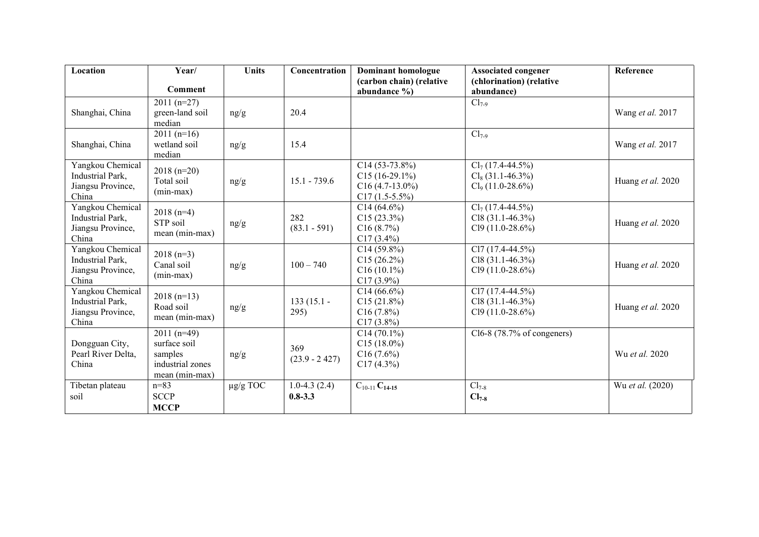| Location                                                           | Year/                                                                         | <b>Units</b>  | Concentration                   | Dominant homologue                                                           | <b>Associated congener</b>                                                         | Reference         |
|--------------------------------------------------------------------|-------------------------------------------------------------------------------|---------------|---------------------------------|------------------------------------------------------------------------------|------------------------------------------------------------------------------------|-------------------|
|                                                                    | <b>Comment</b>                                                                |               |                                 | (carbon chain) (relative<br>abundance %)                                     | (chlorination) (relative<br>abundance)                                             |                   |
| Shanghai, China                                                    | $2011(n=27)$<br>green-land soil<br>median                                     | ng/g          | 20.4                            |                                                                              | $Cl_{7-9}$                                                                         | Wang et al. 2017  |
| Shanghai, China                                                    | 2011 $(n=16)$<br>wetland soil<br>median                                       | ng/g          | 15.4                            |                                                                              | $Cl_{7-9}$                                                                         | Wang et al. 2017  |
| Yangkou Chemical<br>Industrial Park,<br>Jiangsu Province,<br>China | $2018(n=20)$<br>Total soil<br>$(min-max)$                                     | ng/g          | $15.1 - 739.6$                  | $C14(53-73.8%)$<br>$C15(16-29.1\%)$<br>$C16(4.7-13.0\%)$<br>$C17(1.5-5.5\%)$ | $\overline{\text{Cl}_7(17.4-44.5\%)}$<br>$Cl_8(31.1-46.3\%)$<br>$Cl9$ (11.0-28.6%) | Huang et al. 2020 |
| Yangkou Chemical<br>Industrial Park,<br>Jiangsu Province,<br>China | $2018(n=4)$<br>STP soil<br>mean (min-max)                                     | ng/g          | 282<br>$(83.1 - 591)$           | $C14(64.6\%)$<br>C15(23.3%)<br>C16(8.7%)<br>$C17(3.4\%)$                     | $Cl_7(17.4-44.5\%)$<br>$Cl8(31.1-46.3%)$<br>$Cl9(11.0-28.6%)$                      | Huang et al. 2020 |
| Yangkou Chemical<br>Industrial Park,<br>Jiangsu Province,<br>China | $2018(n=3)$<br>Canal soil<br>$(min-max)$                                      | ng/g          | $100 - 740$                     | $C14(59.8\%)$<br>C15(26.2%)<br>$C16(10.1\%)$<br>$C17(3.9\%)$                 | $\overline{CI7}$ (17.4-44.5%)<br>$Cl8(31.1-46.3%)$<br>$Cl9(11.0-28.6%)$            | Huang et al. 2020 |
| Yangkou Chemical<br>Industrial Park,<br>Jiangsu Province,<br>China | $2018(n=13)$<br>Road soil<br>mean (min-max)                                   | ng/g          | $133(15.1 -$<br>295)            | $C14(66.6\%)$<br>C15(21.8%)<br>C16(7.8%)<br>$C17(3.8\%)$                     | $Cl7(17.4-44.5%)$<br>$C18(31.1-46.3%)$<br>$Cl9(11.0-28.6%)$                        | Huang et al. 2020 |
| Dongguan City,<br>Pearl River Delta,<br>China                      | $2011(n=49)$<br>surface soil<br>samples<br>industrial zones<br>mean (min-max) | ng/g          | 369<br>$(23.9 - 2427)$          | $C14(70.1\%)$<br>$C15(18.0\%)$<br>C16(7.6%)<br>C17(4.3%)                     | $Cl6-8$ (78.7% of congeners)                                                       | Wu et al. 2020    |
| Tibetan plateau<br>soil                                            | $n = 83$<br><b>SCCP</b><br><b>MCCP</b>                                        | $\mu$ g/g TOC | $1.0 - 4.3(2.4)$<br>$0.8 - 3.3$ | $C_{10-11}C_{14-15}$                                                         | $Cl_{7-8}$<br>$Cl_{7-8}$                                                           | Wu et al. (2020)  |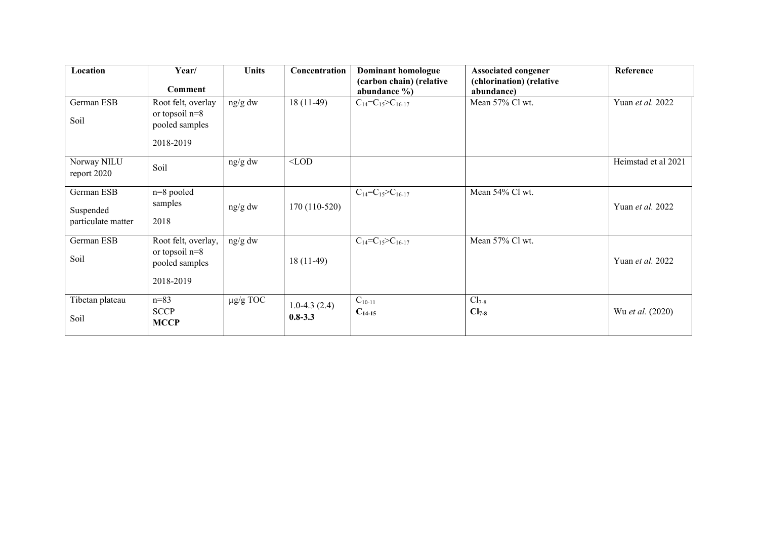| Location                                      | Year/<br>Comment                                                       | <b>Units</b>  | Concentration                   | Dominant homologue<br>(carbon chain) (relative<br>abundance $\%$ ) | <b>Associated congener</b><br>(chlorination) (relative<br>abundance) | Reference           |
|-----------------------------------------------|------------------------------------------------------------------------|---------------|---------------------------------|--------------------------------------------------------------------|----------------------------------------------------------------------|---------------------|
| German ESB<br>Soil                            | Root felt, overlay<br>or topsoil $n=8$<br>pooled samples<br>2018-2019  | ng/g dw       | $18(11-49)$                     | $C_{14} = C_{15} > C_{16-17}$                                      | Mean 57% Cl wt.                                                      | Yuan et al. 2022    |
| Norway NILU<br>report 2020                    | Soil                                                                   | ng/g dw       | $<$ LOD                         |                                                                    |                                                                      | Heimstad et al 2021 |
| German ESB<br>Suspended<br>particulate matter | $n=8$ pooled<br>samples<br>2018                                        | ng/g dw       | $170(110-520)$                  | $C_{14}=C_{15}>C_{16-17}$                                          | Mean 54% Cl wt.                                                      | Yuan et al. 2022    |
| German ESB<br>Soil                            | Root felt, overlay,<br>or topsoil $n=8$<br>pooled samples<br>2018-2019 | ng/g dw       | $18(11-49)$                     | $C_{14} = C_{15} > C_{16-17}$                                      | Mean 57% Cl wt.                                                      | Yuan et al. 2022    |
| Tibetan plateau<br>Soil                       | $n = 83$<br><b>SCCP</b><br><b>MCCP</b>                                 | $\mu$ g/g TOC | $1.0 - 4.3(2.4)$<br>$0.8 - 3.3$ | $C_{10-11}$<br>$C_{14-15}$                                         | $Cl_{7-8}$<br>$Cl_{7-8}$                                             | Wu et al. (2020)    |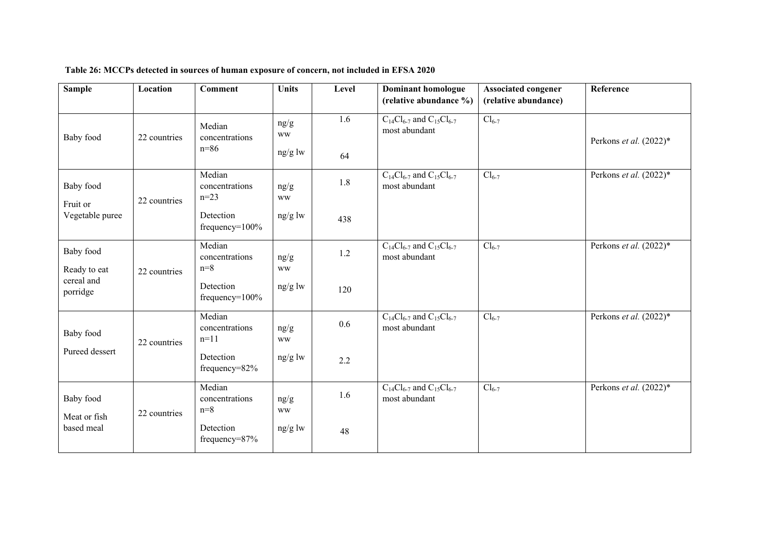| <b>Sample</b>                            | Location     | <b>Comment</b>                     | <b>Units</b>      | Level | <b>Dominant homologue</b>                              | <b>Associated congener</b> | Reference                 |
|------------------------------------------|--------------|------------------------------------|-------------------|-------|--------------------------------------------------------|----------------------------|---------------------------|
|                                          |              |                                    |                   |       | (relative abundance %)                                 | (relative abundance)       |                           |
| Baby food                                | 22 countries | Median<br>concentrations           | ng/g<br><b>WW</b> | 1.6   | $C_{14}Cl_{6-7}$ and $C_{15}Cl_{6-7}$<br>most abundant | $Cl_{6-7}$                 | Perkons et al. $(2022)^*$ |
|                                          |              | $n=86$                             | ng/g lw           | 64    |                                                        |                            |                           |
| Baby food<br>Fruit or<br>Vegetable puree | 22 countries | Median<br>concentrations<br>$n=23$ | ng/g<br><b>WW</b> | 1.8   | $C_{14}Cl_{6-7}$ and $C_{15}Cl_{6-7}$<br>most abundant | $Cl_{6-7}$                 | Perkons et al. $(2022)^*$ |
|                                          |              | Detection<br>$frequency=100\%$     | $ng/g$ lw         | 438   |                                                        |                            |                           |
| Baby food<br>Ready to eat                | 22 countries | Median<br>concentrations<br>$n=8$  | ng/g<br><b>WW</b> | 1.2   | $C_{14}Cl_{6-7}$ and $C_{15}Cl_{6-7}$<br>most abundant | $Cl_{6-7}$                 | Perkons et al. $(2022)^*$ |
| cereal and<br>porridge                   |              | Detection<br>$frequency=100\%$     | ng/g lw           | 120   |                                                        |                            |                           |
| Baby food<br>Pureed dessert              | 22 countries | Median<br>concentrations<br>$n=11$ | ng/g<br><b>WW</b> | 0.6   | $C_{14}Cl_{6-7}$ and $C_{15}Cl_{6-7}$<br>most abundant | $Cl_{6-7}$                 | Perkons et al. (2022)*    |
|                                          |              | Detection<br>$frequency = 82%$     | $ng/g$ lw         | 2.2   |                                                        |                            |                           |
| Baby food<br>Meat or fish<br>based meal  | 22 countries | Median<br>concentrations<br>$n=8$  | ng/g<br><b>WW</b> | 1.6   | $C_{14}Cl_{6-7}$ and $C_{15}Cl_{6-7}$<br>most abundant | $Cl_{6-7}$                 | Perkons et al. $(2022)^*$ |
|                                          |              | Detection<br>$frequency = 87%$     | $ng/g$ lw         | 48    |                                                        |                            |                           |

## **Table 26: MCCPs detected in sources of human exposure of concern, not included in EFSA 2020**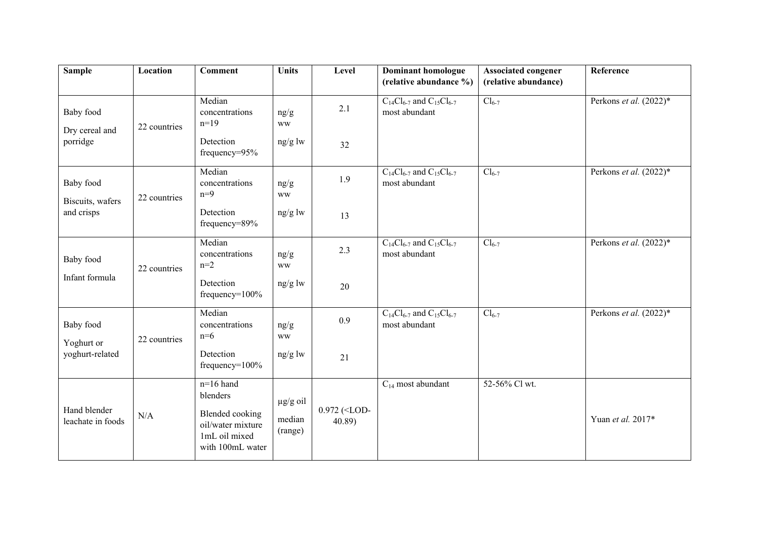| <b>Sample</b>                                     | Location     | <b>Comment</b>                                                                                              | <b>Units</b>                       | Level                            | <b>Dominant homologue</b><br>(relative abundance %)    | <b>Associated congener</b><br>(relative abundance) | Reference                 |
|---------------------------------------------------|--------------|-------------------------------------------------------------------------------------------------------------|------------------------------------|----------------------------------|--------------------------------------------------------|----------------------------------------------------|---------------------------|
| <b>Baby</b> food<br>Dry cereal and<br>porridge    | 22 countries | Median<br>concentrations<br>$n=19$                                                                          | ng/g<br><b>WW</b>                  | 2.1                              | $C_{14}Cl_{6-7}$ and $C_{15}Cl_{6-7}$<br>most abundant | $Cl_{6-7}$                                         | Perkons et al. (2022)*    |
|                                                   |              | Detection<br>frequency=95%                                                                                  | ng/g lw                            | 32                               |                                                        |                                                    |                           |
| Baby food<br>Biscuits, wafers<br>and crisps       | 22 countries | Median<br>concentrations<br>$n=9$                                                                           | ng/g<br><b>WW</b>                  | 1.9                              | $C_{14}Cl_{6-7}$ and $C_{15}Cl_{6-7}$<br>most abundant | $Cl_{6-7}$                                         | Perkons et al. (2022)*    |
|                                                   |              | Detection<br>frequency=89%                                                                                  | ng/g lw                            | 13                               |                                                        |                                                    |                           |
| <b>Baby</b> food<br>Infant formula                | 22 countries | Median<br>concentrations<br>$n=2$                                                                           | ng/g<br><b>WW</b>                  | 2.3                              | $C_{14}Cl_{6-7}$ and $C_{15}Cl_{6-7}$<br>most abundant | $Cl_{6-7}$                                         | Perkons et al. (2022)*    |
|                                                   |              | Detection<br>frequency= $100\%$                                                                             | ng/g lw                            | 20                               |                                                        |                                                    |                           |
| <b>Baby</b> food<br>Yoghurt or<br>yoghurt-related | 22 countries | Median<br>concentrations<br>$n=6$                                                                           | ng/g<br><b>WW</b>                  | 0.9                              | $C_{14}Cl_{6-7}$ and $C_{15}Cl_{6-7}$<br>most abundant | $Cl_{6-7}$                                         | Perkons et al. $(2022)^*$ |
|                                                   |              | Detection<br>frequency= $100\%$                                                                             | ng/g lw                            | 21                               |                                                        |                                                    |                           |
| Hand blender<br>leachate in foods                 | N/A          | $n=16$ hand<br>blenders<br><b>Blended</b> cooking<br>oil/water mixture<br>1mL oil mixed<br>with 100mL water | $\mu$ g/g oil<br>median<br>(range) | 0.972 ( <lod-<br>40.89</lod-<br> | $C_{14}$ most abundant                                 | 52-56% Cl wt.                                      | Yuan et al. 2017*         |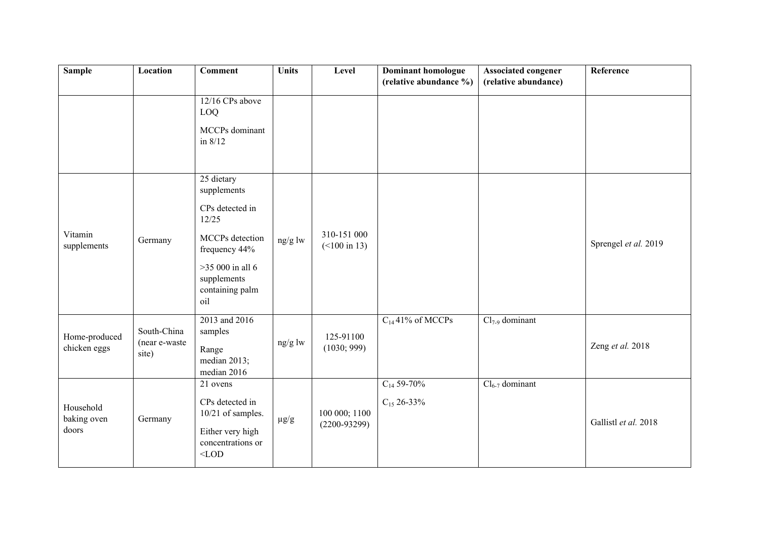| <b>Sample</b>                     | Location                              | <b>Comment</b>                                             | <b>Units</b> | Level                                  | Dominant homologue<br>(relative abundance %) | Associated congener<br>(relative abundance) | Reference            |
|-----------------------------------|---------------------------------------|------------------------------------------------------------|--------------|----------------------------------------|----------------------------------------------|---------------------------------------------|----------------------|
|                                   |                                       | 12/16 CPs above<br>LOQ<br>MCCPs dominant<br>in $8/12$      |              |                                        |                                              |                                             |                      |
|                                   |                                       | 25 dietary<br>supplements                                  |              |                                        |                                              |                                             |                      |
|                                   |                                       | CPs detected in<br>12/25                                   |              |                                        |                                              |                                             |                      |
| Vitamin<br>supplements            | Germany                               | MCCPs detection<br>frequency 44%                           | ng/g lw      | 310-151 000<br>$(<100 \text{ in } 13)$ |                                              |                                             | Sprengel et al. 2019 |
|                                   |                                       | $>35000$ in all 6<br>supplements<br>containing palm<br>oil |              |                                        |                                              |                                             |                      |
| Home-produced<br>chicken eggs     | South-China<br>(near e-waste<br>site) | 2013 and 2016<br>samples                                   | ng/g lw      | 125-91100<br>(1030; 999)               | $C_{14}$ 41% of MCCPs                        | $Cl_{7.9}$ dominant                         |                      |
|                                   |                                       | Range<br>median 2013;<br>median 2016                       |              |                                        |                                              |                                             | Zeng et al. 2018     |
|                                   |                                       | 21 ovens                                                   |              |                                        | $C_{14}$ 59-70%                              | $Cl_{6-7}$ dominant                         |                      |
| Household<br>baking oven<br>doors | Germany                               | CPs detected in<br>10/21 of samples.                       | $\mu g/g$    | 100 000; 1100<br>$(2200 - 93299)$      | $C_{15}$ 26-33%                              |                                             | Gallistl et al. 2018 |
|                                   |                                       | Either very high<br>concentrations or<br>$<$ LOD           |              |                                        |                                              |                                             |                      |